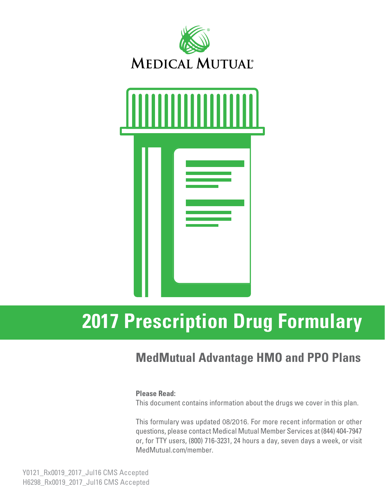



# **2017 Prescription Drug Formulary**

## **MedMutual Advantage HMO and PPO Plans**

#### **Please Read:**

This document contains information about the drugs we cover in this plan.

This formulary was updated 08/2016. For more recent information or other questions, please contact Medical Mutual Member Services at (844) 404-7947 or, for TTY users, (800) 716-3231, 24 hours a day, seven days a week, or visit MedMutual.com/member.

Y0121\_Rx0019\_2017\_Jul16 CMS Accepted H6298\_Rx0019\_2017\_Jul16 CMS Accepted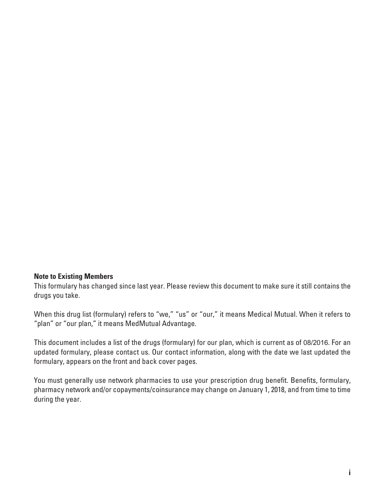#### **Note to Existing Members**

This formulary has changed since last year. Please review this document to make sure it still contains the drugs you take.

When this drug list (formulary) refers to "we," "us" or "our," it means Medical Mutual. When it refers to "plan" or "our plan," it means MedMutual Advantage.

This document includes a list of the drugs (formulary) for our plan, which is current as of 08/2016. For an updated formulary, please contact us. Our contact information, along with the date we last updated the formulary, appears on the front and back cover pages.

You must generally use network pharmacies to use your prescription drug benefit. Benefits, formulary, pharmacy network and/or copayments/coinsurance may change on January 1, 2018, and from time to time during the year.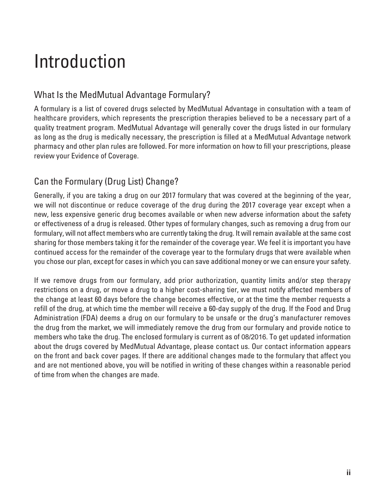# Introduction

## What Is the MedMutual Advantage Formulary?

A formulary is a list of covered drugs selected by MedMutual Advantage in consultation with a team of healthcare providers, which represents the prescription therapies believed to be a necessary part of a quality treatment program. MedMutual Advantage will generally cover the drugs listed in our formulary as long as the drug is medically necessary, the prescription is filled at a MedMutual Advantage network pharmacy and other plan rules are followed. For more information on how to fill your prescriptions, please review your Evidence of Coverage.

## Can the Formulary (Drug List) Change?

Generally, if you are taking a drug on our 2017 formulary that was covered at the beginning of the year, we will not discontinue or reduce coverage of the drug during the 2017 coverage year except when a new, less expensive generic drug becomes available or when new adverse information about the safety or effectiveness of a drug is released. Other types of formulary changes, such as removing a drug from our formulary, will not affect members who are currently taking the drug. It will remain available at the same cost sharing for those members taking it for the remainder of the coverage year. We feel it is important you have continued access for the remainder of the coverage year to the formulary drugs that were available when you chose our plan, except for cases in which you can save additional money or we can ensure your safety.

If we remove drugs from our formulary, add prior authorization, quantity limits and/or step therapy restrictions on a drug, or move a drug to a higher cost-sharing tier, we must notify affected members of the change at least 60 days before the change becomes effective, or at the time the member requests a refill of the drug, at which time the member will receive a 60-day supply of the drug. If the Food and Drug Administration (FDA) deems a drug on our formulary to be unsafe or the drug's manufacturer removes the drug from the market, we will immediately remove the drug from our formulary and provide notice to members who take the drug. The enclosed formulary is current as of 08/2016. To get updated information about the drugs covered by MedMutual Advantage, please contact us. Our contact information appears on the front and back cover pages. If there are additional changes made to the formulary that affect you and are not mentioned above, you will be notified in writing of these changes within a reasonable period of time from when the changes are made.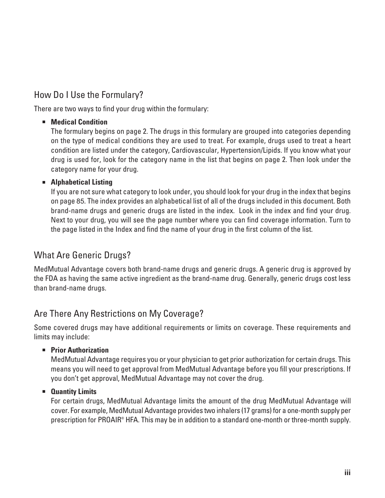## How Do I Use the Formulary?

There are two ways to find your drug within the formulary:

#### **E** Medical Condition

 The formulary begins on page 2. The drugs in this formulary are grouped into categories depending on the type of medical conditions they are used to treat. For example, drugs used to treat a heart condition are listed under the category, Cardiovascular, Hypertension/Lipids. If you know what your drug is used for, look for the category name in the list that begins on page 2. Then look under the category name for your drug.

#### **E** Alphabetical Listing

 If you are not sure what category to look under, you should look for your drug in the index that begins on page 85. The index provides an alphabetical list of all of the drugs included in this document. Both brand-name drugs and generic drugs are listed in the index. Look in the index and find your drug. Next to your drug, you will see the page number where you can find coverage information. Turn to the page listed in the Index and find the name of your drug in the first column of the list.

## What Are Generic Drugs?

MedMutual Advantage covers both brand-name drugs and generic drugs. A generic drug is approved by the FDA as having the same active ingredient as the brand-name drug. Generally, generic drugs cost less than brand-name drugs.

## Are There Any Restrictions on My Coverage?

Some covered drugs may have additional requirements or limits on coverage. These requirements and limits may include:

#### **E** Prior Authorization

 MedMutual Advantage requires you or your physician to get prior authorization for certain drugs. This means you will need to get approval from MedMutual Advantage before you fill your prescriptions. If you don't get approval, MedMutual Advantage may not cover the drug.

#### **E** Quantity Limits

 For certain drugs, MedMutual Advantage limits the amount of the drug MedMutual Advantage will cover. For example, MedMutual Advantage provides two inhalers (17 grams) for a one-month supply per prescription for PROAIR® HFA. This may be in addition to a standard one-month or three-month supply.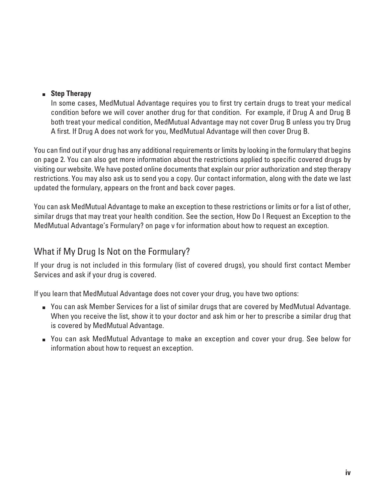#### **B** Step Therapy

 In some cases, MedMutual Advantage requires you to first try certain drugs to treat your medical condition before we will cover another drug for that condition. For example, if Drug A and Drug B both treat your medical condition, MedMutual Advantage may not cover Drug B unless you try Drug A first. If Drug A does not work for you, MedMutual Advantage will then cover Drug B.

You can find out if your drug has any additional requirements or limits by looking in the formulary that begins on page 2. You can also get more information about the restrictions applied to specific covered drugs by visiting our website. We have posted online documents that explain our prior authorization and step therapy restrictions. You may also ask us to send you a copy. Our contact information, along with the date we last updated the formulary, appears on the front and back cover pages.

You can ask MedMutual Advantage to make an exception to these restrictions or limits or for a list of other, similar drugs that may treat your health condition. See the section, How Do I Request an Exception to the MedMutual Advantage's Formulary? on page v for information about how to request an exception.

## What if My Drug Is Not on the Formulary?

If your drug is not included in this formulary (list of covered drugs), you should first contact Member Services and ask if your drug is covered.

If you learn that MedMutual Advantage does not cover your drug, you have two options:

- **DED You can ask Member Services for a list of similar drugs that are covered by MedMutual Advantage.** When you receive the list, show it to your doctor and ask him or her to prescribe a similar drug that is covered by MedMutual Advantage.
- You can ask MedMutual Advantage to make an exception and cover your drug. See below for information about how to request an exception.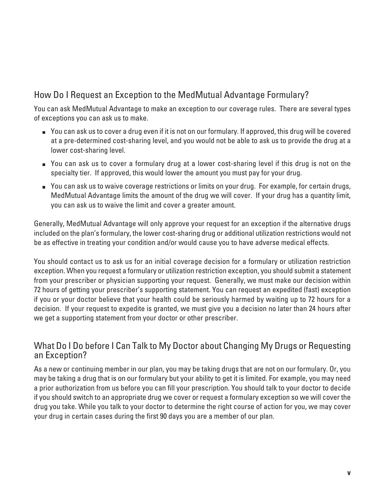## How Do I Request an Exception to the MedMutual Advantage Formulary?

You can ask MedMutual Advantage to make an exception to our coverage rules. There are several types of exceptions you can ask us to make.

- You can ask us to cover a drug even if it is not on our formulary. If approved, this drug will be covered at a pre-determined cost-sharing level, and you would not be able to ask us to provide the drug at a lower cost-sharing level.
- $\blacksquare$  You can ask us to cover a formulary drug at a lower cost-sharing level if this drug is not on the specialty tier. If approved, this would lower the amount you must pay for your drug.
- You can ask us to waive coverage restrictions or limits on your drug. For example, for certain drugs, MedMutual Advantage limits the amount of the drug we will cover. If your drug has a quantity limit, you can ask us to waive the limit and cover a greater amount.

Generally, MedMutual Advantage will only approve your request for an exception if the alternative drugs included on the plan's formulary, the lower cost-sharing drug or additional utilization restrictions would not be as effective in treating your condition and/or would cause you to have adverse medical effects.

You should contact us to ask us for an initial coverage decision for a formulary or utilization restriction exception. When you request a formulary or utilization restriction exception, you should submit a statement from your prescriber or physician supporting your request. Generally, we must make our decision within 72 hours of getting your prescriber's supporting statement. You can request an expedited (fast) exception if you or your doctor believe that your health could be seriously harmed by waiting up to 72 hours for a decision. If your request to expedite is granted, we must give you a decision no later than 24 hours after we get a supporting statement from your doctor or other prescriber.

### What Do I Do before I Can Talk to My Doctor about Changing My Drugs or Requesting an Exception?

As a new or continuing member in our plan, you may be taking drugs that are not on our formulary. Or, you may be taking a drug that is on our formulary but your ability to get it is limited. For example, you may need a prior authorization from us before you can fill your prescription. You should talk to your doctor to decide if you should switch to an appropriate drug we cover or request a formulary exception so we will cover the drug you take. While you talk to your doctor to determine the right course of action for you, we may cover your drug in certain cases during the first 90 days you are a member of our plan.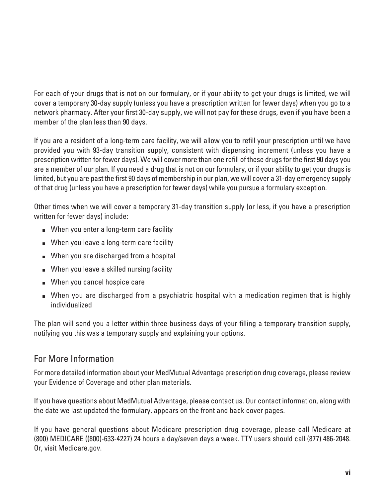For each of your drugs that is not on our formulary, or if your ability to get your drugs is limited, we will cover a temporary 30-day supply (unless you have a prescription written for fewer days) when you go to a network pharmacy. After your first 30-day supply, we will not pay for these drugs, even if you have been a member of the plan less than 90 days.

If you are a resident of a long-term care facility, we will allow you to refill your prescription until we have provided you with 93-day transition supply, consistent with dispensing increment (unless you have a prescription written for fewer days). We will cover more than one refill of these drugs for the first 90 days you are a member of our plan. If you need a drug that is not on our formulary, or if your ability to get your drugs is limited, but you are past the first 90 days of membership in our plan, we will cover a 31-day emergency supply of that drug (unless you have a prescription for fewer days) while you pursue a formulary exception.

Other times when we will cover a temporary 31-day transition supply (or less, if you have a prescription written for fewer days) include:

- When you enter a long-term care facility
- When you leave a long-term care facility
- When you are discharged from a hospital
- When you leave a skilled nursing facility
- When you cancel hospice care
- When you are discharged from a psychiatric hospital with a medication regimen that is highly individualized

The plan will send you a letter within three business days of your filling a temporary transition supply, notifying you this was a temporary supply and explaining your options.

## For More Information

For more detailed information about your MedMutual Advantage prescription drug coverage, please review your Evidence of Coverage and other plan materials.

If you have questions about MedMutual Advantage, please contact us. Our contact information, along with the date we last updated the formulary, appears on the front and back cover pages.

If you have general questions about Medicare prescription drug coverage, please call Medicare at (800) MEDICARE ((800)-633-4227) 24 hours a day/seven days a week. TTY users should call (877) 486-2048. Or, visit Medicare.gov.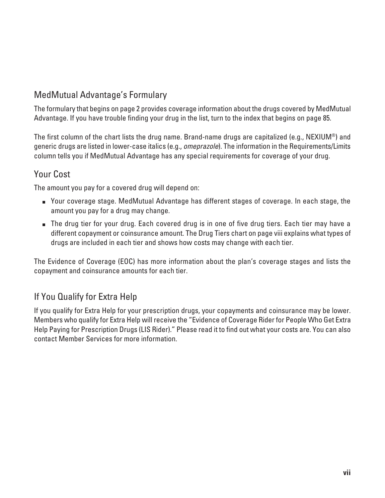## MedMutual Advantage's Formulary

The formulary that begins on page 2 provides coverage information about the drugs covered by MedMutual Advantage. If you have trouble finding your drug in the list, turn to the index that begins on page 85.

The first column of the chart lists the drug name. Brand-name drugs are capitalized (e.g., NEXIUM®) and generic drugs are listed in lower-case italics (e.g., omeprazole). The information in the Requirements/Limits column tells you if MedMutual Advantage has any special requirements for coverage of your drug.

## Your Cost

The amount you pay for a covered drug will depend on:

- **DED** Your coverage stage. MedMutual Advantage has different stages of coverage. In each stage, the amount you pay for a drug may change.
- $\blacksquare$  The drug tier for your drug. Each covered drug is in one of five drug tiers. Each tier may have a different copayment or coinsurance amount. The Drug Tiers chart on page viii explains what types of drugs are included in each tier and shows how costs may change with each tier.

The Evidence of Coverage (EOC) has more information about the plan's coverage stages and lists the copayment and coinsurance amounts for each tier.

## If You Qualify for Extra Help

If you qualify for Extra Help for your prescription drugs, your copayments and coinsurance may be lower. Members who qualify for Extra Help will receive the "Evidence of Coverage Rider for People Who Get Extra Help Paying for Prescription Drugs (LIS Rider)." Please read it to find out what your costs are. You can also contact Member Services for more information.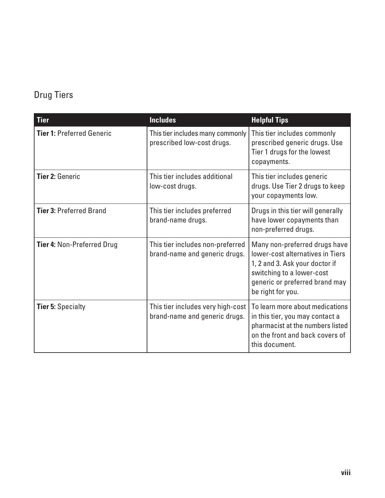## Drug Tiers

| <b>Tier</b>                       | <b>Includes</b>                                                      | <b>Helpful Tips</b>                                                                                                                                                                     |
|-----------------------------------|----------------------------------------------------------------------|-----------------------------------------------------------------------------------------------------------------------------------------------------------------------------------------|
| <b>Tier 1: Preferred Generic</b>  | This tier includes many commonly<br>prescribed low-cost drugs.       | This tier includes commonly<br>prescribed generic drugs. Use<br>Tier 1 drugs for the lowest<br>copayments.                                                                              |
| Tier 2: Generic                   | This tier includes additional<br>low-cost drugs.                     | This tier includes generic<br>drugs. Use Tier 2 drugs to keep<br>your copayments low.                                                                                                   |
| <b>Tier 3: Preferred Brand</b>    | This tier includes preferred<br>brand-name drugs.                    | Drugs in this tier will generally<br>have lower copayments than<br>non-preferred drugs.                                                                                                 |
| <b>Tier 4: Non-Preferred Drug</b> | This tier includes non-preferred<br>brand-name and generic drugs.    | Many non-preferred drugs have<br>lower-cost alternatives in Tiers<br>1, 2 and 3. Ask your doctor if<br>switching to a lower-cost<br>generic or preferred brand may<br>be right for you. |
| <b>Tier 5: Specialty</b>          | This tier includes very high-cost  <br>brand-name and generic drugs. | To learn more about medications<br>in this tier, you may contact a<br>pharmacist at the numbers listed<br>on the front and back covers of<br>this document.                             |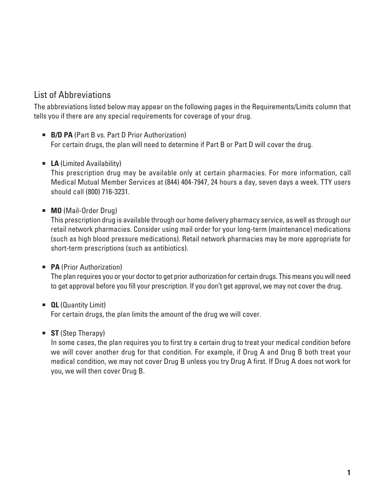## List of Abbreviations

The abbreviations listed below may appear on the following pages in the Requirements/Limits column that tells you if there are any special requirements for coverage of your drug.

- **B/D PA** (Part B vs. Part D Prior Authorization) For certain drugs, the plan will need to determine if Part B or Part D will cover the drug.
- **E** LA (Limited Availability)

 This prescription drug may be available only at certain pharmacies. For more information, call Medical Mutual Member Services at (844) 404-7947, 24 hours a day, seven days a week. TTY users should call (800) 716-3231.

**MO** (Mail-Order Drug)

 This prescription drug is available through our home delivery pharmacy service, as well as through our retail network pharmacies. Consider using mail order for your long-term (maintenance) medications (such as high blood pressure medications). Retail network pharmacies may be more appropriate for short-term prescriptions (such as antibiotics).

**PA** (Prior Authorization)

 The plan requires you or your doctor to get prior authorization for certain drugs. This means you will need to get approval before you fill your prescription. If you don't get approval, we may not cover the drug.

- **QL** (Quantity Limit) For certain drugs, the plan limits the amount of the drug we will cover.
- **ST** (Step Therapy)

 In some cases, the plan requires you to first try a certain drug to treat your medical condition before we will cover another drug for that condition. For example, if Drug A and Drug B both treat your medical condition, we may not cover Drug B unless you try Drug A first. If Drug A does not work for you, we will then cover Drug B.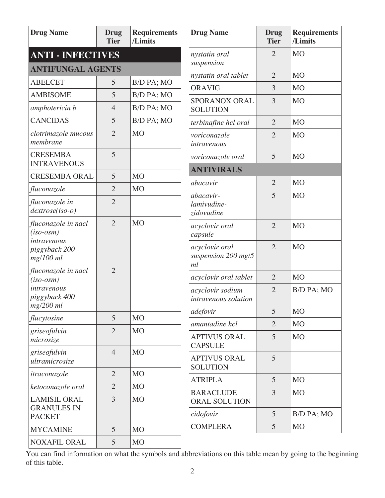| <b>Drug Name</b>                                  | Drug<br><b>Tier</b>      | <b>Requirements</b><br>/Limits | <b>Drug Name</b>                            | <b>Drug</b><br><b>Tier</b> | <b>Requirements</b><br>/Limits |
|---------------------------------------------------|--------------------------|--------------------------------|---------------------------------------------|----------------------------|--------------------------------|
| <b>ANTI - INFECTIVES</b>                          |                          |                                | nystatin oral<br>suspension                 | $\overline{2}$             | M <sub>O</sub>                 |
|                                                   | <b>ANTIFUNGAL AGENTS</b> |                                |                                             | $\overline{2}$             | M <sub>O</sub>                 |
| <b>ABELCET</b>                                    | 5                        | B/D PA; MO                     | nystatin oral tablet<br><b>ORAVIG</b>       | 3                          | M <sub>O</sub>                 |
| <b>AMBISOME</b>                                   | 5                        | B/D PA; MO                     |                                             |                            |                                |
| amphotericin b                                    | $\overline{4}$           | B/D PA; MO                     | SPORANOX ORAL<br><b>SOLUTION</b>            | 3                          | <b>MO</b>                      |
| <b>CANCIDAS</b>                                   | 5                        | B/D PA; MO                     | terbinafine hcl oral                        | $\overline{2}$             | M <sub>O</sub>                 |
| clotrimazole mucous<br>membrane                   | $\overline{2}$           | <b>MO</b>                      | voriconazole<br>intravenous                 | $\overline{2}$             | <b>MO</b>                      |
| <b>CRESEMBA</b><br><b>INTRAVENOUS</b>             | 5                        |                                | voriconazole oral                           | 5                          | MO                             |
| <b>CRESEMBA ORAL</b>                              | 5                        | M <sub>O</sub>                 | <b>ANTIVIRALS</b>                           |                            |                                |
| fluconazole                                       | $\overline{2}$           | <b>MO</b>                      | abacavir                                    | $\overline{2}$             | MO                             |
| fluconazole in<br>$dextrose(iso-o)$               | $\overline{2}$           |                                | abacavir-<br>lamivudine-<br>zidovudine      | 5                          | M <sub>O</sub>                 |
| fluconazole in nacl<br>$(iso-osm)$<br>intravenous | $\overline{2}$           | <b>MO</b>                      | acyclovir oral<br>capsule                   | $\overline{2}$             | <b>MO</b>                      |
| piggyback 200<br>mg/100 ml                        |                          |                                | acyclovir oral<br>suspension 200 mg/5<br>ml | $\overline{2}$             | <b>MO</b>                      |
| fluconazole in nacl<br>$(iso-osm)$                | $\overline{2}$           |                                | acyclovir oral tablet                       | $\overline{2}$             | MO                             |
| intravenous<br>piggyback 400                      |                          |                                | acyclovir sodium<br>intravenous solution    | $\overline{2}$             | B/D PA; MO                     |
| mg/200 ml                                         |                          |                                | adefovir                                    | 5                          | <b>MO</b>                      |
| flucytosine                                       | 5                        | M <sub>O</sub>                 | amantadine hcl                              | $\overline{2}$             | <b>MO</b>                      |
| griseofulvin<br>microsize                         | $\overline{2}$           | M <sub>O</sub>                 | <b>APTIVUS ORAL</b><br><b>CAPSULE</b>       | 5                          | M <sub>O</sub>                 |
| griseofulvin<br>ultramicrosize                    | $\overline{4}$           | <b>MO</b>                      | <b>APTIVUS ORAL</b><br><b>SOLUTION</b>      | 5                          |                                |
| itraconazole                                      | $\overline{2}$           | M <sub>O</sub>                 | <b>ATRIPLA</b>                              | 5                          | M <sub>O</sub>                 |
| ketoconazole oral                                 | $\overline{2}$           | MO                             | <b>BARACLUDE</b>                            | 3                          | MO                             |
| <b>LAMISIL ORAL</b><br><b>GRANULES IN</b>         | 3                        | <b>MO</b>                      | ORAL SOLUTION                               |                            |                                |
| <b>PACKET</b>                                     |                          |                                | cidofovir                                   | 5                          | B/D PA; MO                     |
| <b>MYCAMINE</b>                                   | 5                        | <b>MO</b>                      | <b>COMPLERA</b>                             | 5                          | M <sub>O</sub>                 |
| NOXAFIL ORAL                                      | 5                        | <b>MO</b>                      |                                             |                            |                                |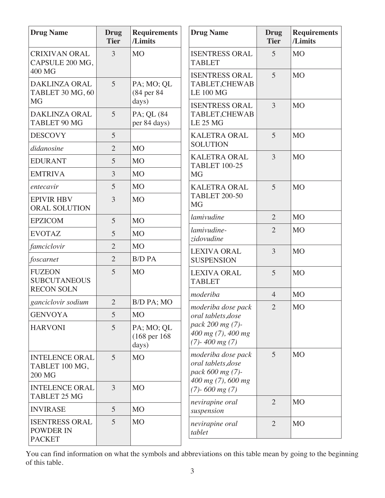| <b>Drug Name</b>                                                | <b>Drug</b><br><b>Tier</b> | <b>Requirements</b><br>/Limits                  | <b>Drug Name</b>                                                                     | <b>Drug</b><br><b>Tier</b> | <b>Requirements</b><br>/Limits |
|-----------------------------------------------------------------|----------------------------|-------------------------------------------------|--------------------------------------------------------------------------------------|----------------------------|--------------------------------|
| <b>CRIXIVAN ORAL</b><br>CAPSULE 200 MG,                         | $\overline{3}$             | <b>MO</b>                                       | <b>ISENTRESS ORAL</b><br><b>TABLET</b>                                               | 5                          | <b>MO</b>                      |
| 400 MG<br><b>DAKLINZA ORAL</b><br>TABLET 30 MG, 60<br><b>MG</b> | 5                          | PA; MO; QL<br>(84 per 84<br>days)               | <b>ISENTRESS ORAL</b><br>TABLET, CHEWAB<br><b>LE 100 MG</b>                          | $\overline{5}$             | <b>MO</b>                      |
| <b>DAKLINZA ORAL</b><br>TABLET 90 MG                            | 5                          | PA; QL (84<br>per 84 days)                      | <b>ISENTRESS ORAL</b><br><b>TABLET, CHEWAB</b><br><b>LE 25 MG</b>                    | $\overline{3}$             | <b>MO</b>                      |
| <b>DESCOVY</b>                                                  | 5                          |                                                 | <b>KALETRA ORAL</b>                                                                  | 5                          | M <sub>O</sub>                 |
| didanosine                                                      | $\overline{2}$             | <b>MO</b>                                       | <b>SOLUTION</b>                                                                      |                            |                                |
| <b>EDURANT</b>                                                  | 5                          | <b>MO</b>                                       | <b>KALETRA ORAL</b><br><b>TABLET 100-25</b>                                          | $\overline{3}$             | <b>MO</b>                      |
| <b>EMTRIVA</b>                                                  | 3                          | <b>MO</b>                                       | <b>MG</b>                                                                            |                            |                                |
| entecavir                                                       | 5                          | M <sub>O</sub>                                  | <b>KALETRA ORAL</b>                                                                  | 5                          | <b>MO</b>                      |
| <b>EPIVIR HBV</b><br>ORAL SOLUTION                              | 3                          | <b>MO</b>                                       | <b>TABLET 200-50</b><br><b>MG</b>                                                    |                            |                                |
| <b>EPZICOM</b>                                                  | 5                          | <b>MO</b>                                       | lamivudine                                                                           | $\overline{2}$             | <b>MO</b>                      |
| <b>EVOTAZ</b>                                                   | 5                          | M <sub>O</sub>                                  | lamivudine-<br>zidovudine<br><b>LEXIVA ORAL</b>                                      | $\overline{2}$             | <b>MO</b>                      |
| famciclovir                                                     | $\overline{2}$             | <b>MO</b>                                       |                                                                                      | 3                          | <b>MO</b>                      |
| foscarnet                                                       | $\overline{2}$             | <b>B/D PA</b>                                   | <b>SUSPENSION</b>                                                                    |                            |                                |
| <b>FUZEON</b><br><b>SUBCUTANEOUS</b><br><b>RECON SOLN</b>       | 5                          | <b>MO</b>                                       | <b>LEXIVA ORAL</b><br><b>TABLET</b>                                                  | 5                          | <b>MO</b>                      |
| ganciclovir sodium                                              | $\overline{2}$             | B/D PA; MO                                      | moderiba                                                                             | $\overline{4}$             | M <sub>O</sub>                 |
| <b>GENVOYA</b>                                                  | 5                          | M <sub>O</sub>                                  | moderiba dose pack                                                                   | $\overline{2}$             | <b>MO</b>                      |
| <b>HARVONI</b>                                                  | 5                          | PA; MO; QL<br>$(168 \text{ per } 168)$<br>days) | oral tablets, dose<br>pack 200 mg (7)-<br>400 mg (7), 400 mg<br>$(7)$ - 400 mg $(7)$ |                            |                                |
| <b>INTELENCE ORAL</b><br>TABLET 100 MG,<br><b>200 MG</b>        | 5 <sup>5</sup>             | <b>MO</b>                                       | moderiba dose pack<br>oral tablets, dose<br>pack 600 mg (7)-<br>400 mg (7), 600 mg   | 5                          | <b>MO</b>                      |
| <b>INTELENCE ORAL</b><br><b>TABLET 25 MG</b>                    | $\overline{3}$             | <b>MO</b>                                       | $(7)$ - 600 mg $(7)$                                                                 |                            |                                |
| <b>INVIRASE</b>                                                 | 5                          | <b>MO</b>                                       | nevirapine oral<br>suspension                                                        | $\overline{2}$             | M <sub>O</sub>                 |
| <b>ISENTRESS ORAL</b><br><b>POWDER IN</b><br><b>PACKET</b>      | 5                          | M <sub>O</sub>                                  | nevirapine oral<br>tablet                                                            | $\overline{2}$             | <b>MO</b>                      |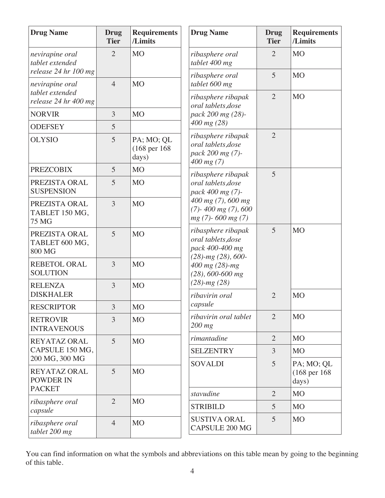| <b>Drug Name</b>                                  | <b>Drug</b><br><b>Tier</b> | <b>Requirements</b><br>/Limits                  | <b>Drug Name</b>                                                                                                                 | <b>Drug</b><br><b>Tier</b> | <b>Requirements</b><br>/Limits                  |
|---------------------------------------------------|----------------------------|-------------------------------------------------|----------------------------------------------------------------------------------------------------------------------------------|----------------------------|-------------------------------------------------|
| nevirapine oral<br>tablet extended                | $\overline{2}$             | M <sub>O</sub>                                  | ribasphere oral<br>tablet 400 mg                                                                                                 | 2                          | M <sub>O</sub>                                  |
| release 24 hr 100 mg<br>nevirapine oral           | $\overline{4}$             | <b>MO</b>                                       | ribasphere oral<br>tablet 600 mg                                                                                                 | 5                          | M <sub>O</sub>                                  |
| tablet extended<br>release 24 hr 400 mg           |                            |                                                 | ribasphere ribapak<br>oral tablets, dose                                                                                         | $\overline{2}$             | M <sub>O</sub>                                  |
| <b>NORVIR</b>                                     | 3                          | <b>MO</b>                                       | pack 200 mg (28)-                                                                                                                |                            |                                                 |
| <b>ODEFSEY</b>                                    | 5                          |                                                 | 400 mg (28)                                                                                                                      |                            |                                                 |
| <b>OLYSIO</b>                                     | 5                          | PA; MO; QL<br>$(168 \text{ per } 168)$<br>days) | ribasphere ribapak<br>oral tablets, dose<br>pack 200 mg (7)-<br>$400$ mg $(7)$                                                   | $\overline{2}$             |                                                 |
| <b>PREZCOBIX</b>                                  | 5                          | M <sub>O</sub>                                  | ribasphere ribapak                                                                                                               | 5                          |                                                 |
| PREZISTA ORAL<br><b>SUSPENSION</b>                | 5                          | M <sub>O</sub>                                  | oral tablets, dose<br>pack 400 mg (7)-<br>400 mg (7), 600 mg<br>$(7)$ - 400 mg $(7)$ , 600<br>$mg(7)$ -600 mg $(7)$              |                            |                                                 |
| PREZISTA ORAL<br>TABLET 150 MG,<br><b>75 MG</b>   | 3                          | <b>MO</b>                                       |                                                                                                                                  |                            |                                                 |
| PREZISTA ORAL<br>TABLET 600 MG,<br>800 MG         | 5                          | M <sub>O</sub>                                  | ribasphere ribapak<br>oral tablets, dose<br>pack 400-400 mg<br>$(28)$ -mg $(28)$ , 600-<br>400 mg (28)-mg<br>$(28)$ , 600-600 mg | 5                          | M <sub>O</sub>                                  |
| <b>REBETOL ORAL</b><br><b>SOLUTION</b>            | 3                          | <b>MO</b>                                       |                                                                                                                                  |                            |                                                 |
| <b>RELENZA</b><br><b>DISKHALER</b>                | 3                          | <b>MO</b>                                       | $(28)$ -mg $(28)$<br>ribavirin oral                                                                                              | $\overline{2}$             | <b>MO</b>                                       |
| <b>RESCRIPTOR</b>                                 | 3                          | M <sub>O</sub>                                  | capsule                                                                                                                          |                            |                                                 |
| <b>RETROVIR</b><br><b>INTRAVENOUS</b>             | 3                          | M <sub>O</sub>                                  | ribavirin oral tablet<br>$200$ mg                                                                                                | $\overline{2}$             | M <sub>O</sub>                                  |
| <b>REYATAZ ORAL</b>                               | 5                          | M <sub>O</sub>                                  | rimantadine                                                                                                                      | $\overline{2}$             | M <sub>O</sub>                                  |
| CAPSULE 150 MG,<br>200 MG, 300 MG                 |                            |                                                 | <b>SELZENTRY</b>                                                                                                                 | $\overline{3}$             | <b>MO</b>                                       |
| REYATAZ ORAL<br><b>POWDER IN</b><br><b>PACKET</b> | 5                          | <b>MO</b>                                       | <b>SOVALDI</b>                                                                                                                   | 5                          | PA; MO; QL<br>$(168 \text{ per } 168)$<br>days) |
| ribasphere oral                                   | $\overline{2}$             | <b>MO</b>                                       | stavudine                                                                                                                        | $\overline{2}$             | <b>MO</b>                                       |
| capsule                                           |                            |                                                 | <b>STRIBILD</b>                                                                                                                  | 5                          | <b>MO</b>                                       |
| ribasphere oral<br>tablet 200 mg                  | $\overline{4}$             | <b>MO</b>                                       | <b>SUSTIVA ORAL</b><br>CAPSULE 200 MG                                                                                            | 5                          | M <sub>O</sub>                                  |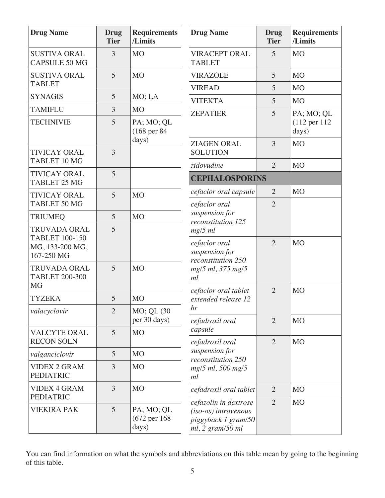| <b>Drug Name</b>                                          | <b>Drug</b><br><b>Tier</b> | <b>Requirements</b><br>/Limits                  | <b>Drug Name</b>                                                                              | <b>Drug</b><br><b>Tier</b> | <b>Requirements</b><br>/Limits    |
|-----------------------------------------------------------|----------------------------|-------------------------------------------------|-----------------------------------------------------------------------------------------------|----------------------------|-----------------------------------|
| <b>SUSTIVA ORAL</b><br><b>CAPSULE 50 MG</b>               | $\overline{3}$             | M <sub>O</sub>                                  | <b>VIRACEPT ORAL</b><br><b>TABLET</b>                                                         | 5                          | M <sub>O</sub>                    |
| <b>SUSTIVA ORAL</b>                                       | 5                          | <b>MO</b>                                       | <b>VIRAZOLE</b>                                                                               | 5                          | M <sub>O</sub>                    |
| <b>TABLET</b>                                             |                            |                                                 | <b>VIREAD</b>                                                                                 | 5                          | M <sub>O</sub>                    |
| <b>SYNAGIS</b>                                            | 5                          | MO; LA                                          | <b>VITEKTA</b>                                                                                | 5                          | <b>MO</b>                         |
| <b>TAMIFLU</b>                                            | 3                          | M <sub>O</sub>                                  | <b>ZEPATIER</b>                                                                               | 5                          | PA; MO; QL                        |
| <b>TECHNIVIE</b>                                          | 5                          | PA; MO; QL<br>$(168 \text{ per } 84)$<br>days)  |                                                                                               |                            | $(112 \text{ per } 112)$<br>days) |
| <b>TIVICAY ORAL</b><br>TABLET 10 MG                       | $\overline{3}$             |                                                 | <b>ZIAGEN ORAL</b><br><b>SOLUTION</b>                                                         | 3                          | <b>MO</b>                         |
|                                                           |                            |                                                 | zidovudine                                                                                    | $\overline{2}$             | <b>MO</b>                         |
| <b>TIVICAY ORAL</b><br>TABLET 25 MG                       | 5                          |                                                 | <b>CEPHALOSPORINS</b>                                                                         |                            |                                   |
| <b>TIVICAY ORAL</b>                                       | 5                          | <b>MO</b>                                       | cefaclor oral capsule                                                                         | 2                          | <b>MO</b>                         |
| TABLET 50 MG                                              |                            |                                                 | cefaclor oral                                                                                 | $\overline{2}$             |                                   |
| <b>TRIUMEQ</b>                                            | 5                          | <b>MO</b>                                       | suspension for<br>reconstitution 125                                                          |                            |                                   |
| <b>TRUVADA ORAL</b><br><b>TABLET 100-150</b>              | 5                          |                                                 | $mg/5$ ml<br>cefaclor oral                                                                    | $\overline{2}$             | <b>MO</b>                         |
| MG, 133-200 MG,<br>167-250 MG                             |                            |                                                 | suspension for<br>reconstitution 250                                                          |                            |                                   |
| <b>TRUVADA ORAL</b><br><b>TABLET 200-300</b><br><b>MG</b> | 5                          | <b>MO</b>                                       | mg/5 ml, 375 mg/5<br>ml                                                                       |                            |                                   |
| <b>TYZEKA</b>                                             | 5                          | M <sub>O</sub>                                  | cefaclor oral tablet<br>extended release 12                                                   | $\overline{2}$             | <b>MO</b>                         |
| valacyclovir                                              | $\overline{2}$             | MO; QL (30)                                     | hr                                                                                            |                            |                                   |
|                                                           |                            | per 30 days)                                    | cefadroxil oral                                                                               | $\overline{2}$             | M <sub>O</sub>                    |
| <b>VALCYTE ORAL</b><br><b>RECON SOLN</b>                  | 5                          | <b>MO</b>                                       | capsule                                                                                       | $\overline{2}$             | <b>MO</b>                         |
| valganciclovir                                            | 5                          | M <sub>O</sub>                                  | cefadroxil oral<br>suspension for                                                             |                            |                                   |
| <b>VIDEX 2 GRAM</b>                                       | 3                          | <b>MO</b>                                       | reconstitution 250                                                                            |                            |                                   |
| <b>PEDIATRIC</b>                                          |                            |                                                 | mg/5 ml, 500 mg/5<br>ml                                                                       |                            |                                   |
| <b>VIDEX 4 GRAM</b><br><b>PEDIATRIC</b>                   | $\overline{3}$             | M <sub>O</sub>                                  | cefadroxil oral tablet                                                                        | $\overline{2}$             | M <sub>O</sub>                    |
| <b>VIEKIRA PAK</b>                                        | 5                          | PA; MO; QL<br>$(672 \text{ per } 168)$<br>days) | cefazolin in dextrose<br>$(iso-os)$ intravenous<br>piggyback 1 gram/50<br>$ml$ , 2 gram/50 ml | 2                          | <b>MO</b>                         |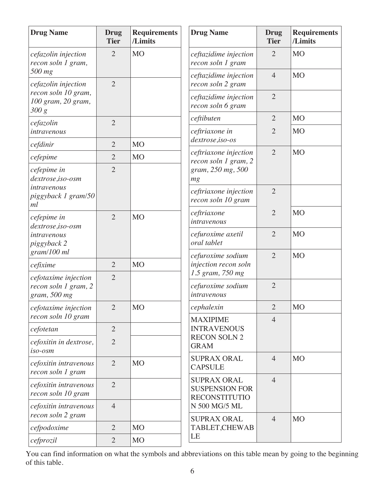| <b>Drug Name</b>                                             | <b>Drug</b><br><b>Tier</b> | <b>Requirements</b><br>/Limits | <b>Drug Name</b>                                                    | <b>Drug</b><br><b>Tier</b> | <b>Requirements</b><br>/Limits |
|--------------------------------------------------------------|----------------------------|--------------------------------|---------------------------------------------------------------------|----------------------------|--------------------------------|
| cefazolin injection<br>recon soln 1 gram,                    | $\overline{2}$             | <b>MO</b>                      | ceftazidime injection<br>recon soln 1 gram                          | $\overline{2}$             | <b>MO</b>                      |
| 500 mg<br>cefazolin injection                                | $\overline{2}$             |                                | ceftazidime injection<br>recon soln 2 gram                          | $\overline{4}$             | M <sub>O</sub>                 |
| recon soln 10 gram,<br>100 gram, 20 gram,<br>300 g           |                            |                                | ceftazidime injection<br>recon soln 6 gram                          | $\overline{2}$             |                                |
| cefazolin                                                    | $\overline{2}$             |                                | ceftibuten                                                          | $\overline{2}$             | M <sub>O</sub>                 |
| intravenous                                                  |                            |                                | ceftriaxone in                                                      | $\overline{2}$             | M <sub>O</sub>                 |
| cefdinir                                                     | $\overline{2}$             | <b>MO</b>                      | dextrose,iso-os                                                     |                            |                                |
| cefepime                                                     | $\overline{2}$             | <b>MO</b>                      | ceftriaxone injection<br>recon soln 1 gram, 2                       | $\overline{2}$             | M <sub>O</sub>                 |
| cefepime in<br>dextrose,iso-osm                              | $\overline{2}$             |                                | gram, 250 mg, 500<br>mg                                             |                            |                                |
| intravenous<br>piggyback 1 gram/50<br>ml                     |                            |                                | ceftriaxone injection<br>recon soln 10 gram                         | $\overline{2}$             |                                |
| cefepime in<br>dextrose,iso-osm                              | $\overline{2}$             | M <sub>O</sub>                 | ceftriaxone<br>intravenous                                          | $\overline{2}$             | <b>MO</b>                      |
| intravenous<br>piggyback 2                                   |                            |                                | cefuroxime axetil<br>oral tablet                                    | $\overline{2}$             | <b>MO</b>                      |
| gram/100 ml                                                  |                            |                                | cefuroxime sodium                                                   | $\overline{2}$             | M <sub>O</sub>                 |
| cefixime                                                     | $\overline{2}$             | <b>MO</b>                      | injection recon soln<br>1.5 gram, 750 mg                            |                            |                                |
| cefotaxime injection<br>recon soln 1 gram, 2<br>gram, 500 mg | $\overline{2}$             |                                | cefuroxime sodium<br>intravenous                                    | $\overline{2}$             |                                |
| cefotaxime injection                                         | $\overline{2}$             | M <sub>O</sub>                 | cephalexin                                                          | $\overline{2}$             | MO                             |
| recon soln 10 gram                                           |                            |                                | <b>MAXIPIME</b>                                                     | $\overline{4}$             |                                |
| cefotetan                                                    | $\overline{2}$             |                                | <b>INTRAVENOUS</b>                                                  |                            |                                |
| cefoxitin in dextrose,<br>iso-osm                            | $\overline{2}$             |                                | <b>RECON SOLN 2</b><br><b>GRAM</b>                                  |                            |                                |
| cefoxitin intravenous<br>recon soln 1 gram                   | $\overline{2}$             | <b>MO</b>                      | <b>SUPRAX ORAL</b><br><b>CAPSULE</b>                                | $\overline{4}$             | M <sub>O</sub>                 |
| cefoxitin intravenous<br>recon soln 10 gram                  | $\overline{2}$             |                                | <b>SUPRAX ORAL</b><br><b>SUSPENSION FOR</b><br><b>RECONSTITUTIO</b> | $\overline{4}$             |                                |
| cefoxitin intravenous<br>recon soln 2 gram                   | $\overline{4}$             |                                | N 500 MG/5 ML<br><b>SUPRAX ORAL</b>                                 | $\overline{4}$             | M <sub>O</sub>                 |
| cefpodoxime                                                  | $\overline{2}$             | <b>MO</b>                      | TABLET, CHEWAB                                                      |                            |                                |
| cefprozil                                                    | $\mathbf{2}$               | M <sub>O</sub>                 | LE                                                                  |                            |                                |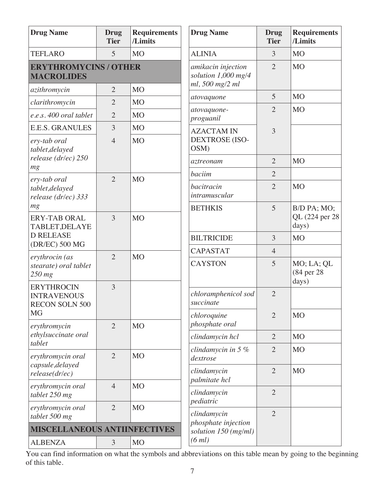| <b>Drug Name</b>                                                 | <b>Drug</b><br><b>Tier</b> | <b>Requirements</b><br>/Limits | <b>Drug Name</b>                                             | <b>Drug</b><br><b>Tier</b> | <b>Requirements</b><br>/Limits          |
|------------------------------------------------------------------|----------------------------|--------------------------------|--------------------------------------------------------------|----------------------------|-----------------------------------------|
| <b>TEFLARO</b>                                                   | 5                          | <b>MO</b>                      | <b>ALINIA</b>                                                | 3                          | <b>MO</b>                               |
| <b>ERYTHROMYCINS / OTHER</b><br><b>MACROLIDES</b>                |                            |                                | amikacin injection<br>solution 1,000 mg/4<br>ml, 500 mg/2 ml | $\overline{2}$             | <b>MO</b>                               |
| azithromycin                                                     | $\overline{2}$             | M <sub>O</sub>                 | atovaquone                                                   | 5                          | M <sub>O</sub>                          |
| clarithromycin                                                   | $\overline{2}$             | <b>MO</b>                      |                                                              | $\overline{2}$             | M <sub>O</sub>                          |
| e.e.s. 400 oral tablet                                           | $\overline{2}$             | <b>MO</b>                      | atovaquone-<br>proguanil                                     |                            |                                         |
| <b>E.E.S. GRANULES</b>                                           | 3                          | M <sub>O</sub>                 | <b>AZACTAM IN</b>                                            | 3                          |                                         |
| ery-tab oral<br>tablet, delayed                                  | $\overline{4}$             | <b>MO</b>                      | <b>DEXTROSE (ISO-</b><br>OSM)                                |                            |                                         |
| release (dr/ec) 250<br>mg                                        |                            |                                | aztreonam                                                    | $\overline{2}$             | <b>MO</b>                               |
| ery-tab oral                                                     | $\overline{2}$             | <b>MO</b>                      | baciim                                                       | $\overline{2}$             |                                         |
| tablet, delayed<br>release (dr/ec) 333                           |                            |                                | bacitracin<br>intramuscular                                  | $\overline{2}$             | <b>MO</b>                               |
| mg<br><b>ERY-TAB ORAL</b><br><b>TABLET, DELAYE</b>               | 3                          | <b>MO</b>                      | <b>BETHKIS</b>                                               | 5                          | B/D PA; MO;<br>QL (224 per 28)<br>days) |
| <b>D RELEASE</b>                                                 |                            |                                | <b>BILTRICIDE</b>                                            | 3                          | <b>MO</b>                               |
| (DR/EC) 500 MG                                                   | $\overline{2}$             | <b>MO</b>                      | <b>CAPASTAT</b>                                              | $\overline{4}$             |                                         |
| erythrocin (as<br>stearate) oral tablet<br>$250$ mg              |                            |                                | <b>CAYSTON</b>                                               | 5                          | MO; LA; QL<br>(84 per 28)<br>days)      |
| <b>ERYTHROCIN</b><br><b>INTRAVENOUS</b><br><b>RECON SOLN 500</b> | 3                          |                                | chloramphenicol sod<br>succinate                             | $\overline{2}$             |                                         |
| <b>MG</b><br>erythromycin                                        | $\overline{2}$             | <b>MO</b>                      | chloroquine<br>phosphate oral                                | $\overline{2}$             | M <sub>O</sub>                          |
| ethylsuccinate oral                                              |                            |                                | clindamycin hcl                                              | $\overline{2}$             | <b>MO</b>                               |
| tablet<br>erythromycin oral                                      | $\overline{2}$             | <b>MO</b>                      | clindamycin in $5\%$<br>dextrose                             | $\overline{2}$             | <b>MO</b>                               |
| capsule, delayed<br>release(dr/ec)                               |                            |                                | clindamycin<br>palmitate hcl                                 | $\overline{2}$             | <b>MO</b>                               |
| erythromycin oral<br>tablet 250 mg                               | $\overline{4}$             | <b>MO</b>                      | clindamycin<br>pediatric                                     | $\overline{2}$             |                                         |
| erythromycin oral<br>tablet 500 mg                               | $\overline{2}$             | <b>MO</b>                      | clindamycin                                                  | $\overline{2}$             |                                         |
| <b>MISCELLANEOUS ANTIINFECTIVES</b>                              |                            |                                | phosphate injection<br>solution 150 (mg/ml)                  |                            |                                         |
| <b>ALBENZA</b>                                                   | 3                          | <b>MO</b>                      | (6 ml)                                                       |                            |                                         |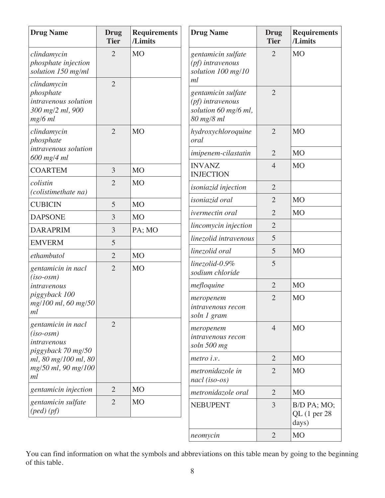| <b>Drug Name</b>                                                                  | Drug<br><b>Tier</b> | <b>Requirements</b><br>/Limits | <b>Drug Name</b>                                                             | <b>Drug</b><br><b>Tier</b> | <b>Requirements</b><br>/Limits         |
|-----------------------------------------------------------------------------------|---------------------|--------------------------------|------------------------------------------------------------------------------|----------------------------|----------------------------------------|
| clindamycin<br>phosphate injection<br>solution 150 mg/ml                          | $\overline{2}$      | <b>MO</b>                      | gentamicin sulfate<br>(pf) intravenous<br>solution 100 mg/10<br>ml           | $\overline{2}$             | <b>MO</b>                              |
| clindamycin<br>phosphate<br>intravenous solution<br>300 mg/2 ml, 900<br>$mg/6$ ml | $\overline{2}$      |                                | gentamicin sulfate<br>(pf) intravenous<br>solution 60 mg/6 ml,<br>80 mg/8 ml | $\overline{2}$             |                                        |
| clindamycin<br>phosphate                                                          | $\overline{2}$      | <b>MO</b>                      | hydroxychloroquine<br>oral                                                   | $\overline{2}$             | <b>MO</b>                              |
| intravenous solution<br>$600$ mg/4 ml                                             |                     |                                | imipenem-cilastatin                                                          | $\overline{2}$             | <b>MO</b>                              |
| <b>COARTEM</b>                                                                    | 3                   | M <sub>O</sub>                 | <b>INVANZ</b><br><b>INJECTION</b>                                            | $\overline{4}$             | M <sub>O</sub>                         |
| colistin<br>(colistimethate na)                                                   | $\overline{2}$      | M <sub>O</sub>                 | <i>isoniazid</i> injection                                                   | $\overline{2}$             |                                        |
| <b>CUBICIN</b>                                                                    | 5                   | <b>MO</b>                      | isoniazid oral                                                               | $\overline{2}$             | <b>MO</b>                              |
| <b>DAPSONE</b>                                                                    | 3                   | M <sub>O</sub>                 | ivermectin oral                                                              | $\overline{2}$             | <b>MO</b>                              |
| <b>DARAPRIM</b>                                                                   | 3                   | PA; MO                         | lincomycin injection                                                         | $\overline{2}$             |                                        |
| <b>EMVERM</b>                                                                     | 5                   |                                | linezolid intravenous                                                        | 5                          |                                        |
| ethambutol                                                                        | $\overline{2}$      | M <sub>O</sub>                 | linezolid oral                                                               | 5                          | <b>MO</b>                              |
| gentamicin in nacl<br>$(iso-osm)$                                                 | $\overline{2}$      | M <sub>O</sub>                 | linezolid-0.9%<br>sodium chloride                                            | 5                          |                                        |
| intravenous                                                                       |                     |                                | mefloquine                                                                   | $\overline{2}$             | <b>MO</b>                              |
| piggyback 100<br>mg/100 ml, 60 mg/50<br>ml                                        |                     |                                | meropenem<br><i>intravenous recon</i><br>soln 1 gram                         | $\overline{2}$             | <b>MO</b>                              |
| gentamicin in nacl<br>$(iso-osm)$<br>intravenous<br>piggyback 70 mg/50            | $\overline{2}$      |                                | meropenem<br>intravenous recon<br>soln 500 mg                                | $\overline{4}$             | <b>MO</b>                              |
| ml, 80 mg/100 ml, 80                                                              |                     |                                | metro i.v.                                                                   | $\overline{2}$             | <b>MO</b>                              |
| mg/50 ml, 90 mg/100<br>ml                                                         |                     |                                | metronidazole in<br>$nac1$ (iso-os)                                          | $\overline{2}$             | <b>MO</b>                              |
| gentamicin injection                                                              | $\overline{2}$      | M <sub>O</sub>                 | metronidazole oral                                                           | $\overline{2}$             | <b>MO</b>                              |
| gentamicin sulfate<br>$(\text{ped})\,(\text{pf})$                                 | $\overline{2}$      | M <sub>O</sub>                 | <b>NEBUPENT</b>                                                              | 3                          | B/D PA; MO;<br>$QL$ (1 per 28<br>days) |
|                                                                                   |                     |                                | neomycin                                                                     | $\overline{2}$             | <b>MO</b>                              |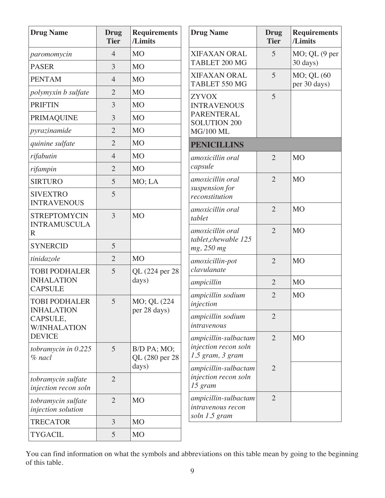| <b>Drug Name</b>                                     | <b>Drug</b><br><b>Tier</b> | <b>Requirements</b><br>/Limits | <b>Drug Name</b>                               | <b>Drug</b><br><b>Tier</b>       | <b>Requirements</b><br>/Limits |
|------------------------------------------------------|----------------------------|--------------------------------|------------------------------------------------|----------------------------------|--------------------------------|
| paromomycin                                          | $\overline{4}$             | M <sub>O</sub>                 | XIFAXAN ORAL                                   | 5                                | $MO$ ; QL $(9$ per             |
| <b>PASER</b>                                         | 3                          | M <sub>O</sub>                 | TABLET 200 MG                                  |                                  | 30 days)                       |
| <b>PENTAM</b>                                        | $\overline{4}$             | <b>MO</b>                      | <b>XIFAXAN ORAL</b><br>TABLET 550 MG           | 5                                | MO; QL (60<br>per 30 days)     |
| polymyxin b sulfate                                  | $\overline{2}$             | <b>MO</b>                      | <b>ZYVOX</b>                                   | 5                                |                                |
| <b>PRIFTIN</b>                                       | 3                          | <b>MO</b>                      | <b>INTRAVENOUS</b>                             |                                  |                                |
| <b>PRIMAQUINE</b>                                    | 3                          | M <sub>O</sub>                 | <b>PARENTERAL</b><br><b>SOLUTION 200</b>       |                                  |                                |
| pyrazinamide                                         | $\overline{2}$             | <b>MO</b>                      | <b>MG/100 ML</b>                               |                                  |                                |
| quinine sulfate                                      | $\overline{2}$             | <b>MO</b>                      | <b>PENICILLINS</b>                             |                                  |                                |
| rifabutin                                            | $\overline{4}$             | <b>MO</b>                      | amoxicillin oral                               | $\overline{2}$                   | <b>MO</b>                      |
| rifampin                                             | $\overline{2}$             | <b>MO</b>                      | capsule                                        |                                  |                                |
| <b>SIRTURO</b>                                       | 5                          | MO; LA                         | amoxicillin oral                               | $\overline{2}$                   | <b>MO</b>                      |
| <b>SIVEXTRO</b><br><b>INTRAVENOUS</b>                | 5                          |                                | suspension for<br>reconstitution               |                                  |                                |
| <b>STREPTOMYCIN</b><br><b>INTRAMUSCULA</b><br>R      | $\overline{3}$             | <b>MO</b>                      | amoxicillin oral<br>tablet<br>amoxicillin oral | $\overline{2}$<br>$\overline{2}$ | <b>MO</b><br><b>MO</b>         |
| <b>SYNERCID</b>                                      | 5                          |                                | tablet, chewable 125<br>mg, 250 mg             |                                  |                                |
| tinidazole                                           | $\overline{2}$             | <b>MO</b>                      | amoxicillin-pot                                | $\overline{2}$                   | <b>MO</b>                      |
| <b>TOBI PODHALER</b>                                 | 5                          | QL (224 per 28)                | clavulanate                                    |                                  |                                |
| <b>INHALATION</b><br><b>CAPSULE</b>                  |                            | days)                          | ampicillin                                     | $\overline{2}$                   | <b>MO</b>                      |
| <b>TOBI PODHALER</b>                                 | 5                          | MO; QL (224                    | ampicillin sodium<br>injection                 | $\overline{2}$                   | <b>MO</b>                      |
| <b>INHALATION</b><br>CAPSULE,<br><b>W/INHALATION</b> |                            | per 28 days)                   | ampicillin sodium<br>intravenous               | $\overline{2}$                   |                                |
| <b>DEVICE</b>                                        |                            |                                | ampicillin-sulbactam                           | $\overline{2}$                   | M <sub>O</sub>                 |
| tobramycin in $0.225$<br>$%$ nacl                    | 5                          | B/D PA; MO;<br>QL (280 per 28) | injection recon soln<br>$1.5$ gram, $3$ gram   |                                  |                                |
|                                                      |                            | days)                          | ampicillin-sulbactam                           | $\overline{2}$                   |                                |
| tobramycin sulfate<br>injection recon soln           | $\overline{2}$             |                                | injection recon soln<br>15 gram                |                                  |                                |
| tobramycin sulfate<br>injection solution             | $\overline{2}$             | M <sub>O</sub>                 | ampicillin-sulbactam<br>intravenous recon      | $\overline{2}$                   |                                |
| <b>TRECATOR</b>                                      | 3                          | M <sub>O</sub>                 | soln 1.5 gram                                  |                                  |                                |
| <b>TYGACIL</b>                                       | 5                          | M <sub>O</sub>                 |                                                |                                  |                                |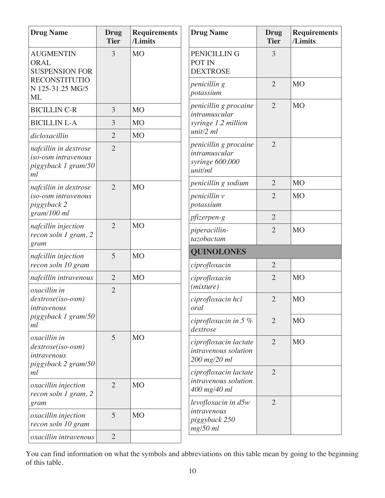| <b>Drug Name</b>                                                          | <b>Drug</b><br><b>Tier</b> | <b>Requirements</b><br>/Limits | <b>Drug Name</b>                                                     | <b>Drug</b><br><b>Tier</b> | <b>Requirements</b><br>/Limits |
|---------------------------------------------------------------------------|----------------------------|--------------------------------|----------------------------------------------------------------------|----------------------------|--------------------------------|
| <b>AUGMENTIN</b><br><b>ORAL</b><br><b>SUSPENSION FOR</b>                  | 3                          | <b>MO</b>                      | PENICILLIN G<br>POT IN<br><b>DEXTROSE</b>                            | 3                          |                                |
| <b>RECONSTITUTIO</b><br>N 125-31.25 MG/5<br>ML                            |                            |                                | penicillin g<br>potassium                                            | $\overline{2}$             | M <sub>O</sub>                 |
| <b>BICILLIN C-R</b>                                                       | 3                          | <b>MO</b>                      | penicillin g procaine<br>intramuscular                               | $\overline{2}$             | M <sub>O</sub>                 |
| <b>BICILLIN L-A</b>                                                       | 3                          | <b>MO</b>                      | syringe 1.2 million                                                  |                            |                                |
| dicloxacillin                                                             | $\overline{2}$             | <b>MO</b>                      | unit/2 ml                                                            |                            |                                |
| nafcillin in dextrose<br>iso-osm intravenous<br>piggyback 1 gram/50<br>ml | $\overline{2}$             |                                | penicillin g procaine<br>intramuscular<br>syringe 600,000<br>unit/ml | $\overline{2}$             |                                |
| nafcillin in dextrose                                                     | $\overline{2}$             | M <sub>O</sub>                 | penicillin g sodium                                                  | $\overline{2}$             | M <sub>O</sub>                 |
| iso-osm intravenous<br>piggyback 2                                        |                            |                                | penicillin v<br>potassium                                            | $\overline{2}$             | M <sub>O</sub>                 |
| gram/100 ml                                                               |                            |                                | pfizerpen-g                                                          | $\overline{2}$             |                                |
| nafcillin injection<br>recon soln 1 gram, 2<br>gram                       | $\overline{2}$             | <b>MO</b>                      | piperacillin-<br>tazobactam                                          | $\overline{2}$             | <b>MO</b>                      |
| nafcillin injection                                                       | 5                          | M <sub>O</sub>                 | <b>QUINOLONES</b>                                                    |                            |                                |
| recon soln 10 gram                                                        |                            |                                | ciprofloxacin                                                        | $\overline{2}$             |                                |
| nafcillin intravenous                                                     | $\overline{2}$             | <b>MO</b>                      | ciprofloxacin                                                        | $\overline{2}$             | <b>MO</b>                      |
| oxacillin in<br>dextrose(iso-osm)<br>intravenous                          | $\overline{2}$             |                                | (mixture)<br>ciprofloxacin hcl<br>oral                               | $\overline{2}$             | <b>MO</b>                      |
| piggyback 1 gram/50<br>ml                                                 |                            |                                | ciprofloxacin in $5\%$<br>dextrose                                   | $\overline{2}$             | M <sub>O</sub>                 |
| oxacillin in<br>dextrose(iso-osm)<br>intravenous<br>piggyback 2 gram/50   | 5                          | <b>MO</b>                      | ciprofloxacin lactate<br>intravenous solution<br>200 mg/20 ml        | $\overline{2}$             | M <sub>O</sub>                 |
| ml                                                                        |                            |                                | ciprofloxacin lactate                                                | $\overline{2}$             |                                |
| oxacillin injection<br>recon soln 1 gram, 2                               | $\overline{2}$             | <b>MO</b>                      | intravenous solution<br>400 mg/40 ml                                 |                            |                                |
| gram                                                                      |                            |                                | levofloxacin in d5w<br>intravenous                                   | $\overline{2}$             |                                |
| <i>oxacillin injection</i><br>recon soln 10 gram                          | 5                          | <b>MO</b>                      | piggyback 250<br>$mg/50$ ml                                          |                            |                                |
| oxacillin intravenous                                                     | $\overline{2}$             |                                |                                                                      |                            |                                |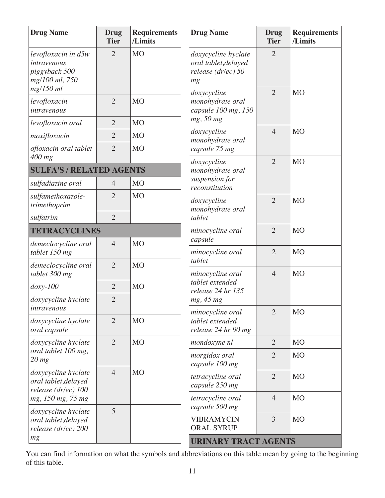| <b>Drug Name</b>                                                      | <b>Drug</b><br><b>Tier</b> | <b>Requirements</b><br>/Limits | <b>Drug Name</b>                                                            | <b>Drug</b><br><b>Tier</b> | <b>Requirements</b><br>/Limits |
|-----------------------------------------------------------------------|----------------------------|--------------------------------|-----------------------------------------------------------------------------|----------------------------|--------------------------------|
| levofloxacin in d5w<br>intravenous<br>piggyback 500<br>mg/100 ml, 750 | $\overline{2}$             | <b>MO</b>                      | doxycycline hyclate<br>oral tablet, delayed<br>release ( $dr/ec$ ) 50<br>mg | $\overline{2}$             |                                |
| mg/150 ml<br>levofloxacin<br>intravenous                              | $\overline{2}$             | M <sub>O</sub>                 | doxycycline<br>monohydrate oral<br>capsule 100 mg, 150                      | $\overline{2}$             | <b>MO</b>                      |
| levofloxacin oral                                                     | $\overline{2}$             | M <sub>O</sub>                 | mg, 50 mg                                                                   |                            |                                |
| moxifloxacin                                                          | $\overline{2}$             | M <sub>O</sub>                 | doxycycline<br>monohydrate oral                                             | $\overline{4}$             | <b>MO</b>                      |
| ofloxacin oral tablet<br>400 mg                                       | $\overline{2}$             | <b>MO</b>                      | capsule 75 mg                                                               |                            |                                |
| <b>SULFA'S / RELATED AGENTS</b>                                       |                            |                                | doxycycline<br>monohydrate oral                                             | $\overline{2}$             | <b>MO</b>                      |
| sulfadiazine oral                                                     | $\overline{4}$             | M <sub>O</sub>                 | suspension for                                                              |                            |                                |
| sulfamethoxazole-<br>trimethoprim                                     | $\overline{2}$             | M <sub>O</sub>                 | reconstitution<br>doxycycline<br>monohydrate oral<br>tablet                 | $\overline{2}$             | <b>MO</b>                      |
| sulfatrim                                                             | $\overline{2}$             |                                |                                                                             |                            |                                |
| <b>TETRACYCLINES</b>                                                  |                            |                                | minocycline oral                                                            | $\overline{2}$             | <b>MO</b>                      |
| demeclocycline oral<br>tablet 150 mg                                  | $\overline{4}$             | M <sub>O</sub>                 | capsule<br>minocycline oral                                                 | $\overline{2}$             | <b>MO</b>                      |
| demeclocycline oral<br>tablet 300 mg                                  | $\overline{2}$             | <b>MO</b>                      | tablet<br>minocycline oral                                                  | $\overline{4}$             | <b>MO</b>                      |
| $doxy-100$                                                            | $\overline{2}$             | M <sub>O</sub>                 | tablet extended                                                             |                            |                                |
| doxycycline hyclate<br>intravenous                                    | $\overline{2}$             |                                | release 24 hr 135<br>mg, 45 mg                                              |                            |                                |
| doxycycline hyclate<br>oral capsule                                   | $\overline{2}$             | M <sub>O</sub>                 | minocycline oral<br>tablet extended<br>release 24 hr 90 mg                  | $\overline{2}$             | <b>MO</b>                      |
| doxycycline hyclate                                                   | $\overline{2}$             | M <sub>O</sub>                 | mondoxyne nl                                                                | $\overline{2}$             | M <sub>O</sub>                 |
| oral tablet 100 mg,<br>$20$ mg                                        |                            |                                | morgidox oral<br>capsule 100 mg                                             | $\overline{2}$             | <b>MO</b>                      |
| doxycycline hyclate<br>oral tablet, delayed<br>release (dr/ec) 100    | $\overline{4}$             | M <sub>O</sub>                 | tetracycline oral<br>capsule 250 mg                                         | $\overline{2}$             | M <sub>O</sub>                 |
| mg, 150 mg, 75 mg                                                     |                            |                                | tetracycline oral<br>capsule 500 mg                                         | $\overline{4}$             | <b>MO</b>                      |
| doxycycline hyclate<br>oral tablet, delayed<br>release (dr/ec) 200    | 5                          |                                | <b>VIBRAMYCIN</b><br><b>ORAL SYRUP</b>                                      | 3                          | M <sub>O</sub>                 |
| mg                                                                    |                            |                                | <b>URINARY TRACT AGENTS</b>                                                 |                            |                                |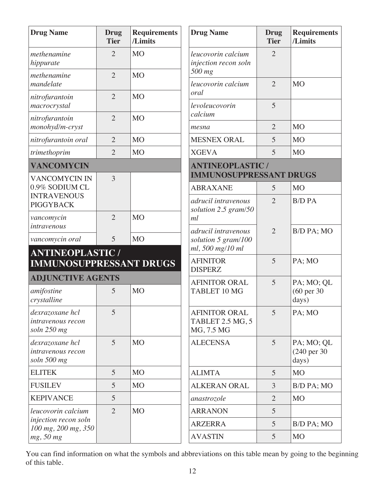| <b>Drug Name</b>                                          | <b>Drug</b><br><b>Tier</b> | <b>Requirements</b><br>/Limits | <b>Drug Name</b>                                               | <b>Drug</b><br><b>Tier</b> | <b>Requirements</b><br>/Limits                 |
|-----------------------------------------------------------|----------------------------|--------------------------------|----------------------------------------------------------------|----------------------------|------------------------------------------------|
| methenamine<br>hippurate                                  | $\overline{2}$             | <b>MO</b>                      | leucovorin calcium<br>injection recon soln<br>500 mg           | $\overline{2}$             |                                                |
| methenamine<br>mandelate                                  | $\overline{2}$             | <b>MO</b>                      | leucovorin calcium                                             | $\overline{2}$             | <b>MO</b>                                      |
| nitrofurantoin                                            | $\overline{2}$             | <b>MO</b>                      | oral                                                           |                            |                                                |
| macrocrystal                                              |                            |                                | levoleucovorin<br>calcium                                      | 5                          |                                                |
| nitrofurantoin<br>monohyd/m-cryst                         | $\overline{2}$             | <b>MO</b>                      | mesna                                                          | $\overline{2}$             | <b>MO</b>                                      |
| nitrofurantoin oral                                       | $\overline{2}$             | <b>MO</b>                      | <b>MESNEX ORAL</b>                                             | 5                          | <b>MO</b>                                      |
| trimethoprim                                              | $\overline{2}$             | <b>MO</b>                      | <b>XGEVA</b>                                                   | 5                          | M <sub>O</sub>                                 |
| <b>VANCOMYCIN</b>                                         |                            |                                | <b>ANTINEOPLASTIC /</b>                                        |                            |                                                |
| <b>VANCOMYCIN IN</b>                                      | 3                          |                                | <b>IMMUNOSUPPRESSANT DRUGS</b>                                 |                            |                                                |
| 0.9% SODIUM CL<br><b>INTRAVENOUS</b>                      |                            |                                | <b>ABRAXANE</b>                                                | 5                          | <b>MO</b>                                      |
| <b>PIGGYBACK</b>                                          |                            |                                | adrucil intravenous<br>solution 2.5 gram/50                    | $\overline{2}$             | <b>B/D PA</b>                                  |
| vancomycin<br>intravenous                                 | $\overline{2}$             | M <sub>O</sub>                 | ml                                                             |                            |                                                |
| vancomycin oral                                           | 5                          | <b>MO</b>                      | adrucil intravenous<br>solution 5 gram/100<br>ml, 500 mg/10 ml | $\overline{2}$             | B/D PA; MO                                     |
| <b>ANTINEOPLASTIC /</b><br><b>IMMUNOSUPPRESSANT DRUGS</b> |                            |                                | <b>AFINITOR</b><br><b>DISPERZ</b>                              | 5                          | PA; MO                                         |
| <b>ADJUNCTIVE AGENTS</b>                                  |                            |                                | <b>AFINITOR ORAL</b>                                           | 5                          | PA; MO; QL                                     |
| amifostine<br>crystalline                                 | 5                          | <b>MO</b>                      | TABLET 10 MG                                                   |                            | $(60 \text{ per } 30)$<br>days)                |
| dexrazoxane hcl<br>intravenous recon<br>soln 250 mg       | 5                          |                                | <b>AFINITOR ORAL</b><br>TABLET 2.5 MG, 5<br>MG, 7.5 MG         | 5                          | PA; MO                                         |
| dexrazoxane hcl<br>intravenous recon<br>soln 500 mg       | 5                          | M <sub>O</sub>                 | <b>ALECENSA</b>                                                | 5                          | PA; MO; QL<br>$(240 \text{ per } 30)$<br>days) |
| <b>ELITEK</b>                                             | 5                          | M <sub>O</sub>                 | <b>ALIMTA</b>                                                  | 5                          | <b>MO</b>                                      |
| <b>FUSILEV</b>                                            | 5                          | M <sub>O</sub>                 | <b>ALKERAN ORAL</b>                                            | $\overline{3}$             | B/D PA; MO                                     |
| <b>KEPIVANCE</b>                                          | 5                          |                                | anastrozole                                                    | $\overline{2}$             | M <sub>O</sub>                                 |
| leucovorin calcium                                        | $\overline{2}$             | M <sub>O</sub>                 | <b>ARRANON</b>                                                 | 5                          |                                                |
| injection recon soln<br>100 mg, 200 mg, 350               |                            |                                | <b>ARZERRA</b>                                                 | 5                          | B/D PA; MO                                     |
| mg, 50 mg                                                 |                            |                                | <b>AVASTIN</b>                                                 | 5                          | <b>MO</b>                                      |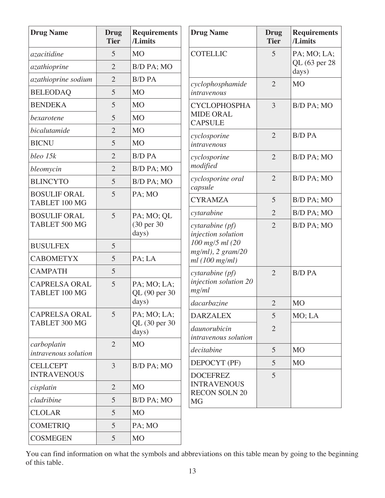| <b>Drug Name</b>                      | <b>Drug</b><br><b>Tier</b> | <b>Requirements</b><br>/Limits | <b>Drug Name</b>                           | <b>Drug</b><br><b>Tier</b> | <b>Requirements</b><br>/Limits |
|---------------------------------------|----------------------------|--------------------------------|--------------------------------------------|----------------------------|--------------------------------|
| azacitidine                           | 5                          | <b>MO</b>                      | <b>COTELLIC</b>                            | 5                          | PA; MO; LA;                    |
| azathioprine                          | $\overline{2}$             | B/D PA; MO                     |                                            |                            | QL (63 per 28<br>days)         |
| azathioprine sodium                   | $\overline{2}$             | <b>B/D PA</b>                  | cyclophosphamide                           | $\overline{2}$             | M <sub>O</sub>                 |
| <b>BELEODAQ</b>                       | 5                          | <b>MO</b>                      | intravenous                                |                            |                                |
| <b>BENDEKA</b>                        | 5                          | <b>MO</b>                      | <b>CYCLOPHOSPHA</b>                        | $\overline{3}$             | B/D PA; MO                     |
| bexarotene                            | 5                          | <b>MO</b>                      | <b>MIDE ORAL</b><br><b>CAPSULE</b>         |                            |                                |
| bicalutamide                          | $\overline{2}$             | <b>MO</b>                      | cyclosporine                               | $\overline{2}$             | <b>B/D PA</b>                  |
| <b>BICNU</b>                          | 5                          | <b>MO</b>                      | intravenous                                |                            |                                |
| bleo 15k                              | $\overline{2}$             | <b>B/D PA</b>                  | cyclosporine                               | $\overline{2}$             | B/D PA; MO                     |
| bleomycin                             | $\overline{2}$             | B/D PA; MO                     | modified                                   |                            |                                |
| <b>BLINCYTO</b>                       | 5                          | B/D PA; MO                     | cyclosporine oral<br>capsule               | $\overline{2}$             | B/D PA; MO                     |
| <b>BOSULIF ORAL</b><br>TABLET 100 MG  | 5                          | PA; MO                         | <b>CYRAMZA</b>                             | 5                          | B/D PA; MO                     |
| <b>BOSULIF ORAL</b>                   | 5                          | PA; MO; QL                     | cytarabine                                 | $\overline{2}$             | B/D PA; MO                     |
| TABLET 500 MG                         |                            | (30 per 30)<br>days)           | cytarabine (pf)<br>injection solution      | $\overline{2}$             | B/D PA; MO                     |
| <b>BUSULFEX</b>                       | 5                          |                                | 100 mg/5 ml (20<br>$mg/ml$ , 2 $gram/20$   |                            |                                |
| <b>CABOMETYX</b>                      | 5                          | PA; LA                         | ml(100 mg/ml)                              |                            |                                |
| <b>CAMPATH</b>                        | 5                          |                                | cytarabine (pf)                            | $\overline{2}$             | <b>B/D PA</b>                  |
| <b>CAPRELSA ORAL</b><br>TABLET 100 MG | 5                          | PA; MO; LA;<br>QL (90 per 30   | injection solution 20<br>mg/ml             |                            |                                |
|                                       |                            | days)                          | dacarbazine                                | $\overline{2}$             | <b>MO</b>                      |
| <b>CAPRELSA ORAL</b><br>TABLET 300 MG | 5                          | PA; MO; LA;                    | <b>DARZALEX</b>                            | 5                          | MO; LA                         |
|                                       |                            | QL (30 per 30<br>days)         | daunorubicin<br>intravenous solution       | $\overline{2}$             |                                |
| carboplatin<br>intravenous solution   | $\overline{2}$             | <b>MO</b>                      | decitabine                                 | 5                          | M <sub>O</sub>                 |
| <b>CELLCEPT</b>                       | $\overline{3}$             | B/D PA; MO                     | DEPOCYT (PF)                               | 5                          | M <sub>O</sub>                 |
| <b>INTRAVENOUS</b>                    |                            |                                | <b>DOCEFREZ</b>                            | $\overline{5}$             |                                |
| cisplatin                             | $\overline{2}$             | <b>MO</b>                      | <b>INTRAVENOUS</b><br><b>RECON SOLN 20</b> |                            |                                |
| cladribine                            | 5                          | B/D PA; MO                     | <b>MG</b>                                  |                            |                                |
| <b>CLOLAR</b>                         | 5                          | <b>MO</b>                      |                                            |                            |                                |
| <b>COMETRIQ</b>                       | 5                          | PA; MO                         |                                            |                            |                                |
| <b>COSMEGEN</b>                       | 5                          | <b>MO</b>                      |                                            |                            |                                |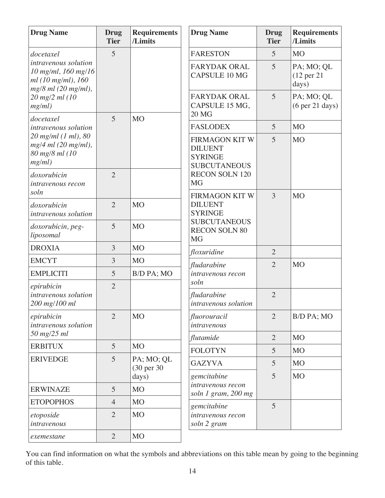| <b>Drug Name</b>                                                                           | <b>Drug</b><br><b>Tier</b> | <b>Requirements</b><br>/Limits | <b>Drug Name</b>                                                                 | <b>Drug</b><br><b>Tier</b> | <b>Requirements</b><br>/Limits                       |
|--------------------------------------------------------------------------------------------|----------------------------|--------------------------------|----------------------------------------------------------------------------------|----------------------------|------------------------------------------------------|
| docetaxel                                                                                  | 5                          |                                | <b>FARESTON</b>                                                                  | 5                          | <b>MO</b>                                            |
| intravenous solution<br>10 mg/ml, 160 mg/16<br>ml (10 mg/ml), 160<br>$mg/8$ ml (20 mg/ml), |                            |                                | <b>FARYDAK ORAL</b><br><b>CAPSULE 10 MG</b>                                      | 5                          | PA; MO; QL<br>$(12 \text{ per } 21)$<br>days)        |
| 20 mg/2 ml (10<br>mg/ml)                                                                   |                            |                                | <b>FARYDAK ORAL</b><br>CAPSULE 15 MG,<br><b>20 MG</b>                            | 5                          | PA; MO; QL<br>(6 <sub>per</sub> 21 <sub>days</sub> ) |
| docetaxel<br><i>intravenous solution</i>                                                   | 5                          | M <sub>O</sub>                 | <b>FASLODEX</b>                                                                  | 5                          | M <sub>O</sub>                                       |
| 20 mg/ml (1 ml), 80<br>$mg/4$ ml (20 mg/ml),<br>80 mg/8 ml (10<br>mg/ml)                   |                            |                                | <b>FIRMAGON KIT W</b><br><b>DILUENT</b><br><b>SYRINGE</b><br><b>SUBCUTANEOUS</b> | 5                          | <b>MO</b>                                            |
| doxorubicin<br>intravenous recon<br>soln                                                   | $\overline{2}$             |                                | <b>RECON SOLN 120</b><br><b>MG</b>                                               |                            |                                                      |
| doxorubicin<br>intravenous solution                                                        | $\overline{2}$             | <b>MO</b>                      | <b>FIRMAGON KIT W</b><br><b>DILUENT</b><br><b>SYRINGE</b>                        | 3                          | <b>MO</b>                                            |
| doxorubicin, peg-<br>liposomal                                                             | 5                          | <b>MO</b>                      | <b>SUBCUTANEOUS</b><br><b>RECON SOLN 80</b><br><b>MG</b>                         |                            |                                                      |
| <b>DROXIA</b>                                                                              | 3                          | M <sub>O</sub>                 | floxuridine                                                                      | $\overline{2}$             |                                                      |
| <b>EMCYT</b>                                                                               | 3                          | <b>MO</b>                      | fludarabine                                                                      | $\overline{2}$             | <b>MO</b>                                            |
| <b>EMPLICITI</b>                                                                           | 5                          | B/D PA; MO                     | intravenous recon<br>soln                                                        |                            |                                                      |
| epirubicin<br>intravenous solution<br>200 mg/100 ml                                        | $\overline{2}$             |                                | fludarabine<br>intravenous solution                                              | $\overline{2}$             |                                                      |
| epirubicin<br>intravenous solution                                                         | $\overline{2}$             | M <sub>O</sub>                 | fluorouracil<br>intravenous                                                      | $\overline{2}$             | <b>B/D PA; MO</b>                                    |
| 50 mg/25 ml                                                                                |                            |                                | flutamide                                                                        | $\overline{2}$             | M <sub>O</sub>                                       |
| <b>ERBITUX</b>                                                                             | 5                          | M <sub>O</sub>                 | <b>FOLOTYN</b>                                                                   | 5                          | M <sub>O</sub>                                       |
| <b>ERIVEDGE</b>                                                                            | 5                          | PA; MO; QL<br>(30 per 30)      | <b>GAZYVA</b>                                                                    | 5                          | M <sub>O</sub>                                       |
|                                                                                            |                            | days)                          | gemcitabine                                                                      | 5                          | <b>MO</b>                                            |
| <b>ERWINAZE</b>                                                                            | 5                          | M <sub>O</sub>                 | intravenous recon<br>soln 1 gram, 200 mg                                         |                            |                                                      |
| <b>ETOPOPHOS</b>                                                                           | $\overline{4}$             | <b>MO</b>                      | gemcitabine                                                                      | 5                          |                                                      |
| etoposide<br>intravenous                                                                   | $\overline{2}$             | <b>MO</b>                      | intravenous recon<br>soln 2 gram                                                 |                            |                                                      |
| exemestane                                                                                 | $\overline{2}$             | M <sub>O</sub>                 |                                                                                  |                            |                                                      |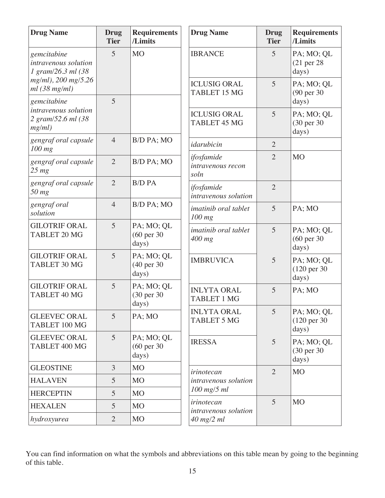| <b>Drug Name</b>                                          | <b>Drug</b><br><b>Tier</b> | <b>Requirements</b><br>/Limits                | <b>Drug Name</b>                           | <b>Drug</b><br><b>Tier</b> | <b>Requirements</b><br>/Limits                 |
|-----------------------------------------------------------|----------------------------|-----------------------------------------------|--------------------------------------------|----------------------------|------------------------------------------------|
| gemcitabine<br>intravenous solution<br>1 gram/26.3 ml (38 | 5                          | <b>MO</b>                                     | <b>IBRANCE</b>                             | 5                          | PA; MO; QL<br>$(21$ per $28$<br>days)          |
| mg/ml), 200 mg/5.26<br>$ml$ (38 mg/ml)<br>gemcitabine     | 5                          |                                               | <b>ICLUSIG ORAL</b><br><b>TABLET 15 MG</b> | 5                          | PA; MO; QL<br>(90 per 30)<br>days)             |
| intravenous solution<br>2 gram/52.6 ml (38<br>mg/ml)      |                            |                                               | <b>ICLUSIG ORAL</b><br>TABLET 45 MG        | 5                          | PA; MO; QL<br>(30 per 30)<br>days)             |
| gengraf oral capsule<br>$100$ mg                          | $\overline{4}$             | B/D PA; MO                                    | idarubicin                                 | $\overline{2}$             |                                                |
| gengraf oral capsule<br>$25 \, mg$                        | $\overline{2}$             | B/D PA; MO                                    | ifosfamide<br>intravenous recon<br>soln    | $\overline{2}$             | M <sub>O</sub>                                 |
| gengraf oral capsule<br>$50$ mg                           | $\overline{2}$             | <b>B/D PA</b>                                 | ifosfamide<br>intravenous solution         | $\overline{2}$             |                                                |
| gengraf oral<br>solution                                  | $\overline{4}$             | B/D PA; MO                                    | imatinib oral tablet<br>100 mg             | 5                          | PA; MO                                         |
| <b>GILOTRIF ORAL</b><br><b>TABLET 20 MG</b>               | 5                          | PA; MO; QL<br>$(60 \text{ per } 30)$<br>days) | imatinib oral tablet<br>$400$ mg           | 5                          | PA; MO; QL<br>$(60 \text{ per } 30)$<br>days)  |
| <b>GILOTRIF ORAL</b><br>TABLET 30 MG                      | 5                          | PA; MO; QL<br>(40 per 30)<br>days)            | <b>IMBRUVICA</b>                           | 5                          | PA; MO; QL<br>(120 per 30)<br>days)            |
| <b>GILOTRIF ORAL</b><br>TABLET 40 MG                      | 5                          | PA; MO; QL<br>(30 per 30)<br>days)            | <b>INLYTA ORAL</b><br><b>TABLET 1 MG</b>   | 5                          | PA; MO                                         |
| <b>GLEEVEC ORAL</b><br>TABLET 100 MG                      | $\overline{5}$             | PA; MO                                        | <b>INLYTA ORAL</b><br><b>TABLET 5 MG</b>   | 5                          | PA; MO; QL<br>$(120 \text{ per } 30)$<br>days) |
| <b>GLEEVEC ORAL</b><br>TABLET 400 MG                      | $\overline{5}$             | PA; MO; QL<br>$(60 \text{ per } 30)$<br>days) | <b>IRESSA</b>                              | 5                          | PA; MO; QL<br>(30 per 30)<br>days)             |
| <b>GLEOSTINE</b>                                          | 3                          | <b>MO</b>                                     | <i>irinotecan</i>                          | $\overline{2}$             | <b>MO</b>                                      |
| <b>HALAVEN</b>                                            | 5                          | <b>MO</b>                                     | intravenous solution                       |                            |                                                |
| <b>HERCEPTIN</b>                                          | 5                          | <b>MO</b>                                     | $100$ mg/5 ml                              |                            |                                                |
| <b>HEXALEN</b>                                            | 5                          | <b>MO</b>                                     | irinotecan<br>intravenous solution         | 5                          | M <sub>O</sub>                                 |
| hydroxyurea                                               | $\overline{2}$             | M <sub>O</sub>                                | 40 mg/2 ml                                 |                            |                                                |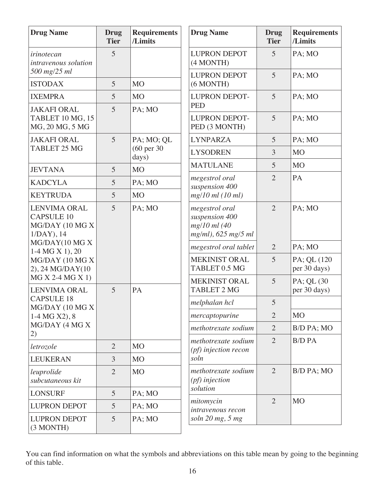| <b>Drug Name</b>                                                               | <b>Drug</b><br><b>Tier</b> | <b>Requirements</b><br>/Limits | <b>Drug Name</b>                                                        | <b>Drug</b><br><b>Tier</b> | <b>Requirements</b><br>/Limits |
|--------------------------------------------------------------------------------|----------------------------|--------------------------------|-------------------------------------------------------------------------|----------------------------|--------------------------------|
| irinotecan<br><i>intravenous solution</i>                                      | 5                          |                                | <b>LUPRON DEPOT</b><br>(4 MONTH)                                        | 5                          | PA; MO                         |
| 500 mg/25 ml<br><b>ISTODAX</b>                                                 | 5                          | <b>MO</b>                      | <b>LUPRON DEPOT</b>                                                     | 5                          | PA; MO                         |
|                                                                                |                            |                                | (6 MONTH)                                                               |                            |                                |
| <b>IXEMPRA</b>                                                                 | 5                          | M <sub>O</sub>                 | <b>LUPRON DEPOT-</b><br><b>PED</b>                                      | 5                          | PA; MO                         |
| <b>JAKAFI ORAL</b><br><b>TABLET 10 MG, 15</b><br>MG, 20 MG, 5 MG               | 5                          | PA; MO                         | <b>LUPRON DEPOT-</b><br>PED (3 MONTH)                                   | 5                          | PA; MO                         |
| <b>JAKAFI ORAL</b>                                                             | 5                          | PA; MO; QL                     | <b>LYNPARZA</b>                                                         | 5                          | PA; MO                         |
| <b>TABLET 25 MG</b>                                                            |                            | (60 per 30<br>days)            | <b>LYSODREN</b>                                                         | 3                          | <b>MO</b>                      |
| <b>JEVTANA</b>                                                                 | 5                          | M <sub>O</sub>                 | <b>MATULANE</b>                                                         | 5                          | M <sub>O</sub>                 |
| <b>KADCYLA</b>                                                                 | 5                          | PA; MO                         | megestrol oral                                                          | $\overline{2}$             | PA                             |
| <b>KEYTRUDA</b>                                                                | 5                          | M <sub>O</sub>                 | suspension 400<br>$mg/10$ ml (10 ml)                                    |                            |                                |
| <b>LENVIMA ORAL</b><br><b>CAPSULE 10</b><br>MG/DAY (10 MG X<br>$1/DAY$ ), $14$ | 5                          | PA; MO                         | megestrol oral<br>suspension 400<br>mg/10 ml (40<br>mg/ml), 625 mg/5 ml | $\overline{2}$             | PA; MO                         |
| MG/DAY(10 MG X<br>$1-4 MG X 1), 20$                                            |                            |                                | megestrol oral tablet                                                   | $\overline{2}$             | PA; MO                         |
| MG/DAY (10 MG X<br>2), 24 MG/DAY(10                                            |                            |                                | <b>MEKINIST ORAL</b><br>TABLET 0.5 MG                                   | 5                          | PA; QL (120<br>per 30 days)    |
| MG X 2-4 MG X 1)<br><b>LENVIMA ORAL</b>                                        | 5                          | PA                             | <b>MEKINIST ORAL</b><br><b>TABLET 2 MG</b>                              | 5                          | PA; QL (30<br>per 30 days)     |
| <b>CAPSULE 18</b><br>MG/DAY (10 MG X)                                          |                            |                                | melphalan hcl                                                           | 5                          |                                |
| 1-4 MG X2), 8                                                                  |                            |                                | mercaptopurine                                                          | $\overline{2}$             | M <sub>O</sub>                 |
| MG/DAY (4 MG X<br>2)                                                           |                            |                                | methotrexate sodium                                                     | $\overline{2}$             | B/D PA; MO                     |
| letrozole                                                                      | $\overline{2}$             | M <sub>O</sub>                 | methotrexate sodium                                                     | $\overline{2}$             | <b>B/D PA</b>                  |
| <b>LEUKERAN</b>                                                                | 3                          | M <sub>O</sub>                 | ( <i>pf</i> ) injection recon<br>soln                                   |                            |                                |
| leuprolide<br>subcutaneous kit                                                 | $\overline{2}$             | <b>MO</b>                      | methotrexate sodium<br>( <i>pf</i> ) injection                          | 2                          | B/D PA; MO                     |
| <b>LONSURF</b>                                                                 | 5                          | PA; MO                         | solution                                                                |                            |                                |
| <b>LUPRON DEPOT</b>                                                            | 5                          | PA; MO                         | mitomycin<br>intravenous recon                                          | $\overline{2}$             | <b>MO</b>                      |
| <b>LUPRON DEPOT</b><br>(3 MONTH)                                               | 5                          | PA; MO                         | soln $20$ mg, $5$ mg                                                    |                            |                                |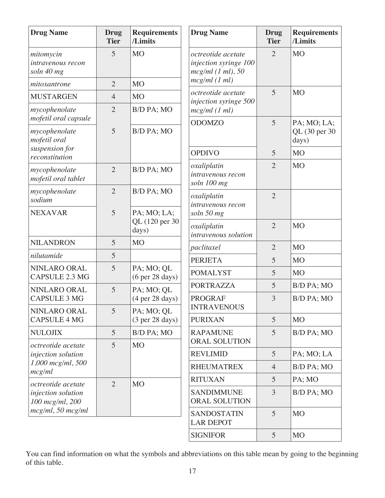| <b>Drug Name</b>                             | <b>Drug</b><br><b>Tier</b> | <b>Requirements</b><br>/Limits                       | <b>Drug Name</b>                                                                      | <b>Drug</b><br><b>Tier</b> | <b>Requirements</b><br>/Limits |
|----------------------------------------------|----------------------------|------------------------------------------------------|---------------------------------------------------------------------------------------|----------------------------|--------------------------------|
| mitomycin<br>intravenous recon<br>soln 40 mg | 5                          | <b>MO</b>                                            | octreotide acetate<br>injection syringe 100<br>$mcg/ml$ (1 ml), 50<br>$mcg/ml$ (1 ml) | $\overline{2}$             | <b>MO</b>                      |
| mitoxantrone                                 | $\overline{2}$             | M <sub>O</sub>                                       | octreotide acetate                                                                    | 5                          | <b>MO</b>                      |
| <b>MUSTARGEN</b>                             | $\overline{4}$             | M <sub>O</sub>                                       | injection syringe 500                                                                 |                            |                                |
| mycophenolate<br>mofetil oral capsule        | $\overline{2}$             | B/D PA; MO                                           | $mcg/ml$ (1 ml)<br><b>ODOMZO</b>                                                      | 5                          | PA; MO; LA;                    |
| mycophenolate<br>mofetil oral                | 5                          | B/D PA; MO                                           |                                                                                       |                            | QL (30 per 30<br>days)         |
| suspension for<br>reconstitution             |                            |                                                      | <b>OPDIVO</b>                                                                         | 5                          | M <sub>O</sub>                 |
| mycophenolate<br>mofetil oral tablet         | $\overline{2}$             | B/D PA; MO                                           | oxaliplatin<br>intravenous recon<br>soln 100 mg                                       | $\overline{2}$             | M <sub>O</sub>                 |
| mycophenolate<br>sodium                      | $\overline{2}$             | B/D PA; MO                                           | oxaliplatin<br>intravenous recon                                                      | $\overline{2}$             |                                |
| <b>NEXAVAR</b>                               | 5                          | PA; MO; LA;<br>QL (120 per 30<br>days)               | soln 50 mg                                                                            |                            |                                |
|                                              |                            |                                                      | oxaliplatin<br>intravenous solution                                                   | $\overline{2}$             | <b>MO</b>                      |
| <b>NILANDRON</b>                             | 5                          | <b>MO</b>                                            | paclitaxel                                                                            | $\overline{2}$             | <b>MO</b>                      |
| nilutamide                                   | 5                          |                                                      | <b>PERJETA</b>                                                                        | 5                          | M <sub>O</sub>                 |
| NINLARO ORAL<br><b>CAPSULE 2.3 MG</b>        | 5                          | PA; MO; QL<br>(6 <sub>per</sub> 28 <sub>days</sub> ) | <b>POMALYST</b>                                                                       | 5                          | <b>MO</b>                      |
| NINLARO ORAL                                 | 5                          | PA; MO; QL                                           | <b>PORTRAZZA</b>                                                                      | 5                          | B/D PA; MO                     |
| <b>CAPSULE 3 MG</b>                          |                            | (4 <sub>per</sub> 28 <sub>days</sub> )               | <b>PROGRAF</b><br><b>INTRAVENOUS</b>                                                  | 3                          | B/D PA; MO                     |
| NINLARO ORAL<br><b>CAPSULE 4 MG</b>          | 5                          | PA; MO; QL<br>(3 <sub>per</sub> 28 <sub>days</sub> ) | <b>PURIXAN</b>                                                                        | 5                          | M <sub>O</sub>                 |
| <b>NULOJIX</b>                               | 5                          | B/D PA; MO                                           | <b>RAPAMUNE</b>                                                                       | 5                          | B/D PA; MO                     |
| octreotide acetate                           | 5                          | M <sub>O</sub>                                       | ORAL SOLUTION                                                                         |                            |                                |
| injection solution<br>$1,000$ mcg/ml, 500    |                            |                                                      | <b>REVLIMID</b>                                                                       | 5                          | PA; MO; LA                     |
| mcg/ml                                       |                            |                                                      | <b>RHEUMATREX</b>                                                                     | $\overline{4}$             | B/D PA; MO                     |
| octreotide acetate                           | $\overline{2}$             | M <sub>O</sub>                                       | <b>RITUXAN</b>                                                                        | 5                          | PA; MO                         |
| injection solution<br>100 mcg/ml, 200        |                            |                                                      | <b>SANDIMMUNE</b><br>ORAL SOLUTION                                                    | 3                          | B/D PA; MO                     |
| $mcg/ml$ , 50 $mcg/ml$                       |                            |                                                      | <b>SANDOSTATIN</b><br><b>LAR DEPOT</b>                                                | 5                          | M <sub>O</sub>                 |
|                                              |                            |                                                      | <b>SIGNIFOR</b>                                                                       | 5                          | M <sub>O</sub>                 |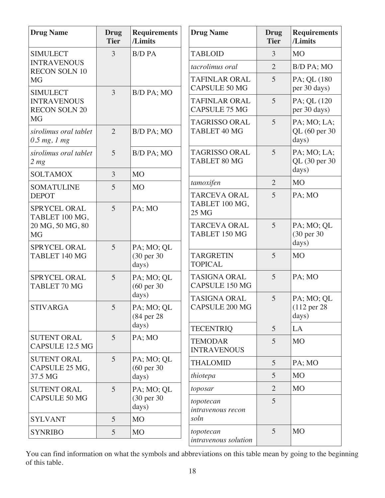| <b>Drug Name</b>                                        | <b>Drug</b><br><b>Tier</b> | <b>Requirements</b><br>/Limits     | <b>Drug Name</b>                             | <b>Drug</b><br><b>Tier</b> | <b>Requirements</b><br>/Limits                 |
|---------------------------------------------------------|----------------------------|------------------------------------|----------------------------------------------|----------------------------|------------------------------------------------|
| <b>SIMULECT</b>                                         | 3                          | <b>B/D PA</b>                      | <b>TABLOID</b>                               | 3                          | <b>MO</b>                                      |
| <b>INTRAVENOUS</b><br><b>RECON SOLN 10</b>              |                            |                                    | tacrolimus oral                              | $\overline{2}$             | B/D PA; MO                                     |
| <b>MG</b><br><b>SIMULECT</b>                            | 3                          |                                    | <b>TAFINLAR ORAL</b><br><b>CAPSULE 50 MG</b> | 5                          | PA; QL (180)<br>per 30 days)                   |
| <b>INTRAVENOUS</b><br><b>RECON SOLN 20</b><br><b>MG</b> |                            | B/D PA; MO                         | <b>TAFINLAR ORAL</b><br><b>CAPSULE 75 MG</b> | 5                          | PA; QL (120<br>per 30 days)                    |
| sirolimus oral tablet<br>$0.5$ mg, $1$ mg               | $\overline{2}$             | B/D PA; MO                         | <b>TAGRISSO ORAL</b><br>TABLET 40 MG         | 5                          | PA; MO; LA;<br>QL (60 per 30)<br>days)         |
| sirolimus oral tablet<br>2 <sub>mg</sub>                | 5                          | B/D PA; MO                         | <b>TAGRISSO ORAL</b><br>TABLET 80 MG         | 5                          | PA; MO; LA;<br>QL (30 per 30                   |
| <b>SOLTAMOX</b>                                         | 3                          | <b>MO</b>                          |                                              |                            | days)                                          |
| <b>SOMATULINE</b>                                       | 5                          | <b>MO</b>                          | tamoxifen                                    | $\overline{2}$             | <b>MO</b>                                      |
| <b>DEPOT</b>                                            |                            |                                    | <b>TARCEVA ORAL</b><br>TABLET 100 MG,        | 5                          | PA; MO                                         |
| <b>SPRYCEL ORAL</b><br>TABLET 100 MG,                   | 5                          | PA; MO                             | 25 MG                                        |                            |                                                |
| 20 MG, 50 MG, 80<br><b>MG</b>                           |                            |                                    | <b>TARCEVA ORAL</b><br>TABLET 150 MG         | 5                          | PA; MO; QL<br>(30 per 30)<br>days)             |
| <b>SPRYCEL ORAL</b><br>TABLET 140 MG                    | 5                          | PA; MO; QL<br>(30 per 30)<br>days) | <b>TARGRETIN</b><br><b>TOPICAL</b>           | 5                          | <b>MO</b>                                      |
| SPRYCEL ORAL<br>TABLET 70 MG                            | 5                          | PA; MO; QL<br>(60 per 30           | <b>TASIGNA ORAL</b><br><b>CAPSULE 150 MG</b> | 5                          | PA; MO                                         |
| <b>STIVARGA</b>                                         | 5 <sup>1</sup>             | days)<br>PA; MO; QL<br>(84 per 28) | <b>TASIGNA ORAL</b><br><b>CAPSULE 200 MG</b> | 5                          | PA; MO; QL<br>$(112 \text{ per } 28)$<br>days) |
|                                                         |                            | days)                              | <b>TECENTRIQ</b>                             | 5                          | LA                                             |
| <b>SUTENT ORAL</b><br><b>CAPSULE 12.5 MG</b>            | 5                          | PA; MO                             | <b>TEMODAR</b><br><b>INTRAVENOUS</b>         | 5                          | MO                                             |
| <b>SUTENT ORAL</b>                                      | 5                          | PA; MO; QL                         | <b>THALOMID</b>                              | 5                          | PA; MO                                         |
| CAPSULE 25 MG,<br>37.5 MG                               |                            | $(60 \text{ per } 30)$<br>days)    | thiotepa                                     | 5                          | M <sub>O</sub>                                 |
| <b>SUTENT ORAL</b>                                      | 5                          | PA; MO; QL                         | toposar                                      | $\overline{2}$             | M <sub>O</sub>                                 |
| <b>CAPSULE 50 MG</b>                                    |                            | (30 per 30)<br>days)               | topotecan<br>intravenous recon               | 5                          |                                                |
| <b>SYLVANT</b>                                          | 5                          | M <sub>O</sub>                     | soln                                         |                            |                                                |
| <b>SYNRIBO</b>                                          | 5                          | MO                                 | topotecan<br>intravenous solution            | 5                          | <b>MO</b>                                      |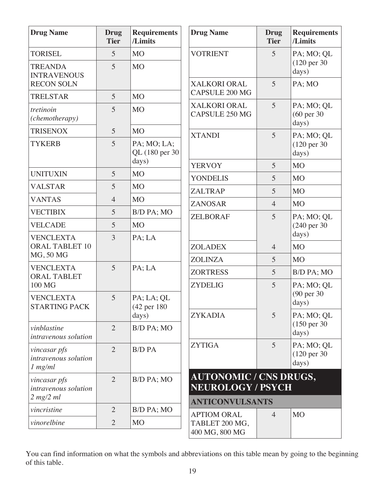| <b>Drug Name</b>                                  | <b>Drug</b><br><b>Tier</b> | <b>Requirements</b><br>/Limits | <b>Drug Name</b>                                          | <b>Drug</b><br><b>Tier</b> | <b>Requirements</b><br>/Limits                 |
|---------------------------------------------------|----------------------------|--------------------------------|-----------------------------------------------------------|----------------------------|------------------------------------------------|
| <b>TORISEL</b>                                    | 5                          | <b>MO</b>                      | <b>VOTRIENT</b>                                           | 5                          | PA; MO; QL                                     |
| <b>TREANDA</b><br><b>INTRAVENOUS</b>              | 5                          | M <sub>O</sub>                 |                                                           |                            | $(120 \text{ per } 30)$<br>days)               |
| <b>RECON SOLN</b>                                 |                            |                                | XALKORI ORAL                                              | 5                          | PA; MO                                         |
| <b>TRELSTAR</b>                                   | 5                          | M <sub>O</sub>                 | <b>CAPSULE 200 MG</b>                                     |                            |                                                |
| tretinoin<br>(chemotherapy)                       | 5                          | <b>MO</b>                      | XALKORI ORAL<br>CAPSULE 250 MG                            | 5                          | PA; MO; QL<br>(60 per 30)<br>days)             |
| <b>TRISENOX</b>                                   | 5                          | M <sub>O</sub>                 | <b>XTANDI</b>                                             | 5                          | PA; MO; QL                                     |
| <b>TYKERB</b>                                     | 5                          | PA; MO; LA;<br>QL (180 per 30  |                                                           |                            | $(120 \text{ per } 30)$<br>days)               |
|                                                   |                            | days)                          | <b>YERVOY</b>                                             | 5                          | M <sub>O</sub>                                 |
| <b>UNITUXIN</b>                                   | 5                          | M <sub>O</sub>                 | <b>YONDELIS</b>                                           | 5                          | <b>MO</b>                                      |
| <b>VALSTAR</b>                                    | 5                          | M <sub>O</sub>                 | <b>ZALTRAP</b>                                            | 5                          | M <sub>O</sub>                                 |
| <b>VANTAS</b>                                     | $\overline{4}$             | <b>MO</b>                      | <b>ZANOSAR</b>                                            | $\overline{4}$             | <b>MO</b>                                      |
| <b>VECTIBIX</b>                                   | 5                          | B/D PA; MO                     | <b>ZELBORAF</b>                                           | 5                          | PA; MO; QL                                     |
| <b>VELCADE</b>                                    | 5                          | <b>MO</b>                      |                                                           |                            | (240 per 30)                                   |
| <b>VENCLEXTA</b><br><b>ORAL TABLET 10</b>         | 3                          | PA; LA                         | <b>ZOLADEX</b>                                            | $\overline{4}$             | days)<br>M <sub>O</sub>                        |
| MG, 50 MG                                         |                            |                                | <b>ZOLINZA</b>                                            | 5                          | M <sub>O</sub>                                 |
| <b>VENCLEXTA</b><br><b>ORAL TABLET</b>            | 5                          | PA; LA                         | <b>ZORTRESS</b>                                           | 5                          | B/D PA; MO                                     |
| 100 MG                                            |                            |                                | <b>ZYDELIG</b>                                            | $\overline{5}$             | PA; MO; QL                                     |
| <b>VENCLEXTA</b><br><b>STARTING PACK</b>          | 5                          | PA; LA; QL<br>(42 per 180)     |                                                           |                            | (90 per 30)<br>days)                           |
|                                                   |                            | days)                          | <b>ZYKADIA</b>                                            | 5                          | PA; MO; QL                                     |
| vinblastine<br>intravenous solution               | $\overline{2}$             | B/D PA; MO                     |                                                           |                            | $(150 \text{ per } 30)$<br>days)               |
| vincasar pfs<br>intravenous solution<br>$1$ mg/ml | $\overline{2}$             | <b>B/D PA</b>                  | <b>ZYTIGA</b>                                             | 5                          | PA; MO; QL<br>$(120 \text{ per } 30)$<br>days) |
| vincasar pfs<br>intravenous solution              | $\overline{2}$             | B/D PA; MO                     | <b>AUTONOMIC / CNS DRUGS,</b><br><b>NEUROLOGY / PSYCH</b> |                            |                                                |
| $2$ mg/ $2$ ml                                    |                            |                                | <b>ANTICONVULSANTS</b>                                    |                            |                                                |
| vincristine                                       | $\overline{2}$             | B/D PA; MO                     | <b>APTIOM ORAL</b>                                        | $\overline{4}$             | M <sub>O</sub>                                 |
| vinorelbine                                       | $\overline{2}$             | M <sub>O</sub>                 | TABLET 200 MG,<br>400 MG, 800 MG                          |                            |                                                |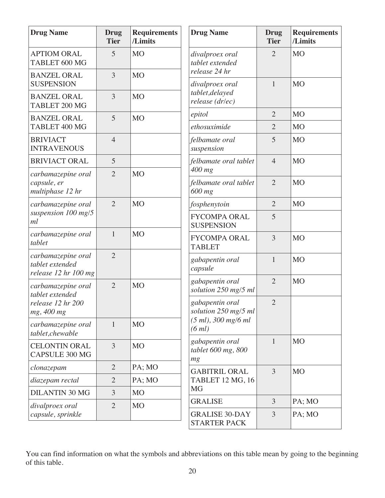| <b>Drug Name</b>                                              | <b>Drug</b><br><b>Tier</b> | <b>Requirements</b><br>/Limits | <b>Drug Name</b>                             | <b>Drug</b><br><b>Tier</b> | <b>Requirements</b><br>/Limits |
|---------------------------------------------------------------|----------------------------|--------------------------------|----------------------------------------------|----------------------------|--------------------------------|
| <b>APTIOM ORAL</b><br>TABLET 600 MG                           | 5                          | M <sub>O</sub>                 | divalproex oral<br>tablet extended           | $\overline{2}$             | <b>MO</b>                      |
| <b>BANZEL ORAL</b><br><b>SUSPENSION</b>                       | 3                          | <b>MO</b>                      | release 24 hr<br>divalproex oral             | $\mathbf{1}$               | <b>MO</b>                      |
| <b>BANZEL ORAL</b><br>TABLET 200 MG                           | 3                          | M <sub>O</sub>                 | tablet, delayed<br>release (dr/ec)           |                            |                                |
| <b>BANZEL ORAL</b>                                            | 5                          | <b>MO</b>                      | epitol                                       | $\overline{2}$             | <b>MO</b>                      |
| TABLET 400 MG                                                 |                            |                                | ethosuximide                                 | $\overline{2}$             | <b>MO</b>                      |
| <b>BRIVIACT</b><br><b>INTRAVENOUS</b>                         | $\overline{4}$             |                                | felbamate oral<br>suspension                 | 5                          | <b>MO</b>                      |
| <b>BRIVIACT ORAL</b>                                          | 5                          |                                | felbamate oral tablet<br>$400$ mg            | $\overline{4}$             | <b>MO</b>                      |
| carbamazepine oral<br>capsule, er<br>multiphase 12 hr         | $\overline{2}$             | M <sub>O</sub>                 | felbamate oral tablet<br>600 mg              | $\overline{2}$             | <b>MO</b>                      |
| carbamazepine oral                                            | $\overline{2}$             | M <sub>O</sub>                 | fosphenytoin                                 | $\overline{2}$             | <b>MO</b>                      |
| suspension 100 mg/5<br>ml                                     |                            |                                | <b>FYCOMPA ORAL</b><br><b>SUSPENSION</b>     | 5                          |                                |
| carbamazepine oral<br>tablet                                  | $\mathbf{1}$               | <b>MO</b>                      | <b>FYCOMPA ORAL</b><br><b>TABLET</b>         | 3                          | <b>MO</b>                      |
| carbamazepine oral<br>tablet extended<br>release 12 hr 100 mg | $\overline{2}$             |                                | gabapentin oral<br>capsule                   | $\mathbf{1}$               | <b>MO</b>                      |
| carbamazepine oral<br>tablet extended                         | $\overline{2}$             | M <sub>O</sub>                 | gabapentin oral<br>solution 250 mg/5 ml      | $\overline{2}$             | M <sub>O</sub>                 |
| release 12 hr 200<br>mg, 400 mg                               |                            |                                | gabapentin oral<br>solution 250 mg/5 ml      | $\overline{2}$             |                                |
| carbamazepine oral<br>tablet,chewable                         | $\mathbf{1}$               | M <sub>O</sub>                 | $(5 ml)$ , 300 mg/6 ml<br>(6 ml)             |                            |                                |
| <b>CELONTIN ORAL</b><br><b>CAPSULE 300 MG</b>                 | $\overline{3}$             | <b>MO</b>                      | gabapentin oral<br>tablet 600 mg, 800<br>mg  | $\mathbf{1}$               | <b>MO</b>                      |
| clonazepam                                                    | $\overline{2}$             | PA; MO                         | <b>GABITRIL ORAL</b>                         | 3                          | <b>MO</b>                      |
| diazepam rectal                                               | $\overline{2}$             | PA; MO                         | TABLET 12 MG, 16                             |                            |                                |
| <b>DILANTIN 30 MG</b>                                         | 3                          | <b>MO</b>                      | <b>MG</b>                                    |                            |                                |
| divalproex oral                                               | $\overline{2}$             | <b>MO</b>                      | <b>GRALISE</b>                               | 3                          | PA; MO                         |
| capsule, sprinkle                                             |                            |                                | <b>GRALISE 30-DAY</b><br><b>STARTER PACK</b> | $\overline{3}$             | PA; MO                         |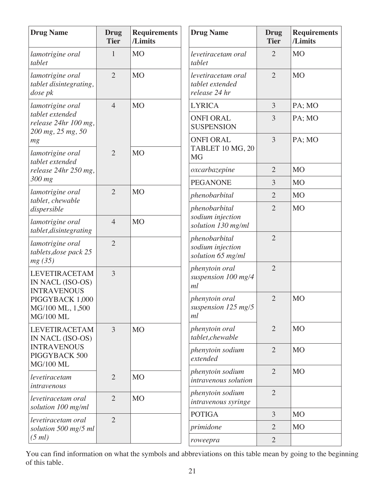| <b>Drug Name</b>                                               | <b>Drug</b><br><b>Tier</b> | <b>Requirements</b><br>/Limits | <b>Drug Name</b>                                       | <b>Drug</b><br><b>Tier</b> | <b>Requirements</b><br>/Limits |
|----------------------------------------------------------------|----------------------------|--------------------------------|--------------------------------------------------------|----------------------------|--------------------------------|
| lamotrigine oral<br>tablet                                     | 1                          | <b>MO</b>                      | levetiracetam oral<br>tablet                           | $\overline{2}$             | M <sub>O</sub>                 |
| lamotrigine oral<br>tablet disintegrating,<br>dose pk          | $\overline{2}$             | <b>MO</b>                      | levetiracetam oral<br>tablet extended<br>release 24 hr | $\overline{2}$             | <b>MO</b>                      |
| lamotrigine oral                                               | $\overline{4}$             | <b>MO</b>                      | <b>LYRICA</b>                                          | 3                          | PA; MO                         |
| tablet extended<br>release 24hr 100 mg,<br>200 mg, 25 mg, 50   |                            |                                | <b>ONFI ORAL</b><br><b>SUSPENSION</b>                  | 3                          | PA; MO                         |
| mg<br>lamotrigine oral<br>tablet extended                      | $\overline{2}$             | <b>MO</b>                      | <b>ONFI ORAL</b><br>TABLET 10 MG, 20<br><b>MG</b>      | 3                          | PA; MO                         |
| release 24hr 250 mg,                                           |                            |                                | oxcarbazepine                                          | $\overline{2}$             | M <sub>O</sub>                 |
| 300 mg                                                         |                            |                                | <b>PEGANONE</b>                                        | 3                          | <b>MO</b>                      |
| lamotrigine oral<br>tablet, chewable                           | $\overline{2}$             | <b>MO</b>                      | phenobarbital                                          | $\overline{2}$             | M <sub>O</sub>                 |
| dispersible                                                    |                            |                                | phenobarbital<br>sodium injection                      | $\overline{2}$             | M <sub>O</sub>                 |
| lamotrigine oral<br>tablet, disintegrating                     | $\overline{4}$             | <b>MO</b>                      | solution 130 mg/ml                                     |                            |                                |
| lamotrigine oral<br>tablets, dose pack 25<br>mg(35)            | $\overline{2}$             |                                | phenobarbital<br>sodium injection<br>solution 65 mg/ml | $\overline{2}$             |                                |
| <b>LEVETIRACETAM</b><br>IN NACL (ISO-OS)<br><b>INTRAVENOUS</b> | $\overline{3}$             |                                | phenytoin oral<br>suspension 100 mg/4<br>ml            | $\overline{2}$             |                                |
| PIGGYBACK 1,000<br>MG/100 ML, 1,500<br><b>MG/100 ML</b>        |                            |                                | phenytoin oral<br>suspension 125 mg/5<br>ml            | $\overline{2}$             | <b>MO</b>                      |
| <b>LEVETIRACETAM</b><br>IN NACL (ISO-OS)                       | 3                          | <b>MO</b>                      | phenytoin oral<br>tablet,chewable                      | $\overline{2}$             | M <sub>O</sub>                 |
| <b>INTRAVENOUS</b><br>PIGGYBACK 500<br><b>MG/100 ML</b>        |                            |                                | phenytoin sodium<br>extended                           | $\overline{2}$             | M <sub>O</sub>                 |
| levetiracetam<br>intravenous                                   | $\overline{2}$             | <b>MO</b>                      | phenytoin sodium<br>intravenous solution               | $\overline{2}$             | M <sub>O</sub>                 |
| levetiracetam oral<br>solution 100 mg/ml                       | $\overline{2}$             | <b>MO</b>                      | phenytoin sodium<br>intravenous syringe                | $\overline{2}$             |                                |
| levetiracetam oral                                             | $\overline{2}$             |                                | <b>POTIGA</b>                                          | 3                          | MO                             |
| solution 500 mg/5 ml                                           |                            |                                | primidone                                              | $\overline{2}$             | <b>MO</b>                      |
| (5 ml)                                                         |                            |                                | roweepra                                               | $\overline{2}$             |                                |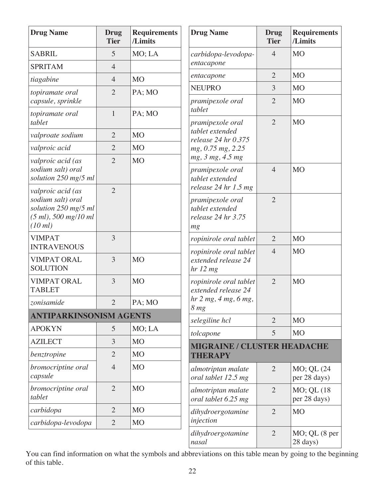| <b>Drug Name</b>                                                                                     | <b>Drug</b><br><b>Tier</b> | <b>Requirements</b><br>/Limits | <b>Drug Name</b>                                                                          | <b>Drug</b><br><b>Tier</b> | <b>Requirements</b><br>/Limits   |
|------------------------------------------------------------------------------------------------------|----------------------------|--------------------------------|-------------------------------------------------------------------------------------------|----------------------------|----------------------------------|
| <b>SABRIL</b>                                                                                        | 5                          | MO; LA                         | carbidopa-levodopa-                                                                       | $\overline{4}$             | <b>MO</b>                        |
| <b>SPRITAM</b>                                                                                       | $\overline{4}$             |                                | entacapone                                                                                |                            |                                  |
| tiagabine                                                                                            | $\overline{4}$             | <b>MO</b>                      | entacapone                                                                                | $\overline{2}$             | <b>MO</b>                        |
| topiramate oral<br>capsule, sprinkle                                                                 | $\overline{2}$             | PA; MO                         | <b>NEUPRO</b><br>pramipexole oral                                                         | 3<br>$\overline{2}$        | <b>MO</b><br><b>MO</b>           |
| topiramate oral<br>tablet                                                                            | $\mathbf{1}$               | PA; MO                         | tablet<br>pramipexole oral                                                                | $\overline{2}$             | <b>MO</b>                        |
| valproate sodium                                                                                     | $\overline{2}$             | <b>MO</b>                      | tablet extended<br>release $24$ hr $0.375$                                                |                            |                                  |
| valproic acid                                                                                        | $\overline{2}$             | M <sub>O</sub>                 | mg, 0.75 mg, 2.25                                                                         |                            |                                  |
| valproic acid (as<br>sodium salt) oral<br>solution 250 mg/5 ml                                       | $\overline{2}$             | M <sub>O</sub>                 | mg, 3 mg, 4.5 mg<br>pramipexole oral<br>tablet extended                                   | $\overline{4}$             | <b>MO</b>                        |
| valproic acid (as<br>sodium salt) oral<br>solution 250 mg/5 ml<br>$(5 ml)$ , 500 mg/10 ml<br>(10 ml) | $\overline{2}$             |                                | release $24$ hr 1.5 mg<br>pramipexole oral<br>tablet extended<br>release 24 hr 3.75<br>mg | $\overline{2}$             |                                  |
| <b>VIMPAT</b><br><b>INTRAVENOUS</b>                                                                  | 3                          |                                | ropinirole oral tablet                                                                    | $\overline{2}$             | <b>MO</b>                        |
| <b>VIMPAT ORAL</b><br><b>SOLUTION</b>                                                                | 3                          | <b>MO</b>                      | ropinirole oral tablet<br>extended release 24<br>hr 12 mg                                 | $\overline{4}$             | <b>MO</b>                        |
| <b>VIMPAT ORAL</b><br><b>TABLET</b>                                                                  | $\overline{3}$             | <b>MO</b>                      | ropinirole oral tablet<br>extended release 24                                             | $\overline{2}$             | <b>MO</b>                        |
| zonisamide                                                                                           | $\overline{2}$             | PA; MO                         | hr 2 mg, 4 mg, 6 mg,<br>$8 \ mg$                                                          |                            |                                  |
| <b>ANTIPARKINSONISM AGENTS</b>                                                                       |                            |                                | selegiline hcl                                                                            | $\overline{2}$             | <b>MO</b>                        |
| <b>APOKYN</b>                                                                                        | 5                          | MO; LA                         | tolcapone                                                                                 | 5                          | <b>MO</b>                        |
| <b>AZILECT</b>                                                                                       | 3                          | M <sub>O</sub>                 | <b>MIGRAINE / CLUSTER HEADACHE</b>                                                        |                            |                                  |
| benztropine                                                                                          | $\overline{2}$             | <b>MO</b>                      | <b>THERAPY</b>                                                                            |                            |                                  |
| bromocriptine oral<br>capsule                                                                        | $\overline{4}$             | <b>MO</b>                      | almotriptan malate<br>oral tablet 12.5 mg                                                 | $\overline{2}$             | MO; QL (24<br>per 28 days)       |
| bromocriptine oral<br>tablet                                                                         | $\overline{2}$             | <b>MO</b>                      | almotriptan malate<br>oral tablet 6.25 mg                                                 | $\overline{2}$             | $MO$ ; QL $(18)$<br>per 28 days) |
| carbidopa                                                                                            | $\overline{2}$             | M <sub>O</sub>                 | dihydroergotamine                                                                         | $\overline{2}$             | <b>MO</b>                        |
| carbidopa-levodopa                                                                                   | $\sqrt{2}$                 | <b>MO</b>                      | injection                                                                                 |                            |                                  |
|                                                                                                      |                            |                                | dihydroergotamine<br>nasal                                                                | $\overline{2}$             | $MO$ ; QL $(8$ per<br>28 days)   |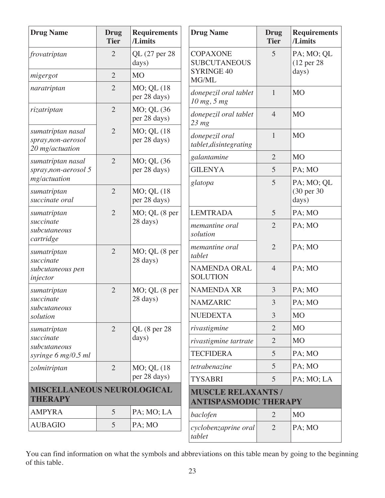| <b>Drug Name</b>                                          | <b>Drug</b><br><b>Tier</b> | <b>Requirements</b><br>/Limits | <b>Drug Name</b>                                          | <b>Drug</b><br><b>Tier</b> | <b>Requirements</b><br>/Limits     |
|-----------------------------------------------------------|----------------------------|--------------------------------|-----------------------------------------------------------|----------------------------|------------------------------------|
| frovatriptan                                              | $\overline{2}$             | QL (27 per 28<br>days)         | <b>COPAXONE</b><br><b>SUBCUTANEOUS</b>                    | 5                          | PA; MO; QL<br>(12 per 28)          |
| migergot                                                  | $\overline{2}$             | M <sub>O</sub>                 | <b>SYRINGE 40</b><br>MG/ML                                |                            | days)                              |
| naratriptan                                               | $\overline{2}$             | MO; QL (18)<br>per 28 days)    | donepezil oral tablet<br>10 mg, 5 mg                      | 1                          | M <sub>O</sub>                     |
| rizatriptan                                               | $\overline{2}$             | MO; QL (36<br>per 28 days)     | donepezil oral tablet<br>$23$ mg                          | $\overline{4}$             | M <sub>O</sub>                     |
| sumatriptan nasal<br>spray,non-aerosol<br>20 mg/actuation | $\overline{2}$             | MO; QL (18)<br>per 28 days)    | donepezil oral<br>tablet, disintegrating                  | $\mathbf{1}$               | M <sub>O</sub>                     |
| sumatriptan nasal                                         | $\overline{2}$             | MO; QL (36                     | galantamine                                               | $\overline{2}$             | <b>MO</b>                          |
| spray, non-aerosol 5                                      |                            | per 28 days)                   | <b>GILENYA</b>                                            | 5                          | PA; MO                             |
| mg/actuation<br>sumatriptan<br>succinate oral             | $\overline{2}$             | MO; QL (18)<br>per 28 days)    | glatopa                                                   | 5                          | PA; MO; QL<br>(30 per 30)<br>days) |
| sumatriptan                                               | $\overline{2}$             | MO; QL (8 per<br>28 days)      | <b>LEMTRADA</b>                                           | 5                          | PA; MO                             |
| succinate<br>subcutaneous<br>cartridge                    |                            |                                | memantine oral<br>solution                                | $\overline{2}$             | PA; MO                             |
| sumatriptan<br>succinate                                  | $\overline{2}$             | MO; QL (8 per<br>28 days)      | memantine oral<br>tablet                                  | $\overline{2}$             | PA; MO                             |
| subcutaneous pen<br>injector                              |                            |                                | <b>NAMENDA ORAL</b><br><b>SOLUTION</b>                    | $\overline{4}$             | PA; MO                             |
| sumatriptan                                               | $\overline{2}$             | $MO$ ; QL $(8$ per             | <b>NAMENDA XR</b>                                         | 3                          | PA; MO                             |
| succinate<br>subcutaneous                                 |                            | 28 days)                       | <b>NAMZARIC</b>                                           | 3                          | PA; MO                             |
| solution                                                  |                            |                                | <b>NUEDEXTA</b>                                           | 3                          | <b>MO</b>                          |
| sumatriptan                                               | $\overline{2}$             | QL (8 per 28                   | rivastigmine                                              | $\overline{2}$             | M <sub>O</sub>                     |
| succinate<br>subcutaneous                                 |                            | days)                          | rivastigmine tartrate                                     | $\overline{2}$             | MO                                 |
| syringe 6 mg/0.5 ml                                       |                            |                                | <b>TECFIDERA</b>                                          | 5                          | PA; MO                             |
| zolmitriptan                                              | $\overline{2}$             | MO; QL (18)                    | tetrabenazine                                             | $\overline{5}$             | PA; MO                             |
|                                                           |                            | per 28 days)                   | <b>TYSABRI</b>                                            | 5                          | PA; MO; LA                         |
| <b>MISCELLANEOUS NEUROLOGICAL</b><br><b>THERAPY</b>       |                            |                                | <b>MUSCLE RELAXANTS /</b><br><b>ANTISPASMODIC THERAPY</b> |                            |                                    |
| <b>AMPYRA</b>                                             | 5                          | PA; MO; LA                     | baclofen                                                  | $\overline{2}$             | <b>MO</b>                          |
| <b>AUBAGIO</b>                                            | 5                          | PA; MO                         | cyclobenzaprine oral<br>tablet                            | 2                          | PA; MO                             |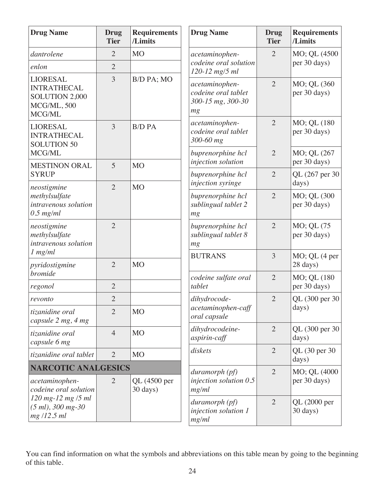| <b>Drug Name</b>                                                                 | <b>Drug</b><br><b>Tier</b> | <b>Requirements</b><br>/Limits | <b>Drug Name</b>                                                 | <b>Drug</b><br><b>Tier</b> | <b>Requirements</b><br>/Limits |
|----------------------------------------------------------------------------------|----------------------------|--------------------------------|------------------------------------------------------------------|----------------------------|--------------------------------|
| dantrolene                                                                       | $\overline{2}$             | <b>MO</b>                      | acetaminophen-                                                   | $\overline{2}$             | MO; QL (4500                   |
| enlon                                                                            | $\overline{2}$             |                                | codeine oral solution<br>120-12 mg/5 ml                          |                            | per 30 days)                   |
| <b>LIORESAL</b><br><b>INTRATHECAL</b><br>SOLUTION 2,000<br>MCG/ML, 500<br>MCG/ML | 3                          | B/D PA; MO                     | acetaminophen-<br>codeine oral tablet<br>300-15 mg, 300-30<br>mg | $\overline{2}$             | MO; QL (360<br>per 30 days)    |
| <b>LIORESAL</b><br><b>INTRATHECAL</b><br><b>SOLUTION 50</b>                      | 3                          | <b>B/D PA</b>                  | acetaminophen-<br>codeine oral tablet<br>300-60 mg               | $\overline{2}$             | MO; QL (180<br>per 30 days)    |
| MCG/ML                                                                           |                            |                                | buprenorphine hcl<br>injection solution                          | $\overline{2}$             | MO; QL (267<br>per 30 days)    |
| <b>MESTINON ORAL</b><br><b>SYRUP</b>                                             | 5                          | <b>MO</b>                      | buprenorphine hcl<br>injection syringe                           | $\overline{2}$             | QL (267 per 30<br>days)        |
| neostigmine<br>methylsulfate<br>intravenous solution<br>$0.5$ mg/ml              | $\overline{2}$             | <b>MO</b>                      | buprenorphine hcl<br>sublingual tablet 2<br>mg                   | $\overline{2}$             | MO; QL (300<br>per 30 days)    |
| neostigmine<br>methylsulfate<br>intravenous solution                             | $\overline{2}$             |                                | buprenorphine hcl<br>sublingual tablet 8<br>mg                   | $\overline{2}$             | MO; QL (75<br>per 30 days)     |
| $1$ mg/m $l$<br>pyridostigmine                                                   | $\overline{2}$             | M <sub>O</sub>                 | <b>BUTRANS</b>                                                   | 3                          | $MO$ ; QL $(4$ per<br>28 days) |
| <b>bromide</b><br>regonol                                                        | $\overline{2}$             |                                | codeine sulfate oral<br>tablet                                   | $\overline{2}$             | MO; QL (180<br>per 30 days)    |
| revonto                                                                          | $\overline{2}$             |                                | dihydrocode-                                                     | $\overline{2}$             | QL (300 per 30                 |
| tizanidine oral<br>capsule 2 mg, 4 mg                                            | $\overline{2}$             | <b>MO</b>                      | acetaminophen-caff<br>oral capsule                               |                            | days)                          |
| tizanidine oral<br>capsule 6 mg                                                  | $\overline{4}$             | M <sub>O</sub>                 | dihydrocodeine-<br>aspirin-caff                                  | $\overline{2}$             | QL (300 per 30<br>days)        |
| tizanidine oral tablet                                                           | $\overline{2}$             | M <sub>O</sub>                 | diskets                                                          | $\overline{2}$             | QL (30 per 30)<br>days)        |
| <b>NARCOTIC ANALGESICS</b>                                                       |                            |                                | $duramorph$ (pf)                                                 | $\overline{2}$             | MO; QL (4000                   |
| acetaminophen-<br>codeine oral solution                                          | $\overline{2}$             | QL (4500 per<br>30 days)       | injection solution $0.5$<br>mg/ml                                |                            | per 30 days)                   |
| 120 mg-12 mg /5 ml<br>$(5 ml)$ , 300 mg-30<br>mg/12.5 ml                         |                            |                                | $duramorph$ (pf)<br>injection solution 1<br>mg/ml                | $\overline{2}$             | QL (2000 per<br>30 days)       |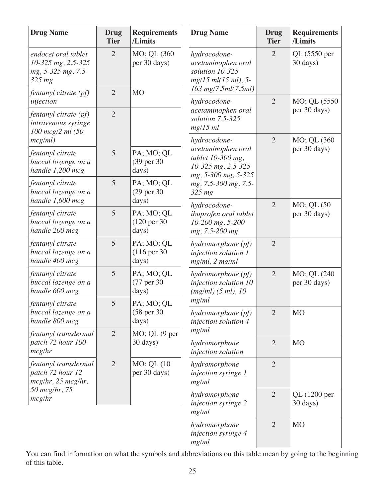| <b>Drug Name</b>                                                            | <b>Drug</b><br><b>Tier</b> | <b>Requirements</b><br>/Limits                 | <b>Drug Name</b>                                                                                                                         | <b>Drug</b><br><b>Tier</b> | <b>Requirements</b><br>/Limits      |
|-----------------------------------------------------------------------------|----------------------------|------------------------------------------------|------------------------------------------------------------------------------------------------------------------------------------------|----------------------------|-------------------------------------|
| endocet oral tablet<br>10-325 mg, 2.5-325<br>mg, 5-325 mg, 7.5-<br>$325$ mg | $\overline{2}$             | MO; QL (360<br>per 30 days)                    | hydrocodone-<br>acetaminophen oral<br>solution 10-325<br>mg/15 ml(15 ml), 5-                                                             | $\overline{2}$             | QL (5550 per<br>$30 \text{ days}$ ) |
| fentanyl citrate (pf)<br>injection                                          | $\overline{2}$             | M <sub>O</sub>                                 | $163$ mg/7.5ml(7.5ml)<br>hydrocodone-                                                                                                    | $\overline{2}$             | MO; QL (5550)                       |
| fentanyl citrate (pf)<br>intravenous syringe<br>100 mcg/2 ml (50            | $\overline{2}$             |                                                | acetaminophen oral<br>solution 7.5-325<br>$mg/15$ ml                                                                                     |                            | per 30 days)                        |
| mcg/ml)<br>fentanyl citrate<br>buccal lozenge on a<br>handle $1,200$ mcg    | 5                          | PA; MO; QL<br>(39 per 30<br>days)              | hydrocodone-<br>acetaminophen oral<br>tablet 10-300 mg,<br>10-325 mg, 2.5-325<br>mg, 5-300 mg, 5-325<br>mg, 7.5-300 mg, 7.5-<br>$325$ mg | $\overline{2}$             | MO; QL (360)<br>per 30 days)        |
| fentanyl citrate<br>buccal lozenge on a<br>handle $1,600$ mcg               | 5                          | PA; MO; QL<br>$(29$ per 30<br>days)            |                                                                                                                                          |                            |                                     |
| fentanyl citrate<br>buccal lozenge on a<br>handle 200 mcg                   | 5                          | PA; MO; QL<br>$(120 \text{ per } 30)$<br>days) | hydrocodone-<br>ibuprofen oral tablet<br>10-200 mg, 5-200<br>mg, 7.5-200 mg                                                              | $\overline{2}$             | MO; QL (50<br>per 30 days)          |
| fentanyl citrate<br>buccal lozenge on a<br>handle 400 mcg                   | 5                          | PA; MO; QL<br>$(116 \text{ per } 30)$<br>days) | hydromorphone (pf)<br>injection solution 1<br>$mg/ml$ , 2 mg/ml                                                                          | $\overline{2}$             |                                     |
| fentanyl citrate<br>buccal lozenge on a<br>handle 600 mcg                   | 5                          | PA; MO; QL<br>(77 per 30<br>days)              | hydromorphone (pf)<br>injection solution 10<br>(mg/ml) (5 ml), 10                                                                        | $\overline{2}$             | MO; QL (240<br>per 30 days)         |
| fentanyl citrate<br>buccal lozenge on a<br>handle 800 mcg                   | 5                          | PA; MO; QL<br>(58 per 30)<br>days)             | mg/ml<br>hydromorphone (pf)<br>injection solution 4                                                                                      | $\overline{2}$             | <b>MO</b>                           |
| fentanyl transdermal<br>patch 72 hour 100<br>mcglhr                         | $\overline{2}$             | $MO$ ; QL $(9$ per<br>30 days)                 | mg/ml<br>hydromorphone<br>injection solution                                                                                             | $\overline{2}$             | M <sub>O</sub>                      |
| fentanyl transdermal<br>patch 72 hour 12<br>$mcglhr$ , 25 $mcglhr$ ,        | $\overline{2}$             | MO; QL (10<br>per 30 days)                     | hydromorphone<br>injection syringe 1<br>mg/ml                                                                                            | $\overline{2}$             |                                     |
| 50 mcg/hr, 75<br>mcglhr                                                     |                            |                                                | hydromorphone<br>injection syringe 2<br>mg/ml                                                                                            | $\overline{2}$             | QL (1200 per<br>30 days)            |
|                                                                             |                            |                                                | hydromorphone<br>injection syringe 4<br>mg/ml                                                                                            | $\overline{2}$             | <b>MO</b>                           |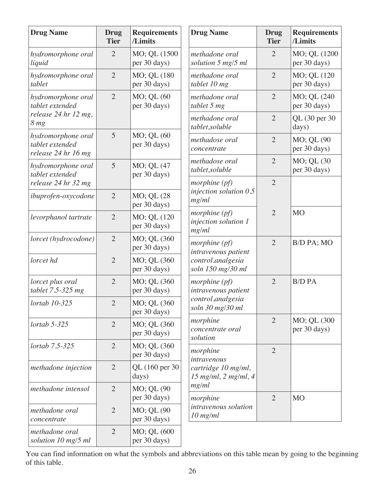| <b>Drug Name</b>                                                                 | Drug<br><b>Tier</b> | <b>Requirements</b><br>/Limits | <b>Drug Name</b>                                                                | Drug<br><b>Tier</b> | <b>Requirements</b><br>/Limits |
|----------------------------------------------------------------------------------|---------------------|--------------------------------|---------------------------------------------------------------------------------|---------------------|--------------------------------|
| hydromorphone oral<br>liquid                                                     | $\overline{2}$      | MO; QL (1500<br>per 30 days)   | methadone oral<br>solution 5 mg/5 ml                                            | $\overline{2}$      | MO; QL (1200<br>per 30 days)   |
| hydromorphone oral<br>tablet                                                     | $\overline{2}$      | MO; QL (180<br>per 30 days)    | methadone oral<br>tablet 10 mg                                                  | $\overline{2}$      | MO; QL (120<br>per 30 days)    |
| hydromorphone oral<br>tablet extended<br>release 24 hr 12 mg,<br>8 <sub>mg</sub> | $\overline{2}$      | MO; QL (60<br>per 30 days)     | methadone oral<br>tablet 5 mg                                                   | $\overline{2}$      | MO; QL (240<br>per 30 days)    |
|                                                                                  |                     |                                | methadone oral<br>tablet, soluble                                               | $\overline{2}$      | QL (30 per 30<br>days)         |
| hydromorphone oral<br>tablet extended<br>release 24 hr 16 mg                     | 5                   | MO; QL (60<br>per 30 days)     | methadose oral<br>concentrate                                                   | $\overline{2}$      | MO; QL (90<br>per 30 days)     |
| hydromorphone oral<br>tablet extended                                            | 5                   | MO; QL (47<br>per 30 days)     | methadose oral<br>tablet,soluble                                                | $\overline{2}$      | MO; QL (30<br>per 30 days)     |
| release 24 hr 32 mg                                                              |                     |                                | morphine $(pf)$                                                                 | $\overline{2}$      |                                |
| ibuprofen-oxycodone                                                              | $\overline{2}$      | MO; QL (28)<br>per 30 days)    | injection solution $0.5$<br>mg/ml                                               |                     |                                |
| levorphanol tartrate                                                             | $\overline{2}$      | MO; QL (120<br>per 30 days)    | morphine $(pf)$<br>injection solution 1<br>mg/ml                                | $\overline{2}$      | <b>MO</b>                      |
| lorcet (hydrocodone)                                                             | $\overline{2}$      | MO; QL (360<br>per 30 days)    | morphine $(pf)$<br>intravenous patient                                          | $\overline{2}$      | B/D PA; MO                     |
| lorcet hd                                                                        | $\overline{2}$      | MO; QL (360<br>per 30 days)    | control.analgesia<br>soln 150 mg/30 ml                                          |                     |                                |
| lorcet plus oral<br>tablet $7.5-325$ mg                                          | $\overline{2}$      | MO; QL (360<br>per 30 days)    | morphine $(pf)$<br>intravenous patient<br>control.analgesia<br>soln 30 mg/30 ml | $\overline{2}$      | <b>B/D PA</b>                  |
| lortab 10-325                                                                    | $\overline{2}$      | MO; QL (360<br>per 30 days)    |                                                                                 |                     |                                |
| $lortab$ 5-325                                                                   | $\overline{2}$      | MO; QL (360<br>per 30 days)    | morphine<br>concentrate oral<br>solution                                        | $\overline{2}$      | MO; QL (300<br>per 30 days)    |
| lortab 7.5-325                                                                   | $\overline{2}$      | MO; QL (360<br>per 30 days)    | morphine<br>intravenous<br>cartridge 10 mg/ml,<br>$15$ mg/ml, 2 mg/ml, 4        | $\overline{2}$      |                                |
| methadone injection                                                              | $\overline{2}$      | QL (160 per 30)<br>days)       |                                                                                 |                     |                                |
| methadone intensol                                                               | $\overline{2}$      | MO; QL (90<br>per 30 days)     | mg/ml<br>morphine                                                               | $\overline{2}$      | <b>MO</b>                      |
| methadone oral<br>concentrate                                                    | $\overline{2}$      | MO; QL (90<br>per 30 days)     | intravenous solution<br>$10$ mg/ml                                              |                     |                                |
| methadone oral<br>solution 10 mg/5 ml                                            | $\overline{2}$      | MO; QL (600<br>per 30 days)    |                                                                                 |                     |                                |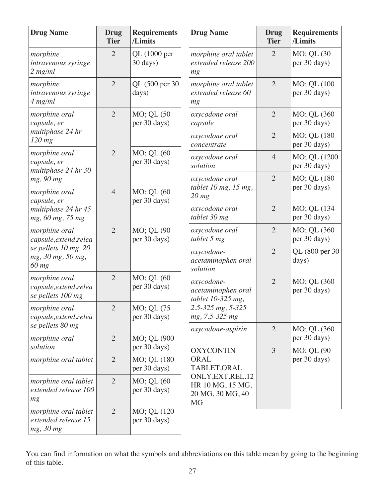| <b>Drug Name</b>                                                                                               | Drug<br><b>Tier</b> | <b>Requirements</b><br>/Limits | <b>Drug Name</b>                                                                             | Drug<br><b>Tier</b> | <b>Requirements</b><br>/Limits |
|----------------------------------------------------------------------------------------------------------------|---------------------|--------------------------------|----------------------------------------------------------------------------------------------|---------------------|--------------------------------|
| morphine<br>intravenous syringe<br>$2$ mg/ml                                                                   | $\overline{2}$      | QL (1000 per<br>30 days)       | morphine oral tablet<br>extended release 200<br>mg                                           | $\overline{2}$      | MO; QL (30<br>per 30 days)     |
| morphine<br>intravenous syringe<br>4 mg/ml                                                                     | $\overline{2}$      | QL (500 per 30)<br>days)       | morphine oral tablet<br>extended release 60<br>mg                                            | $\overline{2}$      | MO; QL (100<br>per 30 days)    |
| morphine oral<br>capsule, er<br>multiphase 24 hr<br>$120$ mg                                                   | $\overline{2}$      | MO; QL (50<br>per 30 days)     | oxycodone oral<br>capsule                                                                    | $\overline{2}$      | MO; QL (360<br>per 30 days)    |
|                                                                                                                |                     |                                | oxycodone oral<br>concentrate                                                                | $\overline{2}$      | MO; QL (180<br>per 30 days)    |
| morphine oral<br>capsule, er                                                                                   | $\overline{2}$      | MO; QL (60<br>per 30 days)     | oxycodone oral<br>solution                                                                   | $\overline{4}$      | MO; QL (1200<br>per 30 days)   |
| multiphase 24 hr 30<br>mg, 90 mg<br>morphine oral                                                              | $\overline{4}$      | MO; QL (60<br>per 30 days)     | oxycodone oral<br>tablet 10 mg, 15 mg,                                                       | $\overline{2}$      | MO; QL (180<br>per 30 days)    |
| capsule, er<br>multiphase 24 hr 45<br>mg, 60 mg, 75 mg                                                         |                     |                                | $20$ mg<br>oxycodone oral<br>tablet 30 mg                                                    | $\overline{2}$      | MO; QL (134<br>per 30 days)    |
| $\overline{2}$<br>morphine oral<br>capsule, extend.relea<br>se pellets 10 mg, 20<br>mg, 30 mg, 50 mg,<br>60 mg |                     | MO; QL (90<br>per 30 days)     | oxycodone oral<br>tablet 5 mg                                                                | $\overline{2}$      | MO; QL (360<br>per 30 days)    |
|                                                                                                                |                     |                                | oxycodone-<br>acetaminophen oral<br>solution                                                 | $\overline{2}$      | QL (800 per 30)<br>days)       |
| morphine oral<br>capsule, extend.relea<br>se pellets 100 mg                                                    | $\overline{2}$      | MO; QL (60<br>per 30 days)     | oxycodone-<br>acetaminophen oral<br>tablet 10-325 mg,<br>2.5-325 mg, 5-325<br>mg, 7.5-325 mg | $\overline{2}$      | MO; QL (360<br>per 30 days)    |
| morphine oral<br>capsule, extend.relea                                                                         | $\overline{2}$      | MO; QL (75<br>per 30 days)     |                                                                                              |                     |                                |
| se pellets 80 mg<br>morphine oral<br>solution                                                                  | $\overline{2}$      | MO; QL (900<br>per 30 days)    | oxycodone-aspirin                                                                            | $\overline{2}$      | MO; QL (360<br>per 30 days)    |
| morphine oral tablet                                                                                           | $\overline{2}$      | MO; QL (180<br>per 30 days)    | <b>OXYCONTIN</b><br>ORAL<br>TABLET, ORAL                                                     | $\overline{3}$      | MO; QL (90<br>per 30 days)     |
| morphine oral tablet<br>extended release 100<br>mg                                                             | $\overline{2}$      | MO; QL (60<br>per 30 days)     | ONLY, EXT.REL.12<br>HR 10 MG, 15 MG,<br>20 MG, 30 MG, 40<br><b>MG</b>                        |                     |                                |
| morphine oral tablet<br>extended release 15<br>mg, 30 mg                                                       | $\overline{2}$      | MO; QL (120<br>per 30 days)    |                                                                                              |                     |                                |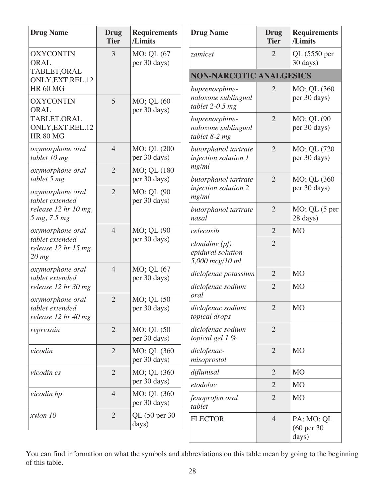| <b>Drug Name</b>                                           | <b>Drug</b><br><b>Tier</b> | <b>Requirements</b><br>/Limits | <b>Drug Name</b>                                         | <b>Drug</b><br><b>Tier</b> | <b>Requirements</b><br>/Limits                |  |  |
|------------------------------------------------------------|----------------------------|--------------------------------|----------------------------------------------------------|----------------------------|-----------------------------------------------|--|--|
| <b>OXYCONTIN</b><br><b>ORAL</b>                            | 3                          | MO; QL (67<br>per 30 days)     | zamicet                                                  | $\overline{2}$             | QL (5550 per<br>$30 \text{ days}$ )           |  |  |
| TABLET, ORAL<br>ONLY, EXT.REL.12                           |                            |                                | <b>NON-NARCOTIC ANALGESICS</b>                           |                            |                                               |  |  |
| <b>HR 60 MG</b>                                            |                            |                                | buprenorphine-                                           | $\overline{2}$             | MO; QL (360)                                  |  |  |
| <b>OXYCONTIN</b><br>ORAL                                   | 5                          | MO; QL (60<br>per 30 days)     | naloxone sublingual<br>tablet $2-0.5$ mg                 |                            | per 30 days)                                  |  |  |
| TABLET, ORAL<br>ONLY, EXT.REL.12<br><b>HR 80 MG</b>        |                            |                                | buprenorphine-<br>naloxone sublingual<br>tablet $8-2$ mg | $\overline{2}$             | MO; QL (90<br>per 30 days)                    |  |  |
| oxymorphone oral<br>tablet 10 mg                           | $\overline{4}$             | MO; QL (200<br>per 30 days)    | butorphanol tartrate<br>injection solution 1             | $\overline{2}$             | MO; QL (720<br>per 30 days)                   |  |  |
| oxymorphone oral<br>tablet 5 mg                            | $\overline{2}$             | MO; QL (180<br>per 30 days)    | mg/ml<br>butorphanol tartrate                            | $\overline{2}$             | MO; QL (360                                   |  |  |
| oxymorphone oral<br>tablet extended                        | $\overline{2}$             | MO; QL (90<br>per 30 days)     | injection solution 2<br>mg/ml                            |                            | per 30 days)                                  |  |  |
| release 12 hr 10 mg,<br>5 mg, 7.5 mg                       |                            |                                | butorphanol tartrate<br>nasal                            | $\overline{2}$             | $MO$ ; QL $(5$ per<br>28 days)                |  |  |
| oxymorphone oral                                           | $\overline{4}$             | MO; QL (90                     | celecoxib                                                | $\overline{2}$             | <b>MO</b>                                     |  |  |
| tablet extended<br>release 12 hr 15 mg,<br>$20$ mg         |                            | per 30 days)                   | $clonidine$ (pf)<br>epidural solution<br>5,000 mcg/10 ml | $\overline{2}$             |                                               |  |  |
| oxymorphone oral<br>tablet extended                        | $\overline{4}$             | MO; QL (67<br>per 30 days)     | diclofenac potassium                                     | $\overline{2}$             | M <sub>O</sub>                                |  |  |
| release 12 hr 30 mg                                        |                            |                                | diclofenac sodium<br>oral                                | $\overline{2}$             | <b>MO</b>                                     |  |  |
| oxymorphone oral<br>tablet extended<br>release 12 hr 40 mg | $\overline{2}$             | MO; QL (50<br>per 30 days)     | diclofenac sodium<br>topical drops                       | $\overline{2}$             | <b>MO</b>                                     |  |  |
| reprexain                                                  | $\overline{2}$             | MO; QL (50<br>per 30 days)     | diclofenac sodium<br>topical gel $1\%$                   | $\overline{2}$             |                                               |  |  |
| vicodin                                                    | $\overline{2}$             | MO; QL (360<br>per 30 days)    | diclofenac-<br>misoprostol                               | $\overline{2}$             | M <sub>O</sub>                                |  |  |
| vicodin es                                                 | $\overline{2}$             | MO; QL (360)                   | diflunisal                                               | $\overline{2}$             | M <sub>O</sub>                                |  |  |
|                                                            |                            | per 30 days)                   | etodolac                                                 | $\overline{2}$             | M <sub>O</sub>                                |  |  |
| vicodin hp                                                 | $\overline{4}$             | MO; QL (360<br>per 30 days)    | fenoprofen oral<br>tablet                                | $\overline{2}$             | M <sub>O</sub>                                |  |  |
| xylon 10                                                   | $\overline{2}$             | QL (50 per 30)<br>days)        | <b>FLECTOR</b>                                           | $\overline{4}$             | PA; MO; QL<br>$(60 \text{ per } 30)$<br>days) |  |  |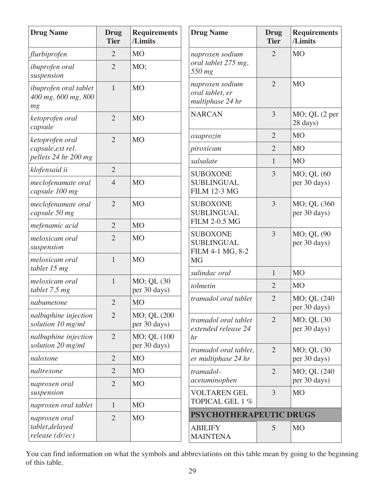| <b>Drug Name</b>                                    | <b>Drug</b><br><b>Tier</b> | <b>Requirements</b><br>/Limits | <b>Drug Name</b>                                         | <b>Drug</b><br><b>Tier</b> | <b>Requirements</b><br>/Limits |
|-----------------------------------------------------|----------------------------|--------------------------------|----------------------------------------------------------|----------------------------|--------------------------------|
| flurbiprofen                                        | $\overline{2}$             | <b>MO</b>                      | naproxen sodium                                          | $\overline{2}$             | <b>MO</b>                      |
| ibuprofen oral<br>suspension                        | $\overline{2}$             | MO;                            | oral tablet 275 mg,<br>550 mg                            |                            |                                |
| ibuprofen oral tablet<br>400 mg, 600 mg, 800<br>mg  | $\mathbf{1}$               | <b>MO</b>                      | naproxen sodium<br>oral tablet, er<br>multiphase 24 hr   | $\overline{2}$             | <b>MO</b>                      |
| ketoprofen oral<br>capsule                          | $\overline{2}$             | <b>MO</b>                      | <b>NARCAN</b>                                            | 3                          | $MO$ ; QL $(2$ per<br>28 days) |
| ketoprofen oral                                     | $\overline{2}$             | <b>MO</b>                      | oxaprozin                                                | $\overline{2}$             | M <sub>O</sub>                 |
| capsule, ext rel.                                   |                            |                                | piroxicam                                                | $\overline{2}$             | M <sub>O</sub>                 |
| pellets 24 hr 200 mg                                |                            |                                | salsalate                                                | $\mathbf{1}$               | M <sub>O</sub>                 |
| klofensaid ii                                       | $\overline{2}$             |                                | <b>SUBOXONE</b>                                          | 3                          | MO; QL (60                     |
| meclofenamate oral<br>capsule 100 mg                | $\overline{4}$             | <b>MO</b>                      | <b>SUBLINGUAL</b><br><b>FILM 12-3 MG</b>                 |                            | per 30 days)                   |
| meclofenamate oral<br>capsule 50 mg                 | $\overline{2}$             | <b>MO</b>                      | <b>SUBOXONE</b><br><b>SUBLINGUAL</b>                     | 3                          | MO; QL (360<br>per 30 days)    |
| mefenamic acid                                      | $\overline{2}$             | <b>MO</b>                      | <b>FILM 2-0.5 MG</b>                                     |                            |                                |
| meloxicam oral<br>suspension                        | $\overline{2}$             | <b>MO</b>                      | <b>SUBOXONE</b><br><b>SUBLINGUAL</b><br>FILM 4-1 MG, 8-2 | 3                          | MO; QL (90<br>per 30 days)     |
| meloxicam oral<br>tablet 15 mg                      | $\mathbf{1}$               | <b>MO</b>                      | <b>MG</b><br>sulindac oral                               | $\mathbf{1}$               | <b>MO</b>                      |
| meloxicam oral<br>tablet 7.5 mg                     | $\mathbf{1}$               | MO; QL (30<br>per 30 days)     | tolmetin                                                 | $\overline{2}$             | M <sub>O</sub>                 |
| nabumetone                                          | $\overline{2}$             | <b>MO</b>                      | tramadol oral tablet                                     | $\overline{2}$             | MO; QL (240)<br>per 30 days)   |
| nalbuphine injection<br>solution 10 mg/ml           | $\overline{2}$             | MO; QL (200<br>per 30 days)    | tramadol oral tablet<br>extended release 24              | $\overline{2}$             | MO; QL (30<br>per 30 days)     |
| nalbuphine injection<br>solution 20 mg/ml           | $\overline{2}$             | MO; QL (100<br>per 30 days)    | hr                                                       |                            |                                |
| naloxone                                            | $\overline{2}$             | <b>MO</b>                      | tramadol oral tablet,<br>er multiphase 24 hr             | $\overline{2}$             | MO; QL (30<br>per 30 days)     |
| naltrexone                                          | $\overline{2}$             | <b>MO</b>                      | tramadol-                                                | $\overline{2}$             | MO; QL (240                    |
| naproxen oral                                       | $\overline{2}$             | <b>MO</b>                      | acetaminophen                                            |                            | per 30 days)                   |
| suspension                                          |                            |                                | <b>VOLTAREN GEL</b><br>TOPICAL GEL 1 %                   | 3                          | <b>MO</b>                      |
| naproxen oral tablet                                | $\mathbf{1}$               | <b>MO</b>                      | PSYCHOTHERAPEUTIC DRUGS                                  |                            |                                |
| naproxen oral<br>tablet, delayed<br>release (dr/ec) | $\overline{2}$             | <b>MO</b>                      | <b>ABILIFY</b><br><b>MAINTENA</b>                        | 5                          | <b>MO</b>                      |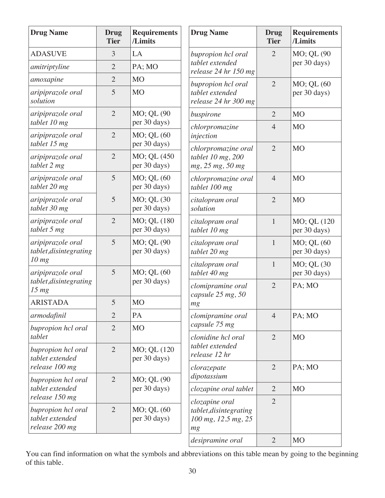| <b>Drug Name</b>                                        | <b>Drug</b><br><b>Tier</b> | <b>Requirements</b><br>/Limits              | <b>Drug Name</b>                                                      | <b>Drug</b><br><b>Tier</b> | <b>Requirements</b><br>/Limits |
|---------------------------------------------------------|----------------------------|---------------------------------------------|-----------------------------------------------------------------------|----------------------------|--------------------------------|
| <b>ADASUVE</b>                                          | 3                          | LA                                          | bupropion hcl oral                                                    | $\overline{2}$             | MO; QL (90                     |
| amitriptyline                                           | $\overline{2}$             | PA; MO                                      | tablet extended<br>release 24 hr 150 mg                               |                            | per 30 days)                   |
| amoxapine                                               | $\overline{2}$             | M <sub>O</sub>                              | bupropion hcl oral                                                    | $\overline{2}$             | MO; QL (60                     |
| aripiprazole oral<br>solution                           | 5                          | M <sub>O</sub>                              | tablet extended<br>release 24 hr 300 mg                               |                            | per 30 days)                   |
| aripiprazole oral                                       | $\overline{2}$             | MO; QL (90                                  | buspirone                                                             | $\overline{2}$             | M <sub>O</sub>                 |
| tablet 10 mg<br>aripiprazole oral                       | $\overline{2}$             | per 30 days)<br>MO; QL (60                  | chlorpromazine<br>injection                                           | $\overline{4}$             | M <sub>O</sub>                 |
| tablet 15 mg<br>aripiprazole oral<br>tablet 2 mg        | $\overline{2}$             | per 30 days)<br>MO; QL (450<br>per 30 days) | chlorpromazine oral<br>tablet 10 mg, 200<br>mg, 25 mg, 50 mg          | $\overline{2}$             | M <sub>O</sub>                 |
| aripiprazole oral<br>tablet 20 mg                       | 5                          | MO; QL (60<br>per 30 days)                  | chlorpromazine oral<br>tablet 100 mg                                  | $\overline{4}$             | <b>MO</b>                      |
| aripiprazole oral<br>tablet 30 mg                       | 5                          | MO; QL (30<br>per 30 days)                  | citalopram oral<br>solution                                           | $\overline{2}$             | M <sub>O</sub>                 |
| aripiprazole oral<br>tablet 5 mg                        | $\overline{2}$             | MO; QL (180<br>per 30 days)                 | citalopram oral<br>tablet 10 mg                                       | $\mathbf{1}$               | MO; QL (120<br>per 30 days)    |
| aripiprazole oral<br>tablet, disintegrating             | 5                          | MO; QL (90<br>per 30 days)                  | citalopram oral<br>tablet 20 mg                                       | $\mathbf{1}$               | MO; QL (60<br>per 30 days)     |
| $10$ mg<br>aripiprazole oral                            | 5                          | MO; QL (60                                  | citalopram oral<br>tablet 40 mg                                       | $\mathbf{1}$               | MO; QL (30<br>per 30 days)     |
| tablet, disintegrating<br>$15 \, mg$                    |                            | per 30 days)                                | clomipramine oral<br>capsule 25 mg, 50                                | $\overline{2}$             | PA; MO                         |
| <b>ARISTADA</b>                                         | 5                          | M <sub>O</sub>                              | mg                                                                    |                            |                                |
| armodafinil                                             | $\overline{2}$             | PA                                          | clomipramine oral                                                     | $\overline{4}$             | PA; MO                         |
| bupropion hcl oral<br>tablet                            | $\overline{2}$             | M <sub>O</sub>                              | capsule 75 mg<br>clonidine hcl oral                                   | $\overline{2}$             | M <sub>O</sub>                 |
| bupropion hcl oral<br>tablet extended                   | $\overline{2}$             | MO; QL (120<br>per 30 days)                 | tablet extended<br>release 12 hr                                      |                            |                                |
| release 100 mg                                          |                            |                                             | clorazepate                                                           | $\overline{2}$             | PA; MO                         |
| bupropion hcl oral<br>tablet extended                   | $\overline{2}$             | MO; QL (90<br>per 30 days)                  | dipotassium<br>clozapine oral tablet                                  | $\overline{2}$             | M <sub>O</sub>                 |
| release 150 mg                                          |                            |                                             |                                                                       | $\overline{2}$             |                                |
| bupropion hcl oral<br>tablet extended<br>release 200 mg | $\overline{2}$             | MO; QL (60<br>per 30 days)                  | clozapine oral<br>tablet, disintegrating<br>100 mg, 12.5 mg, 25<br>mg |                            |                                |
|                                                         |                            |                                             | desipramine oral                                                      | $\overline{2}$             | <b>MO</b>                      |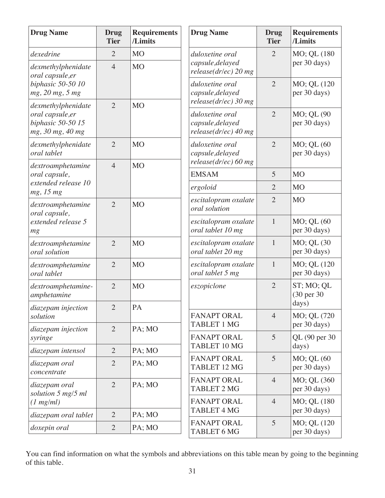| <b>Drug Name</b>                                                                | <b>Drug</b><br><b>Tier</b> | <b>Requirements</b><br>/Limits | <b>Drug Name</b>                                              | <b>Drug</b><br><b>Tier</b> | <b>Requirements</b><br>/Limits     |
|---------------------------------------------------------------------------------|----------------------------|--------------------------------|---------------------------------------------------------------|----------------------------|------------------------------------|
| dexedrine                                                                       | $\overline{2}$             | <b>MO</b>                      | duloxetine oral                                               | $\overline{2}$             | MO; QL (180                        |
| dexmethylphenidate<br>oral capsule, er                                          | $\overline{4}$             | <b>MO</b>                      | capsule, delayed<br>$release(dr ec)$ 20 mg                    |                            | per 30 days)                       |
| biphasic 50-50 10<br>mg, 20 mg, 5 mg                                            |                            |                                | duloxetine oral<br>capsule, delayed<br>$release(dr/ec)$ 30 mg | $\overline{2}$             | MO; QL (120<br>per 30 days)        |
| dexmethylphenidate<br>oral capsule, er<br>biphasic 50-50 15<br>mg, 30 mg, 40 mg | $\overline{2}$             | <b>MO</b>                      | duloxetine oral<br>capsule, delayed<br>$release(dr/ec)$ 40 mg | $\overline{2}$             | MO; QL (90<br>per 30 days)         |
| dexmethylphenidate<br>oral tablet                                               | $\overline{2}$             | <b>MO</b>                      | duloxetine oral<br>capsule, delayed                           | $\overline{2}$             | MO; QL (60<br>per 30 days)         |
| dextroamphetamine                                                               | $\overline{4}$             | <b>MO</b>                      | $release(dr/ec)$ 60 mg                                        |                            |                                    |
| oral capsule,<br>extended release 10                                            |                            |                                | <b>EMSAM</b>                                                  | 5                          | <b>MO</b>                          |
| mg, 15 mg                                                                       |                            |                                | ergoloid                                                      | $\overline{2}$             | <b>MO</b>                          |
| dextroamphetamine<br>oral capsule,                                              | $\overline{2}$             | <b>MO</b>                      | escitalopram oxalate<br>oral solution                         | $\overline{2}$             | <b>MO</b>                          |
| extended release 5<br>mg                                                        |                            |                                | escitalopram oxalate<br>oral tablet 10 mg                     | $\mathbf{1}$               | MO; QL (60<br>per 30 days)         |
| dextroamphetamine<br>oral solution                                              | $\overline{2}$             | <b>MO</b>                      | escitalopram oxalate<br>oral tablet 20 mg                     | $\mathbf{1}$               | MO; QL (30<br>per 30 days)         |
| dextroamphetamine<br>oral tablet                                                | $\overline{2}$             | <b>MO</b>                      | escitalopram oxalate<br>oral tablet 5 mg                      | $\mathbf{1}$               | MO; QL (120<br>per 30 days)        |
| dextroamphetamine-<br>amphetamine                                               | $\overline{2}$             | <b>MO</b>                      | eszopiclone                                                   | $\overline{2}$             | ST; MO; QL<br>(30 per 30)<br>days) |
| diazepam injection<br>solution                                                  | $\overline{2}$             | PA                             | <b>FANAPT ORAL</b><br><b>TABLET 1 MG</b>                      | $\overline{4}$             | MO; QL (720<br>per 30 days)        |
| diazepam injection<br>syringe                                                   | $\overline{2}$             | PA; MO                         | <b>FANAPT ORAL</b><br>TABLET 10 MG                            | 5                          | QL (90 per 30)                     |
| diazepam intensol                                                               | $\overline{2}$             | PA; MO                         |                                                               |                            | days)                              |
| diazepam oral<br>concentrate                                                    | $\overline{2}$             | PA; MO                         | <b>FANAPT ORAL</b><br><b>TABLET 12 MG</b>                     | 5                          | MO; QL (60<br>per 30 days)         |
| diazepam oral<br>solution 5 mg/5 ml                                             | $\overline{2}$             | PA; MO                         | <b>FANAPT ORAL</b><br><b>TABLET 2 MG</b>                      | $\overline{4}$             | MO; QL (360)<br>per 30 days)       |
| (1 mg/ml)                                                                       |                            |                                | <b>FANAPT ORAL</b>                                            | $\overline{4}$             | MO; QL (180                        |
| diazepam oral tablet                                                            | $\overline{2}$             | PA; MO                         | <b>TABLET 4 MG</b>                                            |                            | per 30 days)                       |
| doxepin oral                                                                    | $\overline{2}$             | PA; MO                         | <b>FANAPT ORAL</b><br><b>TABLET 6 MG</b>                      | 5                          | MO; QL (120<br>per 30 days)        |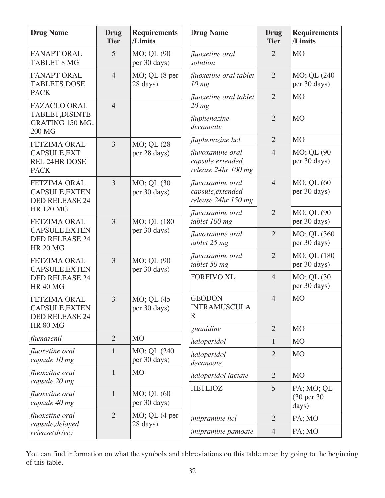| <b>Drug Name</b>                                               | <b>Drug</b><br><b>Tier</b> | <b>Requirements</b><br>/Limits   | <b>Drug Name</b>                                             | <b>Drug</b><br><b>Tier</b> | <b>Requirements</b><br>/Limits     |
|----------------------------------------------------------------|----------------------------|----------------------------------|--------------------------------------------------------------|----------------------------|------------------------------------|
| <b>FANAPT ORAL</b><br><b>TABLET 8 MG</b>                       | 5                          | MO; QL (90<br>per 30 days)       | fluoxetine oral<br>solution                                  | $\overline{2}$             | <b>MO</b>                          |
| <b>FANAPT ORAL</b><br><b>TABLETS, DOSE</b>                     | $\overline{4}$             | MO; QL (8 per<br>28 days)        | fluoxetine oral tablet<br>$10$ mg                            | $\overline{2}$             | MO; QL (240<br>per 30 days)        |
| <b>PACK</b><br><b>FAZACLO ORAL</b>                             | $\overline{4}$             |                                  | fluoxetine oral tablet<br>$20$ mg                            | $\overline{2}$             | M <sub>O</sub>                     |
| TABLET, DISINTE<br>GRATING 150 MG,<br>200 MG                   |                            |                                  | fluphenazine<br>decanoate                                    | $\overline{2}$             | M <sub>O</sub>                     |
| <b>FETZIMA ORAL</b>                                            | 3                          | MO; QL (28                       | fluphenazine hcl                                             | $\overline{2}$             | <b>MO</b>                          |
| CAPSULE, EXT<br><b>REL 24HR DOSE</b><br><b>PACK</b>            |                            | per 28 days)                     | fluvoxamine oral<br>capsule, extended<br>release 24hr 100 mg | $\overline{4}$             | MO; QL (90<br>per 30 days)         |
| <b>FETZIMA ORAL</b><br>CAPSULE, EXTEN<br><b>DED RELEASE 24</b> | $\overline{3}$             | MO; QL (30<br>per 30 days)       | fluvoxamine oral<br>capsule, extended<br>release 24hr 150 mg | $\overline{4}$             | MO; QL (60<br>per 30 days)         |
| <b>HR 120 MG</b><br><b>FETZIMA ORAL</b>                        | 3                          | MO; QL (180<br>per 30 days)      | fluvoxamine oral<br>tablet 100 mg                            | $\overline{2}$             | MO; QL (90<br>per 30 days)         |
| CAPSULE, EXTEN<br><b>DED RELEASE 24</b><br><b>HR 20 MG</b>     |                            |                                  | fluvoxamine oral<br>tablet 25 mg                             | $\overline{2}$             | MO; QL (360<br>per 30 days)        |
| <b>FETZIMA ORAL</b><br>CAPSULE, EXTEN                          | 3                          | MO; QL (90<br>per 30 days)       | fluvoxamine oral<br>tablet 50 mg                             | $\overline{2}$             | MO; QL (180<br>per 30 days)        |
| <b>DED RELEASE 24</b><br><b>HR 40 MG</b>                       |                            |                                  | <b>FORFIVO XL</b>                                            | $\overline{4}$             | MO; QL (30<br>per 30 days)         |
| FETZIMA ORAL<br>CAPSULE, EXTEN<br><b>DED RELEASE 24</b>        | 3                          | MO; QL (45<br>per 30 days)       | <b>GEODON</b><br><b>INTRAMUSCULA</b><br>R                    | $\overline{4}$             | <b>MO</b>                          |
| <b>HR 80 MG</b>                                                |                            |                                  | guanidine                                                    | $\overline{2}$             | <b>MO</b>                          |
| flumazenil                                                     | $\overline{2}$             | M <sub>O</sub>                   | haloperidol                                                  | $\mathbf{1}$               | M <sub>O</sub>                     |
| fluoxetine oral<br>capsule 10 mg                               | $\mathbf{1}$               | MO; QL (240)<br>per 30 days)     | haloperidol<br>decanoate                                     | $\overline{2}$             | <b>MO</b>                          |
| fluoxetine oral<br>capsule 20 mg                               | $\mathbf{1}$               | <b>MO</b>                        | haloperidol lactate                                          | $\overline{2}$             | M <sub>O</sub>                     |
| fluoxetine oral<br>capsule 40 mg                               | $\mathbf{1}$               | $MO$ ; QL $(60)$<br>per 30 days) | <b>HETLIOZ</b>                                               | 5                          | PA; MO; QL<br>(30 per 30)<br>days) |
| fluoxetine oral<br>capsule, delayed                            | $\overline{2}$             | $MO$ ; QL $(4$ per               | <i>imipramine</i> hcl                                        | $\overline{2}$             | PA; MO                             |
| release(dr/ec)                                                 |                            | 28 days)                         | imipramine pamoate                                           | $\overline{4}$             | PA; MO                             |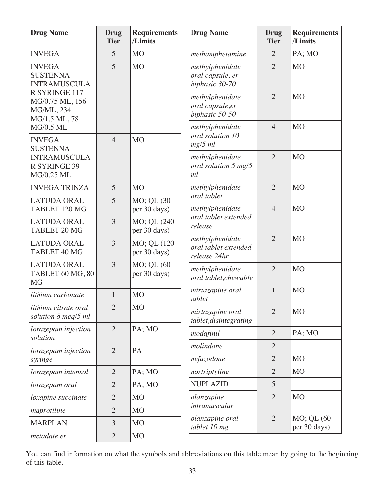| <b>Drug Name</b>                                                            | <b>Drug</b><br><b>Tier</b> | <b>Requirements</b><br>/Limits | <b>Drug Name</b>                                        | <b>Drug</b><br><b>Tier</b> | <b>Requirements</b><br>/Limits |
|-----------------------------------------------------------------------------|----------------------------|--------------------------------|---------------------------------------------------------|----------------------------|--------------------------------|
| <b>INVEGA</b>                                                               | 5                          | <b>MO</b>                      | methamphetamine                                         | $\overline{2}$             | PA; MO                         |
| <b>INVEGA</b><br><b>SUSTENNA</b><br><b>INTRAMUSCULA</b>                     | 5                          | <b>MO</b>                      | methylphenidate<br>oral capsule, er<br>biphasic 30-70   | $\overline{2}$             | <b>MO</b>                      |
| R SYRINGE 117<br>MG/0.75 ML, 156<br>MG/ML, 234<br>MG/1.5 ML, 78             |                            |                                | methylphenidate<br>oral capsule,er<br>biphasic 50-50    | $\overline{2}$             | <b>MO</b>                      |
| <b>MG/0.5 ML</b><br><b>INVEGA</b>                                           | $\overline{4}$             | <b>MO</b>                      | methylphenidate<br>oral solution 10<br>$mg/5$ ml        | $\overline{4}$             | <b>MO</b>                      |
| <b>SUSTENNA</b><br><b>INTRAMUSCULA</b><br><b>R SYRINGE 39</b><br>MG/0.25 ML |                            |                                | methylphenidate<br>oral solution 5 mg/5<br>ml           | $\overline{2}$             | M <sub>O</sub>                 |
| <b>INVEGA TRINZA</b>                                                        | 5                          | <b>MO</b>                      | methylphenidate                                         | $\overline{2}$             | M <sub>O</sub>                 |
| <b>LATUDA ORAL</b><br>TABLET 120 MG                                         | 5                          | MO; QL (30<br>per 30 days)     | oral tablet<br>methylphenidate                          | $\overline{4}$             | <b>MO</b>                      |
| <b>LATUDA ORAL</b><br>TABLET 20 MG                                          | 3                          | MO; QL (240<br>per 30 days)    | oral tablet extended<br>release                         |                            |                                |
| <b>LATUDA ORAL</b><br>TABLET 40 MG                                          | 3                          | MO; QL (120<br>per 30 days)    | methylphenidate<br>oral tablet extended<br>release 24hr | $\overline{2}$             | <b>MO</b>                      |
| <b>LATUDA ORAL</b><br>TABLET 60 MG, 80<br><b>MG</b>                         | $\overline{3}$             | MO; QL (60<br>per 30 days)     | methylphenidate<br>oral tablet, chewable                | $\overline{2}$             | <b>MO</b>                      |
| lithium carbonate                                                           | 1                          | <b>MO</b>                      | mirtazapine oral<br>tablet                              | $\mathbf{1}$               | <b>MO</b>                      |
| lithium citrate oral<br>solution 8 meq/5 ml                                 | $\overline{2}$             | M <sub>O</sub>                 | mirtazapine oral<br>tablet, disintegrating              | $\overline{2}$             | M <sub>O</sub>                 |
| lorazepam injection                                                         | $\overline{2}$             | PA; MO                         | modafinil                                               | $\overline{2}$             | PA; MO                         |
| solution                                                                    | $\overline{2}$             | PA                             | molindone                                               | $\overline{2}$             |                                |
| lorazepam injection<br>syringe                                              |                            |                                | nefazodone                                              | $\overline{2}$             | M <sub>O</sub>                 |
| lorazepam intensol                                                          | $\overline{2}$             | PA; MO                         | nortriptyline                                           | $\overline{2}$             | M <sub>O</sub>                 |
| lorazepam oral                                                              | $\overline{2}$             | PA; MO                         | <b>NUPLAZID</b>                                         | 5                          |                                |
| loxapine succinate                                                          | $\overline{2}$             | <b>MO</b>                      | olanzapine                                              | $\overline{2}$             | <b>MO</b>                      |
| maprotiline                                                                 | $\overline{2}$             | M <sub>O</sub>                 | intramuscular                                           |                            |                                |
| <b>MARPLAN</b>                                                              | 3                          | <b>MO</b>                      | olanzapine oral<br>tablet 10 mg                         | $\overline{2}$             | MO; QL (60<br>per 30 days)     |
| metadate er                                                                 | $\overline{2}$             | <b>MO</b>                      |                                                         |                            |                                |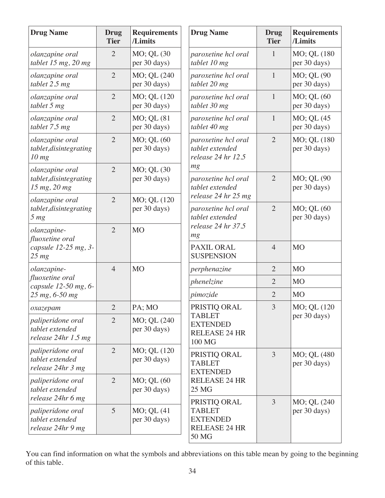| <b>Drug Name</b>                                             | <b>Drug</b><br><b>Tier</b> | <b>Requirements</b><br>/Limits   | <b>Drug Name</b>                                                                  | <b>Drug</b><br><b>Tier</b> | <b>Requirements</b><br>/Limits |
|--------------------------------------------------------------|----------------------------|----------------------------------|-----------------------------------------------------------------------------------|----------------------------|--------------------------------|
| olanzapine oral<br>tablet 15 mg, 20 mg                       | $\overline{2}$             | MO; QL (30<br>per 30 days)       | paroxetine hcl oral<br>tablet 10 mg                                               | 1                          | MO; QL (180<br>per 30 days)    |
| olanzapine oral<br>tablet 2.5 mg                             | $\overline{2}$             | MO; QL (240<br>per 30 days)      | paroxetine hcl oral<br>tablet 20 mg                                               | $\mathbf{1}$               | MO; QL (90<br>per 30 days)     |
| olanzapine oral<br>tablet 5 mg                               | $\overline{2}$             | MO; QL (120<br>per 30 days)      | paroxetine hcl oral<br>tablet 30 mg                                               | $\mathbf{1}$               | MO; QL (60<br>per 30 days)     |
| olanzapine oral<br>tablet 7.5 mg                             | $\overline{2}$             | MO; QL (81<br>per 30 days)       | paroxetine hcl oral<br>tablet 40 mg                                               | $\mathbf{1}$               | MO; QL (45<br>per 30 days)     |
| olanzapine oral<br>tablet, disintegrating<br>$10 \, mg$      | $\overline{2}$             | MO; QL (60<br>per 30 days)       | paroxetine hcl oral<br>tablet extended<br>release 24 hr 12.5                      | $\overline{2}$             | MO; QL (180<br>per 30 days)    |
| olanzapine oral<br>tablet, disintegrating<br>15 mg, 20 mg    | $\overline{2}$             | MO; QL (30<br>per 30 days)       | mg<br>paroxetine hcl oral<br>tablet extended                                      | $\overline{2}$             | MO; QL (90<br>per 30 days)     |
| olanzapine oral<br>tablet, disintegrating<br>5 <sub>mg</sub> | $\overline{2}$             | MO; QL (120<br>per 30 days)      | release 24 hr 25 mg<br>paroxetine hcl oral<br>tablet extended                     | $\overline{2}$             | MO; QL (60<br>per 30 days)     |
| olanzapine-<br>fluoxetine oral                               | $\overline{2}$             | <b>MO</b>                        | release 24 hr 37.5<br>mg                                                          |                            |                                |
| capsule 12-25 mg, 3-<br>$25 \, mg$                           |                            |                                  | PAXIL ORAL<br><b>SUSPENSION</b>                                                   | $\overline{4}$             | M <sub>O</sub>                 |
| olanzapine-                                                  | $\overline{4}$             | <b>MO</b>                        | perphenazine                                                                      | $\overline{2}$             | <b>MO</b>                      |
| fluoxetine oral<br>capsule 12-50 mg, 6-                      |                            |                                  | phenelzine                                                                        | $\overline{2}$             | <b>MO</b>                      |
| 25 mg, 6-50 mg                                               |                            |                                  | pimozide                                                                          | $\overline{2}$             | <b>MO</b>                      |
| охагерат                                                     | $\mathbf{2}$               | PA; MO                           | PRISTIQ ORAL                                                                      | 3                          | MO; QL (120                    |
| paliperidone oral<br>tablet extended<br>release 24hr 1.5 mg  | $\overline{2}$             | MO; QL (240<br>per 30 days)      | <b>TABLET</b><br><b>EXTENDED</b><br><b>RELEASE 24 HR</b><br>100 MG                |                            | per 30 days)                   |
| paliperidone oral<br>tablet extended<br>release 24hr 3 mg    | $\overline{2}$             | MO; QL (120<br>per 30 days)      | PRISTIQ ORAL<br><b>TABLET</b><br><b>EXTENDED</b>                                  | $\overline{3}$             | MO; QL (480<br>per 30 days)    |
| paliperidone oral<br>tablet extended<br>release 24hr 6 mg    | $\overline{2}$             | MO; QL (60<br>per 30 days)       | <b>RELEASE 24 HR</b><br>25 MG                                                     |                            |                                |
| paliperidone oral<br>tablet extended<br>release 24hr 9 mg    | 5                          | $MO$ ; QL $(41)$<br>per 30 days) | PRISTIQ ORAL<br><b>TABLET</b><br><b>EXTENDED</b><br><b>RELEASE 24 HR</b><br>50 MG | 3                          | MO; QL (240)<br>per 30 days)   |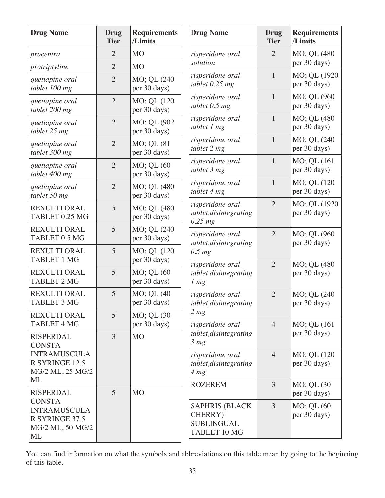| <b>Drug Name</b>                                                                 | <b>Drug</b><br><b>Tier</b> | <b>Requirements</b><br>/Limits | <b>Drug Name</b>                                                       | <b>Drug</b><br><b>Tier</b> | <b>Requirements</b><br>/Limits |
|----------------------------------------------------------------------------------|----------------------------|--------------------------------|------------------------------------------------------------------------|----------------------------|--------------------------------|
| procentra                                                                        | $\overline{2}$             | <b>MO</b>                      | risperidone oral<br>solution                                           | $\overline{2}$             | MO; QL (480<br>per 30 days)    |
| protriptyline                                                                    | $\overline{2}$             | <b>MO</b>                      |                                                                        |                            |                                |
| quetiapine oral<br>tablet 100 mg                                                 | $\overline{2}$             | MO; QL (240<br>per 30 days)    | risperidone oral<br>tablet $0.25$ mg                                   | $\mathbf{1}$               | MO; QL (1920<br>per 30 days)   |
| quetiapine oral<br>tablet 200 mg                                                 | $\overline{2}$             | MO; QL (120<br>per 30 days)    | risperidone oral<br>tablet $0.5$ mg                                    | $\mathbf{1}$               | MO; QL (960<br>per 30 days)    |
| quetiapine oral<br>tablet 25 mg                                                  | $\overline{2}$             | MO; QL (902<br>per 30 days)    | risperidone oral<br>tablet 1 mg                                        | $\mathbf{1}$               | MO; QL (480<br>per 30 days)    |
| quetiapine oral<br>tablet 300 mg                                                 | $\overline{2}$             | MO; QL (81<br>per 30 days)     | risperidone oral<br>tablet 2 mg                                        | $\mathbf{1}$               | MO; QL (240<br>per 30 days)    |
| quetiapine oral<br>tablet 400 mg                                                 | $\overline{2}$             | MO; QL (60<br>per 30 days)     | risperidone oral<br>tablet 3 mg                                        | $\mathbf{1}$               | MO; QL (161<br>per 30 days)    |
| quetiapine oral<br>tablet 50 mg                                                  | $\overline{2}$             | MO; QL (480<br>per 30 days)    | risperidone oral<br>tablet 4 mg                                        | 1                          | MO; QL (120<br>per 30 days)    |
| <b>REXULTI ORAL</b><br>TABLET 0.25 MG                                            | 5                          | MO; QL (480<br>per 30 days)    | risperidone oral<br>tablet, disintegrating<br>$0.25$ mg                | $\overline{2}$             | MO; QL (1920<br>per 30 days)   |
| <b>REXULTI ORAL</b><br>TABLET 0.5 MG                                             | 5                          | MO; QL (240<br>per 30 days)    | risperidone oral<br>tablet, disintegrating                             | $\overline{2}$             | MO; QL (960<br>per 30 days)    |
| <b>REXULTI ORAL</b><br><b>TABLET 1 MG</b>                                        | 5                          | MO; QL (120<br>per 30 days)    | $0.5$ mg                                                               | $\overline{2}$             |                                |
| <b>REXULTI ORAL</b><br><b>TABLET 2 MG</b>                                        | 5                          | MO; QL (60<br>per 30 days)     | risperidone oral<br>tablet, disintegrating<br>1 <sub>mg</sub>          |                            | MO; QL (480<br>per 30 days)    |
| REXULTI ORAL<br><b>TABLET 3 MG</b>                                               | 5                          | MO; QL (40<br>per 30 days)     | risperidone oral<br>tablet, disintegrating                             | $\overline{2}$             | MO; QL (240<br>per 30 days)    |
| <b>REXULTI ORAL</b><br><b>TABLET 4 MG</b>                                        | 5                          | MO; QL (30<br>per 30 days)     | 2 <sub>mg</sub><br>risperidone oral                                    | $\overline{4}$             | MO; QL (161)                   |
| <b>RISPERDAL</b><br><b>CONSTA</b>                                                | 3                          | <b>MO</b>                      | tablet, disintegrating<br>3 <sub>mg</sub>                              |                            | per 30 days)                   |
| <b>INTRAMUSCULA</b><br>R SYRINGE 12.5<br>MG/2 ML, 25 MG/2                        |                            |                                | risperidone oral<br>tablet, disintegrating<br>4 <sub>mg</sub>          | $\overline{4}$             | MO; QL (120)<br>per 30 days)   |
| ML<br><b>RISPERDAL</b>                                                           | 5                          | M <sub>O</sub>                 | <b>ROZEREM</b>                                                         | 3                          | MO; QL (30<br>per 30 days)     |
| <b>CONSTA</b><br><b>INTRAMUSCULA</b><br>R SYRINGE 37.5<br>MG/2 ML, 50 MG/2<br>ML |                            |                                | <b>SAPHRIS (BLACK)</b><br>CHERRY)<br><b>SUBLINGUAL</b><br>TABLET 10 MG | $\overline{3}$             | MO; QL (60<br>per 30 days)     |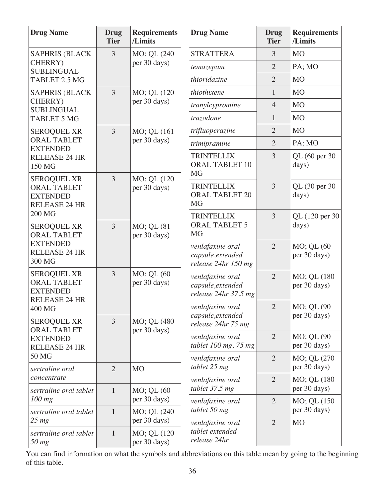| <b>Drug Name</b>                                                                    | <b>Drug</b><br><b>Tier</b> | <b>Requirements</b><br>/Limits | <b>Drug Name</b>                                              | <b>Drug</b><br><b>Tier</b> | <b>Requirements</b><br>/Limits |
|-------------------------------------------------------------------------------------|----------------------------|--------------------------------|---------------------------------------------------------------|----------------------------|--------------------------------|
| <b>SAPHRIS (BLACK</b>                                                               | 3                          | MO; QL (240                    | <b>STRATTERA</b>                                              | 3                          | <b>MO</b>                      |
| CHERRY)<br><b>SUBLINGUAL</b>                                                        |                            | per 30 days)                   | temazepam                                                     | $\overline{2}$             | PA; MO                         |
| TABLET 2.5 MG                                                                       |                            |                                | thioridazine                                                  | $\overline{2}$             | <b>MO</b>                      |
| <b>SAPHRIS (BLACK</b>                                                               | 3                          | MO; QL (120                    | thiothixene                                                   | $\mathbf{1}$               | M <sub>O</sub>                 |
| CHERRY)<br><b>SUBLINGUAL</b>                                                        |                            | per 30 days)                   | tranylcypromine                                               | $\overline{4}$             | <b>MO</b>                      |
| <b>TABLET 5 MG</b>                                                                  |                            |                                | trazodone                                                     | $\mathbf{1}$               | <b>MO</b>                      |
| <b>SEROQUEL XR</b>                                                                  | 3                          | MO; QL (161                    | trifluoperazine                                               | $\overline{2}$             | M <sub>O</sub>                 |
| <b>ORAL TABLET</b><br><b>EXTENDED</b>                                               |                            | per 30 days)                   | trimipramine                                                  | $\overline{2}$             | PA; MO                         |
| <b>RELEASE 24 HR</b><br>150 MG                                                      |                            |                                | <b>TRINTELLIX</b><br><b>ORAL TABLET 10</b><br><b>MG</b>       | 3                          | QL (60 per 30)<br>days)        |
| <b>SEROQUEL XR</b><br><b>ORAL TABLET</b><br><b>EXTENDED</b><br><b>RELEASE 24 HR</b> | $\overline{3}$             | MO; QL (120<br>per 30 days)    | <b>TRINTELLIX</b><br><b>ORAL TABLET 20</b><br><b>MG</b>       | $\overline{3}$             | QL (30 per 30)<br>days)        |
| <b>200 MG</b>                                                                       |                            |                                | <b>TRINTELLIX</b><br><b>ORAL TABLET 5</b>                     | $\overline{3}$             | QL (120 per 30<br>days)        |
| <b>SEROQUEL XR</b><br><b>ORAL TABLET</b>                                            | 3                          | MO; QL (81<br>per 30 days)     | <b>MG</b>                                                     |                            |                                |
| <b>EXTENDED</b><br><b>RELEASE 24 HR</b><br>300 MG                                   |                            |                                | venlafaxine oral<br>capsule, extended<br>release 24hr 150 mg  | $\overline{2}$             | MO; QL (60<br>per 30 days)     |
| <b>SEROQUEL XR</b><br><b>ORAL TABLET</b><br><b>EXTENDED</b><br><b>RELEASE 24 HR</b> | 3                          | MO; QL (60<br>per 30 days)     | venlafaxine oral<br>capsule, extended<br>release 24hr 37.5 mg | $\overline{2}$             | MO; QL (180<br>per 30 days)    |
| 400 MG                                                                              | 3                          |                                | venlafaxine oral<br>capsule, extended                         | $\overline{2}$             | MO; QL (90<br>per 30 days)     |
| <b>SEROQUEL XR</b><br><b>ORAL TABLET</b>                                            |                            | MO; QL (480<br>per 30 days)    | release 24hr 75 mg                                            |                            |                                |
| <b>EXTENDED</b><br><b>RELEASE 24 HR</b>                                             |                            |                                | venlafaxine oral<br>tablet 100 mg, 75 mg                      | $\overline{2}$             | MO; QL (90<br>per 30 days)     |
| 50 MG                                                                               |                            |                                | venlafaxine oral                                              | $\overline{2}$             | MO; QL (270                    |
| sertraline oral                                                                     | $\overline{2}$             | <b>MO</b>                      | tablet 25 mg                                                  |                            | per 30 days)                   |
| concentrate                                                                         |                            |                                | venlafaxine oral                                              | $\overline{2}$             | MO; QL (180                    |
| sertraline oral tablet<br>$100$ mg                                                  | $\mathbf{1}$               | MO; QL (60<br>per 30 days)     | tablet 37.5 mg                                                |                            | per 30 days)                   |
| sertraline oral tablet                                                              | $\mathbf{1}$               | MO; QL (240)                   | venlafaxine oral<br>tablet 50 mg                              | $\overline{2}$             | MO; QL (150)<br>per 30 days)   |
| $25 \, mg$                                                                          |                            | per 30 days)                   | venlafaxine oral                                              | $\overline{2}$             | <b>MO</b>                      |
| sertraline oral tablet<br>50 mg                                                     | $\mathbf{1}$               | MO; QL (120<br>per 30 days)    | tablet extended<br>release 24hr                               |                            |                                |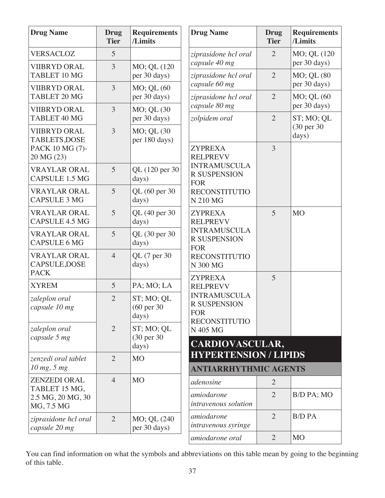| <b>Drug Name</b>                                    | <b>Drug</b><br><b>Tier</b> | <b>Requirements</b><br>/Limits                | <b>Drug Name</b>                                                                 | <b>Drug</b><br><b>Tier</b> | <b>Requirements</b><br>/Limits |
|-----------------------------------------------------|----------------------------|-----------------------------------------------|----------------------------------------------------------------------------------|----------------------------|--------------------------------|
| <b>VERSACLOZ</b>                                    | 5                          |                                               | ziprasidone hcl oral                                                             | $\overline{2}$             | MO; QL (120                    |
| <b>VIIBRYD ORAL</b><br>TABLET 10 MG                 | 3                          | MO; QL (120<br>per 30 days)                   | capsule 40 mg<br>ziprasidone hcl oral                                            | $\overline{2}$             | per 30 days)<br>MO; QL (80     |
| <b>VIIBRYD ORAL</b><br><b>TABLET 20 MG</b>          | 3                          | MO; QL (60<br>per 30 days)                    | capsule 60 mg<br>ziprasidone hcl oral                                            | $\overline{2}$             | per 30 days)<br>MO; QL (60     |
| <b>VIIBRYD ORAL</b><br>TABLET 40 MG                 | 3                          | MO; QL (30<br>per 30 days)                    | capsule 80 mg<br>zolpidem oral                                                   | $\overline{2}$             | per 30 days)<br>ST; MO; QL     |
| <b>VIIBRYD ORAL</b><br><b>TABLETS, DOSE</b>         | $\overline{3}$             | MO; QL (30<br>per 180 days)                   |                                                                                  |                            | (30 per 30)<br>days)           |
| PACK 10 MG (7)-<br>20 MG (23)                       |                            |                                               | <b>ZYPREXA</b><br><b>RELPREVV</b>                                                | $\overline{3}$             |                                |
| <b>VRAYLAR ORAL</b><br><b>CAPSULE 1.5 MG</b>        | 5                          | QL (120 per 30<br>days)                       | <b>INTRAMUSCULA</b><br><b>R SUSPENSION</b><br><b>FOR</b>                         |                            |                                |
| <b>VRAYLAR ORAL</b><br><b>CAPSULE 3 MG</b>          | 5                          | QL (60 per 30<br>days)                        | <b>RECONSTITUTIO</b><br>N 210 MG                                                 |                            |                                |
| <b>VRAYLAR ORAL</b><br><b>CAPSULE 4.5 MG</b>        | 5                          | QL (40 per 30<br>days)                        | <b>ZYPREXA</b><br><b>RELPREVV</b>                                                | 5                          | <b>MO</b>                      |
| <b>VRAYLAR ORAL</b><br><b>CAPSULE 6 MG</b>          | 5                          | QL (30 per 30<br>days)                        | <b>INTRAMUSCULA</b><br><b>R SUSPENSION</b><br><b>FOR</b>                         |                            |                                |
| <b>VRAYLAR ORAL</b><br>CAPSULE, DOSE<br><b>PACK</b> | $\overline{4}$             | QL (7 per 30<br>days)                         | <b>RECONSTITUTIO</b><br>N 300 MG                                                 |                            |                                |
| <b>XYREM</b>                                        | 5                          | PA; MO; LA                                    | <b>ZYPREXA</b><br><b>RELPREVV</b>                                                | 5                          |                                |
| zaleplon oral<br>capsule 10 mg                      | $\overline{2}$             | ST; MO; QL<br>$(60 \text{ per } 30)$<br>days) | <b>INTRAMUSCULA</b><br><b>R SUSPENSION</b><br><b>FOR</b><br><b>RECONSTITUTIO</b> |                            |                                |
| zaleplon oral                                       | $\overline{2}$             | ST; MO; QL                                    | N 405 MG                                                                         |                            |                                |
| capsule 5 mg                                        |                            | (30 per 30)<br>days)                          | <b>CARDIOVASCULAR,</b>                                                           |                            |                                |
| zenzedi oral tablet<br>10 mg, 5 mg                  | $\overline{2}$             | <b>MO</b>                                     | <b>HYPERTENSION / LIPIDS</b>                                                     |                            |                                |
| <b>ZENZEDI ORAL</b>                                 | $\overline{4}$             | <b>MO</b>                                     | <b>ANTIARRHYTHMIC AGENTS</b><br>adenosine                                        | $\overline{2}$             |                                |
| TABLET 15 MG,<br>2.5 MG, 20 MG, 30<br>MG, 7.5 MG    |                            |                                               | amiodarone<br>intravenous solution                                               | $\overline{2}$             | B/D PA; MO                     |
| ziprasidone hcl oral<br>capsule 20 mg               | $\overline{2}$             | MO; QL (240<br>per 30 days)                   | amiodarone<br>intravenous syringe                                                | $\overline{2}$             | <b>B/D PA</b>                  |
|                                                     |                            |                                               | amiodarone oral                                                                  | 2                          | <b>MO</b>                      |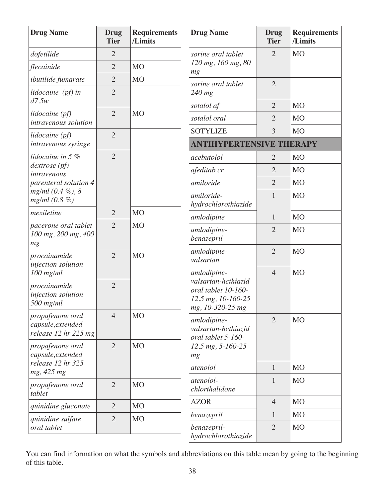| <b>Drug Name</b>                                              | <b>Drug</b><br><b>Tier</b> | <b>Requirements</b><br>/Limits | <b>Drug Name</b>                                                                     | Drug<br><b>Tier</b> | <b>Requirements</b><br>/Limits |
|---------------------------------------------------------------|----------------------------|--------------------------------|--------------------------------------------------------------------------------------|---------------------|--------------------------------|
| dofetilide                                                    | $\overline{2}$             |                                | sorine oral tablet                                                                   | $\overline{2}$      | <b>MO</b>                      |
| flecainide                                                    | $\overline{2}$             | <b>MO</b>                      | 120 mg, 160 mg, 80<br>mg                                                             |                     |                                |
| <i>ibutilide</i> fumarate                                     | $\overline{2}$             | <b>MO</b>                      | sorine oral tablet                                                                   | $\overline{2}$      |                                |
| lidocaine (pf) in<br>d7.5w                                    | $\overline{2}$             |                                | $240$ mg                                                                             |                     |                                |
| lidocaine (pf)                                                | $\overline{2}$             | M <sub>O</sub>                 | sotalol af                                                                           | $\overline{2}$      | M <sub>O</sub>                 |
| intravenous solution                                          |                            |                                | sotalol oral                                                                         | $\overline{2}$      | M <sub>O</sub>                 |
| lidocaine (pf)                                                | $\overline{2}$             |                                | <b>SOTYLIZE</b>                                                                      | 3                   | <b>MO</b>                      |
| intravenous syringe                                           |                            |                                | <b>ANTIHYPERTENSIVE THERAPY</b>                                                      |                     |                                |
| lidocaine in 5 %                                              | $\overline{2}$             |                                | acebutolol                                                                           | $\overline{2}$      | <b>MO</b>                      |
| $dextrose$ (pf)<br>intravenous                                |                            |                                | afeditab cr                                                                          | $\overline{2}$      | M <sub>O</sub>                 |
| parenteral solution 4                                         |                            |                                | amiloride                                                                            | $\overline{2}$      | M <sub>O</sub>                 |
| $mg/ml$ (0.4 %), 8<br>mg/ml (0.8 %)                           |                            |                                | amiloride-<br>hydrochlorothiazide                                                    | $\mathbf{1}$        | <b>MO</b>                      |
| mexiletine                                                    | $\overline{2}$             | <b>MO</b>                      | amlodipine                                                                           | $\mathbf{1}$        | M <sub>O</sub>                 |
| pacerone oral tablet<br>100 mg, 200 mg, 400<br>mg             | $\overline{2}$             | <b>MO</b>                      | amlodipine-<br>benazepril                                                            | $\overline{2}$      | <b>MO</b>                      |
| procainamide<br>injection solution                            | $\overline{2}$             | M <sub>O</sub>                 | amlodipine-<br>valsartan                                                             | $\overline{2}$      | <b>MO</b>                      |
| $100$ mg/ml                                                   |                            |                                | amlodipine-                                                                          | $\overline{4}$      | <b>MO</b>                      |
| procainamide<br>injection solution<br>$500$ mg/ml             | $\overline{2}$             |                                | valsartan-hcthiazid<br>oral tablet 10-160-<br>12.5 mg, 10-160-25<br>mg, 10-320-25 mg |                     |                                |
| propafenone oral<br>capsule, extended<br>release 12 hr 225 mg | $\overline{4}$             | <b>MO</b>                      | amlodipine-<br>valsartan-hcthiazid<br>oral tablet 5-160-                             | $\overline{2}$      | <b>MO</b>                      |
| propafenone oral<br>capsule, extended                         | $\overline{2}$             | <b>MO</b>                      | $12.5$ mg, $5 - 160 - 25$<br>mg                                                      |                     |                                |
| release 12 hr 325<br>mg, 425 mg                               |                            |                                | atenolol                                                                             | $\mathbf{1}$        | M <sub>O</sub>                 |
| propafenone oral<br>tablet                                    | $\overline{2}$             | <b>MO</b>                      | atenolol-<br>chlorthalidone                                                          | $\mathbf{1}$        | <b>MO</b>                      |
| quinidine gluconate                                           | $\overline{2}$             | M <sub>O</sub>                 | <b>AZOR</b>                                                                          | $\overline{4}$      | M <sub>O</sub>                 |
| quinidine sulfate                                             | $\overline{2}$             | <b>MO</b>                      | benazepril                                                                           | 1                   | M <sub>O</sub>                 |
| oral tablet                                                   |                            |                                | benazepril-<br>hydrochlorothiazide                                                   | $\overline{2}$      | M <sub>O</sub>                 |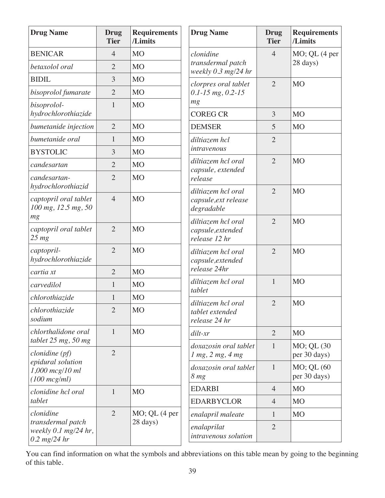| <b>Drug Name</b>                                                            | Drug<br><b>Tier</b> | <b>Requirements</b><br>/Limits      | <b>Drug Name</b>                                         | <b>Drug</b><br><b>Tier</b> | <b>Requirements</b><br>/Limits |
|-----------------------------------------------------------------------------|---------------------|-------------------------------------|----------------------------------------------------------|----------------------------|--------------------------------|
| <b>BENICAR</b>                                                              | $\overline{4}$      | M <sub>O</sub>                      | clonidine                                                | $\overline{4}$             | $MO$ ; QL $(4$ per             |
| betaxolol oral                                                              | $\overline{2}$      | <b>MO</b>                           | transdermal patch<br>weekly $0.3$ mg/24 hr               |                            | 28 days)                       |
| <b>BIDIL</b>                                                                | 3                   | <b>MO</b>                           | clorpres oral tablet                                     | $\overline{2}$             | <b>MO</b>                      |
| bisoprolol fumarate                                                         | $\overline{2}$      | <b>MO</b>                           | $0.1 - 15$ mg, $0.2 - 15$                                |                            |                                |
| bisoprolol-<br>hydrochlorothiazide                                          | $\mathbf{1}$        | M <sub>O</sub>                      | mg<br><b>COREG CR</b>                                    | 3                          | <b>MO</b>                      |
| bumetanide injection                                                        | $\overline{2}$      | <b>MO</b>                           | <b>DEMSER</b>                                            | 5                          | <b>MO</b>                      |
| bumetanide oral                                                             | $\mathbf{1}$        | <b>MO</b>                           | diltiazem hcl                                            | $\overline{2}$             |                                |
| <b>BYSTOLIC</b>                                                             | 3                   | <b>MO</b>                           | intravenous                                              |                            |                                |
| candesartan                                                                 | $\overline{2}$      | <b>MO</b>                           | diltiazem hcl oral<br>capsule, extended                  | $\overline{2}$             | <b>MO</b>                      |
| candesartan-<br>hydrochlorothiazid                                          | $\overline{2}$      | <b>MO</b>                           | release                                                  |                            |                                |
| captopril oral tablet<br>100 mg, 12.5 mg, 50                                | $\overline{4}$      | <b>MO</b>                           | diltiazem hcl oral<br>capsule, ext release<br>degradable | $\overline{2}$             | <b>MO</b>                      |
| mg<br>captopril oral tablet<br>$25 \, mg$                                   | $\overline{2}$      | <b>MO</b>                           | diltiazem hcl oral<br>capsule, extended<br>release 12 hr | $\overline{2}$             | <b>MO</b>                      |
| captopril-<br>hydrochlorothiazide                                           | $\overline{2}$      | <b>MO</b>                           | diltiazem hcl oral<br>capsule, extended                  | $\overline{2}$             | <b>MO</b>                      |
| cartia xt                                                                   | $\overline{2}$      | <b>MO</b>                           | release 24hr                                             |                            |                                |
| carvedilol                                                                  | $\mathbf{1}$        | <b>MO</b>                           | diltiazem hcl oral<br>tablet                             | $\mathbf{1}$               | <b>MO</b>                      |
| chlorothiazide                                                              | 1                   | <b>MO</b>                           | diltiazem hcl oral                                       | $\overline{2}$             | <b>MO</b>                      |
| chlorothiazide<br>sodium                                                    | $\overline{2}$      | <b>MO</b>                           | tablet extended<br>release 24 hr                         |                            |                                |
| chlorthalidone oral                                                         | $\mathbf{1}$        | <b>MO</b>                           | $dilt$ -xr                                               | $\overline{2}$             | <b>MO</b>                      |
| tablet $25$ mg, $50$ mg<br>$clonidine$ (pf)                                 | $\overline{2}$      |                                     | doxazosin oral tablet<br>$1$ mg, $2$ mg, $4$ mg          | $\mathbf{1}$               | MO; QL (30<br>per 30 days)     |
| epidural solution<br>$1,000$ mcg/10 ml<br>$(100 \, mcg/ml)$                 |                     |                                     | doxazosin oral tablet<br>8 <sub>mg</sub>                 | $\mathbf{1}$               | MO; QL (60<br>per 30 days)     |
| clonidine hcl oral                                                          | $\mathbf{1}$        | M <sub>O</sub>                      | <b>EDARBI</b>                                            | $\overline{4}$             | M <sub>O</sub>                 |
| tablet                                                                      |                     |                                     | <b>EDARBYCLOR</b>                                        | $\overline{4}$             | <b>MO</b>                      |
| clonidine                                                                   | $\overline{2}$      | $MO$ ; QL $(4$ per                  | enalapril maleate                                        | $\mathbf{1}$               | <b>MO</b>                      |
| 28 days)<br>transdermal patch<br>weekly $0.1$ mg/24 hr,<br>$0.2 \ mg/24$ hr |                     | enalaprilat<br>intravenous solution | $\overline{2}$                                           |                            |                                |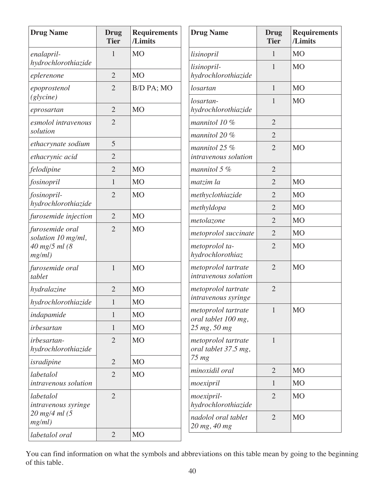| <b>Drug Name</b>                      | <b>Drug</b><br><b>Tier</b> | <b>Requirements</b><br>/Limits | <b>Drug Name</b>                            | <b>Drug</b><br><b>Tier</b>       | <b>Requirements</b><br>/Limits |
|---------------------------------------|----------------------------|--------------------------------|---------------------------------------------|----------------------------------|--------------------------------|
| enalapril-                            | 1                          | <b>MO</b>                      | lisinopril                                  | 1                                | <b>MO</b>                      |
| hydrochlorothiazide<br>eplerenone     | $\overline{2}$             | <b>MO</b>                      | lisinopril-<br>hydrochlorothiazide          | $\mathbf{1}$                     | <b>MO</b>                      |
| epoprostenol                          | $\overline{2}$             | B/D PA; MO                     | losartan                                    | $\mathbf{1}$                     | <b>MO</b>                      |
| (glycine)                             |                            | <b>MO</b>                      | losartan-                                   | $\mathbf{1}$                     | <b>MO</b>                      |
| eprosartan                            | $\overline{2}$             |                                | hydrochlorothiazide                         |                                  |                                |
| esmolol intravenous<br>solution       | $\overline{2}$             |                                | mannitol $10\%$<br>mannitol 20 %            | $\overline{2}$<br>$\overline{2}$ |                                |
| ethacrynate sodium                    | 5                          |                                | mannitol $25%$                              | $\overline{2}$                   | <b>MO</b>                      |
| ethacrynic acid                       | $\overline{2}$             |                                | intravenous solution                        |                                  |                                |
| felodipine                            | $\overline{2}$             | <b>MO</b>                      | mannitol $5\%$                              | $\overline{2}$                   |                                |
| fosinopril                            | $\mathbf{1}$               | <b>MO</b>                      | matzim la                                   | $\overline{2}$                   | <b>MO</b>                      |
| fosinopril-                           | $\overline{2}$             | <b>MO</b>                      | methyclothiazide                            | $\overline{2}$                   | <b>MO</b>                      |
| hydrochlorothiazide                   |                            |                                | methyldopa                                  | $\overline{2}$                   | M <sub>O</sub>                 |
| furosemide injection                  | $\overline{2}$             | <b>MO</b>                      | metolazone                                  | $\overline{2}$                   | <b>MO</b>                      |
| furosemide oral<br>solution 10 mg/ml, | $\overline{2}$             | <b>MO</b>                      | metoprolol succinate                        | $\overline{2}$                   | M <sub>O</sub>                 |
| 40 mg/5 ml (8<br>mg/ml)               |                            |                                | metoprolol ta-<br>hydrochlorothiaz          | $\overline{2}$                   | <b>MO</b>                      |
| furosemide oral<br>tablet             | $\mathbf{1}$               | <b>MO</b>                      | metoprolol tartrate<br>intravenous solution | $\overline{2}$                   | <b>MO</b>                      |
| hydralazine                           | $\overline{2}$             | <b>MO</b>                      | metoprolol tartrate                         | $\overline{2}$                   |                                |
| hydrochlorothiazide                   | $\mathbf{1}$               | <b>MO</b>                      | intravenous syringe                         |                                  |                                |
| indapamide                            | $\mathbf{1}$               | <b>MO</b>                      | metoprolol tartrate<br>oral tablet 100 mg,  | 1                                | <b>MO</b>                      |
| irbesartan                            | $\mathbf{1}$               | M <sub>O</sub>                 | 25 mg, 50 mg                                |                                  |                                |
| irbesartan-<br>hydrochlorothiazide    | $\overline{2}$             | <b>MO</b>                      | metoprolol tartrate<br>oral tablet 37.5 mg, | $\mathbf{1}$                     |                                |
| isradipine                            | $\overline{2}$             | M <sub>O</sub>                 | $75 \, mg$                                  |                                  |                                |
| labetalol                             | $\overline{2}$             | M <sub>O</sub>                 | minoxidil oral                              | $\overline{2}$                   | <b>MO</b>                      |
| intravenous solution                  |                            |                                | moexipril                                   | $\mathbf{1}$                     | M <sub>O</sub>                 |
| labetalol<br>intravenous syringe      | $\overline{2}$             |                                | moexipril-<br>hydrochlorothiazide           | $\overline{2}$                   | M <sub>O</sub>                 |
| 20 mg/4 ml (5<br>mg/ml)               |                            |                                | nadolol oral tablet<br>20 mg, 40 mg         | $\overline{2}$                   | M <sub>O</sub>                 |
| labetalol oral                        | $\overline{2}$             | MO                             |                                             |                                  |                                |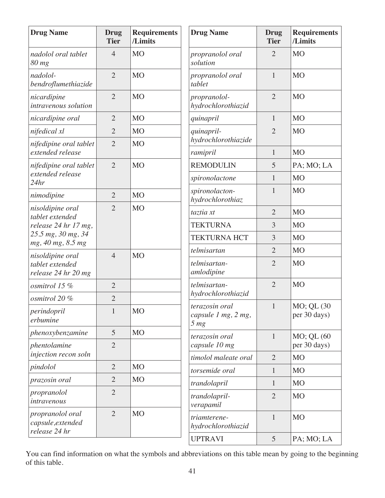| <b>Drug Name</b>                                       | <b>Drug</b><br><b>Tier</b> | <b>Requirements</b><br>/Limits | <b>Drug Name</b>                                         | <b>Drug</b><br><b>Tier</b> | <b>Requirements</b><br>/Limits |
|--------------------------------------------------------|----------------------------|--------------------------------|----------------------------------------------------------|----------------------------|--------------------------------|
| nadolol oral tablet<br>80 mg                           | $\overline{4}$             | M <sub>O</sub>                 | propranolol oral<br>solution                             | $\overline{2}$             | <b>MO</b>                      |
| nadolol-<br>bendroflumethiazide                        | $\overline{2}$             | M <sub>O</sub>                 | propranolol oral<br>tablet                               | $\mathbf{1}$               | <b>MO</b>                      |
| nicardipine<br>intravenous solution                    | $\overline{2}$             | M <sub>O</sub>                 | propranolol-<br>hydrochlorothiazid                       | $\overline{2}$             | M <sub>O</sub>                 |
| nicardipine oral                                       | $\overline{2}$             | M <sub>O</sub>                 | quinapril                                                | 1                          | <b>MO</b>                      |
| nifedical xl                                           | $\overline{2}$             | M <sub>O</sub>                 | quinapril-                                               | $\overline{2}$             | <b>MO</b>                      |
| nifedipine oral tablet<br>extended release             | $\overline{2}$             | M <sub>O</sub>                 | hydrochlorothiazide<br>ramipril                          | 1                          | <b>MO</b>                      |
| nifedipine oral tablet                                 | $\overline{2}$             | M <sub>O</sub>                 | <b>REMODULIN</b>                                         | 5                          | PA; MO; LA                     |
| extended release                                       |                            |                                | spironolactone                                           | $\mathbf{1}$               | <b>MO</b>                      |
| 24hr<br>nimodipine                                     | $\overline{2}$             | <b>MO</b>                      | spironolacton-<br>hydrochlorothiaz                       | $\mathbf{1}$               | <b>MO</b>                      |
| nisoldipine oral                                       | $\overline{2}$             | M <sub>O</sub>                 | taztia xt                                                | $\overline{2}$             | <b>MO</b>                      |
| tablet extended<br>release 24 hr 17 mg,                |                            |                                | <b>TEKTURNA</b>                                          | 3                          | <b>MO</b>                      |
| 25.5 mg, 30 mg, 34<br>mg, 40 mg, 8.5 mg                |                            |                                | <b>TEKTURNA HCT</b>                                      | 3                          | <b>MO</b>                      |
| nisoldipine oral                                       | $\overline{4}$             | M <sub>O</sub>                 | telmisartan                                              | $\overline{2}$             | <b>MO</b>                      |
| tablet extended<br>release 24 hr 20 mg                 |                            |                                | telmisartan-<br>amlodipine                               | $\overline{2}$             | <b>MO</b>                      |
| osmitrol 15 %                                          | $\overline{2}$             |                                | telmisartan-                                             | $\overline{2}$             | <b>MO</b>                      |
| osmitrol 20 %                                          | $\overline{2}$             |                                | hydrochlorothiazid                                       |                            |                                |
| perindopril<br>erbumine                                | $\mathbf{1}$               | <b>MO</b>                      | terazosin oral<br>capsule 1 mg, 2 mg,<br>5 <sub>mg</sub> |                            | MO; QL (30<br>per 30 days)     |
| phenoxybenzamine                                       | 5                          | M <sub>O</sub>                 | terazosin oral                                           | $\mathbf{1}$               | MO; QL (60                     |
| phentolamine<br>injection recon soln                   | $\overline{2}$             |                                | capsule 10 mg                                            |                            | per 30 days)                   |
| pindolol                                               | $\overline{2}$             | M <sub>O</sub>                 | timolol maleate oral                                     | $\overline{2}$             | <b>MO</b>                      |
| prazosin oral                                          | $\overline{2}$             | M <sub>O</sub>                 | torsemide oral                                           | $\mathbf{1}$               | M <sub>O</sub>                 |
| propranolol                                            | $\overline{2}$             |                                | trandolapril                                             | $\mathbf{1}$               | M <sub>O</sub>                 |
| intravenous                                            |                            |                                | trandolapril-<br>verapamil                               | $\overline{2}$             | M <sub>O</sub>                 |
| propranolol oral<br>capsule, extended<br>release 24 hr | $\overline{2}$             | M <sub>O</sub>                 | triamterene-<br>hydrochlorothiazid                       | $\mathbf{1}$               | <b>MO</b>                      |
|                                                        |                            |                                | <b>UPTRAVI</b>                                           | 5                          | PA; MO; LA                     |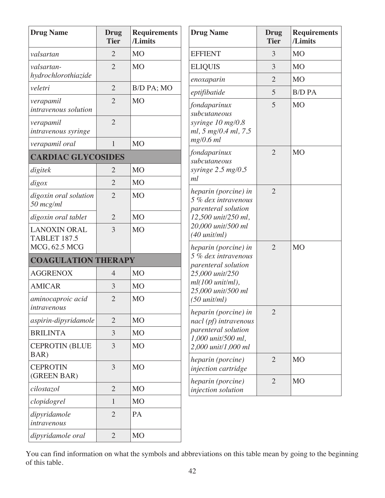| <b>Drug Name</b>                           | Drug<br><b>Tier</b> | <b>Requirements</b><br>/Limits | <b>Drug Name</b>                                                                                                                    | <b>Drug</b><br><b>Tier</b> | <b>Requirements</b><br>/Limits |
|--------------------------------------------|---------------------|--------------------------------|-------------------------------------------------------------------------------------------------------------------------------------|----------------------------|--------------------------------|
| valsartan                                  | $\overline{2}$      | M <sub>O</sub>                 | <b>EFFIENT</b>                                                                                                                      | 3                          | <b>MO</b>                      |
| valsartan-<br>hydrochlorothiazide          | $\overline{2}$      | <b>MO</b>                      | <b>ELIQUIS</b>                                                                                                                      | 3                          | <b>MO</b>                      |
| veletri                                    | $\overline{2}$      |                                | enoxaparin                                                                                                                          | $\overline{2}$             | <b>MO</b>                      |
|                                            |                     | B/D PA; MO                     | eptifibatide                                                                                                                        | 5                          | <b>B/D PA</b>                  |
| verapamil<br>intravenous solution          | $\overline{2}$      | <b>MO</b>                      | fondaparinux<br>subcutaneous                                                                                                        | 5                          | <b>MO</b>                      |
| verapamil<br>intravenous syringe           | $\overline{2}$      |                                | syringe 10 mg/0.8<br>ml, 5 mg/0.4 ml, 7.5                                                                                           |                            |                                |
| verapamil oral                             | $\mathbf{1}$        | M <sub>O</sub>                 | mg/0.6 ml                                                                                                                           |                            |                                |
| <b>CARDIAC GLYCOSIDES</b>                  |                     |                                | fondaparinux<br>subcutaneous                                                                                                        | $\overline{2}$             | <b>MO</b>                      |
| digitek                                    | $\overline{2}$      | <b>MO</b>                      | syringe $2.5 \ mg/0.5$                                                                                                              |                            |                                |
| digox                                      | $\overline{2}$      | M <sub>O</sub>                 | ml                                                                                                                                  |                            |                                |
| digoxin oral solution<br>$50$ mcg/ml       | $\overline{2}$      | M <sub>O</sub>                 | heparin (porcine) in<br>5 % dex intravenous<br>parenteral solution<br>12,500 unit/250 ml,<br>20,000 unit/500 ml<br>$(40 \tunit/ml)$ | $\overline{2}$             |                                |
| digoxin oral tablet                        | $\overline{2}$      | <b>MO</b>                      |                                                                                                                                     |                            |                                |
| <b>LANOXIN ORAL</b><br><b>TABLET 187.5</b> | 3                   | <b>MO</b>                      |                                                                                                                                     |                            |                                |
| MCG, 62.5 MCG                              |                     |                                | heparin (porcine) in<br>5 % dex intravenous                                                                                         | $\overline{2}$             | <b>MO</b>                      |
| <b>COAGULATION THERAPY</b>                 |                     |                                | parenteral solution                                                                                                                 |                            |                                |
| <b>AGGRENOX</b>                            | $\overline{4}$      | M <sub>O</sub>                 | 25,000 unit/250                                                                                                                     |                            |                                |
| <b>AMICAR</b>                              | 3                   | <b>MO</b>                      | $ml(100 unit/ml)$ ,<br>25,000 unit/500 ml                                                                                           |                            |                                |
| aminocaproic acid<br>intravenous           | $\overline{2}$      | M <sub>O</sub>                 | $(50 \t{unit/ml})$<br>heparin (porcine) in                                                                                          | $\overline{2}$             |                                |
| aspirin-dipyridamole                       | $\overline{2}$      | M <sub>O</sub>                 | nacl (pf) intravenous                                                                                                               |                            |                                |
| <b>BRILINTA</b>                            | 3                   | M <sub>O</sub>                 | parenteral solution<br>1,000 unit/500 ml,                                                                                           |                            |                                |
| <b>CEPROTIN (BLUE</b><br>BAR)              | 3                   | <b>MO</b>                      | 2,000 unit/1,000 ml                                                                                                                 |                            |                                |
| <b>CEPROTIN</b><br>(GREEN BAR)             | 3                   | M <sub>O</sub>                 | heparin (porcine)<br>injection cartridge                                                                                            | $\overline{2}$             | MO                             |
| cilostazol                                 | $\overline{2}$      | <b>MO</b>                      | heparin (porcine)<br>injection solution                                                                                             | $\overline{2}$             | <b>MO</b>                      |
| clopidogrel                                | $\mathbf{1}$        | M <sub>O</sub>                 |                                                                                                                                     |                            |                                |
| dipyridamole<br>intravenous                | $\overline{2}$      | PA                             |                                                                                                                                     |                            |                                |
| dipyridamole oral                          | $\overline{2}$      | MO                             |                                                                                                                                     |                            |                                |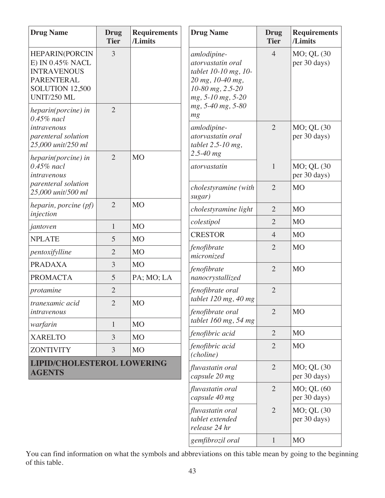| <b>Drug Name</b>                                                                                                                     | <b>Drug</b><br><b>Tier</b> | <b>Requirements</b><br>/Limits | <b>Drug Name</b>                                                                                                      | Drug<br><b>Tier</b> | <b>Requirements</b><br>/Limits |
|--------------------------------------------------------------------------------------------------------------------------------------|----------------------------|--------------------------------|-----------------------------------------------------------------------------------------------------------------------|---------------------|--------------------------------|
| <b>HEPARIN(PORCIN</b><br>E) IN 0.45% NACL<br><b>INTRAVENOUS</b><br><b>PARENTERAL</b><br><b>SOLUTION 12,500</b><br><b>UNIT/250 ML</b> | 3                          |                                | amlodipine-<br>atorvastatin oral<br>tablet 10-10 mg, 10-<br>20 mg, 10-40 mg,<br>10-80 mg, 2.5-20<br>mg, 5-10 mg, 5-20 | $\overline{4}$      | MO; QL (30<br>per 30 days)     |
| heparin(porcine) in<br>$0.45\%$ nacl<br>intravenous<br>parenteral solution                                                           | $\overline{2}$             |                                | mg, 5-40 mg, 5-80<br>mg<br>amlodipine-<br>atorvastatin oral                                                           | $\overline{2}$      | MO; QL (30<br>per 30 days)     |
| 25,000 unit/250 ml                                                                                                                   |                            |                                | tablet $2.5 - 10$ mg,<br>$2.5 - 40$ mg                                                                                |                     |                                |
| heparin(porcine) in<br>$0.45\%$ nacl<br>intravenous                                                                                  | $\overline{2}$             | <b>MO</b>                      | atorvastatin                                                                                                          | $\mathbf{1}$        | MO; QL (30<br>per 30 days)     |
| parenteral solution<br>25,000 unit/500 ml                                                                                            |                            |                                | cholestyramine (with<br>sugar)                                                                                        | $\overline{2}$      | <b>MO</b>                      |
| heparin, porcine (pf)<br>injection                                                                                                   | $\overline{2}$             | <b>MO</b>                      | cholestyramine light                                                                                                  | $\overline{2}$      | <b>MO</b>                      |
| jantoven                                                                                                                             | 1                          | <b>MO</b>                      | colestipol                                                                                                            | $\overline{2}$      | M <sub>O</sub>                 |
| <b>NPLATE</b>                                                                                                                        | 5                          | <b>MO</b>                      | <b>CRESTOR</b>                                                                                                        | $\overline{4}$      | M <sub>O</sub>                 |
| pentoxifylline                                                                                                                       | $\overline{2}$             | <b>MO</b>                      | fenofibrate<br>micronized                                                                                             | $\overline{2}$      | M <sub>O</sub>                 |
| <b>PRADAXA</b>                                                                                                                       | 3                          | <b>MO</b>                      | fenofibrate                                                                                                           | $\overline{2}$      | <b>MO</b>                      |
| <b>PROMACTA</b>                                                                                                                      | 5                          | PA; MO; LA                     | nanocrystallized                                                                                                      |                     |                                |
| protamine                                                                                                                            | $\overline{2}$             |                                | fenofibrate oral                                                                                                      | $\overline{2}$      |                                |
| tranexamic acid<br>intravenous                                                                                                       | $\overline{2}$             | <b>MO</b>                      | tablet 120 mg, 40 mg<br>fenofibrate oral                                                                              | $\overline{2}$      | <b>MO</b>                      |
| warfarin                                                                                                                             | $\mathbf{1}$               | <b>MO</b>                      | tablet $160$ mg, 54 mg                                                                                                |                     |                                |
| <b>XARELTO</b>                                                                                                                       | 3                          | <b>MO</b>                      | fenofibric acid                                                                                                       | $\overline{2}$      | M <sub>O</sub>                 |
| <b>ZONTIVITY</b>                                                                                                                     | 3                          | <b>MO</b>                      | fenofibric acid<br>(choline)                                                                                          | $\overline{2}$      | <b>MO</b>                      |
| <b>LIPID/CHOLESTEROL LOWERING</b><br><b>AGENTS</b>                                                                                   |                            |                                | fluvastatin oral<br>capsule 20 mg                                                                                     | $\overline{2}$      | MO; QL (30<br>per 30 days)     |
|                                                                                                                                      |                            |                                | fluvastatin oral<br>capsule 40 mg                                                                                     | $\overline{2}$      | MO; QL (60<br>per 30 days)     |
|                                                                                                                                      |                            |                                | fluvastatin oral<br>tablet extended<br>release 24 hr                                                                  | $\overline{2}$      | MO; QL (30)<br>per 30 days)    |

*gemfibrozil oral* 1 MO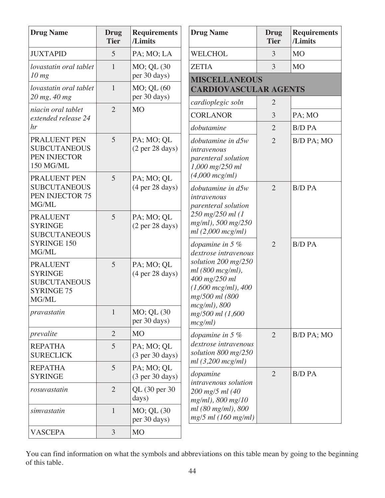| <b>Drug Name</b>                                                                                | <b>Drug</b><br><b>Tier</b> | <b>Requirements</b><br>/Limits                       | <b>Drug Name</b>                                                                                                                                      | <b>Drug</b><br><b>Tier</b> | <b>Requirements</b><br>/Limits |
|-------------------------------------------------------------------------------------------------|----------------------------|------------------------------------------------------|-------------------------------------------------------------------------------------------------------------------------------------------------------|----------------------------|--------------------------------|
| <b>JUXTAPID</b>                                                                                 | 5                          | PA; MO; LA                                           | <b>WELCHOL</b>                                                                                                                                        | 3                          | <b>MO</b>                      |
| lovastatin oral tablet                                                                          | $\mathbf{1}$               | MO; QL (30                                           | <b>ZETIA</b>                                                                                                                                          | 3                          | <b>MO</b>                      |
| $10$ mg<br>lovastatin oral tablet                                                               | $\mathbf{1}$               | per 30 days)<br>MO; QL (60                           | <b>MISCELLANEOUS</b><br><b>CARDIOVASCULAR AGENTS</b>                                                                                                  |                            |                                |
| 20 mg, 40 mg                                                                                    | $\overline{2}$             | per 30 days)<br><b>MO</b>                            | cardioplegic soln                                                                                                                                     | $\overline{2}$             |                                |
| niacin oral tablet<br>extended release 24                                                       |                            |                                                      | <b>CORLANOR</b>                                                                                                                                       | 3                          | PA; MO                         |
| hr                                                                                              |                            |                                                      | dobutamine                                                                                                                                            | $\overline{2}$             | <b>B/D PA</b>                  |
| PRALUENT PEN<br><b>SUBCUTANEOUS</b><br>PEN INJECTOR<br>150 MG/ML                                | 5                          | PA; MO; QL<br>(2 <sub>per</sub> 28 <sub>days</sub> ) | dobutamine in d5w<br>intravenous<br>parenteral solution<br>1,000 mg/250 ml                                                                            | $\overline{2}$             | B/D PA; MO                     |
| PRALUENT PEN<br><b>SUBCUTANEOUS</b><br>PEN INJECTOR 75<br>MG/ML                                 | 5                          | PA; MO; QL<br>(4 <sub>per</sub> 28 <sub>days</sub> ) | $(4,000 \, mcg/ml)$<br>dobutamine in d5w<br>intravenous<br>parenteral solution                                                                        | $\overline{2}$             | <b>B/D PA</b>                  |
| <b>PRALUENT</b><br><b>SYRINGE</b><br><b>SUBCUTANEOUS</b><br><b>SYRINGE 150</b>                  | 5                          | PA; MO; QL<br>(2 <sub>per</sub> 28 <sub>days</sub> ) | 250 mg/250 ml (1<br>mg/ml), 500 mg/250<br>ml(2,000 mcg/ml)<br>dopamine in $5\%$                                                                       | $\overline{2}$             | <b>B/D PA</b>                  |
| MG/ML<br><b>PRALUENT</b><br><b>SYRINGE</b><br><b>SUBCUTANEOUS</b><br><b>SYRINGE 75</b><br>MG/ML | 5                          | PA; MO; QL<br>(4 <sub>per</sub> 28 <sub>days</sub> ) | dextrose intravenous<br>solution $200$ mg/ $250$<br>ml(800 mcg/ml),<br>400 mg/250 ml<br>$(1,600 \, mcg/ml)$ , 400<br>mg/500 ml (800<br>$mcg/ml$ , 800 |                            |                                |
| pravastatin                                                                                     | $\mathbf{1}$               | MO; QL (30<br>per 30 days)                           | mg/500 ml (1,600<br>mcg/ml)                                                                                                                           |                            |                                |
| prevalite                                                                                       | $\overline{2}$             | <b>MO</b>                                            | dopamine in 5 %                                                                                                                                       | $\overline{2}$             | B/D PA; MO                     |
| <b>REPATHA</b><br><b>SURECLICK</b>                                                              | 5                          | PA; MO; QL<br>(3 <sub>per</sub> 30 <sub>days</sub> ) | dextrose intravenous<br>solution 800 mg/250<br>ml(3,200 mcg/ml)                                                                                       |                            |                                |
| <b>REPATHA</b><br><b>SYRINGE</b>                                                                | 5                          | PA; MO; QL<br>(3 <sub>per</sub> 30 <sub>days</sub> ) | dopamine<br>intravenous solution                                                                                                                      | $\overline{2}$             | <b>B/D PA</b>                  |
| rosuvastatin                                                                                    | $\overline{2}$             | QL (30 per 30)<br>days)                              | 200 mg/5 ml (40<br>$mg/ml$ , 800 mg/10                                                                                                                |                            |                                |
| simvastatin                                                                                     | $\mathbf{1}$               | MO; QL (30<br>per 30 days)                           | ml (80 mg/ml), 800<br>$mg/5$ ml (160 mg/ml)                                                                                                           |                            |                                |
| <b>VASCEPA</b>                                                                                  | $\mathfrak{Z}$             | M <sub>O</sub>                                       |                                                                                                                                                       |                            |                                |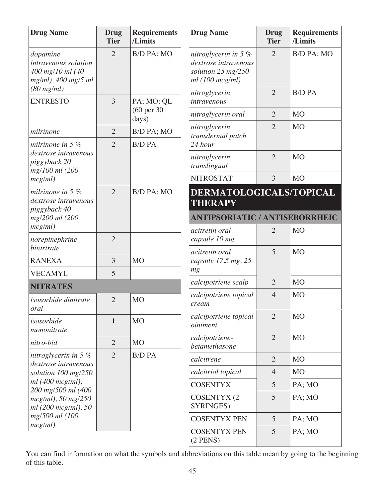| <b>Drug Name</b>                                                              | <b>Drug</b><br><b>Tier</b> | <b>Requirements</b><br>/Limits          | <b>Drug Name</b>                                                                       | <b>Drug</b><br><b>Tier</b> | <b>Requirements</b><br>/Limits |
|-------------------------------------------------------------------------------|----------------------------|-----------------------------------------|----------------------------------------------------------------------------------------|----------------------------|--------------------------------|
| dopamine<br>intravenous solution<br>400 mg/10 ml (40<br>$mg/ml$ , 400 mg/5 ml | $\overline{2}$             | B/D PA; MO                              | nitroglycerin in 5 $%$<br>dextrose intravenous<br>solution 25 mg/250<br>ml(100~mcg/ml) | $\overline{2}$             | B/D PA; MO                     |
| (80 mg/ml)<br><b>ENTRESTO</b>                                                 | $\overline{3}$             | PA; MO; QL                              | nitroglycerin<br>intravenous                                                           | $\overline{2}$             | <b>B/D PA</b>                  |
|                                                                               |                            | (60 per 30<br>days)                     | nitroglycerin oral                                                                     | $\overline{2}$             | <b>MO</b>                      |
| milrinone                                                                     | $\overline{2}$             | B/D PA; MO                              | nitroglycerin<br>transdermal patch                                                     | $\overline{2}$             | <b>MO</b>                      |
| milrinone in 5 $%$                                                            | $\overline{2}$             | <b>B/D PA</b>                           | 24 hour                                                                                |                            |                                |
| dextrose intravenous<br>piggyback 20<br>mg/100 ml (200                        |                            |                                         | nitroglycerin<br>translingual                                                          | $\overline{2}$             | <b>MO</b>                      |
| mcg/ml)                                                                       |                            |                                         | <b>NITROSTAT</b>                                                                       | 3                          | <b>MO</b>                      |
| milrinone in 5 $%$<br>dextrose intravenous<br>piggyback 40                    | $\overline{2}$             | B/D PA; MO                              | DERMATOLOGICALS/TOPICAL<br><b>THERAPY</b>                                              |                            |                                |
| mg/200 ml (200                                                                |                            |                                         | <b>ANTIPSORIATIC / ANTISEBORRHEIC</b>                                                  |                            |                                |
| mcg/ml)<br>norepinephrine                                                     | $\overline{2}$             |                                         | acitretin oral<br>capsule 10 mg                                                        | $\overline{2}$             | <b>MO</b>                      |
| bitartrate                                                                    |                            |                                         | acitretin oral                                                                         | 5                          | <b>MO</b>                      |
| <b>RANEXA</b>                                                                 | 3                          | <b>MO</b>                               | capsule 17.5 mg, 25                                                                    |                            |                                |
| <b>VECAMYL</b>                                                                | 5                          |                                         | mg                                                                                     |                            |                                |
| <b>NITRATES</b>                                                               |                            |                                         | calcipotriene scalp                                                                    | $\overline{2}$             | <b>MO</b>                      |
| isosorbide dinitrate<br>oral                                                  | $\overline{2}$             | M <sub>O</sub>                          | calcipotriene topical<br>cream                                                         | $\overline{4}$             | <b>MO</b>                      |
| isosorbide<br>mononitrate                                                     | $\mathbf{1}$               | <b>MO</b>                               | calcipotriene topical<br>ointment                                                      | $\overline{2}$             | <b>MO</b>                      |
| nitro-bid                                                                     | $\overline{2}$             | <b>MO</b>                               | calcipotriene-<br>betamethasone                                                        | $\overline{2}$             | <b>MO</b>                      |
| nitroglycerin in $5%$<br>dextrose intravenous                                 | $\overline{2}$             | <b>B/D PA</b>                           | calcitrene                                                                             | $\overline{2}$             | <b>MO</b>                      |
| solution $100 \text{ mg}/250$                                                 |                            |                                         | calcitriol topical                                                                     | $\overline{4}$             | <b>MO</b>                      |
| ml(400 mcg/ml),                                                               |                            |                                         | <b>COSENTYX</b>                                                                        | 5                          | PA; MO                         |
| 200 mg/500 ml (400<br>$mcg/ml$ , 50 mg/250<br>ml (200 mcg/ml), 50             |                            | <b>COSENTYX (2)</b><br><b>SYRINGES)</b> | 5                                                                                      | PA; MO                     |                                |
| mg/500 ml (100                                                                |                            |                                         | <b>COSENTYX PEN</b>                                                                    | 5                          | PA; MO                         |
| mcg/ml)                                                                       |                            |                                         | <b>COSENTYX PEN</b><br>$(2$ PENS)                                                      | 5                          | PA; MO                         |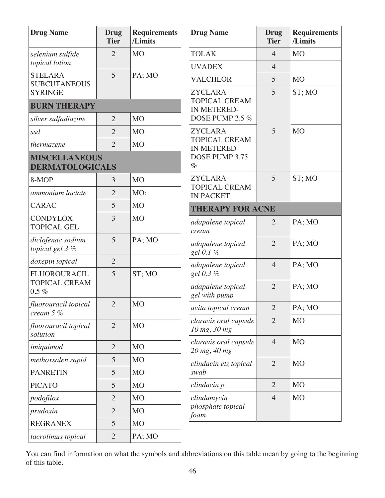| <b>Drug Name</b>                               | <b>Drug</b><br><b>Tier</b> | <b>Requirements</b><br>/Limits | <b>Drug Name</b>                         | <b>Drug</b><br><b>Tier</b> | <b>Requirements</b><br>/Limits |
|------------------------------------------------|----------------------------|--------------------------------|------------------------------------------|----------------------------|--------------------------------|
| selenium sulfide                               | $\overline{2}$             | <b>MO</b>                      | <b>TOLAK</b>                             | $\overline{4}$             | <b>MO</b>                      |
| topical lotion                                 |                            |                                | <b>UVADEX</b>                            | $\overline{4}$             |                                |
| <b>STELARA</b><br><b>SUBCUTANEOUS</b>          | 5                          | PA; MO                         | <b>VALCHLOR</b>                          | 5                          | <b>MO</b>                      |
| <b>SYRINGE</b>                                 |                            |                                | <b>ZYCLARA</b>                           | 5                          | ST; MO                         |
| <b>BURN THERAPY</b>                            |                            |                                | <b>TOPICAL CREAM</b><br>IN METERED-      |                            |                                |
| silver sulfadiazine                            | $\overline{2}$             | M <sub>O</sub>                 | DOSE PUMP 2.5 %                          |                            |                                |
| ssd                                            | $\overline{2}$             | M <sub>O</sub>                 | <b>ZYCLARA</b>                           | 5                          | <b>MO</b>                      |
| thermazene                                     | $\overline{2}$             | M <sub>O</sub>                 | <b>TOPICAL CREAM</b><br>IN METERED-      |                            |                                |
| <b>MISCELLANEOUS</b><br><b>DERMATOLOGICALS</b> |                            |                                | DOSE PUMP 3.75<br>$\%$                   |                            |                                |
| 8-MOP                                          | 3                          | M <sub>O</sub>                 | <b>ZYCLARA</b>                           | 5                          | ST; MO                         |
| ammonium lactate                               | $\overline{2}$             | MO;                            | <b>TOPICAL CREAM</b><br><b>IN PACKET</b> |                            |                                |
| <b>CARAC</b>                                   | 5                          | M <sub>O</sub>                 | <b>THERAPY FOR ACNE</b>                  |                            |                                |
| <b>CONDYLOX</b><br><b>TOPICAL GEL</b>          | 3                          | <b>MO</b>                      | adapalene topical<br>cream               | $\overline{2}$             | PA; MO                         |
| diclofenac sodium<br>topical gel 3 %           | 5                          | PA; MO                         | adapalene topical<br>gel 0.1 %           | $\overline{2}$             | PA; MO                         |
| doxepin topical                                | $\overline{2}$             |                                | adapalene topical                        | $\overline{4}$             | PA; MO                         |
| <b>FLUOROURACIL</b>                            | 5                          | ST; MO                         | gel 0.3 %                                |                            |                                |
| <b>TOPICAL CREAM</b><br>$0.5 \%$               |                            |                                | adapalene topical<br>gel with pump       | $\overline{2}$             | PA; MO                         |
| fluorouracil topical<br>cream 5 %              | $\overline{2}$             | M <sub>O</sub>                 | avita topical cream                      | $\overline{2}$             | PA; MO                         |
| fluorouracil topical<br>solution               | $\overline{2}$             | MO                             | claravis oral capsule<br>10 mg, 30 mg    | $\overline{2}$             | <b>MO</b>                      |
| imiquimod                                      | $\overline{2}$             | M <sub>O</sub>                 | claravis oral capsule                    | $\overline{4}$             | M <sub>O</sub>                 |
| methoxsalen rapid                              | 5                          | M <sub>O</sub>                 | 20 mg, 40 mg                             |                            |                                |
| <b>PANRETIN</b>                                | 5                          | M <sub>O</sub>                 | clindacin etz topical<br>swab            | $\overline{2}$             | <b>MO</b>                      |
| <b>PICATO</b>                                  | 5                          | M <sub>O</sub>                 | clindacin p                              | $\overline{2}$             | <b>MO</b>                      |
| podofilox                                      | $\overline{2}$             | MO                             | clindamycin                              | $\overline{4}$             | <b>MO</b>                      |
| prudoxin                                       | $\overline{2}$             | M <sub>O</sub>                 | phosphate topical                        |                            |                                |
| <b>REGRANEX</b>                                | 5                          | M <sub>O</sub>                 | foam                                     |                            |                                |
| tacrolimus topical                             | $\overline{2}$             | PA; MO                         |                                          |                            |                                |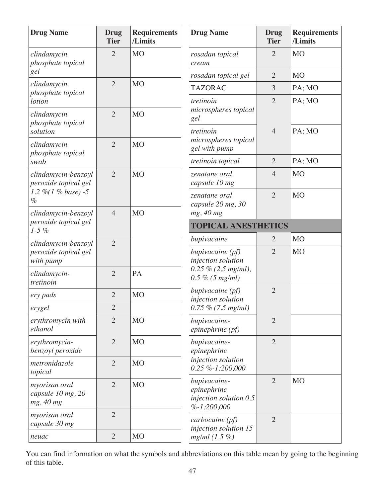| <b>Drug Name</b>                                | <b>Drug</b><br><b>Tier</b> | <b>Requirements</b><br>/Limits | <b>Drug Name</b>                                                       | <b>Drug</b><br><b>Tier</b> | <b>Requirements</b><br>/Limits |
|-------------------------------------------------|----------------------------|--------------------------------|------------------------------------------------------------------------|----------------------------|--------------------------------|
| clindamycin<br>phosphate topical                | $\overline{2}$             | M <sub>O</sub>                 | rosadan topical<br>cream                                               | $\overline{2}$             | M <sub>O</sub>                 |
| gel                                             |                            |                                | rosadan topical gel                                                    | $\overline{2}$             | M <sub>O</sub>                 |
| clindamycin<br>phosphate topical                | $\overline{2}$             | <b>MO</b>                      | <b>TAZORAC</b>                                                         | 3                          | PA; MO                         |
| <i>lotion</i>                                   |                            |                                | tretinoin                                                              | $\overline{2}$             | PA; MO                         |
| clindamycin<br>phosphate topical                | $\overline{2}$             | <b>MO</b>                      | microspheres topical<br>gel                                            |                            |                                |
| solution                                        |                            |                                | tretinoin                                                              | $\overline{4}$             | PA; MO                         |
| clindamycin                                     | $\overline{2}$             | <b>MO</b>                      | microspheres topical<br>gel with pump                                  |                            |                                |
| phosphate topical<br>swab                       |                            |                                | tretinoin topical                                                      | $\overline{2}$             | PA; MO                         |
| clindamycin-benzoyl<br>peroxide topical gel     | $\overline{2}$             | <b>MO</b>                      | zenatane oral<br>capsule 10 mg                                         | $\overline{4}$             | <b>MO</b>                      |
| 1.2 %(1 % base) -5<br>$\%$                      |                            |                                | zenatane oral<br>capsule 20 mg, 30                                     | $\overline{2}$             | <b>MO</b>                      |
| clindamycin-benzoyl                             | $\overline{4}$             | M <sub>O</sub>                 | mg, 40 mg                                                              |                            |                                |
| peroxide topical gel<br>$1-5\%$                 |                            |                                | <b>TOPICAL ANESTHETICS</b>                                             |                            |                                |
| clindamycin-benzoyl                             | $\overline{2}$             |                                | bupivacaine                                                            | $\overline{2}$             | <b>MO</b>                      |
| peroxide topical gel<br>with pump               |                            |                                | bupivacaine (pf)<br>injection solution                                 | $\overline{2}$             | M <sub>O</sub>                 |
| clindamycin-<br>tretinoin                       | $\overline{2}$             | PA                             | $0.25 \% (2.5 mg/ml),$<br>$0.5 \% (5 mg/ml)$                           |                            |                                |
| ery pads                                        | $\overline{2}$             | M <sub>O</sub>                 | bupivacaine (pf)                                                       | $\overline{2}$             |                                |
| erygel                                          | $\mathbf{2}$               |                                | injection solution<br>$0.75 \% (7.5 mg/ml)$                            |                            |                                |
| erythromycin with<br>ethanol                    | $\overline{2}$             | M <sub>O</sub>                 | bupivacaine-<br>epinephrine (pf)                                       | $\overline{2}$             |                                |
| erythromycin-<br>benzoyl peroxide               | $\overline{2}$             | M <sub>O</sub>                 | bupivacaine-<br>epinephrine                                            | $\overline{2}$             |                                |
| metronidazole<br>topical                        | $\overline{2}$             | M <sub>O</sub>                 | injection solution<br>$0.25 \% - 1:200,000$                            |                            |                                |
| myorisan oral<br>capsule 10 mg, 20<br>mg, 40 mg | $\overline{2}$             | M <sub>O</sub>                 | bupivacaine-<br>epinephrine<br>injection solution 0.5<br>$%-1:200,000$ | $\overline{2}$             | M <sub>O</sub>                 |
| myorisan oral<br>capsule 30 mg                  | $\overline{2}$             |                                | carbocaine (pf)<br>injection solution 15                               | $\overline{2}$             |                                |
| neuac                                           | $\overline{2}$             | M <sub>O</sub>                 | $mg/ml (1.5\%)$                                                        |                            |                                |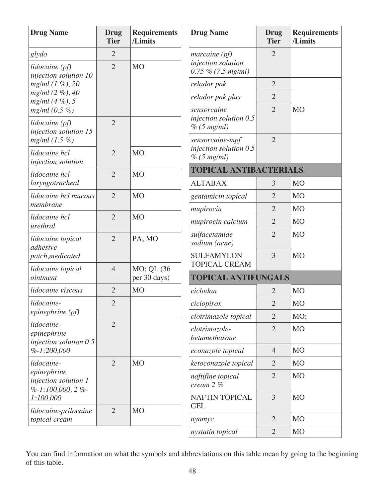| <b>Drug Name</b>                                             | <b>Drug</b><br><b>Tier</b> | <b>Requirements</b><br>/Limits | <b>Drug Name</b>                                           | Drug<br><b>Tier</b> | <b>Requirements</b><br>/Limits |
|--------------------------------------------------------------|----------------------------|--------------------------------|------------------------------------------------------------|---------------------|--------------------------------|
| glydo                                                        | $\overline{2}$             |                                | $marcaine$ (pf)                                            | $\overline{2}$      |                                |
| lidocaine (pf)<br>injection solution 10                      | $\overline{2}$             | M <sub>O</sub>                 | injection solution<br>$0.75\%$ (7.5 mg/ml)                 |                     |                                |
| $mg/ml (1\%), 20$                                            |                            |                                | relador pak                                                | $\overline{2}$      |                                |
| $mg/ml$ (2 %), 40<br>$mg/ml$ (4 %), 5                        |                            |                                | relador pak plus                                           | $\overline{2}$      |                                |
| $mg/ml (0.5\%)$                                              |                            |                                | sensorcaine                                                | $\overline{2}$      | <b>MO</b>                      |
| lidocaine (pf)<br>injection solution 15                      | $\overline{2}$             |                                | injection solution $0.5$<br>% (5 mg/ml)                    |                     |                                |
| $mg/ml$ (1.5 %)<br>lidocaine hcl                             | $\overline{2}$             | M <sub>O</sub>                 | sensorcaine-mpf<br>injection solution $0.5$<br>% (5 mg/ml) | $\overline{2}$      |                                |
| injection solution<br>lidocaine hcl                          | $\overline{2}$             | <b>MO</b>                      | <b>TOPICAL ANTIBACTERIALS</b>                              |                     |                                |
| laryngotracheal                                              |                            |                                | <b>ALTABAX</b>                                             | 3                   | <b>MO</b>                      |
| lidocaine hcl mucous                                         | $\overline{2}$             | <b>MO</b>                      | gentamicin topical                                         | $\overline{2}$      | M <sub>O</sub>                 |
| membrane                                                     |                            |                                | mupirocin                                                  | $\overline{2}$      | <b>MO</b>                      |
| lidocaine hcl<br>urethral                                    | $\overline{2}$             | M <sub>O</sub>                 | mupirocin calcium                                          | $\overline{2}$      | M <sub>O</sub>                 |
| lidocaine topical<br>adhesive                                | $\overline{2}$             | PA; MO                         | sulfacetamide<br>sodium (acne)                             | $\overline{2}$      | M <sub>O</sub>                 |
| patch, medicated                                             |                            |                                | <b>SULFAMYLON</b>                                          | $\overline{3}$      | <b>MO</b>                      |
| lidocaine topical<br>ointment                                | $\overline{4}$             | MO; QL (36<br>per 30 days)     | <b>TOPICAL CREAM</b><br><b>TOPICAL ANTIFUNGALS</b>         |                     |                                |
| lidocaine viscous                                            | $\overline{2}$             | <b>MO</b>                      | ciclodan                                                   | $\overline{2}$      | M <sub>O</sub>                 |
| lidocaine-                                                   | $\overline{2}$             |                                | ciclopirox                                                 | $\overline{2}$      | <b>MO</b>                      |
| epinephrine (pf)                                             |                            |                                | clotrimazole topical                                       | $\overline{2}$      | MO;                            |
| lidocaine-<br>epinephrine<br>injection solution $0.5$        | $\overline{2}$             |                                | clotrimazole-<br>betamethasone                             | $\overline{2}$      | M <sub>O</sub>                 |
| $%-1:200,000$                                                |                            |                                | econazole topical                                          | $\overline{4}$      | M <sub>O</sub>                 |
| lidocaine-                                                   | $\overline{2}$             | M <sub>O</sub>                 | ketoconazole topical                                       | $\overline{2}$      | M <sub>O</sub>                 |
| epinephrine<br>injection solution 1<br>$\% -1:100,000,2\% -$ |                            |                                | naftifine topical<br>cream $2\%$                           | $\overline{2}$      | M <sub>O</sub>                 |
| 1:100,000                                                    | $\overline{2}$             | <b>MO</b>                      | <b>NAFTIN TOPICAL</b><br><b>GEL</b>                        | 3                   | M <sub>O</sub>                 |
| lidocaine-prilocaine<br>topical cream                        |                            |                                | nyamyc                                                     | $\overline{2}$      | M <sub>O</sub>                 |
|                                                              |                            |                                | nystatin topical                                           | $\overline{2}$      | <b>MO</b>                      |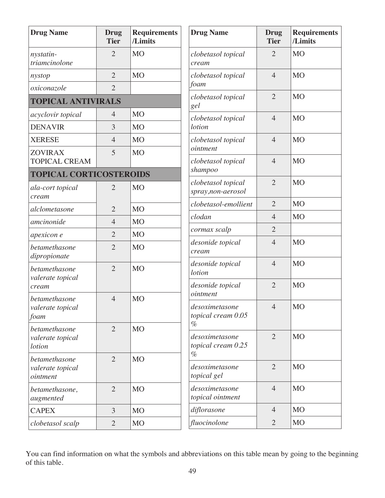| <b>Drug Name</b>                                   | Drug<br><b>Tier</b> | <b>Requirements</b><br>/Limits | <b>Drug Name</b>                        | <b>Drug</b><br><b>Tier</b> | <b>Requirements</b><br>/Limits |
|----------------------------------------------------|---------------------|--------------------------------|-----------------------------------------|----------------------------|--------------------------------|
| nystatin-<br>triamcinolone                         | $\overline{2}$      | M <sub>O</sub>                 | clobetasol topical<br>cream             | $\overline{2}$             | <b>MO</b>                      |
| nystop                                             | $\overline{2}$      | M <sub>O</sub>                 | clobetasol topical                      | $\overline{4}$             | M <sub>O</sub>                 |
| oxiconazole                                        | $\overline{2}$      |                                | foam                                    |                            |                                |
| <b>TOPICAL ANTIVIRALS</b>                          |                     |                                | clobetasol topical<br>gel               | $\overline{2}$             | <b>MO</b>                      |
| acyclovir topical                                  | 4                   | M <sub>O</sub>                 | clobetasol topical                      | $\overline{4}$             | <b>MO</b>                      |
| <b>DENAVIR</b>                                     | 3                   | <b>MO</b>                      | <i>lotion</i>                           |                            |                                |
| <b>XERESE</b>                                      | $\overline{4}$      | M <sub>O</sub>                 | clobetasol topical                      | $\overline{4}$             | <b>MO</b>                      |
| <b>ZOVIRAX</b>                                     | 5                   | <b>MO</b>                      | ointment                                |                            |                                |
| <b>TOPICAL CREAM</b>                               |                     |                                | clobetasol topical<br>shampoo           | $\overline{4}$             | <b>MO</b>                      |
| <b>TOPICAL CORTICOSTEROIDS</b><br>ala-cort topical | $\overline{2}$      | M <sub>O</sub>                 | clobetasol topical<br>spray,non-aerosol | $\overline{2}$             | <b>MO</b>                      |
| cream                                              |                     |                                | clobetasol-emollient                    | $\overline{2}$             | M <sub>O</sub>                 |
| alclometasone                                      | $\overline{2}$      | M <sub>O</sub>                 | clodan                                  | $\overline{4}$             | <b>MO</b>                      |
| amcinonide                                         | $\overline{4}$      | M <sub>O</sub>                 | cormax scalp                            | $\overline{2}$             |                                |
| apexicon e                                         | $\overline{2}$      | M <sub>O</sub>                 | desonide topical                        | $\overline{4}$             | <b>MO</b>                      |
| betamethasone<br>dipropionate                      | $\overline{2}$      | <b>MO</b>                      | cream                                   |                            |                                |
| betamethasone<br>valerate topical                  | $\overline{2}$      | <b>MO</b>                      | desonide topical<br><i>lotion</i>       | $\overline{4}$             | <b>MO</b>                      |
| cream                                              |                     |                                | desonide topical                        | $\overline{2}$             | <b>MO</b>                      |
| betamethasone                                      | $\overline{4}$      | M <sub>O</sub>                 | ointment                                |                            |                                |
| valerate topical<br>foam                           |                     |                                | desoximetasone<br>topical cream 0.05    | $\overline{4}$             | <b>MO</b>                      |
| betamethasone                                      | $\overline{2}$      | M <sub>O</sub>                 | $\%$                                    |                            |                                |
| valerate topical<br><i>lotion</i>                  |                     |                                | desoximetasone<br>topical cream 0.25    | $\overline{2}$             | M <sub>O</sub>                 |
| betamethasone                                      | $\overline{2}$      | M <sub>O</sub>                 | $\%$                                    |                            |                                |
| valerate topical<br>ointment                       |                     |                                | desoximetasone<br>topical gel           | $\overline{2}$             | M <sub>O</sub>                 |
| betamethasone,<br>augmented                        | $\overline{2}$      | M <sub>O</sub>                 | desoximetasone<br>topical ointment      | $\overline{4}$             | <b>MO</b>                      |
| <b>CAPEX</b>                                       | 3                   | M <sub>O</sub>                 | diflorasone                             | $\overline{4}$             | <b>MO</b>                      |
| clobetasol scalp                                   | $\overline{2}$      | M <sub>O</sub>                 | fluocinolone                            | $\overline{2}$             | <b>MO</b>                      |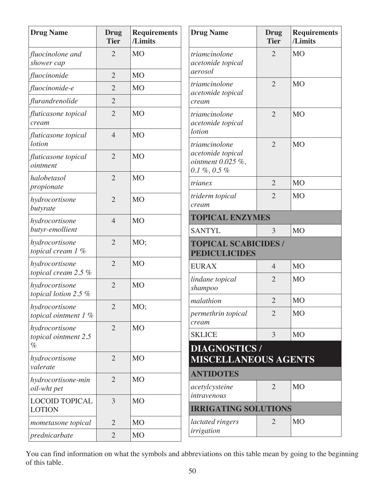| <b>Drug Name</b>                       | Drug<br><b>Tier</b> | <b>Requirements</b><br>/Limits | <b>Drug Name</b>                                               | Drug<br><b>Tier</b> | <b>Requirements</b><br>/Limits |
|----------------------------------------|---------------------|--------------------------------|----------------------------------------------------------------|---------------------|--------------------------------|
| fluocinolone and<br>shower cap         | $\overline{2}$      | <b>MO</b>                      | triamcinolone<br>acetonide topical                             | $\overline{2}$      | M <sub>O</sub>                 |
| fluocinonide                           | $\overline{2}$      | <b>MO</b>                      | aerosol                                                        |                     |                                |
| fluocinonide-e                         | $\overline{2}$      | <b>MO</b>                      | triamcinolone<br>acetonide topical                             | $\overline{2}$      | <b>MO</b>                      |
| flurandrenolide                        | $\overline{2}$      |                                | cream                                                          |                     |                                |
| fluticasone topical<br>cream           | $\overline{2}$      | <b>MO</b>                      | triamcinolone<br>acetonide topical                             | $\overline{2}$      | <b>MO</b>                      |
| fluticasone topical<br><i>lotion</i>   | $\overline{4}$      | <b>MO</b>                      | <i>lotion</i><br>triamcinolone                                 | $\overline{2}$      | <b>MO</b>                      |
| fluticasone topical<br>ointment        | $\overline{2}$      | <b>MO</b>                      | acetonide topical<br>ointment $0.025\%$ ,<br>$0.1~\%,\,0.5~\%$ |                     |                                |
| halobetasol<br>propionate              | $\overline{2}$      | <b>MO</b>                      | trianex                                                        | $\overline{2}$      | M <sub>O</sub>                 |
| hydrocortisone<br>butyrate             | $\overline{2}$      | <b>MO</b>                      | triderm topical<br>cream                                       | $\overline{2}$      | M <sub>O</sub>                 |
| hydrocortisone<br>butyr-emollient      | $\overline{4}$      | <b>MO</b>                      | <b>TOPICAL ENZYMES</b><br><b>SANTYL</b>                        | 3                   | <b>MO</b>                      |
| hydrocortisone<br>topical cream 1 %    | $\overline{2}$      | MO;                            | <b>TOPICAL SCABICIDES /</b><br><b>PEDICULICIDES</b>            |                     |                                |
| hydrocortisone<br>topical cream 2.5 %  | $\overline{2}$      | <b>MO</b>                      | <b>EURAX</b>                                                   | $\overline{4}$      | <b>MO</b>                      |
| hydrocortisone<br>topical lotion 2.5 % | $\overline{2}$      | <b>MO</b>                      | lindane topical<br>shampoo                                     | $\overline{2}$      | <b>MO</b>                      |
| hydrocortisone                         | $\overline{2}$      | MO;                            | malathion                                                      | $\overline{2}$      | M <sub>O</sub>                 |
| topical ointment $1\%$                 |                     |                                | permethrin topical<br>cream                                    | $\overline{2}$      | <b>MO</b>                      |
| hydrocortisone<br>topical ointment 2.5 | $\overline{2}$      | <b>MO</b>                      | <b>SKLICE</b>                                                  | 3                   | M <sub>O</sub>                 |
| $\%$<br>hydrocortisone<br>valerate     | $\overline{2}$      | <b>MO</b>                      | <b>DIAGNOSTICS/</b><br><b>MISCELLANEOUS AGENTS</b>             |                     |                                |
| hydrocortisone-min                     | $\overline{2}$      | <b>MO</b>                      | <b>ANTIDOTES</b>                                               |                     |                                |
| oil-wht pet                            |                     |                                | acetylcysteine                                                 | $\overline{2}$      | M <sub>O</sub>                 |
| <b>LOCOID TOPICAL</b><br><b>LOTION</b> | 3                   | <b>MO</b>                      | intravenous<br><b>IRRIGATING SOLUTIONS</b>                     |                     |                                |
| mometasone topical                     | $\overline{2}$      | <b>MO</b>                      | lactated ringers                                               | $\overline{2}$      | M <sub>O</sub>                 |
| prednicarbate                          | $\overline{2}$      | <b>MO</b>                      | irrigation                                                     |                     |                                |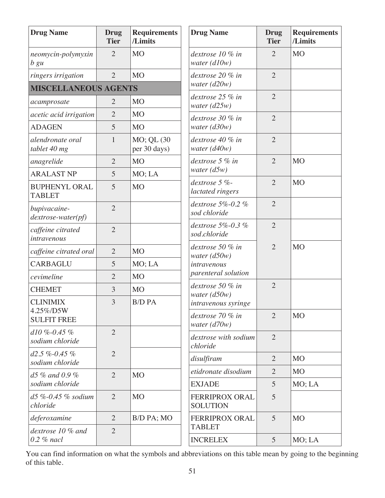| <b>Drug Name</b>                      | <b>Drug</b><br><b>Tier</b> | <b>Requirements</b><br>/Limits | <b>Drug Name</b>                         | <b>Drug</b><br><b>Tier</b> | <b>Requirements</b><br>/Limits |
|---------------------------------------|----------------------------|--------------------------------|------------------------------------------|----------------------------|--------------------------------|
| neomycin-polymyxin<br>b gu            | $\overline{2}$             | M <sub>O</sub>                 | dextrose 10 % in<br>water $(d10w)$       | $\overline{2}$             | <b>MO</b>                      |
| ringers irrigation                    | $\overline{2}$             | M <sub>O</sub>                 | dextrose 20 % in                         | $\overline{2}$             |                                |
| <b>MISCELLANEOUS AGENTS</b>           |                            |                                | water $(d20w)$                           |                            |                                |
| acamprosate                           | $\overline{2}$             | M <sub>O</sub>                 | dextrose 25 % in<br>water $(d25w)$       | $\overline{2}$             |                                |
| acetic acid irrigation                | $\overline{2}$             | <b>MO</b>                      | dextrose 30 % in                         | $\overline{2}$             |                                |
| <b>ADAGEN</b>                         | 5                          | M <sub>O</sub>                 | water $(d30w)$                           |                            |                                |
| alendronate oral<br>tablet 40 mg      | $\mathbf{1}$               | MO; QL (30<br>per 30 days)     | dextrose 40 % in<br>water $(d40w)$       | $\overline{2}$             |                                |
| anagrelide                            | $\overline{2}$             | M <sub>O</sub>                 | dextrose 5 % in                          | $\overline{2}$             | <b>MO</b>                      |
| <b>ARALAST NP</b>                     | 5                          | MO; LA                         | water $(d5w)$                            |                            |                                |
| <b>BUPHENYL ORAL</b><br><b>TABLET</b> | 5                          | <b>MO</b>                      | dextrose 5 %-<br>lactated ringers        | $\overline{2}$             | <b>MO</b>                      |
| bupivacaine-<br>dextrose-water(pf)    | $\overline{2}$             |                                | dextrose $5\% - 0.2\%$<br>sod chloride   | $\overline{2}$             |                                |
| caffeine citrated<br>intravenous      | $\overline{2}$             |                                | dextrose $5\% - 0.3\%$<br>sod.chloride   | $\overline{2}$             |                                |
| caffeine citrated oral                | $\overline{2}$             | M <sub>O</sub>                 | dextrose 50 % in<br>water $(d50w)$       | $\overline{2}$             | M <sub>O</sub>                 |
| <b>CARBAGLU</b>                       | 5                          | MO; LA                         | intravenous                              |                            |                                |
| cevimeline                            | $\overline{2}$             | <b>MO</b>                      | parenteral solution                      |                            |                                |
| <b>CHEMET</b>                         | 3                          | M <sub>O</sub>                 | dextrose 50 % in<br>water $(d50w)$       | $\overline{2}$             |                                |
| <b>CLINIMIX</b>                       | 3                          | <b>B/D PA</b>                  | intravenous syringe                      |                            |                                |
| 4.25%/D5W<br><b>SULFIT FREE</b>       |                            |                                | dextrose 70 % in<br>water $(d70w)$       | $\overline{2}$             | <b>MO</b>                      |
| $d10\% - 0.45\%$<br>sodium chloride   | $\overline{2}$             |                                | dextrose with sodium<br>chloride         | $\overline{2}$             |                                |
| $d2.5\% -0.45\%$<br>sodium chloride   | $\overline{2}$             |                                | disulfiram                               | $\overline{2}$             | M <sub>O</sub>                 |
| $d5\%$ and 0.9%                       | $\overline{2}$             | M <sub>O</sub>                 | etidronate disodium                      | $\overline{2}$             | M <sub>O</sub>                 |
| sodium chloride                       |                            |                                | <b>EXJADE</b>                            | 5                          | MO; LA                         |
| $d5\% -0.45\%$ sodium<br>chloride     | $\overline{2}$             | M <sub>O</sub>                 | <b>FERRIPROX ORAL</b><br><b>SOLUTION</b> | 5                          |                                |
| deferoxamine                          | $\overline{2}$             | B/D PA; MO                     | <b>FERRIPROX ORAL</b>                    | 5                          | M <sub>O</sub>                 |
| dextrose 10 % and<br>$0.2$ % nacl     | $\overline{2}$             |                                | <b>TABLET</b><br><b>INCRELEX</b>         | 5                          | MO; LA                         |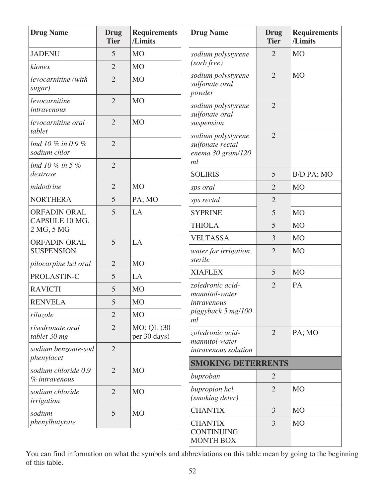| <b>Drug Name</b>                  | <b>Drug</b><br><b>Tier</b> | <b>Requirements</b><br>/Limits | <b>Drug Name</b>                                            | <b>Drug</b><br><b>Tier</b> | <b>Requirements</b><br>/Limits |
|-----------------------------------|----------------------------|--------------------------------|-------------------------------------------------------------|----------------------------|--------------------------------|
| <b>JADENU</b>                     | 5                          | M <sub>O</sub>                 | sodium polystyrene                                          | $\overline{2}$             | M <sub>O</sub>                 |
| kionex                            | $\overline{2}$             | <b>MO</b>                      | (sorb free)                                                 |                            |                                |
| levocarnitine (with<br>sugar)     | $\overline{2}$             | <b>MO</b>                      | sodium polystyrene<br>sulfonate oral<br>powder              | $\overline{2}$             | <b>MO</b>                      |
| levocarnitine<br>intravenous      | $\overline{2}$             | <b>MO</b>                      | sodium polystyrene<br>sulfonate oral                        | $\overline{2}$             |                                |
| levocarnitine oral<br>tablet      | $\overline{2}$             | <b>MO</b>                      | suspension                                                  | $\overline{2}$             |                                |
| lmd 10 % in 0.9 %<br>sodium chlor | $\overline{2}$             |                                | sodium polystyrene<br>sulfonate rectal<br>enema 30 gram/120 |                            |                                |
| lmd 10 % in 5 %                   | $\overline{2}$             |                                | ml                                                          |                            |                                |
| dextrose                          |                            |                                | <b>SOLIRIS</b>                                              | 5                          | B/D PA; MO                     |
| midodrine                         | $\overline{2}$             | <b>MO</b>                      | sps oral                                                    | $\overline{2}$             | <b>MO</b>                      |
| <b>NORTHERA</b>                   | 5                          | PA; MO                         | sps rectal                                                  | $\overline{2}$             |                                |
| <b>ORFADIN ORAL</b>               | 5                          | LA                             | <b>SYPRINE</b>                                              | 5                          | <b>MO</b>                      |
| CAPSULE 10 MG,<br>2 MG, 5 MG      |                            |                                | <b>THIOLA</b>                                               | 5                          | M <sub>O</sub>                 |
| <b>ORFADIN ORAL</b>               | 5                          | LA                             | <b>VELTASSA</b>                                             | 3                          | M <sub>O</sub>                 |
| <b>SUSPENSION</b>                 |                            |                                | water for irrigation,                                       | $\overline{2}$             | <b>MO</b>                      |
| pilocarpine hcl oral              | $\overline{2}$             | <b>MO</b>                      | sterile                                                     |                            |                                |
| PROLASTIN-C                       | 5                          | LA                             | <b>XIAFLEX</b>                                              | 5                          | M <sub>O</sub>                 |
| <b>RAVICTI</b>                    | 5                          | <b>MO</b>                      | zoledronic acid-<br>mannitol-water                          | $\overline{2}$             | PA                             |
| <b>RENVELA</b>                    | 5                          | <b>MO</b>                      | intravenous                                                 |                            |                                |
| riluzole                          | $\overline{2}$             | <b>MO</b>                      | piggyback 5 mg/100<br>ml                                    |                            |                                |
| risedronate oral<br>tablet 30 mg  | $\overline{2}$             | MO; QL (30)<br>per 30 days)    | zoledronic acid-<br>mannitol-water                          | $\overline{2}$             | PA; MO                         |
| sodium benzoate-sod<br>phenylacet | $\overline{2}$             |                                | intravenous solution                                        |                            |                                |
| sodium chloride 0.9               | $\overline{2}$             | <b>MO</b>                      | <b>SMOKING DETERRENTS</b>                                   |                            |                                |
| % intravenous                     |                            |                                | buproban                                                    | $\overline{2}$             |                                |
| sodium chloride<br>irrigation     | $\overline{2}$             | M <sub>O</sub>                 | bupropion hcl<br>(smoking deter)                            | $\overline{2}$             | M <sub>O</sub>                 |
| sodium                            | 5                          | <b>MO</b>                      | <b>CHANTIX</b>                                              | 3                          | <b>MO</b>                      |
| phenylbutyrate                    |                            |                                | <b>CHANTIX</b><br><b>CONTINUING</b><br><b>MONTH BOX</b>     | 3                          | M <sub>O</sub>                 |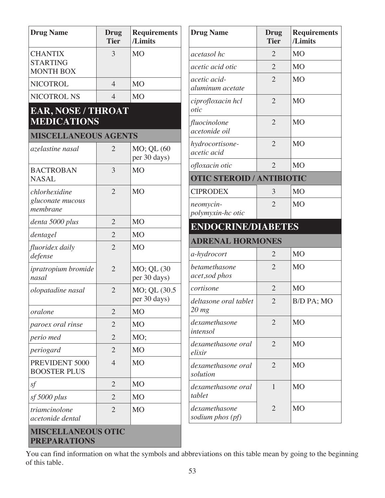| <b>Drug Name</b>                                      | Drug<br><b>Tier</b> | <b>Requirements</b><br>/Limits   |  |  |  |  |  |
|-------------------------------------------------------|---------------------|----------------------------------|--|--|--|--|--|
| <b>CHANTIX</b><br><b>STARTING</b><br><b>MONTH BOX</b> | 3                   | <b>MO</b>                        |  |  |  |  |  |
| <b>NICOTROL</b>                                       | 4                   | M <sub>O</sub>                   |  |  |  |  |  |
| <b>NICOTROL NS</b>                                    | $\overline{4}$      | M <sub>O</sub>                   |  |  |  |  |  |
| <b>EAR, NOSE / THROAT</b><br><b>MEDICATIONS</b>       |                     |                                  |  |  |  |  |  |
| <b>MISCELLANEOUS AGENTS</b>                           |                     |                                  |  |  |  |  |  |
| azelastine nasal                                      | 2                   | MO; QL (60<br>per 30 days)       |  |  |  |  |  |
| <b>BACTROBAN</b><br><b>NASAL</b>                      | 3                   | M <sub>O</sub>                   |  |  |  |  |  |
| chlorhexidine<br>gluconate mucous<br>membrane         | $\overline{2}$      | M <sub>O</sub>                   |  |  |  |  |  |
| denta 5000 plus                                       | $\overline{2}$      | M <sub>O</sub>                   |  |  |  |  |  |
| dentagel                                              | $\overline{2}$      | M <sub>O</sub>                   |  |  |  |  |  |
| <i>fluoridex daily</i><br>defense                     | $\overline{2}$      | MO                               |  |  |  |  |  |
| ipratropium bromide<br>nasal                          | $\overline{2}$      | $MO$ ; QL $(30)$<br>per 30 days) |  |  |  |  |  |
| olopatadine nasal                                     | $\overline{2}$      | MO; QL (30.5)<br>per 30 days)    |  |  |  |  |  |
| oralone                                               | $\overline{2}$      | <b>MO</b>                        |  |  |  |  |  |
| paroex oral rinse                                     | $\overline{2}$      | M <sub>O</sub>                   |  |  |  |  |  |
| perio med                                             | $\overline{2}$      | MO;                              |  |  |  |  |  |
| periogard                                             | $\overline{2}$      | M <sub>O</sub>                   |  |  |  |  |  |
| PREVIDENT 5000<br><b>BOOSTER PLUS</b>                 | $\overline{4}$      | M <sub>O</sub>                   |  |  |  |  |  |
| sf                                                    | $\overline{2}$      | <b>MO</b>                        |  |  |  |  |  |
| sf 5000 plus                                          | $\overline{2}$      | M <sub>O</sub>                   |  |  |  |  |  |
| triamcinolone<br>acetonide dental                     | $\overline{2}$      | M <sub>O</sub>                   |  |  |  |  |  |

| <b>Drug Name</b>                  | <b>Drug</b><br><b>Tier</b> | <b>Requirements</b><br>/Limits |
|-----------------------------------|----------------------------|--------------------------------|
| acetasol hc                       | $\overline{2}$             | M <sub>O</sub>                 |
| acetic acid otic                  | $\overline{2}$             | M <sub>O</sub>                 |
| acetic acid-<br>aluminum acetate  | $\overline{2}$             | M <sub>O</sub>                 |
| ciprofloxacin hcl<br>otic         | $\overline{2}$             | <b>MO</b>                      |
| fluocinolone<br>acetonide oil     | $\overline{2}$             | M <sub>O</sub>                 |
| hydrocortisone-<br>acetic acid    | $\overline{2}$             | M <sub>O</sub>                 |
| <i>ofloxacin otic</i>             | $\overline{2}$             | M <sub>O</sub>                 |
| <b>OTIC STEROID / ANTIBIOTIC</b>  |                            |                                |
| <b>CIPRODEX</b>                   | 3                          | <b>MO</b>                      |
| neomycin-<br>polymyxin-hc otic    | $\overline{2}$             | M <sub>O</sub>                 |
| <b>ENDOCRINE/DIABETES</b>         |                            |                                |
| <b>ADRENAL HORMONES</b>           |                            |                                |
| a-hydrocort                       | $\overline{2}$             | <b>MO</b>                      |
| betamethasone<br>acet, sod phos   | $\overline{2}$             | <b>MO</b>                      |
| cortisone                         | $\overline{2}$             | M <sub>O</sub>                 |
| deltasone oral tablet<br>$20$ mg  | 2                          | B/D PA; MO                     |
| dexamethasone<br>intensol         | $\overline{2}$             | M <sub>O</sub>                 |
| dexamethasone oral<br>elixir      | $\overline{2}$             | M <sub>O</sub>                 |
| dexamethasone oral<br>solution    | $\overline{2}$             | M <sub>O</sub>                 |
| dexamethasone oral<br>tablet      | 1                          | M <sub>O</sub>                 |
| dexamethasone<br>sodium phos (pf) | 2                          | M <sub>O</sub>                 |

## 60B**MISCELLANEOUS OTIC PREPARATIONS**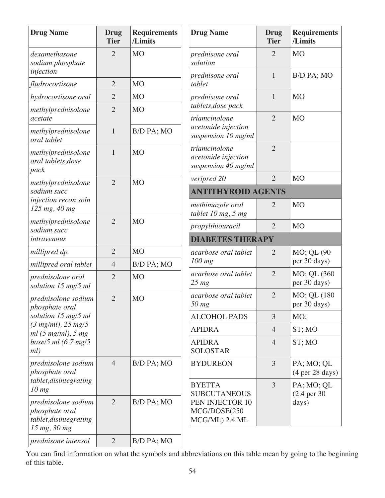| <b>Drug Name</b>                                                                | <b>Drug</b><br><b>Tier</b> | <b>Requirements</b><br>/Limits | <b>Drug Name</b>                                            | <b>Drug</b><br><b>Tier</b> | <b>Requirements</b><br>/Limits                       |
|---------------------------------------------------------------------------------|----------------------------|--------------------------------|-------------------------------------------------------------|----------------------------|------------------------------------------------------|
| dexamethasone<br>sodium phosphate                                               | $\overline{2}$             | M <sub>O</sub>                 | prednisone oral<br>solution                                 | $\overline{2}$             | <b>MO</b>                                            |
| injection<br>fludrocortisone                                                    | $\overline{2}$             | M <sub>O</sub>                 | prednisone oral<br>tablet                                   | $\mathbf{1}$               | B/D PA; MO                                           |
| hydrocortisone oral                                                             | $\overline{2}$             | M <sub>O</sub>                 | prednisone oral                                             | $\mathbf{1}$               | <b>MO</b>                                            |
| methylprednisolone                                                              | $\overline{2}$             | <b>MO</b>                      | tablets, dose pack                                          |                            |                                                      |
| acetate                                                                         |                            |                                | triamcinolone                                               | $\overline{2}$             | <b>MO</b>                                            |
| methylprednisolone<br>oral tablet                                               | $\mathbf{1}$               | B/D PA; MO                     | acetonide injection<br>suspension 10 mg/ml                  |                            |                                                      |
| methylprednisolone<br>oral tablets, dose<br>pack                                | $\mathbf{1}$               | M <sub>O</sub>                 | triamcinolone<br>acetonide injection<br>suspension 40 mg/ml | $\overline{2}$             |                                                      |
| methylprednisolone                                                              | $\overline{2}$             | <b>MO</b>                      | veripred 20                                                 | $\overline{2}$             | <b>MO</b>                                            |
| sodium succ                                                                     |                            |                                | <b>ANTITHYROID AGENTS</b>                                   |                            |                                                      |
| injection recon soln<br>125 mg, 40 mg                                           |                            |                                | methimazole oral<br>tablet 10 mg, 5 mg                      | $\overline{2}$             | <b>MO</b>                                            |
| methylprednisolone<br>sodium succ                                               | $\overline{2}$             | <b>MO</b>                      | propylthiouracil                                            | $\overline{2}$             | <b>MO</b>                                            |
| intravenous                                                                     |                            |                                | <b>DIABETES THERAPY</b>                                     |                            |                                                      |
| millipred dp                                                                    | $\overline{2}$             | M <sub>O</sub>                 | acarbose oral tablet                                        | $\overline{2}$             | MO; QL (90                                           |
| millipred oral tablet                                                           | 4                          | B/D PA; MO                     | 100 mg                                                      |                            | per 30 days)                                         |
| prednisolone oral<br>solution 15 mg/5 ml                                        | $\overline{2}$             | <b>MO</b>                      | acarbose oral tablet<br>$25 \, mg$                          | $\overline{2}$             | MO; QL (360<br>per 30 days)                          |
| prednisolone sodium<br>phosphate oral                                           | $\overline{2}$             | M <sub>O</sub>                 | acarbose oral tablet<br>$50$ mg                             | $\overline{2}$             | MO; QL (180<br>per 30 days)                          |
| solution 15 mg/5 ml                                                             |                            |                                | <b>ALCOHOL PADS</b>                                         | 3                          | MO;                                                  |
| $(3 mg/ml)$ , 25 mg/5<br>ml(5 mg/ml), 5 mg                                      |                            |                                | <b>APIDRA</b>                                               | $\overline{4}$             | ST; MO                                               |
| base/5 ml $(6.7 \text{ mg}/5)$<br>ml)                                           |                            |                                | <b>APIDRA</b><br><b>SOLOSTAR</b>                            | $\overline{4}$             | ST; MO                                               |
| prednisolone sodium<br>phosphate oral                                           | $\overline{4}$             | B/D PA; MO                     | <b>BYDUREON</b>                                             | 3                          | PA; MO; QL<br>(4 <sub>per</sub> 28 <sub>days</sub> ) |
| tablet, disintegrating<br>10 mg                                                 |                            |                                | <b>BYETTA</b><br><b>SUBCUTANEOUS</b>                        | 3                          | PA; MO; QL<br>$(2.4 \text{ per } 30)$                |
| prednisolone sodium<br>phosphate oral<br>tablet, disintegrating<br>15 mg, 30 mg | $\overline{2}$             | B/D PA; MO                     | PEN INJECTOR 10<br>MCG/DOSE(250<br>MCG/ML) 2.4 ML           |                            | days)                                                |
| prednisone intensol                                                             | $\overline{2}$             | B/D PA; MO                     |                                                             |                            |                                                      |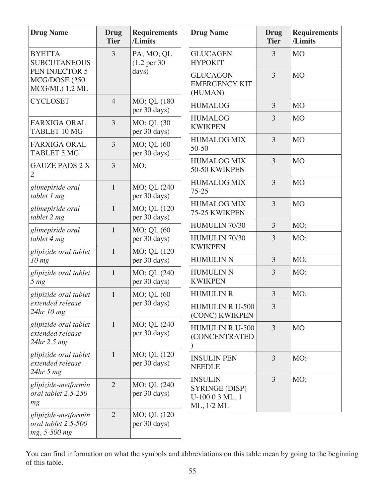| <b>Drug Name</b>                                           | <b>Drug</b><br><b>Tier</b> | <b>Requirements</b><br>/Limits        | <b>Drug Name</b>                                                  | <b>Drug</b><br><b>Tier</b> | <b>Requirements</b><br>/Limits |
|------------------------------------------------------------|----------------------------|---------------------------------------|-------------------------------------------------------------------|----------------------------|--------------------------------|
| <b>BYETTA</b><br><b>SUBCUTANEOUS</b>                       | 3                          | PA; MO; QL<br>$(1.2 \text{ per } 30)$ | <b>GLUCAGEN</b><br><b>HYPOKIT</b>                                 | 3                          | <b>MO</b>                      |
| PEN INJECTOR 5<br>MCG/DOSE (250<br>MCG/ML) 1.2 ML          |                            | days)                                 | <b>GLUCAGON</b><br><b>EMERGENCY KIT</b><br>(HUMAN)                | $\overline{3}$             | <b>MO</b>                      |
| <b>CYCLOSET</b>                                            | $\overline{4}$             | MO; QL (180<br>per 30 days)           | <b>HUMALOG</b>                                                    | $\overline{3}$             | M <sub>O</sub>                 |
| <b>FARXIGA ORAL</b><br><b>TABLET 10 MG</b>                 | $\overline{3}$             | MO; QL (30<br>per 30 days)            | <b>HUMALOG</b><br><b>KWIKPEN</b>                                  | 3                          | <b>MO</b>                      |
| <b>FARXIGA ORAL</b><br><b>TABLET 5 MG</b>                  | $\overline{3}$             | MO; QL (60<br>per 30 days)            | <b>HUMALOG MIX</b><br>$50 - 50$                                   | $\overline{3}$             | <b>MO</b>                      |
| <b>GAUZE PADS 2 X</b><br>$\overline{2}$                    | 3                          | MO;                                   | <b>HUMALOG MIX</b><br>50-50 KWIKPEN                               | 3                          | <b>MO</b>                      |
| glimepiride oral<br>tablet 1 mg                            | $\mathbf{1}$               | MO; QL (240<br>per 30 days)           | <b>HUMALOG MIX</b><br>$75 - 25$                                   | 3                          | <b>MO</b>                      |
| glimepiride oral<br>tablet 2 mg                            | $\mathbf{1}$               | MO; QL (120<br>per 30 days)           | <b>HUMALOG MIX</b><br>75-25 KWIKPEN                               | $\overline{3}$             | M <sub>O</sub>                 |
| glimepiride oral                                           | $\mathbf{1}$               | MO; QL (60                            | HUMULIN 70/30                                                     | $\overline{3}$             | MO;                            |
| tablet 4 mg                                                |                            | per 30 days)                          | HUMULIN 70/30<br><b>KWIKPEN</b>                                   | $\overline{3}$             | MO;                            |
| glipizide oral tablet<br>10 mg                             | $\mathbf{1}$               | MO; QL (120<br>per 30 days)           | <b>HUMULIN N</b>                                                  | 3                          | MO;                            |
| glipizide oral tablet<br>5 <sub>mg</sub>                   | $\mathbf{1}$               | MO; QL (240<br>per 30 days)           | <b>HUMULIN N</b><br><b>KWIKPEN</b>                                | 3                          | MO;                            |
| glipizide oral tablet                                      | $\mathbf{1}$               | MO; QL (60                            | <b>HUMULIN R</b>                                                  | $\overline{3}$             | MO;                            |
| extended release<br>24hr 10 mg                             |                            | per 30 days)                          | <b>HUMULIN R U-500</b><br>(CONC) KWIKPEN                          | 3                          |                                |
| glipizide oral tablet<br>extended release<br>24hr 2.5 mg   | $\mathbf{1}$               | MO; QL (240)<br>per 30 days)          | <b>HUMULIN R U-500</b><br>(CONCENTRATED                           | 3                          | M <sub>O</sub>                 |
| glipizide oral tablet<br>extended release<br>$24hr$ 5 mg   | $\mathbf{1}$               | MO; QL (120)<br>per 30 days)          | <b>INSULIN PEN</b><br><b>NEEDLE</b>                               | 3                          | MO;                            |
| glipizide-metformin<br>oral tablet 2.5-250<br>mg           | $\overline{2}$             | MO; QL (240)<br>per 30 days)          | <b>INSULIN</b><br>SYRINGE (DISP)<br>U-100 0.3 ML, 1<br>ML, 1/2 ML | $\overline{3}$             | MO;                            |
| glipizide-metformin<br>oral tablet 2.5-500<br>mg, 5-500 mg | $\overline{2}$             | MO; QL (120)<br>per 30 days)          |                                                                   |                            |                                |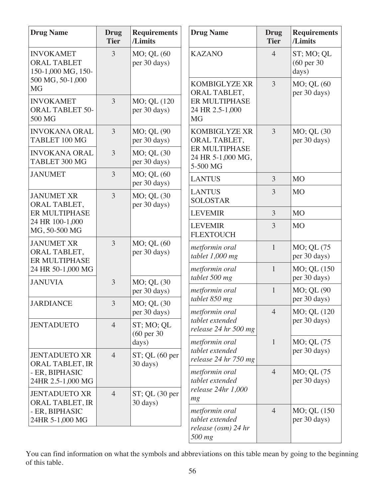| <b>Drug Name</b>                                             | <b>Drug</b><br><b>Tier</b> | <b>Requirements</b><br>/Limits           | <b>Drug Name</b>                               | <b>Drug</b><br><b>Tier</b> | <b>Requirements</b><br>/Limits     |
|--------------------------------------------------------------|----------------------------|------------------------------------------|------------------------------------------------|----------------------------|------------------------------------|
| <b>INVOKAMET</b><br><b>ORAL TABLET</b><br>150-1,000 MG, 150- | 3                          | MO; QL (60<br>per 30 days)               | <b>KAZANO</b>                                  | $\overline{4}$             | ST; MO; QL<br>(60 per 30)<br>days) |
| 500 MG, 50-1,000<br><b>MG</b>                                |                            |                                          | <b>KOMBIGLYZE XR</b><br>ORAL TABLET,           | 3                          | MO; QL (60<br>per 30 days)         |
| <b>INVOKAMET</b><br><b>ORAL TABLET 50-</b><br>500 MG         | $\overline{3}$             | MO; QL (120<br>per 30 days)              | ER MULTIPHASE<br>24 HR 2.5-1,000<br><b>MG</b>  |                            |                                    |
| <b>INVOKANA ORAL</b><br>TABLET 100 MG                        | $\overline{3}$             | MO; QL (90<br>per 30 days)               | KOMBIGLYZE XR<br>ORAL TABLET,                  | $\overline{3}$             | MO; QL (30<br>per 30 days)         |
| <b>INVOKANA ORAL</b><br>TABLET 300 MG                        | 3                          | MO; QL (30<br>per 30 days)               | ER MULTIPHASE<br>24 HR 5-1,000 MG,<br>5-500 MG |                            |                                    |
| <b>JANUMET</b>                                               | 3                          | MO; QL (60<br>per 30 days)               | <b>LANTUS</b>                                  | $\overline{3}$             | <b>MO</b>                          |
| <b>JANUMET XR</b><br>ORAL TABLET,                            | $\overline{3}$             | MO; QL (30<br>per 30 days)               | <b>LANTUS</b><br><b>SOLOSTAR</b>               | 3                          | <b>MO</b>                          |
| ER MULTIPHASE                                                |                            |                                          | <b>LEVEMIR</b>                                 | $\overline{3}$             | <b>MO</b>                          |
| 24 HR 100-1,000<br>MG, 50-500 MG                             |                            |                                          | <b>LEVEMIR</b><br><b>FLEXTOUCH</b>             | 3                          | <b>MO</b>                          |
| <b>JANUMET XR</b><br>ORAL TABLET,<br>ER MULTIPHASE           | $\overline{3}$             | MO; QL (60<br>per 30 days)               | metformin oral<br>tablet $1,000$ mg            | $\mathbf{1}$               | MO; QL (75<br>per 30 days)         |
| 24 HR 50-1,000 MG                                            | 3                          |                                          | metformin oral<br>tablet 500 mg                | $\mathbf{1}$               | MO; QL (150<br>per 30 days)        |
| <b>JANUVIA</b>                                               |                            | MO; QL (30<br>per 30 days)               | metformin oral<br>tablet 850 mg                | $\mathbf{1}$               | MO; QL (90<br>per 30 days)         |
| <b>JARDIANCE</b>                                             | 3                          | MO; QL (30<br>per 30 days)               | metformin oral                                 | $\overline{4}$             | MO; QL (120                        |
| <b>JENTADUETO</b>                                            | $\overline{4}$             | ST; MO; QL<br>$(60 \text{ per } 30)$     | tablet extended<br>release 24 hr 500 mg        |                            | per 30 days)                       |
|                                                              |                            | days)                                    | metformin oral<br>tablet extended              | $\mathbf{1}$               | MO; QL (75)<br>per 30 days)        |
| <b>JENTADUETO XR</b><br>ORAL TABLET, IR                      | $\overline{4}$             | $ST$ ; QL $(60$ per<br>30 days)          | release 24 hr 750 mg                           |                            |                                    |
| - ER, BIPHASIC<br>24HR 2.5-1,000 MG                          |                            |                                          | metformin oral<br>tablet extended              | $\overline{4}$             | MO; QL (75)<br>per 30 days)        |
| <b>JENTADUETO XR</b><br>ORAL TABLET, IR                      | $\overline{4}$             | $ST$ ; QL $(30 \text{ per})$<br>30 days) | release 24hr 1,000<br>mg                       |                            |                                    |
| - ER, BIPHASIC<br>24HR 5-1,000 MG                            |                            |                                          | metformin oral<br>tablet extended              | $\overline{4}$             | MO; QL (150)<br>per 30 days)       |
|                                                              |                            |                                          | release (osm) 24 hr<br>500 mg                  |                            |                                    |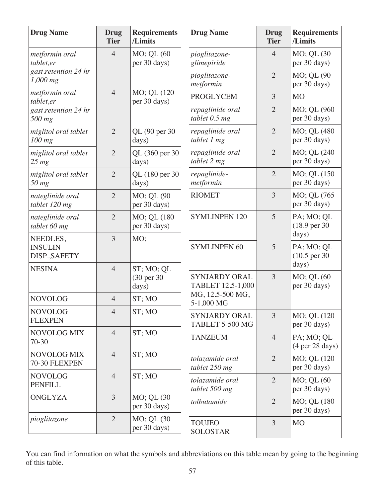| <b>Drug Name</b>                            | <b>Drug</b><br><b>Tier</b> | <b>Requirements</b><br>/Limits    | <b>Drug Name</b>                          | <b>Drug</b><br><b>Tier</b> | <b>Requirements</b><br>/Limits                       |
|---------------------------------------------|----------------------------|-----------------------------------|-------------------------------------------|----------------------------|------------------------------------------------------|
| metformin oral<br>tablet,er                 | $\overline{4}$             | MO; QL (60<br>per 30 days)        | pioglitazone-<br>glimepiride              | $\overline{4}$             | MO; QL (30<br>per 30 days)                           |
| gast.retention 24 hr<br>1,000 mg            |                            |                                   | pioglitazone-<br>metformin                | $\overline{2}$             | MO; QL (90<br>per 30 days)                           |
| metformin oral<br>tablet,er                 | $\overline{4}$             | MO; QL (120<br>per 30 days)       | <b>PROGLYCEM</b>                          | 3                          | <b>MO</b>                                            |
| gast.retention 24 hr<br>500 mg              |                            |                                   | repaglinide oral<br>tablet $0.5$ mg       | $\overline{2}$             | MO; QL (960<br>per 30 days)                          |
| miglitol oral tablet<br>100 mg              | $\overline{2}$             | QL (90 per 30<br>days)            | repaglinide oral<br>tablet 1 mg           | $\overline{2}$             | MO; QL (480<br>per 30 days)                          |
| miglitol oral tablet<br>$25 \, mg$          | $\overline{2}$             | QL (360 per 30<br>days)           | repaglinide oral<br>tablet 2 mg           | $\overline{2}$             | MO; QL (240<br>per 30 days)                          |
| miglitol oral tablet<br>$50$ mg             | $\overline{2}$             | QL (180 per 30<br>days)           | repaglinide-<br>metformin                 | $\overline{2}$             | MO; QL (150<br>per 30 days)                          |
| nateglinide oral<br>tablet 120 mg           | $\overline{2}$             | MO; QL (90<br>per 30 days)        | <b>RIOMET</b>                             | 3                          | MO; QL (765<br>per 30 days)                          |
| nateglinide oral<br>tablet 60 mg            | $\overline{2}$             | MO; QL (180<br>per 30 days)       | <b>SYMLINPEN 120</b>                      | 5                          | PA; MO; QL<br>$(18.9 \text{ per } 30)$               |
| NEEDLES,<br><b>INSULIN</b><br>DISP., SAFETY | 3                          | MO;                               | <b>SYMLINPEN 60</b>                       | 5                          | days)<br>PA; MO; QL<br>$(10.5 \text{ per } 30)$      |
| <b>NESINA</b>                               | $\overline{4}$             | ST; MO; QL<br>(30 per 30<br>days) | <b>SYNJARDY ORAL</b><br>TABLET 12.5-1,000 | $\overline{3}$             | days)<br>MO; QL (60<br>per 30 days)                  |
| <b>NOVOLOG</b>                              | $\overline{4}$             | ST; MO                            | MG, 12.5-500 MG,<br>5-1,000 MG            |                            |                                                      |
| <b>NOVOLOG</b><br><b>FLEXPEN</b>            | $\overline{4}$             | ST; MO                            | <b>SYNJARDY ORAL</b><br>TABLET 5-500 MG   | 3                          | MO; QL (120<br>per 30 days)                          |
| NOVOLOG MIX<br>70-30                        | $\overline{4}$             | ST; MO                            | <b>TANZEUM</b>                            | $\overline{4}$             | PA; MO; QL<br>(4 <sub>per</sub> 28 <sub>days</sub> ) |
| <b>NOVOLOG MIX</b><br>70-30 FLEXPEN         | $\overline{4}$             | ST; MO                            | tolazamide oral<br>tablet 250 mg          | $\overline{2}$             | MO; QL (120<br>per 30 days)                          |
| <b>NOVOLOG</b><br><b>PENFILL</b>            | $\overline{4}$             | ST; MO                            | tolazamide oral<br>tablet 500 mg          | $\overline{2}$             | MO; QL (60<br>per 30 days)                           |
| <b>ONGLYZA</b>                              | 3                          | MO; QL (30<br>per 30 days)        | tolbutamide                               | $\overline{2}$             | MO; QL (180<br>per 30 days)                          |
| pioglitazone                                | $\overline{2}$             | MO; QL (30)<br>per 30 days)       | <b>TOUJEO</b><br><b>SOLOSTAR</b>          | 3                          | <b>MO</b>                                            |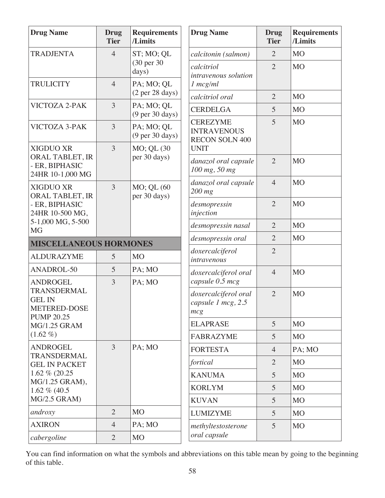| <b>Drug Name</b>                                      | <b>Drug</b><br><b>Tier</b>     | <b>Requirements</b><br>/Limits                       | <b>Drug Name</b>                                  | <b>Drug</b><br><b>Tier</b> | <b>Requirements</b><br>/Limits |
|-------------------------------------------------------|--------------------------------|------------------------------------------------------|---------------------------------------------------|----------------------------|--------------------------------|
| <b>TRADJENTA</b>                                      | $\overline{4}$                 | ST; MO; QL                                           | calcitonin (salmon)                               | $\overline{2}$             | M <sub>O</sub>                 |
|                                                       |                                | (30 per 30)<br>days)                                 | calcitriol<br>intravenous solution                | $\overline{2}$             | <b>MO</b>                      |
| <b>TRULICITY</b>                                      | $\overline{4}$                 | PA; MO; QL<br>(2 <sub>per</sub> 28 <sub>days</sub> ) | $1 \, mcg/ml$<br>calcitriol oral                  | $\overline{2}$             | M <sub>O</sub>                 |
| VICTOZA 2-PAK                                         | 3                              | PA; MO; QL                                           | <b>CERDELGA</b>                                   | 5                          | M <sub>O</sub>                 |
|                                                       |                                | $(9 \text{ per } 30 \text{ days})$                   | <b>CEREZYME</b>                                   | 5                          | <b>MO</b>                      |
| <b>VICTOZA 3-PAK</b>                                  | 3                              | PA; MO; QL<br>$(9 \text{ per } 30 \text{ days})$     | <b>INTRAVENOUS</b><br><b>RECON SOLN 400</b>       |                            |                                |
| <b>XIGDUO XR</b>                                      | 3<br>MO; QL (30<br><b>UNIT</b> |                                                      |                                                   |                            |                                |
| ORAL TABLET, IR<br>- ER, BIPHASIC<br>24HR 10-1,000 MG |                                | per 30 days)                                         | danazol oral capsule<br>100 mg, 50 mg             | $\overline{2}$             | M <sub>O</sub>                 |
| <b>XIGDUO XR</b><br>ORAL TABLET, IR                   | 3                              | MO; QL (60<br>per 30 days)                           | danazol oral capsule<br>$200$ mg                  | $\overline{4}$             | M <sub>O</sub>                 |
| - ER, BIPHASIC<br>24HR 10-500 MG,                     |                                |                                                      | desmopressin<br>injection                         | $\overline{2}$             | MO                             |
| 5-1,000 MG, 5-500<br><b>MG</b>                        |                                |                                                      | desmopressin nasal                                | $\overline{2}$             | M <sub>O</sub>                 |
| <b>MISCELLANEOUS HORMONES</b>                         |                                |                                                      | desmopressin oral                                 | $\overline{2}$             | M <sub>O</sub>                 |
| <b>ALDURAZYME</b>                                     | 5                              | M <sub>O</sub>                                       | doxercalciferol<br>intravenous                    | $\overline{2}$             |                                |
| ANADROL-50                                            | 5                              | PA; MO                                               | doxercalciferol oral                              | $\overline{4}$             | <b>MO</b>                      |
| <b>ANDROGEL</b><br>TRANSDERMAL                        | 3                              | PA; MO                                               | capsule 0.5 mcg                                   |                            |                                |
| <b>GEL IN</b><br>METERED-DOSE<br><b>PUMP 20.25</b>    |                                |                                                      | doxercalciferol oral<br>capsule 1 mcg, 2.5<br>mcg | $\overline{2}$             | M <sub>O</sub>                 |
| <b>MG/1.25 GRAM</b>                                   |                                |                                                      | <b>ELAPRASE</b>                                   | 5                          | M <sub>O</sub>                 |
| $(1.62\% )$                                           |                                |                                                      | <b>FABRAZYME</b>                                  | 5                          | M <sub>O</sub>                 |
| <b>ANDROGEL</b><br>TRANSDERMAL                        | 3                              | PA; MO                                               | <b>FORTESTA</b>                                   | $\overline{4}$             | PA; MO                         |
| <b>GEL IN PACKET</b>                                  |                                |                                                      | fortical                                          | $\overline{2}$             | M <sub>O</sub>                 |
| 1.62 % (20.25<br>MG/1.25 GRAM),                       |                                |                                                      | <b>KANUMA</b>                                     | 5                          | M <sub>O</sub>                 |
| 1.62 $% (40.5)$                                       |                                |                                                      | <b>KORLYM</b>                                     | 5                          | M <sub>O</sub>                 |
| MG/2.5 GRAM)                                          |                                |                                                      | <b>KUVAN</b>                                      | 5                          | M <sub>O</sub>                 |
| androxy                                               | $\overline{2}$                 | M <sub>O</sub>                                       | <b>LUMIZYME</b>                                   | 5                          | M <sub>O</sub>                 |
| <b>AXIRON</b>                                         | $\overline{4}$                 | PA; MO                                               | methyltestosterone                                | 5                          | M <sub>O</sub>                 |
| cabergoline                                           | $\overline{2}$                 | <b>MO</b>                                            | oral capsule                                      |                            |                                |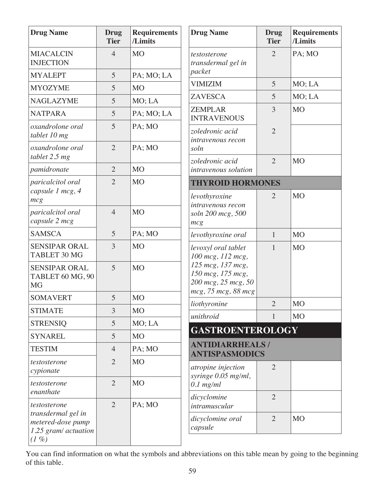| <b>Drug Name</b>                                                                        | Drug<br><b>Tier</b>      | <b>Requirements</b><br>/Limits |
|-----------------------------------------------------------------------------------------|--------------------------|--------------------------------|
| <b>MIACALCIN</b><br><b>INJECTION</b>                                                    | $\overline{\mathcal{L}}$ | <b>MO</b>                      |
| <b>MYALEPT</b>                                                                          | 5                        | PA; MO; LA                     |
| <b>MYOZYME</b>                                                                          | 5                        | <b>MO</b>                      |
| <b>NAGLAZYME</b>                                                                        | 5                        | MO; LA                         |
| <b>NATPARA</b>                                                                          | 5                        | PA; MO; LA                     |
| oxandrolone oral<br>tablet 10 mg                                                        | 5                        | PA; MO                         |
| oxandrolone oral<br>tablet 2.5 mg                                                       | $\overline{2}$           | PA; MO                         |
| pamidronate                                                                             | $\overline{2}$           | M <sub>O</sub>                 |
| paricalcitol oral<br>capsule 1 mcg, 4<br>mcg                                            | $\overline{2}$           | <b>MO</b>                      |
| paricalcitol oral<br>capsule 2 mcg                                                      | $\overline{4}$           | <b>MO</b>                      |
| <b>SAMSCA</b>                                                                           | 5                        | PA; MO                         |
| <b>SENSIPAR ORAL</b><br><b>TABLET 30 MG</b>                                             | 3                        | <b>MO</b>                      |
| <b>SENSIPAR ORAL</b><br>TABLET 60 MG, 90<br><b>MG</b>                                   | 5                        | <b>MO</b>                      |
| <b>SOMAVERT</b>                                                                         | 5                        | <b>MO</b>                      |
| <b>STIMATE</b>                                                                          | 3                        | <b>MO</b>                      |
| <b>STRENSIQ</b>                                                                         | 5                        | MO; LA                         |
| <b>SYNAREL</b>                                                                          | 5                        | M <sub>O</sub>                 |
| <b>TESTIM</b>                                                                           | 4                        | PA; MO                         |
| testosterone<br>cypionate                                                               | $\overline{2}$           | <b>MO</b>                      |
| testosterone<br>enanthate                                                               | $\overline{2}$           | M <sub>O</sub>                 |
| testosterone<br>transdermal gel in<br>metered-dose pump<br>1.25 gram/ actuation<br>(1%) | $\overline{2}$           | PA; MO                         |

| <b>Drug Name</b>                                                                                                                 | Drug<br><b>Tier</b> | <b>Requirements</b><br>/Limits |
|----------------------------------------------------------------------------------------------------------------------------------|---------------------|--------------------------------|
| testosterone<br>transdermal gel in<br>packet                                                                                     | $\overline{2}$      | PA; MO                         |
| <b>VIMIZIM</b>                                                                                                                   | 5                   | MO; LA                         |
| <b>ZAVESCA</b>                                                                                                                   | 5                   | MO; LA                         |
| <b>ZEMPLAR</b><br><b>INTRAVENOUS</b>                                                                                             | 3                   | <b>MO</b>                      |
| zoledronic acid<br><i>intravenous recon</i><br>soln                                                                              | $\overline{2}$      |                                |
| zoledronic acid<br><i>intravenous solution</i>                                                                                   | $\overline{2}$      | <b>MO</b>                      |
| <b>THYROID HORMONES</b>                                                                                                          |                     |                                |
| levothyroxine<br><i>intravenous recon</i><br>soln 200 mcg, 500<br>mcg                                                            | 2                   | <b>MO</b>                      |
| levothyroxine oral                                                                                                               | 1                   | M <sub>O</sub>                 |
| levoxyl oral tablet<br>100 mcg, 112 mcg,<br>125 mcg, 137 mcg,<br>150 mcg, 175 mcg,<br>200 mcg, 25 mcg, 50<br>mcg, 75 mcg, 88 mcg | 1                   | MO                             |
| liothyronine                                                                                                                     | $\overline{c}$      | <b>MO</b>                      |
| unithroid                                                                                                                        | 1                   | <b>MO</b>                      |
| <b>GASTROENTEROLOGY</b>                                                                                                          |                     |                                |
| <b>ANTIDIARRHEALS/</b><br>ANTISPASMODICS                                                                                         |                     |                                |
| atropine injection<br>syringe 0.05 mg/ml,<br>$0.1$ mg/ml                                                                         | $\overline{2}$      |                                |
| dicyclomine<br>intramuscular                                                                                                     | 2                   |                                |
| dicyclomine oral<br>capsule                                                                                                      | $\overline{2}$      | <b>MO</b>                      |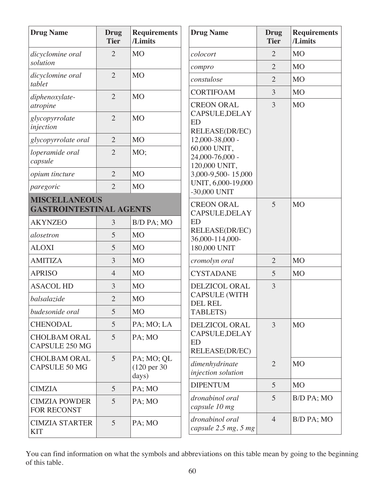| <b>Drug Name</b>                             | <b>Drug</b><br><b>Tier</b> | <b>Requirements</b><br>/Limits                 | <b>Drug Name</b>                                 | <b>Drug</b><br><b>Tier</b> | <b>Requirements</b><br>/Limits |
|----------------------------------------------|----------------------------|------------------------------------------------|--------------------------------------------------|----------------------------|--------------------------------|
| dicyclomine oral                             | $\overline{2}$             | <b>MO</b>                                      | colocort                                         | $\overline{2}$             | <b>MO</b>                      |
| solution                                     |                            |                                                | compro                                           | $\overline{2}$             | <b>MO</b>                      |
| dicyclomine oral<br>tablet                   | $\overline{2}$             | M <sub>O</sub>                                 | constulose                                       | $\overline{2}$             | <b>MO</b>                      |
| diphenoxylate-                               | $\overline{2}$             | <b>MO</b>                                      | <b>CORTIFOAM</b>                                 | 3                          | <b>MO</b>                      |
| atropine                                     |                            |                                                | <b>CREON ORAL</b><br>CAPSULE, DELAY              | $\overline{3}$             | <b>MO</b>                      |
| glycopyrrolate<br>injection                  | $\overline{2}$             | <b>MO</b>                                      | <b>ED</b><br>RELEASE(DR/EC)                      |                            |                                |
| glycopyrrolate oral                          | $\overline{2}$             | M <sub>O</sub>                                 | 12,000-38,000 -                                  |                            |                                |
| loperamide oral<br>capsule                   | $\overline{2}$             | MO;                                            | 60,000 UNIT,<br>24,000-76,000 -<br>120,000 UNIT, |                            |                                |
| opium tincture                               | $\overline{2}$             | M <sub>O</sub>                                 | 3,000-9,500-15,000                               |                            |                                |
| paregoric                                    | $\overline{2}$             | <b>MO</b>                                      | UNIT, 6,000-19,000<br>-30,000 UNIT               |                            |                                |
| <b>MISCELLANEOUS</b>                         |                            |                                                | <b>CREON ORAL</b>                                | 5                          | <b>MO</b>                      |
| <b>GASTROINTESTINAL AGENTS</b>               |                            | CAPSULE, DELAY                                 |                                                  |                            |                                |
| <b>AKYNZEO</b>                               | 3                          | B/D PA; MO                                     | <b>ED</b><br>RELEASE(DR/EC)<br>36,000-114,000-   |                            |                                |
| alosetron                                    | 5                          | M <sub>O</sub>                                 |                                                  |                            |                                |
| <b>ALOXI</b>                                 | 5                          | <b>MO</b>                                      | 180,000 UNIT                                     |                            |                                |
| <b>AMITIZA</b>                               | 3                          | M <sub>O</sub>                                 | cromolyn oral                                    | $\overline{2}$             | <b>MO</b>                      |
| <b>APRISO</b>                                | $\overline{4}$             | <b>MO</b>                                      | <b>CYSTADANE</b>                                 | 5                          | <b>MO</b>                      |
| <b>ASACOL HD</b>                             | 3                          | <b>MO</b>                                      | <b>DELZICOL ORAL</b>                             | $\overline{3}$             |                                |
| balsalazide                                  | $\overline{2}$             | <b>MO</b>                                      | <b>CAPSULE (WITH</b><br><b>DEL REL</b>           |                            |                                |
| budesonide oral                              | 5                          | <b>MO</b>                                      | TABLETS)                                         |                            |                                |
| <b>CHENODAL</b>                              | 5                          | PA; MO; LA                                     | <b>DELZICOL ORAL</b>                             | 3                          | <b>MO</b>                      |
| <b>CHOLBAM ORAL</b><br><b>CAPSULE 250 MG</b> | 5                          | PA; MO                                         | CAPSULE, DELAY<br><b>ED</b><br>RELEASE(DR/EC)    |                            |                                |
| <b>CHOLBAM ORAL</b><br><b>CAPSULE 50 MG</b>  | 5                          | PA; MO; QL<br>$(120 \text{ per } 30)$<br>days) | dimenhydrinate<br>injection solution             | 2                          | <b>MO</b>                      |
| <b>CIMZIA</b>                                | 5                          | PA; MO                                         | <b>DIPENTUM</b>                                  | $\overline{5}$             | <b>MO</b>                      |
| <b>CIMZIA POWDER</b><br><b>FOR RECONST</b>   | 5                          | PA; MO                                         | dronabinol oral<br>capsule 10 mg                 | 5                          | B/D PA; MO                     |
| <b>CIMZIA STARTER</b><br><b>KIT</b>          | 5                          | PA; MO                                         | dronabinol oral<br>capsule 2.5 mg, 5 mg          | $\overline{4}$             | B/D PA; MO                     |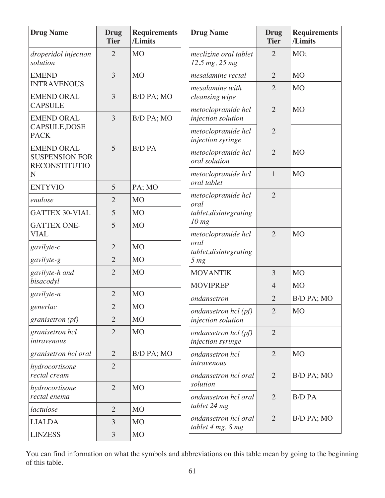| <b>Drug Name</b>                                                   | Drug<br><b>Tier</b> | <b>Requirements</b><br>/Limits | <b>Drug Name</b>                               | <b>Drug</b><br><b>Tier</b> | <b>Requirements</b><br>/Limits |
|--------------------------------------------------------------------|---------------------|--------------------------------|------------------------------------------------|----------------------------|--------------------------------|
| droperidol injection<br>solution                                   | $\overline{2}$      | <b>MO</b>                      | meclizine oral tablet<br>12.5 mg, 25 mg        | 2                          | MO;                            |
| <b>EMEND</b>                                                       | $\overline{3}$      | <b>MO</b>                      | mesalamine rectal                              | $\overline{2}$             | M <sub>O</sub>                 |
| <b>INTRAVENOUS</b>                                                 |                     |                                | mesalamine with                                | $\overline{2}$             | M <sub>O</sub>                 |
| <b>EMEND ORAL</b><br><b>CAPSULE</b>                                | $\overline{3}$      | B/D PA; MO                     | cleansing wipe                                 |                            |                                |
| <b>EMEND ORAL</b>                                                  | 3                   | B/D PA; MO                     | metoclopramide hcl<br>injection solution       | $\overline{2}$             | M <sub>O</sub>                 |
| CAPSULE, DOSE<br><b>PACK</b>                                       |                     |                                | metoclopramide hcl<br>injection syringe        | $\overline{2}$             |                                |
| <b>EMEND ORAL</b><br><b>SUSPENSION FOR</b><br><b>RECONSTITUTIO</b> | 5                   | <b>B/D PA</b>                  | metoclopramide hcl<br>oral solution            | $\overline{2}$             | M <sub>O</sub>                 |
| N                                                                  |                     |                                | metoclopramide hcl                             | $\mathbf{1}$               | M <sub>O</sub>                 |
| <b>ENTYVIO</b>                                                     | 5                   | PA; MO                         | oral tablet                                    | $\overline{2}$             |                                |
| enulose                                                            | $\overline{2}$      | <b>MO</b>                      | metoclopramide hcl<br>oral                     |                            |                                |
| <b>GATTEX 30-VIAL</b>                                              | 5                   | <b>MO</b>                      | tablet, disintegrating                         |                            |                                |
| <b>GATTEX ONE-</b><br><b>VIAL</b>                                  | 5                   | <b>MO</b>                      | 10 <sub>mg</sub><br>metoclopramide hcl<br>oral | $\overline{2}$             | M <sub>O</sub>                 |
| gavilyte-c                                                         | $\overline{2}$      | <b>MO</b>                      |                                                |                            |                                |
| gavilyte-g                                                         | $\overline{2}$      | <b>MO</b>                      | tablet, disintegrating<br>5 <sub>mg</sub>      |                            |                                |
| gavilyte-h and<br>bisacodyl                                        | $\overline{2}$      | <b>MO</b>                      | <b>MOVANTIK</b>                                | 3                          | M <sub>O</sub>                 |
| gavilyte-n                                                         | $\overline{2}$      | <b>MO</b>                      | <b>MOVIPREP</b>                                | $\overline{4}$             | M <sub>O</sub>                 |
|                                                                    | $\overline{2}$      | <b>MO</b>                      | ondansetron                                    | $\overline{2}$             | B/D PA; MO                     |
| generlac<br><i>granisetron</i> ( <i>pf</i> )                       | $\overline{2}$      | M <sub>O</sub>                 | ondansetron hcl (pf)<br>injection solution     | $\overline{2}$             | <b>MO</b>                      |
| granisetron hcl<br>intravenous                                     | $\overline{2}$      | <b>MO</b>                      | ondansetron hcl (pf)<br>injection syringe      | $\overline{2}$             |                                |
| granisetron hcl oral                                               | $\overline{2}$      | B/D PA; MO                     | ondansetron hcl                                | $\overline{2}$             | M <sub>O</sub>                 |
| hydrocortisone<br>rectal cream                                     | $\overline{2}$      |                                | intravenous<br>ondansetron hcl oral            | $\overline{2}$             | B/D PA; MO                     |
| hydrocortisone                                                     | $\overline{2}$      | M <sub>O</sub>                 | solution                                       |                            |                                |
| rectal enema                                                       |                     |                                | ondansetron hcl oral                           | $\overline{2}$             | <b>B/D PA</b>                  |
| lactulose                                                          | $\overline{2}$      | M <sub>O</sub>                 | tablet 24 mg                                   |                            |                                |
| <b>LIALDA</b>                                                      | 3                   | M <sub>O</sub>                 | ondansetron hcl oral<br>tablet 4 mg, 8 mg      | $\overline{2}$             | B/D PA; MO                     |
| <b>LINZESS</b>                                                     | 3                   | <b>MO</b>                      |                                                |                            |                                |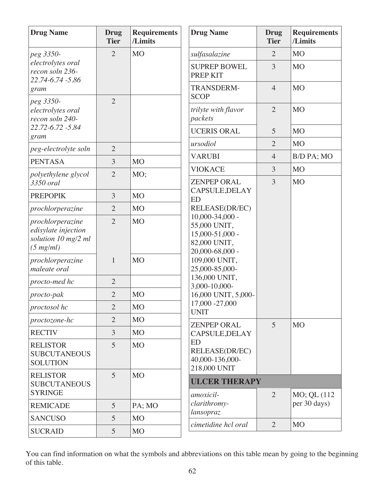| <b>Drug Name</b>                                                                                     | Drug<br><b>Tier</b> | <b>Requirements</b><br>/Limits  | <b>Drug Name</b>                                                                                                                                                                                                                                                         | <b>Drug</b><br><b>Tier</b> | <b>Requirements</b><br>/Limits |
|------------------------------------------------------------------------------------------------------|---------------------|---------------------------------|--------------------------------------------------------------------------------------------------------------------------------------------------------------------------------------------------------------------------------------------------------------------------|----------------------------|--------------------------------|
| $\overline{2}$<br><b>MO</b><br>peg 3350-<br>electrolytes oral<br>recon soln 236-<br>22.74-6.74 -5.86 |                     |                                 | sulfasalazine                                                                                                                                                                                                                                                            | $\overline{2}$             | M <sub>O</sub>                 |
|                                                                                                      |                     | <b>SUPREP BOWEL</b><br>PREP KIT | 3                                                                                                                                                                                                                                                                        | <b>MO</b>                  |                                |
| gram                                                                                                 |                     |                                 | <b>TRANSDERM-</b><br><b>SCOP</b>                                                                                                                                                                                                                                         | $\overline{4}$             | <b>MO</b>                      |
| peg 3350-<br>electrolytes oral<br>recon soln 240-                                                    | $\overline{2}$      |                                 | trilyte with flavor<br>packets                                                                                                                                                                                                                                           | $\overline{2}$             | M <sub>O</sub>                 |
| 22.72-6.72 -5.84<br>gram                                                                             |                     |                                 | <b>UCERIS ORAL</b>                                                                                                                                                                                                                                                       | 5                          | M <sub>O</sub>                 |
| peg-electrolyte soln                                                                                 | $\overline{2}$      |                                 | ursodiol                                                                                                                                                                                                                                                                 | $\overline{2}$             | M <sub>O</sub>                 |
| <b>PENTASA</b>                                                                                       | $\overline{3}$      | <b>MO</b>                       | <b>VARUBI</b>                                                                                                                                                                                                                                                            | $\overline{4}$             | B/D PA; MO                     |
| polyethylene glycol                                                                                  | $\overline{2}$      | MO;                             | <b>VIOKACE</b>                                                                                                                                                                                                                                                           | 3                          | <b>MO</b>                      |
| 3350 oral                                                                                            |                     |                                 | <b>ZENPEP ORAL</b>                                                                                                                                                                                                                                                       | 3                          | M <sub>O</sub>                 |
| <b>PREPOPIK</b>                                                                                      | 3                   | MO                              | CAPSULE, DELAY<br><b>ED</b><br>RELEASE(DR/EC)<br>$10,000 - 34,000 -$<br>55,000 UNIT,<br>15,000-51,000 -<br>82,000 UNIT,<br>20,000-68,000 -<br>109,000 UNIT,<br>25,000-85,000-<br>136,000 UNIT,<br>3,000-10,000-<br>16,000 UNIT, 5,000-<br>17,000 - 27,000<br><b>UNIT</b> |                            |                                |
| prochlorperazine                                                                                     | $\overline{2}$      | <b>MO</b>                       |                                                                                                                                                                                                                                                                          |                            |                                |
| prochlorperazine<br>edisylate injection<br>solution 10 mg/2 ml<br>$(5 \, mg/ml)$                     | $\overline{2}$      | <b>MO</b>                       |                                                                                                                                                                                                                                                                          |                            |                                |
| prochlorperazine<br>maleate oral                                                                     | $\mathbf{1}$        | <b>MO</b>                       |                                                                                                                                                                                                                                                                          |                            |                                |
| procto-med hc                                                                                        | $\overline{2}$      |                                 |                                                                                                                                                                                                                                                                          |                            |                                |
| procto-pak                                                                                           | $\mathbf{2}$        | <b>MO</b>                       |                                                                                                                                                                                                                                                                          |                            |                                |
| proctosol hc                                                                                         | $\overline{2}$      | M <sub>O</sub>                  |                                                                                                                                                                                                                                                                          |                            |                                |
| proctozone-hc                                                                                        | $\overline{2}$      | M <sub>O</sub>                  | <b>ZENPEP ORAL</b><br>CAPSULE, DELAY<br><b>ED</b><br>RELEASE(DR/EC)<br>40,000-136,000-<br>218,000 UNIT                                                                                                                                                                   | 5                          | <b>MO</b>                      |
| <b>RECTIV</b>                                                                                        | $\mathfrak{Z}$      | M <sub>O</sub>                  |                                                                                                                                                                                                                                                                          |                            |                                |
| <b>RELISTOR</b><br><b>SUBCUTANEOUS</b><br><b>SOLUTION</b>                                            | $\overline{5}$      | <b>MO</b>                       |                                                                                                                                                                                                                                                                          |                            |                                |
| <b>RELISTOR</b><br><b>SUBCUTANEOUS</b><br><b>SYRINGE</b>                                             | $\overline{5}$      | <b>MO</b>                       | <b>ULCER THERAPY</b><br>amoxicil-                                                                                                                                                                                                                                        | $\overline{2}$             | MO; QL (112                    |
| <b>REMICADE</b>                                                                                      | $5\overline{)}$     | PA; MO                          | clarithromy-                                                                                                                                                                                                                                                             |                            | per 30 days)                   |
| <b>SANCUSO</b>                                                                                       | 5                   | <b>MO</b>                       | lansopraz                                                                                                                                                                                                                                                                |                            |                                |
| <b>SUCRAID</b>                                                                                       | $5\overline{)}$     | M <sub>O</sub>                  | cimetidine hcl oral                                                                                                                                                                                                                                                      | $\overline{2}$             | M <sub>O</sub>                 |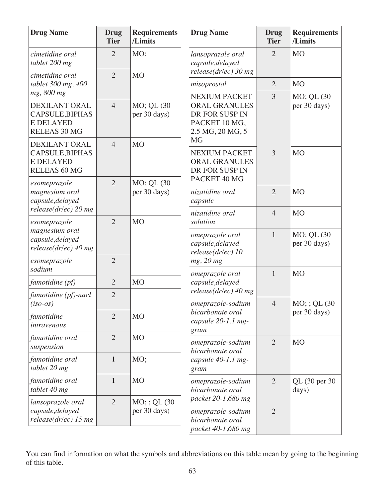| <b>Drug Name</b>                                                                          | <b>Drug</b><br><b>Tier</b> | <b>Requirements</b><br>/Limits   | <b>Drug Name</b>                                                                         | Drug<br><b>Tier</b> | <b>Requirements</b><br>/Limits |
|-------------------------------------------------------------------------------------------|----------------------------|----------------------------------|------------------------------------------------------------------------------------------|---------------------|--------------------------------|
| cimetidine oral<br>tablet 200 mg                                                          | $\overline{2}$             | MO;                              | lansoprazole oral<br>capsule, delayed<br>$release(dr/ec)$ 30 mg                          | $\overline{2}$      | <b>MO</b>                      |
| cimetidine oral<br>tablet 300 mg, 400                                                     | $\overline{2}$             | <b>MO</b>                        | misoprostol                                                                              | $\overline{2}$      | <b>MO</b>                      |
| mg, 800 mg                                                                                |                            |                                  | <b>NEXIUM PACKET</b>                                                                     | $\overline{3}$      | MO; QL (30                     |
| <b>DEXILANT ORAL</b><br>CAPSULE, BIPHAS<br><b>E DELAYED</b><br><b>RELEAS 30 MG</b>        | $\overline{4}$             | MO; QL (30<br>per 30 days)       | <b>ORAL GRANULES</b><br>DR FOR SUSP IN<br>PACKET 10 MG,<br>2.5 MG, 20 MG, 5<br><b>MG</b> |                     | per 30 days)                   |
| <b>DEXILANT ORAL</b><br><b>CAPSULE, BIPHAS</b><br><b>E DELAYED</b><br><b>RELEAS 60 MG</b> | $\overline{4}$             | <b>MO</b>                        | <b>NEXIUM PACKET</b><br><b>ORAL GRANULES</b><br>DR FOR SUSP IN                           | $\overline{3}$      | M <sub>O</sub>                 |
| esomeprazole<br>magnesium oral<br>capsule, delayed                                        | $\overline{2}$             | MO; QL (30<br>per 30 days)       | PACKET 40 MG<br>nizatidine oral<br>capsule                                               | $\overline{2}$      | <b>MO</b>                      |
| $release(dr/ec)$ 20 mg                                                                    |                            |                                  | nizatidine oral                                                                          | $\overline{4}$      | M <sub>O</sub>                 |
| esomeprazole<br>magnesium oral<br>capsule, delayed<br>$release(dr/ec)$ 40 mg              | $\overline{2}$             | M <sub>O</sub>                   | solution<br>omeprazole oral<br>capsule, delayed<br>release(dr/ec) 10                     | $\mathbf{1}$        | MO; QL (30<br>per 30 days)     |
| esomeprazole<br>sodium                                                                    | $\overline{2}$             |                                  | mg, 20 mg                                                                                |                     |                                |
| famotidine (pf)                                                                           | $\overline{2}$             | <b>MO</b>                        | omeprazole oral<br>capsule, delayed                                                      | $\mathbf{1}$        | <b>MO</b>                      |
| famotidine (pf)-nacl<br>$(iso-os)$                                                        | $\overline{2}$             |                                  | $release(dr/ec)$ 40 mg<br>omeprazole-sodium                                              | $\overline{4}$      | $MO$ ; ; QL (30)               |
| famotidine<br>intravenous                                                                 | $\overline{2}$             | <b>MO</b>                        | bicarbonate oral<br>capsule 20-1.1 mg-<br>gram                                           |                     | per 30 days)                   |
| famotidine oral<br>suspension                                                             | $\overline{2}$             | <b>MO</b>                        | omeprazole-sodium<br>bicarbonate oral<br>capsule 40-1.1 mg-<br>gram                      | $\overline{2}$      | M <sub>O</sub>                 |
| famotidine oral<br>tablet 20 mg                                                           | $\mathbf{1}$               | MO;                              |                                                                                          |                     |                                |
| famotidine oral<br>tablet 40 mg                                                           | $\mathbf{1}$               | <b>MO</b>                        | omeprazole-sodium<br>bicarbonate oral                                                    | 2                   | QL (30 per 30<br>days)         |
| lansoprazole oral<br>capsule, delayed<br>$release(dr/ec)$ 15 mg                           | $\overline{2}$             | $MO$ ; ; QL (30)<br>per 30 days) | packet 20-1,680 mg<br>omeprazole-sodium<br>bicarbonate oral<br>packet 40-1,680 mg        | $\overline{2}$      |                                |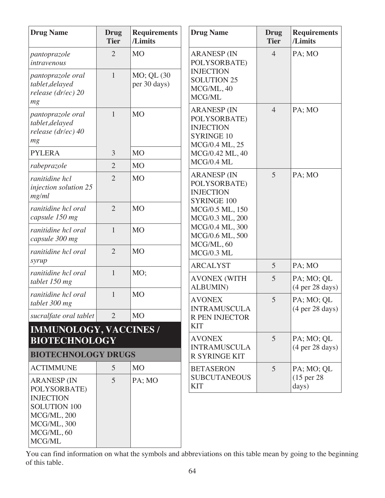| <b>Drug Name</b>                                                                              | <b>Drug</b><br><b>Tier</b> | <b>Requirements</b><br>/Limits | <b>Drug Name</b>                                                                              | <b>Drug</b><br><b>Tier</b> | <b>Requirements</b><br>/Limits                       |
|-----------------------------------------------------------------------------------------------|----------------------------|--------------------------------|-----------------------------------------------------------------------------------------------|----------------------------|------------------------------------------------------|
| pantoprazole<br>intravenous                                                                   | $\overline{2}$             | <b>MO</b>                      | <b>ARANESP (IN</b><br>POLYSORBATE)                                                            | $\overline{4}$             | PA; MO                                               |
| pantoprazole oral<br>tablet, delayed<br>release (dr/ec) 20<br>mg                              | $\mathbf{1}$               | MO; QL (30<br>per 30 days)     | <b>INJECTION</b><br><b>SOLUTION 25</b><br>MCG/ML, 40<br>MCG/ML                                |                            |                                                      |
| pantoprazole oral<br>tablet, delayed<br>release (dr/ec) 40<br>mg                              | $\mathbf{1}$               | <b>MO</b>                      | <b>ARANESP (IN</b><br>POLYSORBATE)<br><b>INJECTION</b><br><b>SYRINGE 10</b><br>MCG/0.4 ML, 25 | $\overline{4}$             | PA; MO                                               |
| <b>PYLERA</b>                                                                                 | 3                          | M <sub>O</sub>                 | MCG/0.42 ML, 40                                                                               |                            |                                                      |
| rabeprazole                                                                                   | $\overline{2}$             | M <sub>O</sub>                 | MCG/0.4 ML                                                                                    |                            |                                                      |
| ranitidine hcl<br>injection solution 25<br>mg/ml                                              | $\overline{2}$             | M <sub>O</sub>                 | <b>ARANESP (IN</b><br>POLYSORBATE)<br><b>INJECTION</b><br><b>SYRINGE 100</b>                  | 5                          | PA; MO                                               |
| ranitidine hcl oral<br>capsule 150 mg                                                         | $\overline{2}$             | M <sub>O</sub>                 | MCG/0.5 ML, 150<br>MCG/0.3 ML, 200<br>MCG/0.4 ML, 300<br>MCG/0.6 ML, 500                      |                            |                                                      |
| ranitidine hcl oral<br>capsule 300 mg                                                         | $\mathbf{1}$               | <b>MO</b>                      |                                                                                               |                            |                                                      |
| ranitidine hcl oral                                                                           | $\overline{2}$             | <b>MO</b>                      | MCG/ML, 60<br>MCG/0.3 ML                                                                      |                            |                                                      |
| syrup                                                                                         |                            |                                | <b>ARCALYST</b>                                                                               | 5                          | PA; MO                                               |
| ranitidine hcl oral<br>tablet 150 mg                                                          | $\mathbf{1}$               | MO;                            | <b>AVONEX (WITH</b><br><b>ALBUMIN</b> )                                                       | 5                          | PA; MO; QL<br>(4 <sub>per</sub> 28 <sub>days</sub> ) |
| ranitidine hcl oral<br>tablet 300 mg                                                          | $\mathbf{1}$               | <b>MO</b>                      | <b>AVONEX</b><br><b>INTRAMUSCULA</b>                                                          | 5                          | PA; MO; QL<br>(4 <sub>per</sub> 28 <sub>days</sub> ) |
| sucralfate oral tablet                                                                        | 2                          | <b>MO</b>                      | R PEN INJECTOR                                                                                |                            |                                                      |
| <b>IMMUNOLOGY, VACCINES /</b>                                                                 |                            |                                | <b>KIT</b>                                                                                    |                            |                                                      |
| <b>BIOTECHNOLOGY</b>                                                                          |                            |                                | <b>AVONEX</b><br><b>INTRAMUSCULA</b>                                                          | 5                          | PA; MO; QL                                           |
| <b>BIOTECHNOLOGY DRUGS</b>                                                                    |                            |                                | <b>R SYRINGE KIT</b>                                                                          |                            | (4 <sub>per</sub> 28 <sub>days</sub> )               |
| <b>ACTIMMUNE</b>                                                                              | 5                          | <b>MO</b>                      | <b>BETASERON</b>                                                                              | 5                          | PA; MO; QL                                           |
| <b>ARANESP (IN</b><br>POLYSORBATE)                                                            | 5                          | PA; MO                         | <b>SUBCUTANEOUS</b><br><b>KIT</b>                                                             |                            | (15 <sub>per</sub> 28)<br>days)                      |
| <b>INJECTION</b><br><b>SOLUTION 100</b><br>MCG/ML, 200<br>MCG/ML, 300<br>MCG/ML, 60<br>MCG/ML |                            |                                |                                                                                               |                            |                                                      |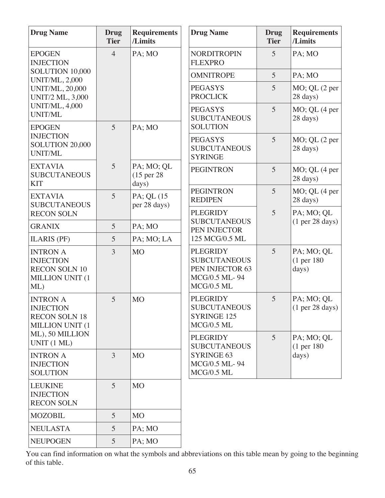| <b>Drug Name</b>                                                                         | <b>Drug</b><br><b>Tier</b> | <b>Requirements</b><br>/Limits     | <b>Drug Name</b>                                                                         | <b>Drug</b><br><b>Tier</b> | <b>Requirements</b><br>/Limits                       |
|------------------------------------------------------------------------------------------|----------------------------|------------------------------------|------------------------------------------------------------------------------------------|----------------------------|------------------------------------------------------|
| <b>EPOGEN</b><br><b>INJECTION</b>                                                        | $\overline{4}$             | PA; MO                             | <b>NORDITROPIN</b><br><b>FLEXPRO</b>                                                     | 5                          | PA; MO                                               |
| SOLUTION 10,000<br><b>UNIT/ML, 2,000</b>                                                 |                            |                                    | <b>OMNITROPE</b>                                                                         | 5                          | PA; MO                                               |
| <b>UNIT/ML, 20,000</b><br><b>UNIT/2 ML, 3,000</b>                                        |                            |                                    | <b>PEGASYS</b><br><b>PROCLICK</b>                                                        | 5                          | MO; QL (2 per<br>28 days)                            |
| <b>UNIT/ML, 4,000</b><br><b>UNIT/ML</b><br><b>EPOGEN</b>                                 | 5                          | PA; MO                             | <b>PEGASYS</b><br><b>SUBCUTANEOUS</b><br><b>SOLUTION</b>                                 | $\overline{5}$             | MO; QL (4 per<br>28 days)                            |
| <b>INJECTION</b><br>SOLUTION 20,000<br><b>UNIT/ML</b>                                    |                            |                                    | <b>PEGASYS</b><br><b>SUBCUTANEOUS</b><br><b>SYRINGE</b>                                  | 5                          | MO; QL (2 per<br>28 days)                            |
| <b>EXTAVIA</b><br><b>SUBCUTANEOUS</b><br><b>KIT</b>                                      | $5\overline{)}$            | PA; MO; QL<br>(15 per 28)<br>days) | <b>PEGINTRON</b>                                                                         | 5                          | $MO$ ; QL $(4$ per<br>28 days)                       |
| <b>EXTAVIA</b><br><b>SUBCUTANEOUS</b>                                                    | $\overline{5}$             | PA; QL (15<br>per 28 days)         | <b>PEGINTRON</b><br><b>REDIPEN</b>                                                       | 5                          | $MO$ ; QL $(4$ per<br>28 days)                       |
| <b>RECON SOLN</b>                                                                        |                            | <b>PLEGRIDY</b>                    |                                                                                          | 5                          | PA; MO; QL                                           |
| <b>GRANIX</b>                                                                            | 5                          | PA; MO                             | <b>SUBCUTANEOUS</b><br>PEN INJECTOR                                                      |                            | (1 <sub>per</sub> 28 <sub>days</sub> )               |
| <b>ILARIS (PF)</b>                                                                       | 5                          | PA; MO; LA                         | 125 MCG/0.5 ML                                                                           |                            |                                                      |
| <b>INTRON A</b><br><b>INJECTION</b><br><b>RECON SOLN 10</b><br>MILLION UNIT (1<br>$ML$ ) | 3                          | <b>MO</b>                          | <b>PLEGRIDY</b><br><b>SUBCUTANEOUS</b><br>PEN INJECTOR 63<br>MCG/0.5 ML-94<br>MCG/0.5 ML | $\overline{5}$             | PA; MO; QL<br>(1 <sub>per</sub> 180)<br>days)        |
| <b>INTRON A</b><br><b>INJECTION</b><br><b>RECON SOLN 18</b><br>MILLION UNIT (1           | 5                          | <b>MO</b>                          | <b>PLEGRIDY</b><br><b>SUBCUTANEOUS</b><br><b>SYRINGE 125</b><br>$MCG/0.5$ ML             | 5                          | PA; MO; QL<br>(1 <sub>per</sub> 28 <sub>days</sub> ) |
| ML), 50 MILLION<br>UNIT (1 ML)                                                           |                            |                                    | <b>PLEGRIDY</b><br><b>SUBCUTANEOUS</b>                                                   | 5                          | PA; MO; QL<br>(1 <sub>per</sub> 180)                 |
| <b>INTRON A</b><br><b>INJECTION</b><br><b>SOLUTION</b>                                   | 3                          | M <sub>O</sub>                     | <b>SYRINGE 63</b><br>MCG/0.5 ML-94<br>$MCG/0.5$ ML                                       |                            | days)                                                |
| <b>LEUKINE</b><br><b>INJECTION</b><br><b>RECON SOLN</b>                                  | $\overline{5}$             | M <sub>O</sub>                     |                                                                                          |                            |                                                      |
| <b>MOZOBIL</b>                                                                           | $\overline{5}$             | <b>MO</b>                          |                                                                                          |                            |                                                      |
| <b>NEULASTA</b>                                                                          | 5                          | PA; MO                             |                                                                                          |                            |                                                      |
| <b>NEUPOGEN</b>                                                                          | 5 <sup>5</sup>             | PA; MO                             |                                                                                          |                            |                                                      |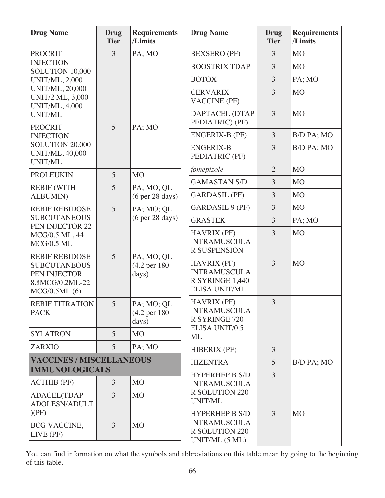| <b>Drug Name</b>                                                                                | <b>Drug</b><br><b>Tier</b> | <b>Requirements</b><br>/Limits                  | <b>Drug Name</b>                                                                     | <b>Drug</b><br><b>Tier</b> | <b>Requirements</b><br>/Limits |
|-------------------------------------------------------------------------------------------------|----------------------------|-------------------------------------------------|--------------------------------------------------------------------------------------|----------------------------|--------------------------------|
| <b>PROCRIT</b>                                                                                  | 3                          | PA; MO                                          | <b>BEXSERO</b> (PF)                                                                  | 3                          | <b>MO</b>                      |
| <b>INJECTION</b><br>SOLUTION 10,000                                                             |                            |                                                 | <b>BOOSTRIX TDAP</b>                                                                 | 3                          | M <sub>O</sub>                 |
| <b>UNIT/ML, 2,000</b>                                                                           |                            |                                                 | <b>BOTOX</b>                                                                         | 3                          | PA; MO                         |
| <b>UNIT/ML, 20,000</b><br><b>UNIT/2 ML, 3,000</b><br><b>UNIT/ML, 4,000</b>                      |                            |                                                 | <b>CERVARIX</b><br><b>VACCINE (PF)</b>                                               | 3                          | <b>MO</b>                      |
| <b>UNIT/ML</b><br><b>PROCRIT</b>                                                                | 5                          | PA; MO                                          | DAPTACEL (DTAP<br>PEDIATRIC) (PF)                                                    | $\overline{3}$             | <b>MO</b>                      |
| <b>INJECTION</b>                                                                                |                            |                                                 | <b>ENGERIX-B (PF)</b>                                                                | 3                          | B/D PA; MO                     |
| SOLUTION 20,000<br><b>UNIT/ML, 40,000</b><br><b>UNIT/ML</b>                                     |                            |                                                 | <b>ENGERIX-B</b><br>PEDIATRIC (PF)                                                   | 3                          | B/D PA; MO                     |
| <b>PROLEUKIN</b>                                                                                | 5                          | <b>MO</b>                                       | fomepizole                                                                           | $\overline{2}$             | <b>MO</b>                      |
| <b>REBIF (WITH</b>                                                                              | 5                          | PA; MO; QL                                      | <b>GAMASTAN S/D</b>                                                                  | 3                          | <b>MO</b>                      |
| <b>ALBUMIN)</b>                                                                                 |                            | (6 <sub>per</sub> 28 <sub>days</sub> )          | <b>GARDASIL (PF)</b>                                                                 | 3                          | M <sub>O</sub>                 |
| <b>REBIF REBIDOSE</b>                                                                           | 5                          | PA; MO; QL                                      | <b>GARDASIL 9 (PF)</b>                                                               | 3                          | <b>MO</b>                      |
| <b>SUBCUTANEOUS</b><br>PEN INJECTOR 22                                                          |                            | (6 <sub>per</sub> 28 <sub>days</sub> )          | <b>GRASTEK</b>                                                                       | $\overline{3}$             | PA; MO                         |
| MCG/0.5 ML, 44<br><b>MCG/0.5 ML</b>                                                             |                            |                                                 | <b>HAVRIX (PF)</b><br><b>INTRAMUSCULA</b><br><b>R SUSPENSION</b>                     | 3                          | <b>MO</b>                      |
| <b>REBIF REBIDOSE</b><br><b>SUBCUTANEOUS</b><br>PEN INJECTOR<br>8.8MCG/0.2ML-22<br>MCG/0.5ML(6) | 5                          | PA; MO; QL<br>(4.2 per 180)<br>days)            | <b>HAVRIX (PF)</b><br><b>INTRAMUSCULA</b><br>R SYRINGE 1,440<br><b>ELISA UNIT/ML</b> | 3                          | <b>MO</b>                      |
| <b>REBIF TITRATION</b><br><b>PACK</b>                                                           | 5                          | PA; MO; QL<br>$(4.2 \text{ per } 180)$<br>days) | <b>HAVRIX (PF)</b><br><b>INTRAMUSCULA</b><br><b>R SYRINGE 720</b>                    | 3                          |                                |
| <b>SYLATRON</b>                                                                                 | $\overline{5}$             | M <sub>O</sub>                                  | <b>ELISA UNIT/0.5</b><br>ML                                                          |                            |                                |
| <b>ZARXIO</b>                                                                                   | 5                          | PA: MO                                          | <b>HIBERIX (PF)</b>                                                                  | $\overline{3}$             |                                |
| <b>VACCINES / MISCELLANEOUS</b>                                                                 |                            |                                                 | <b>HIZENTRA</b>                                                                      | 5                          | <b>B/D PA; MO</b>              |
| <b>IMMUNOLOGICALS</b>                                                                           |                            |                                                 | <b>HYPERHEP B S/D</b>                                                                | $\overline{3}$             |                                |
| <b>ACTHIB (PF)</b>                                                                              | $\overline{3}$             | M <sub>O</sub>                                  | <b>INTRAMUSCULA</b><br><b>R SOLUTION 220</b>                                         |                            |                                |
| <b>ADACEL(TDAP</b><br>ADOLESN/ADULT<br>(PF)                                                     | 3                          | <b>MO</b>                                       | <b>UNIT/ML</b><br><b>HYPERHEP B S/D</b>                                              | 3                          | <b>MO</b>                      |
| <b>BCG VACCINE,</b><br>LIVE (PF)                                                                | $\overline{3}$             | M <sub>O</sub>                                  | <b>INTRAMUSCULA</b><br><b>R SOLUTION 220</b><br>UNIT/ML $(5 ML)$                     |                            |                                |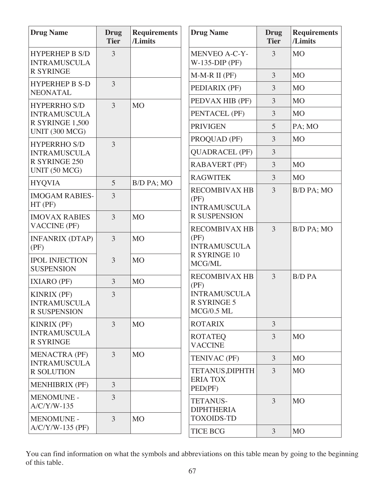| <b>Drug Name</b>                                                 | <b>Drug</b><br><b>Tier</b> | <b>Requirements</b><br>/Limits | <b>Drug Name</b>                                        | <b>Drug</b><br><b>Tier</b> | <b>Requirements</b><br>/Limits |
|------------------------------------------------------------------|----------------------------|--------------------------------|---------------------------------------------------------|----------------------------|--------------------------------|
| <b>HYPERHEP B S/D</b><br><b>INTRAMUSCULA</b>                     | 3                          |                                | <b>MENVEO A-C-Y-</b><br>$W-135-DIP$ (PF)                | 3                          | <b>MO</b>                      |
| <b>R SYRINGE</b>                                                 |                            |                                | $M-M-R II$ (PF)                                         | $\overline{3}$             | MO                             |
| <b>HYPERHEP B S-D</b><br><b>NEONATAL</b>                         | 3                          |                                | PEDIARIX (PF)                                           | $\overline{3}$             | M <sub>O</sub>                 |
| <b>HYPERRHO S/D</b>                                              | $\overline{3}$             | <b>MO</b>                      | PEDVAX HIB (PF)                                         | 3                          | M <sub>O</sub>                 |
| <b>INTRAMUSCULA</b>                                              |                            |                                | PENTACEL (PF)                                           | 3                          | MO                             |
| R SYRINGE 1,500<br><b>UNIT (300 MCG)</b>                         |                            |                                | <b>PRIVIGEN</b>                                         | 5                          | PA; MO                         |
| <b>HYPERRHO S/D</b>                                              | 3                          |                                | PROQUAD (PF)                                            | 3                          | M <sub>O</sub>                 |
| <b>INTRAMUSCULA</b>                                              |                            |                                | <b>QUADRACEL (PF)</b>                                   | 3                          |                                |
| R SYRINGE 250<br>UNIT (50 MCG)                                   |                            |                                | <b>RABAVERT (PF)</b>                                    | 3                          | M <sub>O</sub>                 |
| <b>HYQVIA</b>                                                    | 5                          | B/D PA; MO                     | <b>RAGWITEK</b>                                         | 3                          | M <sub>O</sub>                 |
| <b>IMOGAM RABIES-</b><br>HT (PF)                                 | 3                          |                                | <b>RECOMBIVAX HB</b><br>(PF)<br><b>INTRAMUSCULA</b>     | 3                          | B/D PA; MO                     |
| <b>IMOVAX RABIES</b><br><b>VACCINE (PF)</b>                      | $\overline{3}$             | M <sub>O</sub>                 | <b>R SUSPENSION</b><br><b>RECOMBIVAX HB</b>             | 3                          |                                |
| <b>INFANRIX (DTAP)</b><br>(PF)                                   | 3                          | M <sub>O</sub>                 | (PF)<br><b>INTRAMUSCULA</b>                             |                            | B/D PA; MO                     |
| <b>IPOL INJECTION</b><br><b>SUSPENSION</b>                       | 3                          | <b>MO</b>                      | <b>R SYRINGE 10</b><br>MCG/ML                           |                            |                                |
| <b>IXIARO (PF)</b>                                               | 3                          | MO                             | <b>RECOMBIVAX HB</b><br>(PF)                            | $\overline{3}$             | <b>B/D PA</b>                  |
| <b>KINRIX (PF)</b><br><b>INTRAMUSCULA</b><br><b>R SUSPENSION</b> | 3                          |                                | <b>INTRAMUSCULA</b><br><b>R SYRINGE 5</b><br>MCG/0.5 ML |                            |                                |
| <b>KINRIX (PF)</b>                                               | 3                          | <b>MO</b>                      | <b>ROTARIX</b>                                          | $\overline{3}$             |                                |
| <b>INTRAMUSCULA</b><br><b>R SYRINGE</b>                          |                            |                                | <b>ROTATEQ</b><br><b>VACCINE</b>                        | 3                          | M <sub>O</sub>                 |
| <b>MENACTRA (PF)</b><br><b>INTRAMUSCULA</b>                      | $\overline{3}$             | <b>MO</b>                      | TENIVAC (PF)                                            | $\overline{3}$             | M <sub>O</sub>                 |
| <b>R SOLUTION</b>                                                |                            |                                | <b>TETANUS, DIPHTH</b>                                  | 3                          | M <sub>O</sub>                 |
| <b>MENHIBRIX (PF)</b>                                            | $\overline{3}$             |                                | <b>ERIA TOX</b><br>PED(PF)                              |                            |                                |
| <b>MENOMUNE -</b><br>$A/C/Y/W-135$                               | 3                          |                                | <b>TETANUS-</b><br><b>DIPHTHERIA</b>                    | $\overline{3}$             | M <sub>O</sub>                 |
| <b>MENOMUNE -</b><br>$A/C/Y/W-135$ (PF)                          | $\overline{3}$             | M <sub>O</sub>                 | <b>TOXOIDS-TD</b><br><b>TICE BCG</b>                    | 3                          | <b>MO</b>                      |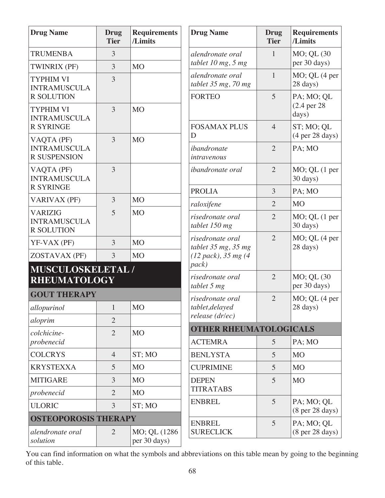| <b>Drug Name</b>                                                                 | Drug<br><b>Tier</b> | <b>Requirements</b><br>/Limits | Drug                           |
|----------------------------------------------------------------------------------|---------------------|--------------------------------|--------------------------------|
| <b>TRUMENBA</b>                                                                  | 3                   |                                | alend                          |
| <b>TWINRIX (PF)</b>                                                              | 3                   | <b>MO</b>                      | tablet                         |
| <b>TYPHIM VI</b><br><b>INTRAMUSCULA</b>                                          | 3                   |                                | alend<br>tablet<br><b>FORT</b> |
| <b>R SOLUTION</b><br><b>TYPHIM VI</b><br><b>INTRAMUSCULA</b><br><b>R SYRINGE</b> | 3                   | M <sub>O</sub>                 | <b>FOSA</b>                    |
| VAQTA (PF)<br><b>INTRAMUSCULA</b><br><b>R SUSPENSION</b>                         | 3                   | M <sub>O</sub>                 | D<br>iband<br>intray           |
| VAQTA (PF)<br><b>INTRAMUSCULA</b><br><b>R SYRINGE</b>                            | 3                   |                                | iband<br><b>PROI</b>           |
| <b>VARIVAX (PF)</b>                                                              | 3                   | <b>MO</b>                      | raloxi                         |
| <b>VARIZIG</b><br><b>INTRAMUSCULA</b><br><b>R SOLUTION</b>                       | 5                   | M <sub>O</sub>                 | risedr<br>tablet               |
| YF-VAX (PF)                                                                      | 3                   | M <sub>O</sub>                 | risedi<br>tablet               |
| ZOSTAVAX (PF)                                                                    | 3                   | M <sub>O</sub>                 | (12 p                          |
| MUSCULOSKELETAL /<br><b>RHEUMATOLOGY</b><br><b>GOUT THERAPY</b>                  |                     |                                | pack)<br>risedr<br>tablet      |
| allopurinol                                                                      | $\mathbf{1}$        | <b>MO</b>                      | risedr<br>tablet               |
| aloprim                                                                          | $\overline{2}$      |                                | releas                         |
| colchicine-<br>probenecid                                                        | $\overline{2}$      | <b>MO</b>                      | <b>OTH</b><br><b>ACTI</b>      |
| <b>COLCRYS</b>                                                                   | $\overline{4}$      | ST; MO                         | <b>BENI</b>                    |
| <b>KRYSTEXXA</b>                                                                 | 5                   | M <sub>O</sub>                 | <b>CUPF</b>                    |
| <b>MITIGARE</b>                                                                  | 3                   | M <sub>O</sub>                 | <b>DEPE</b>                    |
| probenecid                                                                       | $\overline{2}$      | <b>MO</b>                      | <b>TITR</b>                    |
| <b>ULORIC</b>                                                                    | 3                   | ST; MO                         | <b>ENBI</b>                    |
| <b>OSTEOPOROSIS THERAPY</b>                                                      |                     |                                | <b>ENBI</b>                    |
| alendronate oral<br>solution                                                     | $\overline{2}$      | MO; QL (1286)<br>per 30 days)  | <b>SURF</b>                    |

| <b>Drug Name</b>                                                         | Drug<br><b>Tier</b> | <b>Requirements</b><br>/Limits                       |
|--------------------------------------------------------------------------|---------------------|------------------------------------------------------|
| alendronate oral<br>tablet 10 mg, 5 mg                                   | 1                   | MO; QL (30<br>per 30 days)                           |
| alendronate oral<br>tablet 35 mg, 70 mg                                  | $\mathbf{1}$        | $MO$ ; QL $(4$ per<br>28 days)                       |
| <b>FORTEO</b>                                                            | 5                   | PA; MO; QL<br>$(2.4 \text{ per } 28)$<br>days)       |
| <b>FOSAMAX PLUS</b><br>D                                                 | $\overline{4}$      | ST; MO; QL<br>(4 <sub>per</sub> 28 <sub>days</sub> ) |
| ibandronate<br>intravenous                                               | $\overline{2}$      | PA; MO                                               |
| <i>ibandronate oral</i>                                                  | $\overline{2}$      | MO; QL (1 per<br>30 days)                            |
| <b>PROLIA</b>                                                            | 3                   | PA; MO                                               |
| raloxifene                                                               | $\overline{2}$      | M <sub>O</sub>                                       |
| risedronate oral<br>tablet 150 mg                                        | $\overline{2}$      | MO; QL (1 per<br>30 days)                            |
| risedronate oral<br>tablet 35 mg, 35 mg<br>(12~pack), 35~mg (4)<br>pack) | $\overline{2}$      | $MO$ ; QL $(4$ per<br>28 days)                       |
| risedronate oral<br>tablet 5 mg                                          | $\overline{2}$      | MO; QL (30)<br>per 30 days)                          |
| risedronate oral<br>tablet, delayed<br>release (dr/ec)                   | $\overline{2}$      | $MO$ ; QL $(4$ per<br>28 days)                       |
| <b>OTHER RHEUMATOLOGICALS</b>                                            |                     |                                                      |
| <b>ACTEMRA</b>                                                           | 5                   | PA; MO                                               |
| <b>BENLYSTA</b>                                                          | 5                   | M <sub>O</sub>                                       |
| <b>CUPRIMINE</b>                                                         | 5                   | M <sub>O</sub>                                       |
| <b>DEPEN</b><br><b>TITRATABS</b>                                         | 5                   | M <sub>O</sub>                                       |
| <b>ENBREL</b>                                                            | 5                   | PA; MO; QL<br>(8 per 28 days)                        |
| <b>ENBREL</b><br><b>SURECLICK</b>                                        | 5                   | PA; MO; QL<br>(8 <sub>per</sub> 28 <sub>days</sub> ) |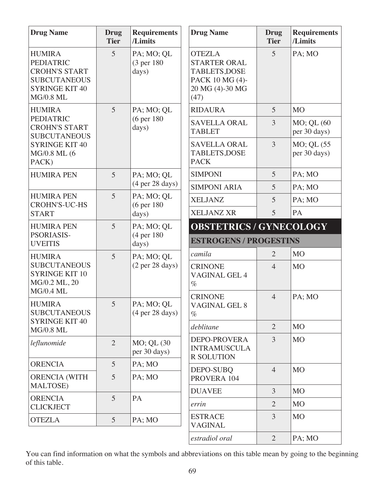| <b>Drug Name</b>                                                                                                              | <b>Drug</b><br><b>Tier</b> | <b>Requirements</b><br>/Limits                       | <b>Drug Name</b>                                                                                    | <b>Drug</b><br><b>Tier</b> | <b>Requirements</b><br>/Limits |  |
|-------------------------------------------------------------------------------------------------------------------------------|----------------------------|------------------------------------------------------|-----------------------------------------------------------------------------------------------------|----------------------------|--------------------------------|--|
| <b>HUMIRA</b><br><b>PEDIATRIC</b><br><b>CROHN'S START</b><br><b>SUBCUTANEOUS</b><br><b>SYRINGE KIT 40</b><br><b>MG/0.8 ML</b> | 5                          | PA; MO; QL<br>(3 per 180)<br>days)                   | <b>OTEZLA</b><br><b>STARTER ORAL</b><br>TABLETS, DOSE<br>PACK 10 MG (4)-<br>20 MG (4)-30 MG<br>(47) | $\overline{5}$             | PA; MO                         |  |
| <b>HUMIRA</b>                                                                                                                 | 5                          | PA; MO; QL                                           | <b>RIDAURA</b>                                                                                      | 5                          | <b>MO</b>                      |  |
| <b>PEDIATRIC</b><br><b>CROHN'S START</b><br><b>SUBCUTANEOUS</b>                                                               |                            | (6 per 180)<br>days)                                 | <b>SAVELLA ORAL</b><br><b>TABLET</b>                                                                | $\overline{3}$             | MO; QL (60<br>per 30 days)     |  |
| <b>SYRINGE KIT 40</b><br>MG/0.8 ML (6<br>PACK)                                                                                |                            |                                                      | <b>SAVELLA ORAL</b><br>TABLETS, DOSE<br><b>PACK</b>                                                 | $\overline{3}$             | MO; QL (55<br>per 30 days)     |  |
| <b>HUMIRA PEN</b>                                                                                                             | 5                          | PA; MO; QL                                           | <b>SIMPONI</b>                                                                                      | 5                          | PA; MO                         |  |
|                                                                                                                               |                            | (4 <sub>per</sub> 28 <sub>days</sub> )               | <b>SIMPONI ARIA</b>                                                                                 | 5                          | PA; MO                         |  |
| <b>HUMIRA PEN</b><br><b>CROHN'S-UC-HS</b>                                                                                     | 5                          | PA; MO; QL<br>(6 per 180)                            | <b>XELJANZ</b>                                                                                      | 5                          | PA; MO                         |  |
| <b>START</b>                                                                                                                  |                            | days)                                                | <b>XELJANZ XR</b>                                                                                   | 5                          | PA                             |  |
| <b>HUMIRA PEN</b>                                                                                                             | 5                          | PA; MO; QL                                           | <b>OBSTETRICS / GYNECOLOGY</b>                                                                      |                            |                                |  |
| PSORIASIS-<br><b>UVEITIS</b>                                                                                                  |                            | (4 per 180)<br>days)                                 | <b>ESTROGENS / PROGESTINS</b>                                                                       |                            |                                |  |
| <b>HUMIRA</b>                                                                                                                 | 5                          | PA; MO; QL                                           | camila                                                                                              | $\overline{2}$             | M <sub>O</sub>                 |  |
| <b>SUBCUTANEOUS</b><br><b>SYRINGE KIT 10</b><br>MG/0.2 ML, 20<br>MG/0.4 ML                                                    |                            | (2 <sup>pe</sup> r 28 <sup> days</sup> )             | <b>CRINONE</b><br><b>VAGINAL GEL 4</b><br>$\%$                                                      | $\overline{4}$             | M <sub>O</sub>                 |  |
| <b>HUMIRA</b><br><b>SUBCUTANEOUS</b><br><b>SYRINGE KIT 40</b>                                                                 | 5                          | PA; MO; QL<br>(4 <sub>per</sub> 28 <sub>days</sub> ) | <b>CRINONE</b><br><b>VAGINAL GEL 8</b><br>$\%$                                                      | $\overline{4}$             | PA; MO                         |  |
| <b>MG/0.8 ML</b>                                                                                                              |                            |                                                      | deblitane                                                                                           | $\overline{2}$             | M <sub>O</sub>                 |  |
| leflunomide                                                                                                                   | $\overline{2}$             | MO; QL (30<br>per 30 days)                           | <b>DEPO-PROVERA</b><br><b>INTRAMUSCULA</b><br><b>R SOLUTION</b>                                     | $\overline{3}$             | <b>MO</b>                      |  |
| <b>ORENCIA</b>                                                                                                                | $5\overline{)}$            | PA; MO                                               | DEPO-SUBQ                                                                                           | $\overline{4}$             | <b>MO</b>                      |  |
| <b>ORENCIA (WITH</b><br><b>MALTOSE</b> )                                                                                      | $\overline{5}$             | PA; MO                                               | PROVERA 104                                                                                         |                            |                                |  |
|                                                                                                                               | 5                          | PA                                                   | <b>DUAVEE</b>                                                                                       | $\overline{3}$             | M <sub>O</sub>                 |  |
| <b>ORENCIA</b><br><b>CLICKJECT</b>                                                                                            |                            |                                                      | errin                                                                                               | $\overline{2}$             | M <sub>O</sub>                 |  |
| <b>OTEZLA</b>                                                                                                                 | $\overline{5}$             | PA; MO                                               | <b>ESTRACE</b><br><b>VAGINAL</b>                                                                    | $\overline{3}$             | <b>MO</b>                      |  |
|                                                                                                                               |                            |                                                      | estradiol oral                                                                                      | 2                          | PA; MO                         |  |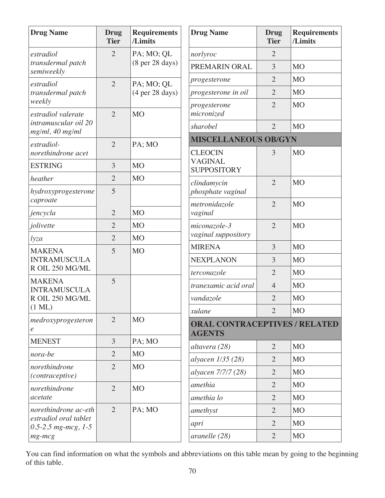| <b>Drug Name</b>                                                                            | Drug<br><b>Tier</b> | <b>Requirements</b><br>/Limits                       |
|---------------------------------------------------------------------------------------------|---------------------|------------------------------------------------------|
| estradiol<br>transdermal patch<br>semiweekly                                                | 2                   | PA; MO; QL<br>(8 <sub>per</sub> 28 <sub>days</sub> ) |
| estradiol<br>transdermal patch<br>weekly                                                    | $\overline{2}$      | PA; MO; QL<br>(4 <sub>per</sub> 28 <sub>days</sub> ) |
| estradiol valerate<br>intramuscular oil 20<br>$mg/ml$ , 40 mg/ml                            | $\overline{2}$      | <b>MO</b>                                            |
| estradiol-<br>norethindrone acet                                                            | 2                   | PA; MO                                               |
| <b>ESTRING</b>                                                                              | 3                   | M <sub>O</sub>                                       |
| heather                                                                                     | $\overline{2}$      | M <sub>O</sub>                                       |
| hydroxyprogesterone<br>caproate                                                             | 5                   |                                                      |
| jencycla                                                                                    | $\overline{2}$      | M <sub>O</sub>                                       |
| jolivette                                                                                   | $\overline{2}$      | M <sub>O</sub>                                       |
| lyza                                                                                        | $\overline{2}$      | M <sub>O</sub>                                       |
| <b>MAKENA</b><br><b>INTRAMUSCULA</b><br>R OIL 250 MG/ML                                     | 5                   | <b>MO</b>                                            |
| <b>MAKENA</b><br><b>INTRAMUSCULA</b><br>R OIL 250 MG/ML<br>$(1 \text{ ML})$                 | 5                   |                                                      |
| medroxyprogesteron<br>$\ell$                                                                | $\overline{2}$      | <b>MO</b>                                            |
| <b>MENEST</b>                                                                               | 3                   | PA; MO                                               |
| nora-be                                                                                     | 2                   | M <sub>O</sub>                                       |
| norethindrone<br>(contraceptive)                                                            | $\overline{2}$      | M <sub>O</sub>                                       |
| norethindrone<br>acetate                                                                    | $\overline{2}$      | M <sub>O</sub>                                       |
| norethindrone ac-eth<br>estradiol oral tablet<br>0.5-2.5 $mg$ - $mcg$ , 1-5<br>$mg$ - $mcg$ | $\overline{2}$      | PA; MO                                               |

| <b>Drug Name</b>                                       | Drug<br><b>Tier</b> | <b>Requirements</b><br>/Limits |
|--------------------------------------------------------|---------------------|--------------------------------|
| norlyroc                                               | 2                   |                                |
| PREMARIN ORAL                                          | 3                   | <b>MO</b>                      |
| progesterone                                           | $\overline{2}$      | <b>MO</b>                      |
| progesterone in oil                                    | $\overline{2}$      | M <sub>O</sub>                 |
| progesterone<br>micronized                             | 2                   | <b>MO</b>                      |
| sharobel                                               | $\overline{2}$      | <b>MO</b>                      |
| <b>MISCELLANEOUS OB/GYN</b>                            |                     |                                |
| <b>CLEOCIN</b><br><b>VAGINAL</b><br><b>SUPPOSITORY</b> | 3                   | <b>MO</b>                      |
| clindamycin<br>phosphate vaginal                       | $\overline{2}$      | <b>MO</b>                      |
| metronidazole<br>vaginal                               | $\overline{2}$      | <b>MO</b>                      |
| miconazole-3<br>vaginal suppository                    | $\overline{2}$      | <b>MO</b>                      |
| <b>MIRENA</b>                                          | 3                   | <b>MO</b>                      |
| <b>NEXPLANON</b>                                       | 3                   | <b>MO</b>                      |
| terconazole                                            | $\overline{2}$      | M <sub>O</sub>                 |
| tranexamic acid oral                                   | $\overline{4}$      | <b>MO</b>                      |
| vandazole                                              | $\overline{2}$      | <b>MO</b>                      |
| xulane                                                 | $\overline{2}$      | <b>MO</b>                      |
| <b>ORAL CONTRACEPTIVES / RELATED</b><br><b>AGENTS</b>  |                     |                                |
| altavera (28)                                          | $\overline{2}$      | M <sub>O</sub>                 |
| alyacen 1/35 (28)                                      | $\overline{2}$      | M <sub>O</sub>                 |
| alyacen 7/7/7 (28)                                     | $\overline{2}$      | <b>MO</b>                      |
| amethia                                                | $\overline{2}$      | M <sub>O</sub>                 |
| amethia lo                                             | $\overline{2}$      | M <sub>O</sub>                 |
| amethyst                                               | $\overline{2}$      | M <sub>O</sub>                 |
| apri                                                   | $\overline{2}$      | M <sub>O</sub>                 |
| aranelle (28)                                          | $\overline{2}$      | M <sub>O</sub>                 |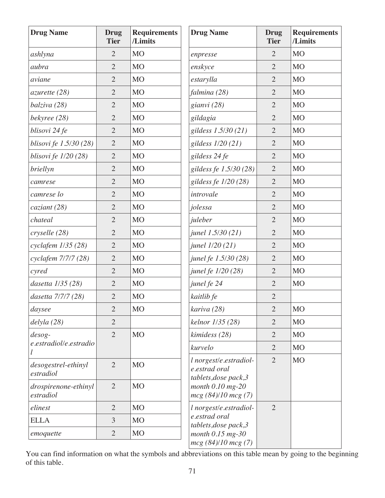| <b>Drug Name</b>                  | <b>Drug</b><br><b>Tier</b> | <b>Requirements</b><br>/Limits | <b>Drug Name</b>                                                 | <b>Drug</b><br><b>Tier</b> | <b>Requirements</b><br>/Limits |
|-----------------------------------|----------------------------|--------------------------------|------------------------------------------------------------------|----------------------------|--------------------------------|
| ashlyna                           | $\overline{2}$             | M <sub>O</sub>                 | enpresse                                                         | $\overline{2}$             | <b>MO</b>                      |
| aubra                             | $\overline{2}$             | <b>MO</b>                      | enskyce                                                          | $\overline{2}$             | <b>MO</b>                      |
| aviane                            | $\overline{2}$             | <b>MO</b>                      | estarylla                                                        | $\overline{2}$             | <b>MO</b>                      |
| azurette (28)                     | $\overline{2}$             | <b>MO</b>                      | falmina (28)                                                     | $\overline{2}$             | <b>MO</b>                      |
| balziva (28)                      | $\overline{2}$             | <b>MO</b>                      | gianvi (28)                                                      | $\overline{2}$             | <b>MO</b>                      |
| bekyree (28)                      | $\overline{2}$             | <b>MO</b>                      | gildagia                                                         | $\overline{2}$             | M <sub>O</sub>                 |
| blisovi 24 fe                     | $\sqrt{2}$                 | M <sub>O</sub>                 | gildess 1.5/30 (21)                                              | $\overline{2}$             | <b>MO</b>                      |
| blisovi fe 1.5/30 (28)            | $\overline{2}$             | <b>MO</b>                      | gildess 1/20 (21)                                                | $\overline{2}$             | <b>MO</b>                      |
| blisovi fe 1/20 (28)              | $\overline{2}$             | <b>MO</b>                      | gildess 24 fe                                                    | $\overline{2}$             | <b>MO</b>                      |
| briellyn                          | $\overline{2}$             | M <sub>O</sub>                 | gildess fe 1.5/30 (28)                                           | $\mathbf{2}$               | <b>MO</b>                      |
| camrese                           | $\overline{2}$             | <b>MO</b>                      | gildess fe 1/20 (28)                                             | $\overline{2}$             | <b>MO</b>                      |
| camrese lo                        | $\overline{2}$             | <b>MO</b>                      | introvale                                                        | $\overline{2}$             | <b>MO</b>                      |
| caziant(28)                       | $\overline{2}$             | M <sub>O</sub>                 | jolessa                                                          | $\overline{2}$             | M <sub>O</sub>                 |
| chateal                           | $\overline{2}$             | M <sub>O</sub>                 | juleber                                                          | $\overline{2}$             | M <sub>O</sub>                 |
| cryselle (28)                     | $\overline{2}$             | M <sub>O</sub>                 | junel 1.5/30 (21)                                                | $\overline{2}$             | <b>MO</b>                      |
| cyclafem 1/35 (28)                | $\overline{2}$             | <b>MO</b>                      | junel 1/20 (21)                                                  | $\overline{2}$             | <b>MO</b>                      |
| cyclafem 7/7/7 (28)               | $\overline{2}$             | M <sub>O</sub>                 | junel fe 1.5/30 (28)                                             | $\overline{2}$             | <b>MO</b>                      |
| cyred                             | $\overline{2}$             | M <sub>O</sub>                 | junel fe 1/20 (28)                                               | $\overline{2}$             | <b>MO</b>                      |
| dasetta 1/35 (28)                 | $\overline{2}$             | <b>MO</b>                      | junel fe 24                                                      | $\overline{2}$             | <b>MO</b>                      |
| dasetta 7/7/7 (28)                | $\overline{2}$             | M <sub>O</sub>                 | kaitlib fe                                                       | $\overline{2}$             |                                |
| day see                           | $\mathbf{2}$               | <b>MO</b>                      | kariva (28)                                                      | $\mathbf{2}$               | <b>MO</b>                      |
| delyla (28)                       | $\overline{2}$             |                                | kelnor 1/35 (28)                                                 | $\overline{2}$             | <b>MO</b>                      |
| $desog-$                          | $\overline{2}$             | <b>MO</b>                      | kimidess (28)                                                    | $\overline{2}$             | <b>MO</b>                      |
| e.estradiol/e.estradio            |                            |                                | kurvelo                                                          | $\overline{2}$             | M <sub>O</sub>                 |
| desogestrel-ethinyl<br>estradiol  | $\overline{2}$             | <b>MO</b>                      | l norgest/e.estradiol-<br>e.estrad oral<br>tablets, dose pack, 3 | $\overline{2}$             | <b>MO</b>                      |
| drospirenone-ethinyl<br>estradiol | $\overline{2}$             | <b>MO</b>                      | month $0.10$ mg- $20$<br>mcg (84)/10 mcg (7)                     |                            |                                |
| elinest                           | $\overline{2}$             | <b>MO</b>                      | l norgest/e.estradiol-                                           | $\overline{2}$             |                                |
| <b>ELLA</b>                       | 3                          | <b>MO</b>                      | e.estrad oral<br>tablets, dose pack, 3                           |                            |                                |
| emoquette                         | $\overline{2}$             | <b>MO</b>                      | month $0.15$ mg-30<br>mcg (84)/10 mcg (7)                        |                            |                                |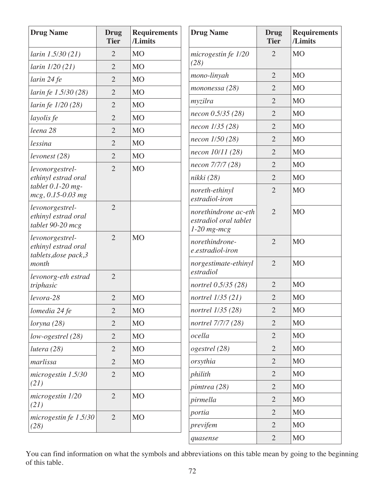| <b>Drug Name</b>                                                | <b>Drug</b><br><b>Tier</b> | <b>Requirements</b><br>/Limits | <b>Drug Name</b>                                               | <b>Drug</b><br><b>Tier</b> | <b>Requirements</b><br>/Limits |
|-----------------------------------------------------------------|----------------------------|--------------------------------|----------------------------------------------------------------|----------------------------|--------------------------------|
| larin 1.5/30 (21)                                               | $\overline{2}$             | <b>MO</b>                      | microgestin fe 1/20                                            | $\overline{2}$             | <b>MO</b>                      |
| larin 1/20 (21)                                                 | $\overline{2}$             | <b>MO</b>                      | (28)                                                           |                            |                                |
| larin 24 fe                                                     | $\overline{2}$             | <b>MO</b>                      | mono-linyah                                                    | $\overline{2}$             | M <sub>O</sub>                 |
| larin fe 1.5/30 (28)                                            | $\overline{2}$             | <b>MO</b>                      | mononessa (28)                                                 | $\overline{2}$             | M <sub>O</sub>                 |
| larin fe 1/20 (28)                                              | $\overline{2}$             | <b>MO</b>                      | myzilra                                                        | $\overline{2}$             | <b>MO</b>                      |
| layolis fe                                                      | $\overline{2}$             | M <sub>O</sub>                 | necon 0.5/35 (28)                                              | $\overline{2}$             | M <sub>O</sub>                 |
| leena 28                                                        | $\overline{2}$             | <b>MO</b>                      | necon 1/35 (28)                                                | $\overline{2}$             | <b>MO</b>                      |
| lessina                                                         | $\overline{2}$             | <b>MO</b>                      | necon 1/50 (28)                                                | $\overline{2}$             | M <sub>O</sub>                 |
| levenest(28)                                                    | $\overline{2}$             | <b>MO</b>                      | necon 10/11 (28)                                               | $\overline{2}$             | M <sub>O</sub>                 |
| levonorgestrel-                                                 | $\overline{2}$             | <b>MO</b>                      | necon 7/7/7 (28)                                               | $\overline{2}$             | <b>MO</b>                      |
| ethinyl estrad oral                                             |                            |                                | nikki (28)                                                     | $\overline{2}$             | M <sub>O</sub>                 |
| tablet $0.1$ -20 mg-<br>mcg, 0.15-0.03 mg                       |                            |                                | noreth-ethinyl<br>estradiol-iron                               | $\overline{2}$             | <b>MO</b>                      |
| levonorgestrel-<br>ethinyl estrad oral<br>tablet 90-20 mcg      | $\overline{2}$             |                                | norethindrone ac-eth<br>estradiol oral tablet<br>$1-20$ mg-mcg | $\overline{2}$             | <b>MO</b>                      |
| levonorgestrel-<br>ethinyl estrad oral<br>tablets, dose pack, 3 | $\overline{2}$             | <b>MO</b>                      | norethindrone-<br>e.estradiol-iron                             | $\overline{2}$             | <b>MO</b>                      |
| month<br>levonorg-eth estrad                                    | $\overline{2}$             |                                | norgestimate-ethinyl<br>estradiol                              | $\overline{2}$             | <b>MO</b>                      |
| triphasic                                                       |                            |                                | nortrel 0.5/35 (28)                                            | $\overline{2}$             | M <sub>O</sub>                 |
| levora-28                                                       | $\overline{2}$             | <b>MO</b>                      | nortrel 1/35 (21)                                              | $\overline{2}$             | <b>MO</b>                      |
| lomedia 24 fe                                                   | $\overline{2}$             | <b>MO</b>                      | nortrel 1/35 (28)                                              | $\overline{2}$             | <b>MO</b>                      |
| loryna (28)                                                     | $\overline{2}$             | <b>MO</b>                      | nortrel 7/7/7 (28)                                             | $\overline{2}$             | <b>MO</b>                      |
| low-ogestrel (28)                                               | $\overline{2}$             | <b>MO</b>                      | ocella                                                         | $\overline{2}$             | M <sub>O</sub>                 |
| lutera $(28)$                                                   | $\overline{2}$             | <b>MO</b>                      | ogestrel (28)                                                  | $\overline{2}$             | M <sub>O</sub>                 |
| marlissa                                                        | $\overline{2}$             | <b>MO</b>                      | orsythia                                                       | $\overline{2}$             | M <sub>O</sub>                 |
| $microgestin$ 1.5/30                                            | $\overline{2}$             | <b>MO</b>                      | philith                                                        | $\overline{2}$             | M <sub>O</sub>                 |
| (21)                                                            |                            |                                | pimtrea (28)                                                   | $\overline{2}$             | M <sub>O</sub>                 |
| microgestin 1/20<br>(21)                                        | $\overline{2}$             | <b>MO</b>                      | pirmella                                                       | $\overline{2}$             | M <sub>O</sub>                 |
| microgestin fe $1.5/30$                                         | $\overline{2}$             | <b>MO</b>                      | portia                                                         | $\overline{2}$             | M <sub>O</sub>                 |
| (28)                                                            |                            |                                | previfem                                                       | $\overline{2}$             | M <sub>O</sub>                 |
|                                                                 |                            |                                | quasense                                                       | $\overline{2}$             | <b>MO</b>                      |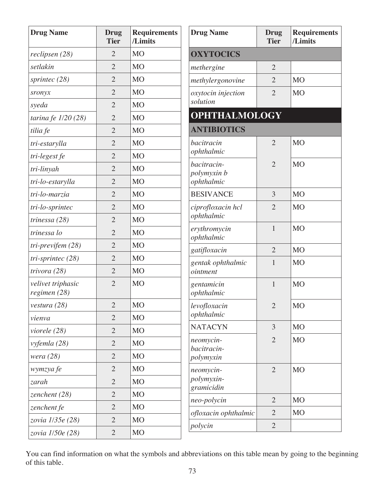| <b>Drug Name</b>                  | Drug<br><b>Tier</b> | <b>Requirements</b><br>/Limits |
|-----------------------------------|---------------------|--------------------------------|
| reclipsen (28)                    | $\overline{2}$      | M <sub>O</sub>                 |
| setlakin                          | $\overline{2}$      | <b>MO</b>                      |
| sprintec $(28)$                   | $\overline{2}$      | M <sub>O</sub>                 |
| sronyx                            | $\overline{2}$      | M <sub>O</sub>                 |
| syeda                             | $\overline{2}$      | M <sub>O</sub>                 |
| tarina fe $1/20$ (28)             | $\overline{2}$      | M <sub>O</sub>                 |
| tilia fe                          | $\overline{2}$      | <b>MO</b>                      |
| tri-estarylla                     | $\overline{2}$      | M <sub>O</sub>                 |
| tri-legest fe                     | $\overline{2}$      | <b>MO</b>                      |
| tri-linyah                        | $\overline{2}$      | M <sub>O</sub>                 |
| tri-lo-estarylla                  | $\overline{2}$      | M <sub>O</sub>                 |
| tri-lo-marzia                     | $\overline{2}$      | M <sub>O</sub>                 |
| tri-lo-sprintec                   | $\overline{2}$      | M <sub>O</sub>                 |
| trinessa $(28)$                   | $\overline{2}$      | M <sub>O</sub>                 |
| trinessa lo                       | $\overline{2}$      | M <sub>O</sub>                 |
| tri-previfem (28)                 | $\overline{2}$      | M <sub>O</sub>                 |
| tri-sprintec (28)                 | $\overline{2}$      | M <sub>O</sub>                 |
| trivora (28)                      | $\overline{2}$      | M <sub>O</sub>                 |
| velivet triphasic<br>regimen (28) | $\overline{2}$      | M <sub>O</sub>                 |
| vestura (28)                      | $\overline{2}$      | <b>MO</b>                      |
| vienva                            | $\overline{2}$      | M <sub>O</sub>                 |
| viorele (28)                      | $\overline{2}$      | M <sub>O</sub>                 |
| vyfemla (28)                      | $\overline{2}$      | M <sub>O</sub>                 |
| wera $(28)$                       | $\overline{2}$      | M <sub>O</sub>                 |
| wymzya fe                         | $\overline{2}$      | M <sub>O</sub>                 |
| zarah                             | $\overline{2}$      | M <sub>O</sub>                 |
| zenchent $(28)$                   | $\overline{2}$      | M <sub>O</sub>                 |
| zenchent fe                       | $\overline{2}$      | M <sub>O</sub>                 |
| zovia 1/35e (28)                  | $\overline{2}$      | M <sub>O</sub>                 |
| zovia 1/50e (28)                  | $\overline{2}$      | <b>MO</b>                      |

| <b>Drug Name</b>                         | Drug<br><b>Tier</b> | <b>Requirements</b><br>/Limits |
|------------------------------------------|---------------------|--------------------------------|
| <b>OXYTOCICS</b>                         |                     |                                |
| methergine                               | $\overline{2}$      |                                |
| methylergonovine                         | $\overline{2}$      | M <sub>O</sub>                 |
| oxytocin injection                       | $\overline{2}$      | <b>MO</b>                      |
| solution                                 |                     |                                |
| <b>OPHTHALMOLOGY</b>                     |                     |                                |
| <b>ANTIBIOTICS</b>                       |                     |                                |
| bacitracin<br>ophthalmic                 | $\overline{2}$      | <b>MO</b>                      |
| bacitracin-<br>polymyxin b<br>ophthalmic | $\overline{2}$      | <b>MO</b>                      |
| <b>BESIVANCE</b>                         | 3                   | M <sub>O</sub>                 |
| ciprofloxacin hcl<br>ophthalmic          | $\overline{2}$      | <b>MO</b>                      |
| erythromycin<br>ophthalmic               | 1                   | M <sub>O</sub>                 |
| gatifloxacin                             | $\overline{2}$      | M <sub>O</sub>                 |
| gentak ophthalmic<br>ointment            | $\mathbf{1}$        | <b>MO</b>                      |
| gentamicin<br>ophthalmic                 | $\mathbf{1}$        | <b>MO</b>                      |
| levofloxacin<br>ophthalmic               | $\overline{2}$      | <b>MO</b>                      |
| <b>NATACYN</b>                           | 3                   | <b>MO</b>                      |
| neomycin-<br>bacitracin-<br>polymyxin    | $\overline{2}$      | <b>MO</b>                      |
| neomycin-<br>polymyxin-<br>gramicidin    | $\overline{2}$      | <b>MO</b>                      |
| neo-polycin                              | $\overline{2}$      | M <sub>O</sub>                 |
| ofloxacin ophthalmic                     | $\overline{2}$      | M <sub>O</sub>                 |
| polycin                                  | $\overline{2}$      |                                |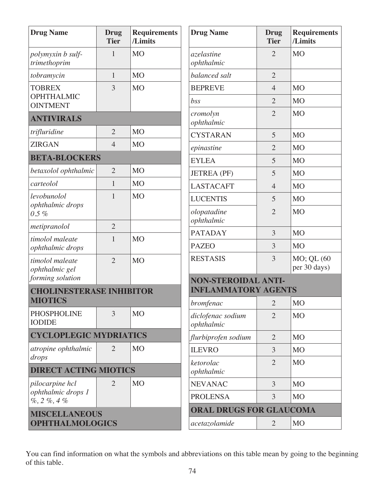| <b>Drug Name</b>                                  | <b>Drug</b><br><b>Tier</b> | <b>Requirements</b><br>/Limits | <b>Drug Name</b>                | <b>Drug</b><br><b>Tier</b> | <b>Requirements</b><br>/Limits |  |
|---------------------------------------------------|----------------------------|--------------------------------|---------------------------------|----------------------------|--------------------------------|--|
| polymyxin b sulf-<br>trimethoprim                 | 1                          | <b>MO</b>                      | <i>azelastine</i><br>ophthalmic | $\overline{2}$             | <b>MO</b>                      |  |
| tobramycin                                        | $\mathbf{1}$               | M <sub>O</sub>                 | balanced salt                   | $\overline{2}$             |                                |  |
| <b>TOBREX</b>                                     | 3                          | <b>MO</b>                      | <b>BEPREVE</b>                  | $\overline{4}$             | M <sub>O</sub>                 |  |
| <b>OPHTHALMIC</b><br><b>OINTMENT</b>              |                            |                                | bss                             | $\overline{2}$             | <b>MO</b>                      |  |
| <b>ANTIVIRALS</b>                                 |                            |                                | cromolyn<br>ophthalmic          | $\overline{2}$             | <b>MO</b>                      |  |
| trifluridine                                      | $\overline{2}$             | M <sub>O</sub>                 | <b>CYSTARAN</b>                 | 5                          | <b>MO</b>                      |  |
| <b>ZIRGAN</b>                                     | $\overline{4}$             | <b>MO</b>                      | epinastine                      | $\overline{2}$             | <b>MO</b>                      |  |
| <b>BETA-BLOCKERS</b>                              |                            |                                | <b>EYLEA</b>                    | 5                          | <b>MO</b>                      |  |
| betaxolol ophthalmic                              | $\overline{2}$             | <b>MO</b>                      | <b>JETREA</b> (PF)              | 5                          | M <sub>O</sub>                 |  |
| carteolol                                         | $\mathbf{1}$               | <b>MO</b>                      | <b>LASTACAFT</b>                | $\overline{4}$             | <b>MO</b>                      |  |
| levobunolol                                       | 1                          | <b>MO</b>                      | <b>LUCENTIS</b>                 | 5                          | <b>MO</b>                      |  |
| ophthalmic drops<br>$0.5 \%$                      |                            |                                | olopatadine<br>ophthalmic       | $\overline{2}$             | <b>MO</b>                      |  |
| metipranolol                                      | $\overline{2}$             |                                | <b>PATADAY</b>                  | 3                          | <b>MO</b>                      |  |
| timolol maleate<br>ophthalmic drops               | $\mathbf{1}$               | <b>MO</b>                      | <b>PAZEO</b>                    | 3                          | <b>MO</b>                      |  |
| timolol maleate<br>ophthalmic gel                 | $\overline{2}$             | <b>MO</b>                      | <b>RESTASIS</b>                 | 3                          | MO; QL (60<br>per 30 days)     |  |
| forming solution                                  |                            |                                | <b>NON-STEROIDAL ANTI-</b>      |                            |                                |  |
| <b>CHOLINESTERASE INHIBITOR</b><br><b>MIOTICS</b> |                            |                                | <b>INFLAMMATORY AGENTS</b>      |                            |                                |  |
| <b>PHOSPHOLINE</b>                                | 3                          | M <sub>O</sub>                 | bromfenac                       | $\overline{2}$             | <b>MO</b>                      |  |
| <b>IODIDE</b>                                     |                            |                                | diclofenac sodium<br>ophthalmic | $\overline{2}$             | <b>MO</b>                      |  |
| <b>CYCLOPLEGIC MYDRIATICS</b>                     |                            |                                | flurbiprofen sodium             | $\overline{2}$             | <b>MO</b>                      |  |
| atropine ophthalmic<br>drops                      | $\overline{2}$             | <b>MO</b>                      | <b>ILEVRO</b>                   | 3                          | M <sub>O</sub>                 |  |
| <b>DIRECT ACTING MIOTICS</b>                      |                            |                                | ketorolac<br>ophthalmic         | $\overline{2}$             | <b>MO</b>                      |  |
| pilocarpine hcl                                   | $\overline{2}$             | M <sub>O</sub>                 | <b>NEVANAC</b>                  | 3                          | <b>MO</b>                      |  |
| ophthalmic drops 1<br>$\%$ , 2 $\%$ , 4 $\%$      |                            |                                | <b>PROLENSA</b>                 | 3                          | <b>MO</b>                      |  |
| <b>MISCELLANEOUS</b>                              |                            |                                | <b>ORAL DRUGS FOR GLAUCOMA</b>  |                            |                                |  |
| <b>OPHTHALMOLOGICS</b>                            |                            |                                | acetazolamide                   | $\overline{2}$             | <b>MO</b>                      |  |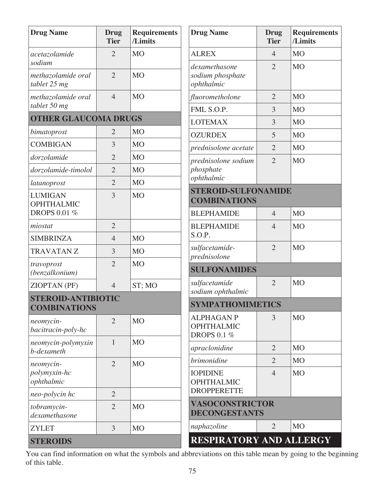| <b>Drug Name</b>                             | <b>Drug</b><br><b>Tier</b> | <b>Requirements</b><br>/Limits | <b>Drug Name</b>                                             | <b>Drug</b><br><b>Tier</b> | Requirement<br>/Limits |
|----------------------------------------------|----------------------------|--------------------------------|--------------------------------------------------------------|----------------------------|------------------------|
| acetazolamide                                | $\overline{2}$             | M <sub>O</sub>                 | <b>ALREX</b>                                                 | $\overline{4}$             | M <sub>O</sub>         |
| sodium<br>methazolamide oral<br>tablet 25 mg | $\overline{2}$             | <b>MO</b>                      | dexamethasone<br>sodium phosphate<br>ophthalmic              | $\overline{2}$             | M <sub>O</sub>         |
| methazolamide oral                           | $\overline{4}$             | <b>MO</b>                      | fluorometholone                                              | $\overline{2}$             | M <sub>O</sub>         |
| tablet 50 mg                                 |                            |                                | FML S.O.P.                                                   | 3                          | <b>MO</b>              |
| <b>OTHER GLAUCOMA DRUGS</b>                  |                            |                                | <b>LOTEMAX</b>                                               | 3                          | M <sub>O</sub>         |
| bimatoprost                                  | $\overline{2}$             | M <sub>O</sub>                 | <b>OZURDEX</b>                                               | 5                          | M <sub>O</sub>         |
| <b>COMBIGAN</b>                              | 3                          | <b>MO</b>                      | prednisolone acetate                                         | $\overline{2}$             | M <sub>O</sub>         |
| dorzolamide                                  | $\overline{2}$             | <b>MO</b>                      | prednisolone sodium                                          | $\overline{2}$             | <b>MO</b>              |
| dorzolamide-timolol                          | $\overline{2}$             | <b>MO</b>                      | phosphate                                                    |                            |                        |
| latanoprost                                  | $\overline{2}$             | <b>MO</b>                      | ophthalmic                                                   |                            |                        |
| <b>LUMIGAN</b><br><b>OPHTHALMIC</b>          | 3                          | <b>MO</b>                      | <b>STEROID-SULFONAMIDE</b><br><b>COMBINATIONS</b>            |                            |                        |
| <b>DROPS 0.01 %</b>                          |                            |                                | <b>BLEPHAMIDE</b>                                            | $\overline{4}$             | M <sub>O</sub>         |
| miostat                                      | $\overline{2}$             |                                | <b>BLEPHAMIDE</b><br>S.O.P.                                  | $\overline{4}$             | <b>MO</b>              |
| <b>SIMBRINZA</b>                             | $\overline{4}$             | <b>MO</b>                      |                                                              | $\overline{2}$             | M <sub>O</sub>         |
| <b>TRAVATAN Z</b>                            | 3                          | M <sub>O</sub>                 | sulfacetamide-<br>prednisolone                               |                            |                        |
| travoprost<br>(benzalkonium)                 | $\overline{2}$             | <b>MO</b>                      | <b>SULFONAMIDES</b>                                          |                            |                        |
| ZIOPTAN (PF)                                 | $\overline{4}$             | ST; MO                         | sulfacetamide<br>sodium ophthalmic                           | $\overline{2}$             | M <sub>O</sub>         |
| <b>STEROID-ANTIBIOTIC</b>                    |                            |                                | <b>SYMPATHOMIMETICS</b>                                      |                            |                        |
| <b>COMBINATIONS</b>                          |                            |                                |                                                              |                            |                        |
| neomycin-<br>bacitracin-poly-hc              | $\overline{2}$             | M <sub>O</sub>                 | <b>ALPHAGAN P</b><br><b>OPHTHALMIC</b><br><b>DROPS 0.1 %</b> | 3                          | M <sub>O</sub>         |
| neomycin-polymyxin<br>b-dexameth             | $\mathbf{1}$               | M <sub>O</sub>                 | apraclonidine                                                | $\overline{2}$             | M <sub>O</sub>         |
| neomycin-                                    | $\overline{2}$             | M <sub>O</sub>                 | brimonidine                                                  | $\overline{2}$             | M <sub>O</sub>         |
| polymyxin-hc<br>ophthalmic                   |                            |                                | <b>IOPIDINE</b><br><b>OPHTHALMIC</b>                         | $\overline{4}$             | M <sub>O</sub>         |
| neo-polycin hc                               | $\overline{2}$             |                                | <b>DROPPERETTE</b>                                           |                            |                        |
| tobramycin-<br>dexamethasone                 | $\overline{2}$             | <b>MO</b>                      | VASOCONSTRICTOR<br>DECONGESTANTS                             |                            |                        |
| <b>ZYLET</b>                                 | $\overline{3}$             | M <sub>O</sub>                 | naphazoline                                                  | $\overline{2}$             | M <sub>O</sub>         |
| <b>STEROIDS</b>                              |                            |                                | <b>RESPIRATORY AND ALLERGY</b>                               |                            |                        |

| <b>Drug Name</b>                                             | <b>Drug</b><br><b>Tier</b>                     | <b>Requirements</b><br>/Limits |  |  |  |  |  |  |
|--------------------------------------------------------------|------------------------------------------------|--------------------------------|--|--|--|--|--|--|
| <b>ALREX</b>                                                 | $\overline{4}$                                 | M <sub>O</sub>                 |  |  |  |  |  |  |
| dexamethasone<br>sodium phosphate<br>ophthalmic              | $\overline{2}$                                 | <b>MO</b>                      |  |  |  |  |  |  |
| fluorometholone                                              | $\overline{2}$                                 | <b>MO</b>                      |  |  |  |  |  |  |
| FML S.O.P.                                                   | 3                                              | <b>MO</b>                      |  |  |  |  |  |  |
| <b>LOTEMAX</b>                                               | 3                                              | <b>MO</b>                      |  |  |  |  |  |  |
| <b>OZURDEX</b>                                               | 5                                              | M <sub>O</sub>                 |  |  |  |  |  |  |
| prednisolone acetate                                         | $\overline{2}$                                 | M <sub>O</sub>                 |  |  |  |  |  |  |
| prednisolone sodium<br>phosphate<br>ophthalmic               | $\overline{2}$                                 | M <sub>O</sub>                 |  |  |  |  |  |  |
| <b>STEROID-SULFONAMIDE</b><br><b>COMBINATIONS</b>            |                                                |                                |  |  |  |  |  |  |
| <b>BLEPHAMIDE</b>                                            | 4                                              | M <sub>O</sub>                 |  |  |  |  |  |  |
| <b>BLEPHAMIDE</b><br>S.O.P.                                  | $\overline{4}$                                 | M <sub>O</sub>                 |  |  |  |  |  |  |
| sulfacetamide-<br>prednisolone                               | $\overline{2}$                                 | <b>MO</b>                      |  |  |  |  |  |  |
| <b>SULFONAMIDES</b>                                          |                                                |                                |  |  |  |  |  |  |
| sulfacetamide<br>sodium ophthalmic                           | $\overline{2}$                                 | M <sub>O</sub>                 |  |  |  |  |  |  |
| <b>SYMPATHOMIMETICS</b>                                      |                                                |                                |  |  |  |  |  |  |
| <b>ALPHAGAN P</b><br><b>OPHTHALMIC</b><br><b>DROPS 0.1 %</b> | 3                                              | <b>MO</b>                      |  |  |  |  |  |  |
| apraclonidine                                                | 2                                              | M <sub>O</sub>                 |  |  |  |  |  |  |
| brimonidine                                                  | $\overline{2}$                                 | M <sub>O</sub>                 |  |  |  |  |  |  |
| <b>IOPIDINE</b><br>OPHTHALMIC<br><b>DROPPERETTE</b>          | $\overline{4}$                                 | M <sub>O</sub>                 |  |  |  |  |  |  |
|                                                              | <b>VASOCONSTRICTOR</b><br><b>DECONGESTANTS</b> |                                |  |  |  |  |  |  |
| naphazoline                                                  | $\overline{2}$                                 | M <sub>O</sub>                 |  |  |  |  |  |  |
| <b>RESPIRATORY AND ALLERGY</b>                               |                                                |                                |  |  |  |  |  |  |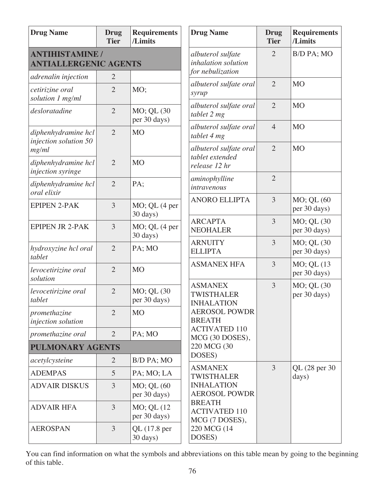| <b>Drug Name</b>                                       | <b>Drug</b><br><b>Tier</b> | <b>Requirements</b><br>/Limits   | <b>Drug Name</b>                                             | <b>Drug</b><br><b>Tier</b> | <b>Requirements</b><br>/Limits |
|--------------------------------------------------------|----------------------------|----------------------------------|--------------------------------------------------------------|----------------------------|--------------------------------|
| <b>ANTIHISTAMINE /</b><br><b>ANTIALLERGENIC AGENTS</b> |                            |                                  | albuterol sulfate<br>inhalation solution<br>for nebulization | $\overline{2}$             | B/D PA; MO                     |
| adrenalin injection                                    | $\overline{2}$             |                                  | albuterol sulfate oral                                       | $\overline{2}$             | <b>MO</b>                      |
| cetirizine oral<br>solution 1 mg/ml                    | $\overline{2}$             | MO;                              | syrup                                                        |                            |                                |
| desloratadine                                          | $\overline{2}$             | MO; QL (30<br>per 30 days)       | albuterol sulfate oral<br>tablet 2 mg                        | $\overline{2}$             | <b>MO</b>                      |
| diphenhydramine hcl<br>injection solution 50           | $\overline{2}$             | <b>MO</b>                        | albuterol sulfate oral<br>tablet 4 mg                        | $\overline{4}$             | <b>MO</b>                      |
| mg/ml                                                  |                            |                                  | albuterol sulfate oral                                       | $\overline{2}$             | <b>MO</b>                      |
| diphenhydramine hcl<br>injection syringe               | $\overline{2}$             | <b>MO</b>                        | tablet extended<br>release 12 hr                             |                            |                                |
| diphenhydramine hcl<br>oral elixir                     | $\overline{2}$             | PA;                              | aminophylline<br>intravenous                                 | $\overline{2}$             |                                |
| <b>EPIPEN 2-PAK</b>                                    | 3                          | MO; QL (4 per<br>30 days)        | <b>ANORO ELLIPTA</b>                                         | 3                          | MO; QL (60<br>per 30 days)     |
| <b>EPIPEN JR 2-PAK</b>                                 | 3                          | MO; QL (4 per<br>30 days)        | <b>ARCAPTA</b><br><b>NEOHALER</b>                            | 3                          | MO; QL (30<br>per 30 days)     |
| hydroxyzine hcl oral<br>tablet                         | $\overline{2}$             | PA; MO                           | <b>ARNUITY</b><br><b>ELLIPTA</b>                             | 3                          | MO; QL (30<br>per 30 days)     |
| levocetirizine oral<br>solution                        | $\overline{2}$             | <b>MO</b>                        | <b>ASMANEX HFA</b>                                           | 3                          | MO; QL (13<br>per 30 days)     |
| levocetirizine oral<br>tablet                          | $\overline{2}$             | MO; QL (30<br>per 30 days)       | <b>ASMANEX</b><br><b>TWISTHALER</b><br><b>INHALATION</b>     | 3                          | MO; QL (30<br>per 30 days)     |
| promethazine<br>injection solution                     | $\overline{2}$             | M <sub>O</sub>                   | <b>AEROSOL POWDR</b><br><b>BREATH</b>                        |                            |                                |
| promethazine oral                                      | $\overline{2}$             | PA; MO                           | <b>ACTIVATED 110</b><br>MCG (30 DOSES),                      |                            |                                |
| <b>PULMONARY AGENTS</b>                                |                            |                                  | 220 MCG (30                                                  |                            |                                |
| acetylcysteine                                         | $\overline{2}$             | B/D PA; MO                       | DOSES)                                                       |                            |                                |
| <b>ADEMPAS</b>                                         | 5                          | PA; MO; LA                       | <b>ASMANEX</b><br><b>TWISTHALER</b>                          | 3                          | QL (28 per 30)<br>days)        |
| <b>ADVAIR DISKUS</b>                                   | 3                          | MO; QL (60<br>per 30 days)       | <b>INHALATION</b><br><b>AEROSOL POWDR</b>                    |                            |                                |
| <b>ADVAIR HFA</b>                                      | 3                          | $MO$ ; QL $(12)$<br>per 30 days) | <b>BREATH</b><br><b>ACTIVATED 110</b><br>MCG (7 DOSES),      |                            |                                |
| <b>AEROSPAN</b>                                        | 3                          | QL (17.8 per<br>30 days)         | 220 MCG (14<br>DOSES)                                        |                            |                                |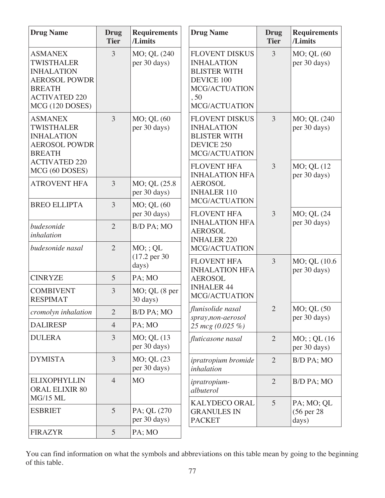| <b>Drug Name</b>                                                                                                                             | <b>Drug</b><br><b>Tier</b> | <b>Requirements</b><br>/Limits                   | <b>Drug Name</b>                                                                                                                 | <b>Drug</b><br><b>Tier</b> | <b>Requirements</b><br>/Limits     |
|----------------------------------------------------------------------------------------------------------------------------------------------|----------------------------|--------------------------------------------------|----------------------------------------------------------------------------------------------------------------------------------|----------------------------|------------------------------------|
| <b>ASMANEX</b><br><b>TWISTHALER</b><br><b>INHALATION</b><br><b>AEROSOL POWDR</b><br><b>BREATH</b><br><b>ACTIVATED 220</b><br>MCG (120 DOSES) | 3                          | MO; QL (240<br>per 30 days)                      | <b>FLOVENT DISKUS</b><br><b>INHALATION</b><br><b>BLISTER WITH</b><br><b>DEVICE 100</b><br>MCG/ACTUATION<br>, 50<br>MCG/ACTUATION | 3                          | MO; QL (60<br>per 30 days)         |
| <b>ASMANEX</b><br><b>TWISTHALER</b><br><b>INHALATION</b><br><b>AEROSOL POWDR</b><br><b>BREATH</b>                                            | 3                          | MO; QL (60<br>per 30 days)                       | <b>FLOVENT DISKUS</b><br><b>INHALATION</b><br><b>BLISTER WITH</b><br>DEVICE 250<br>MCG/ACTUATION                                 | $\overline{3}$             | MO; QL (240<br>per 30 days)        |
| <b>ACTIVATED 220</b><br>MCG (60 DOSES)                                                                                                       |                            |                                                  | <b>FLOVENT HFA</b><br><b>INHALATION HFA</b>                                                                                      | $\overline{3}$             | MO; QL (12<br>per 30 days)         |
| <b>ATROVENT HFA</b>                                                                                                                          | 3                          | MO; QL (25.8)<br>per 30 days)                    | <b>AEROSOL</b><br><b>INHALER 110</b>                                                                                             |                            |                                    |
| <b>BREO ELLIPTA</b>                                                                                                                          | 3                          | MO; QL (60<br>per 30 days)                       | MCG/ACTUATION<br><b>FLOVENT HFA</b><br><b>INHALATION HFA</b><br><b>AEROSOL</b><br><b>INHALER 220</b>                             | $\overline{3}$             | MO; QL (24                         |
| budesonide<br>inhalation                                                                                                                     | $\overline{2}$             | B/D PA; MO                                       |                                                                                                                                  |                            | per 30 days)                       |
| budesonide nasal                                                                                                                             | $\overline{2}$             | $MO$ ; ; QL<br>$(17.2 \text{ per } 30)$<br>days) | MCG/ACTUATION<br><b>FLOVENT HFA</b>                                                                                              | 3                          | MO; QL (10.6)                      |
| <b>CINRYZE</b>                                                                                                                               | 5                          | PA; MO                                           | <b>INHALATION HFA</b><br><b>AEROSOL</b>                                                                                          |                            | per 30 days)                       |
| <b>COMBIVENT</b><br><b>RESPIMAT</b>                                                                                                          | 3                          | $MO$ ; QL $(8$ per<br>30 days)                   | <b>INHALER 44</b><br>MCG/ACTUATION                                                                                               |                            |                                    |
| cromolyn inhalation                                                                                                                          | $\overline{2}$             | B/D PA; MO                                       | flunisolide nasal<br>spray,non-aerosol                                                                                           | $2^{\circ}$                | MO; QL (50<br>per 30 days)         |
| <b>DALIRESP</b>                                                                                                                              | $\overline{4}$             | PA; MO                                           | 25 mcg (0.025 %)                                                                                                                 |                            |                                    |
| <b>DULERA</b>                                                                                                                                | 3                          | MO; QL (13)<br>per 30 days)                      | fluticasone nasal                                                                                                                | $\overline{2}$             | $MO$ ; ; QL (16)<br>per 30 days)   |
| <b>DYMISTA</b>                                                                                                                               | 3                          | MO; QL (23)<br>per 30 days)                      | ipratropium bromide<br>inhalation                                                                                                | $\overline{2}$             | B/D PA; MO                         |
| <b>ELIXOPHYLLIN</b><br><b>ORAL ELIXIR 80</b><br><b>MG/15 ML</b>                                                                              | $\overline{4}$             | M <sub>O</sub>                                   | ipratropium-<br>albuterol                                                                                                        | $\overline{2}$             | B/D PA; MO                         |
| <b>ESBRIET</b>                                                                                                                               | 5                          | PA; QL (270)<br>per 30 days)                     | <b>KALYDECO ORAL</b><br><b>GRANULES IN</b><br><b>PACKET</b>                                                                      | 5                          | PA; MO; QL<br>(56 per 28)<br>days) |
| <b>FIRAZYR</b>                                                                                                                               | 5                          | PA; MO                                           |                                                                                                                                  |                            |                                    |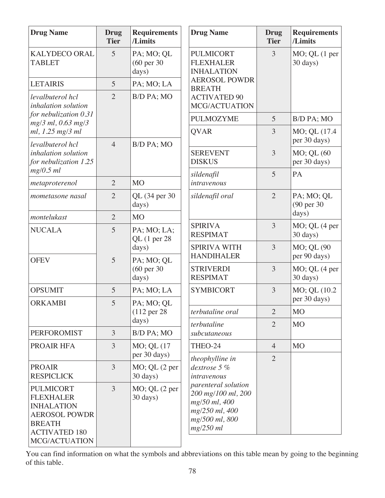| <b>Drug Name</b>                                                                                                                            | <b>Drug</b><br><b>Tier</b> | <b>Requirements</b><br>/Limits            | <b>Drug Name</b>                                                                                                                           | <b>Drug</b><br><b>Tier</b> | <b>Requirements</b><br>/Limits |
|---------------------------------------------------------------------------------------------------------------------------------------------|----------------------------|-------------------------------------------|--------------------------------------------------------------------------------------------------------------------------------------------|----------------------------|--------------------------------|
| <b>KALYDECO ORAL</b><br><b>TABLET</b>                                                                                                       | 5                          | PA; MO; QL<br>(60 per 30)<br>days)        | <b>PULMICORT</b><br><b>FLEXHALER</b><br><b>INHALATION</b><br><b>AEROSOL POWDR</b><br><b>BREATH</b><br><b>ACTIVATED 90</b><br>MCG/ACTUATION | $\overline{3}$             | MO; QL (1 per<br>30 days)      |
| <b>LETAIRIS</b>                                                                                                                             | 5                          | PA; MO; LA                                |                                                                                                                                            |                            |                                |
| levalbuterol hcl<br>inhalation solution                                                                                                     | $\overline{2}$             | B/D PA; MO                                |                                                                                                                                            |                            |                                |
| for nebulization 0.31<br>$mg/3$ ml, 0.63 mg/3                                                                                               |                            |                                           | <b>PULMOZYME</b>                                                                                                                           | 5                          | B/D PA; MO                     |
| ml, 1.25 mg/3 ml<br>levalbuterol hcl                                                                                                        | $\overline{4}$             | B/D PA; MO                                | <b>QVAR</b>                                                                                                                                | 3                          | MO; QL (17.4<br>per 30 days)   |
| inhalation solution<br>for nebulization 1.25                                                                                                |                            |                                           | <b>SEREVENT</b><br><b>DISKUS</b>                                                                                                           | $\overline{3}$             | MO; QL (60<br>per 30 days)     |
| $mg/0.5$ ml<br>metaproterenol                                                                                                               | $\overline{2}$             | <b>MO</b>                                 | sildenafil<br>intravenous                                                                                                                  | 5                          | PA                             |
| mometasone nasal                                                                                                                            | $\overline{2}$             | QL (34 per 30<br>days)                    | sildenafil oral                                                                                                                            | $\overline{2}$             | PA; MO; QL<br>(90 per 30       |
| montelukast                                                                                                                                 | $\overline{2}$             | <b>MO</b>                                 |                                                                                                                                            |                            | days)                          |
| <b>NUCALA</b>                                                                                                                               | 5                          | PA; MO; LA;<br>QL $(1$ per 28<br>days)    | <b>SPIRIVA</b><br><b>RESPIMAT</b>                                                                                                          | 3                          | MO; QL (4 per<br>30 days)      |
|                                                                                                                                             |                            |                                           | <b>SPIRIVA WITH</b><br><b>HANDIHALER</b>                                                                                                   | $\overline{3}$             | MO; QL (90<br>per 90 days)     |
| <b>OFEV</b>                                                                                                                                 | 5                          | PA; MO; QL<br>(60 per 30<br>days)         | <b>STRIVERDI</b><br><b>RESPIMAT</b>                                                                                                        | $\overline{3}$             | $MO$ ; QL $(4$ per<br>30 days) |
| <b>OPSUMIT</b>                                                                                                                              | 5                          | PA; MO; LA                                | <b>SYMBICORT</b>                                                                                                                           | $\overline{3}$             | MO; QL (10.2)<br>per 30 days)  |
| <b>ORKAMBI</b>                                                                                                                              | 5                          | PA; MO; QL<br>$(112 \text{ per } 28)$     | terbutaline oral                                                                                                                           | $\overline{2}$             | M <sub>O</sub>                 |
|                                                                                                                                             |                            | days)                                     | terbutaline                                                                                                                                | $\overline{2}$             | <b>MO</b>                      |
| <b>PERFOROMIST</b>                                                                                                                          | $\overline{3}$             | B/D PA; MO                                | subcutaneous                                                                                                                               |                            |                                |
| PROAIR HFA                                                                                                                                  | $\mathfrak{Z}$             | MO; QL (17<br>per 30 days)                | THEO-24                                                                                                                                    | $\overline{4}$             | <b>MO</b>                      |
| <b>PROAIR</b><br><b>RESPICLICK</b>                                                                                                          | $\overline{3}$             | $MO$ ; QL $(2$ per<br>$30 \text{ days}$ ) | theophylline in<br>dextrose 5 %<br>intravenous                                                                                             | $\overline{2}$             |                                |
| <b>PULMICORT</b><br><b>FLEXHALER</b><br><b>INHALATION</b><br><b>AEROSOL POWDR</b><br><b>BREATH</b><br><b>ACTIVATED 180</b><br>MCG/ACTUATION | $\overline{3}$             | $MO$ ; QL $(2$ per<br>30 days)            | parenteral solution<br>200 mg/100 ml, 200<br>mg/50 ml, 400<br>mg/250 ml, 400<br>mg/500 ml, 800<br>$mg/250$ ml                              |                            |                                |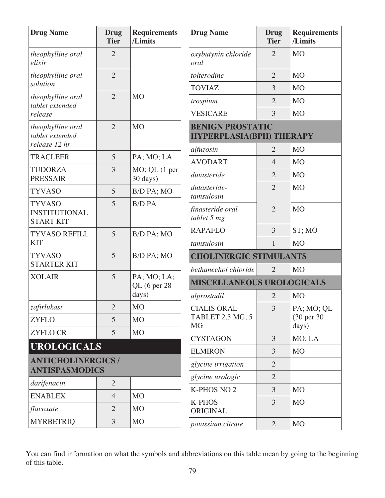| <b>Drug Name</b>                                          | <b>Drug</b><br><b>Tier</b> | <b>Requirements</b><br>/Limits | <b>Drug Name</b>                                           | <b>Drug</b><br><b>Tier</b> | <b>Requirements</b><br>/Limits |
|-----------------------------------------------------------|----------------------------|--------------------------------|------------------------------------------------------------|----------------------------|--------------------------------|
| theophylline oral<br>elixir                               | $\overline{2}$             |                                | oxybutynin chloride<br>oral                                | $\overline{2}$             | M <sub>O</sub>                 |
| theophylline oral                                         | $\overline{2}$             |                                | tolterodine                                                | $\overline{2}$             | M <sub>O</sub>                 |
| solution                                                  |                            |                                | <b>TOVIAZ</b>                                              | 3                          | <b>MO</b>                      |
| theophylline oral<br>tablet extended                      | $\overline{2}$             | <b>MO</b>                      | trospium                                                   | $\overline{2}$             | <b>MO</b>                      |
| release                                                   |                            |                                | <b>VESICARE</b>                                            | 3                          | M <sub>O</sub>                 |
| theophylline oral<br>tablet extended                      | $\overline{2}$             | <b>MO</b>                      | <b>BENIGN PROSTATIC</b><br><b>HYPERPLASIA(BPH) THERAPY</b> |                            |                                |
| release 12 hr<br><b>TRACLEER</b>                          | 5                          |                                | alfuzosin                                                  | $\overline{2}$             | M <sub>O</sub>                 |
|                                                           |                            | PA; MO; LA                     | <b>AVODART</b>                                             | $\overline{4}$             | M <sub>O</sub>                 |
| <b>TUDORZA</b><br><b>PRESSAIR</b>                         | 3                          | MO; QL (1 per<br>30 days)      | dutasteride                                                | $\overline{2}$             | M <sub>O</sub>                 |
| <b>TYVASO</b>                                             | 5                          | B/D PA; MO                     | dutasteride-<br>tamsulosin                                 | $\overline{2}$             | <b>MO</b>                      |
| <b>TYVASO</b><br><b>INSTITUTIONAL</b><br><b>START KIT</b> | 5                          | <b>B/D PA</b>                  | finasteride oral<br>tablet 5 mg                            | $\overline{2}$             | <b>MO</b>                      |
| <b>TYVASO REFILL</b>                                      | 5                          | B/D PA; MO                     | <b>RAPAFLO</b>                                             | 3                          | ST; MO                         |
| <b>KIT</b>                                                |                            |                                | tamsulosin                                                 | $\mathbf{1}$               | M <sub>O</sub>                 |
| <b>TYVASO</b>                                             | 5                          | B/D PA; MO                     | <b>CHOLINERGIC STIMULANTS</b>                              |                            |                                |
| <b>STARTER KIT</b><br><b>XOLAIR</b>                       | 5                          |                                | bethanechol chloride                                       | $\overline{2}$             | M <sub>O</sub>                 |
|                                                           |                            | PA; MO; LA;<br>QL (6 per 28    | <b>MISCELLANEOUS UROLOGICALS</b>                           |                            |                                |
|                                                           |                            | days)                          | alprostadil                                                | 2                          | M <sub>O</sub>                 |
| $zafirlukast$                                             | $\overline{2}$             | <b>MO</b>                      | <b>CIALIS ORAL</b>                                         | $\overline{3}$             | PA; MO; QL                     |
| <b>ZYFLO</b>                                              | $\overline{5}$             | <b>MO</b>                      | TABLET 2.5 MG, 5<br><b>MG</b>                              |                            | (30 per 30)<br>days)           |
| <b>ZYFLO CR</b>                                           | 5                          | <b>MO</b>                      | <b>CYSTAGON</b>                                            | 3                          | MO; LA                         |
| <b>UROLOGICALS</b>                                        |                            |                                | <b>ELMIRON</b>                                             | 3                          | M <sub>O</sub>                 |
| <b>ANTICHOLINERGICS/</b>                                  |                            |                                | glycine irrigation                                         | $\overline{2}$             |                                |
| <b>ANTISPASMODICS</b>                                     |                            |                                | glycine urologic                                           | $\overline{2}$             |                                |
| darifenacin                                               | $\overline{2}$             |                                | K-PHOS NO <sub>2</sub>                                     | 3                          | M <sub>O</sub>                 |
| <b>ENABLEX</b>                                            | $\overline{4}$             | M <sub>O</sub>                 | <b>K-PHOS</b>                                              | 3                          | M <sub>O</sub>                 |
| flavoxate                                                 | $\overline{2}$             | M <sub>O</sub>                 | ORIGINAL                                                   |                            |                                |
| <b>MYRBETRIQ</b>                                          | $\mathfrak{Z}$             | <b>MO</b>                      | potassium citrate                                          | $\overline{2}$             | <b>MO</b>                      |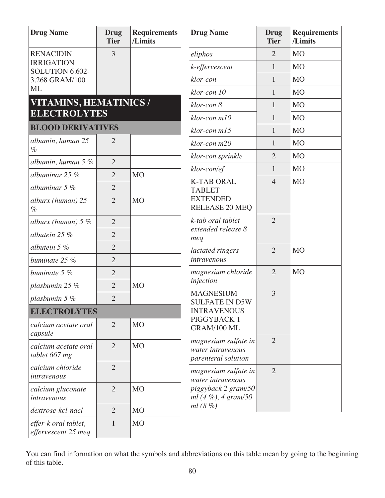| <b>Drug Name</b>                            | <b>Drug</b><br><b>Tier</b> | <b>Requirements</b><br>/Limits | <b>Drug Name</b>                                                 | <b>Drug</b><br><b>Tier</b> | <b>Requirements</b><br>/Limits |
|---------------------------------------------|----------------------------|--------------------------------|------------------------------------------------------------------|----------------------------|--------------------------------|
| <b>RENACIDIN</b>                            | 3                          |                                | eliphos                                                          | $\overline{2}$             | <b>MO</b>                      |
| <b>IRRIGATION</b><br>SOLUTION 6.602-        |                            |                                | k-effervescent                                                   | $\mathbf{1}$               | M <sub>O</sub>                 |
| 3.268 GRAM/100                              |                            |                                | klor-con                                                         | $\mathbf{1}$               | <b>MO</b>                      |
| <b>ML</b>                                   |                            |                                | klor-con 10                                                      | $\mathbf{1}$               | <b>MO</b>                      |
| VITAMINS, HEMATINICS /                      |                            |                                | klor-con 8                                                       | $\mathbf{1}$               | M <sub>O</sub>                 |
| <b>ELECTROLYTES</b>                         |                            |                                | $klor$ -con $m10$                                                | $\mathbf{1}$               | <b>MO</b>                      |
| <b>BLOOD DERIVATIVES</b>                    |                            |                                | klor-con m15                                                     | $\mathbf{1}$               | <b>MO</b>                      |
| albumin, human 25<br>$\%$                   | $\overline{2}$             |                                | klor-con m20                                                     | 1                          | <b>MO</b>                      |
| albumin, human $5\%$                        | $\overline{2}$             |                                | klor-con sprinkle                                                | $\overline{2}$             | <b>MO</b>                      |
| albuminar 25 %                              | $\overline{2}$             | <b>MO</b>                      | klor-con/ef                                                      | $\mathbf{1}$               | <b>MO</b>                      |
| albuminar $5\%$                             | $\overline{2}$             |                                | <b>K-TAB ORAL</b>                                                | $\overline{4}$             | <b>MO</b>                      |
|                                             |                            |                                | <b>TABLET</b><br><b>EXTENDED</b>                                 |                            |                                |
| alburx (human) 25<br>$\%$                   | $\overline{2}$             | <b>MO</b>                      | <b>RELEASE 20 MEQ</b>                                            |                            |                                |
| alburx (human) $5%$                         | $\overline{2}$             |                                | k-tab oral tablet<br>extended release 8<br>meq                   | $\overline{2}$             |                                |
| albutein 25 %                               | $\overline{2}$             |                                |                                                                  |                            |                                |
| albutein 5 %                                | $\overline{2}$             |                                | lactated ringers                                                 | $\overline{2}$             | <b>MO</b>                      |
| buminate 25 %                               | $\overline{2}$             |                                | intravenous                                                      |                            |                                |
| buminate 5 %                                | $\overline{2}$             |                                | magnesium chloride                                               | $\overline{2}$             | <b>MO</b>                      |
| plasbumin 25 %                              | $\overline{2}$             | <b>MO</b>                      | injection                                                        |                            |                                |
| plasbumin 5 %                               | $\overline{2}$             |                                | <b>MAGNESIUM</b><br><b>SULFATE IN D5W</b>                        | 3                          |                                |
| <b>ELECTROLYTES</b>                         |                            |                                | <b>INTRAVENOUS</b>                                               |                            |                                |
| calcium acetate oral<br>capsule             | $\overline{2}$             | MO                             | PIGGYBACK 1<br>GRAM/100 ML                                       |                            |                                |
| calcium acetate oral<br>tablet 667 mg       | $\overline{2}$             | M <sub>O</sub>                 | magnesium sulfate in<br>water intravenous<br>parenteral solution | $\overline{2}$             |                                |
| calcium chloride<br>intravenous             | $\overline{2}$             |                                | magnesium sulfate in<br>water intravenous                        | $\overline{2}$             |                                |
| calcium gluconate<br>intravenous            | $\overline{2}$             | <b>MO</b>                      | piggyback 2 gram/50<br>ml $(4\%), 4\, gram/50$                   |                            |                                |
| dextrose-kcl-nacl                           | $\overline{2}$             | M <sub>O</sub>                 | ml(8%)                                                           |                            |                                |
| effer-k oral tablet,<br>effervescent 25 meq | $\mathbf{1}$               | M <sub>O</sub>                 |                                                                  |                            |                                |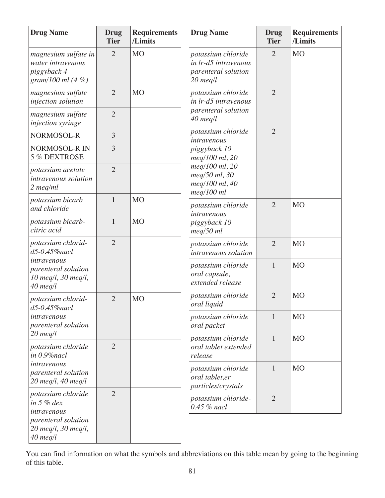| <b>Drug Name</b>                                                                | <b>Drug</b><br><b>Tier</b> | <b>Requirements</b><br>/Limits | <b>Drug Name</b>                                                                | <b>Drug</b><br><b>Tier</b>                 | <b>Requirements</b><br>/Limits |                |
|---------------------------------------------------------------------------------|----------------------------|--------------------------------|---------------------------------------------------------------------------------|--------------------------------------------|--------------------------------|----------------|
| magnesium sulfate in<br>water intravenous<br>piggyback 4<br>gram/100 ml $(4\%)$ | $\overline{2}$             | <b>MO</b>                      | potassium chloride<br>in lr-d5 intravenous<br>parenteral solution<br>$20$ meq/l | $\overline{2}$                             | <b>MO</b>                      |                |
| magnesium sulfate<br>injection solution                                         | $\overline{2}$             | M <sub>O</sub>                 | potassium chloride<br>in lr-d5 intravenous                                      | $\overline{2}$                             |                                |                |
| magnesium sulfate<br>injection syringe                                          | $\overline{2}$             |                                | parenteral solution<br>$40$ meq/l                                               |                                            |                                |                |
| NORMOSOL-R                                                                      | 3                          |                                | potassium chloride<br>intravenous                                               | $\overline{2}$                             |                                |                |
| NORMOSOL-R IN<br>5 % DEXTROSE                                                   | 3                          |                                | piggyback 10<br>meg/100 ml, 20                                                  |                                            |                                |                |
| potassium acetate<br>intravenous solution<br>$2 \text{ meq/ml}$                 | $\overline{2}$             |                                | meg/100 ml, 20<br>meq/50 ml, 30<br>meg/100 ml, 40<br>$meq/100$ ml               |                                            |                                |                |
| potassium bicarb<br>and chloride                                                | $\mathbf{1}$               | M <sub>O</sub>                 | potassium chloride<br>intravenous                                               | $\overline{2}$                             | <b>MO</b>                      |                |
| potassium bicarb-<br>citric acid                                                | $\mathbf{1}$               | <b>MO</b>                      | piggyback 10<br>$meq/50$ ml                                                     |                                            |                                |                |
| potassium chlorid-<br>d5-0.45%nacl                                              | $\overline{2}$             |                                |                                                                                 | potassium chloride<br>intravenous solution | $\overline{2}$                 | M <sub>O</sub> |
| intravenous<br>parenteral solution<br>10 meg/l, 30 meg/l,<br>$40$ meq/l         |                            |                                | potassium chloride<br>oral capsule,<br>extended release                         | $\mathbf{1}$                               | <b>MO</b>                      |                |
| potassium chlorid-<br>$d5-0.45\%$ nacl                                          | $\overline{2}$             | M <sub>O</sub>                 | potassium chloride<br>oral liquid                                               | $\overline{2}$                             | <b>MO</b>                      |                |
| intravenous<br>parenteral solution                                              |                            |                                | potassium chloride<br>oral packet                                               | $\mathbf{1}$                               | M <sub>O</sub>                 |                |
| $20$ meq/l<br>potassium chloride<br>in 0.9% nacl                                | $\overline{2}$             |                                | potassium chloride<br>oral tablet extended<br>release                           | $\mathbf{1}$                               | M <sub>O</sub>                 |                |
| intravenous<br>parenteral solution<br>$20$ meg/l, $40$ meg/l                    |                            |                                | potassium chloride<br>oral tablet,er<br>particles/crystals                      | $\mathbf{1}$                               | M <sub>O</sub>                 |                |
| potassium chloride<br>in $5%$ dex<br>intravenous                                | $\overline{2}$             |                                | potassium chloride-<br>$0.45$ % nacl                                            | $\overline{2}$                             |                                |                |
| parenteral solution<br>$20$ meq/l, $30$ meq/l,<br>$40$ meq/l                    |                            |                                |                                                                                 |                                            |                                |                |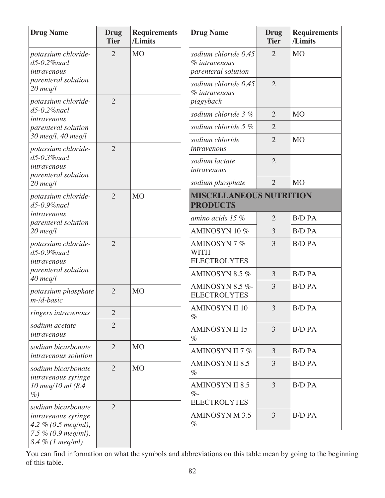| <b>Requirements</b><br>/Limits |
|--------------------------------|
|                                |
|                                |
|                                |
|                                |
|                                |
|                                |
|                                |
|                                |
| <b>MISCELLANEOUS NUTRITION</b> |
| <b>B/D PA</b>                  |
| <b>B/D PA</b>                  |
| <b>B/D PA</b>                  |
| <b>B/D PA</b>                  |
| <b>B/D PA</b>                  |
| <b>B/D PA</b>                  |
| <b>B/D PA</b>                  |
| <b>B/D PA</b>                  |
| <b>B/D PA</b>                  |
|                                |
| <b>B/D PA</b>                  |
|                                |
| <b>B/D PA</b>                  |
|                                |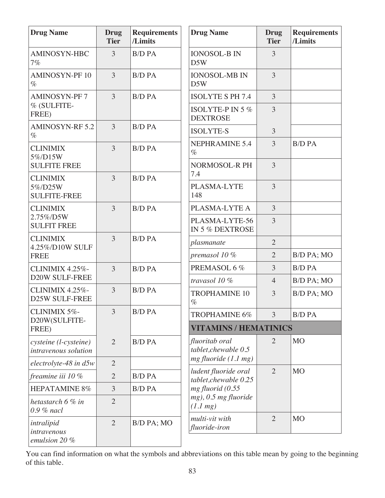| <b>Drug Name</b>                                  | <b>Drug</b><br><b>Tier</b> | <b>Requirements</b><br>/Limits | <b>Drug Name</b>                              | Drug<br><b>Tier</b> | <b>Requirements</b><br>/Limits |
|---------------------------------------------------|----------------------------|--------------------------------|-----------------------------------------------|---------------------|--------------------------------|
| AMINOSYN-HBC<br>7%                                | 3                          | <b>B/D PA</b>                  | <b>IONOSOL-B IN</b><br>D5W                    | 3                   |                                |
| <b>AMINOSYN-PF10</b><br>$\%$                      | $\overline{3}$             | <b>B/D PA</b>                  | <b>IONOSOL-MB IN</b><br>D5W                   | $\overline{3}$      |                                |
| <b>AMINOSYN-PF7</b>                               | 3                          | <b>B/D PA</b>                  | <b>ISOLYTE S PH 7.4</b>                       | $\overline{3}$      |                                |
| % (SULFITE-<br>FREE)                              |                            |                                | ISOLYTE-P IN 5 %<br><b>DEXTROSE</b>           | 3                   |                                |
| <b>AMINOSYN-RF 5.2</b><br>$\%$                    | 3                          | <b>B/D PA</b>                  | <b>ISOLYTE-S</b>                              | $\overline{3}$      |                                |
| <b>CLINIMIX</b><br>5%/D15W                        | $\overline{3}$             | <b>B/D PA</b>                  | <b>NEPHRAMINE 5.4</b><br>$\%$                 | 3                   | <b>B/D PA</b>                  |
| <b>SULFITE FREE</b>                               |                            |                                | NORMOSOL-R PH<br>7.4                          | $\overline{3}$      |                                |
| <b>CLINIMIX</b><br>5%/D25W<br><b>SULFITE-FREE</b> | 3                          | <b>B/D PA</b>                  | PLASMA-LYTE<br>148                            | 3                   |                                |
| <b>CLINIMIX</b>                                   | 3                          | <b>B/D PA</b>                  | PLASMA-LYTE A                                 | $\overline{3}$      |                                |
| 2.75%/D5W<br><b>SULFIT FREE</b>                   |                            |                                | PLASMA-LYTE-56<br>IN 5 % DEXTROSE             | 3                   |                                |
| <b>CLINIMIX</b><br>4.25%/D10W SULF                | 3                          | <b>B/D PA</b>                  | plasmanate                                    | $\overline{2}$      |                                |
| <b>FREE</b>                                       |                            |                                | premasol 10 %                                 | $\overline{2}$      | B/D PA; MO                     |
| <b>CLINIMIX 4.25%-</b>                            | 3                          | <b>B/D PA</b>                  | PREMASOL 6 %                                  | 3                   | <b>B/D PA</b>                  |
| <b>D20W SULF-FREE</b>                             |                            |                                | travasol 10 %                                 | $\overline{4}$      | B/D PA; MO                     |
| CLINIMIX 4.25%-<br><b>D25W SULF-FREE</b>          | 3                          | <b>B/D PA</b>                  | <b>TROPHAMINE 10</b><br>$\%$                  | 3                   | B/D PA; MO                     |
| CLINIMIX 5%-                                      | 3                          | <b>B/D PA</b>                  | TROPHAMINE 6%                                 | 3                   | <b>B/D PA</b>                  |
| D20W(SULFITE-<br>FREE)                            |                            |                                | <b>VITAMINS / HEMATINICS</b>                  |                     |                                |
| cysteine (l-cysteine)<br>intravenous solution     | $\overline{2}$             | <b>B/D PA</b>                  | fluoritab oral<br>tablet, chewable 0.5        | $\overline{2}$      | M <sub>O</sub>                 |
| $electrolyte-48$ in $d5w$                         | $\overline{2}$             |                                | $mg$ fluoride (1.1 mg)                        |                     |                                |
| freamine iii 10 %                                 | $\overline{2}$             | <b>B/D PA</b>                  | ludent fluoride oral<br>tablet, chewable 0.25 | $\overline{2}$      | M <sub>O</sub>                 |
| HEPATAMINE 8%                                     | 3                          | <b>B/D PA</b>                  | $mg$ fluorid (0.55                            |                     |                                |
| hetastarch 6 % in<br>$0.9 %$ nacl                 | $\overline{2}$             |                                | mg), 0.5 mg fluoride<br>$(1.1 \, mg)$         |                     |                                |
| intralipid<br>intravenous<br>emulsion 20 %        | $\overline{2}$             | B/D PA; MO                     | multi-vit with<br>fluoride-iron               | $\overline{2}$      | <b>MO</b>                      |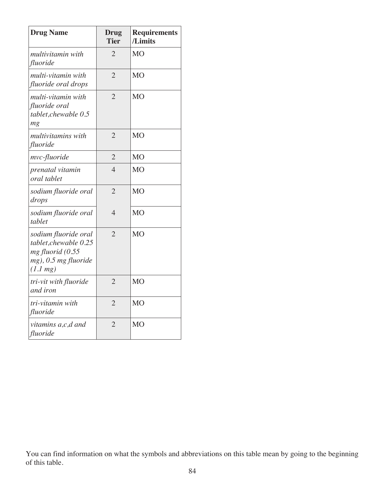| <b>Drug Name</b>                                                                                                | Drug<br><b>Tier</b> | <b>Requirements</b><br>/Limits |
|-----------------------------------------------------------------------------------------------------------------|---------------------|--------------------------------|
| multivitamin with<br>fluoride                                                                                   | $\overline{2}$      | M <sub>O</sub>                 |
| multi-vitamin with<br>fluoride oral drops                                                                       | $\overline{2}$      | <b>MO</b>                      |
| multi-vitamin with<br>fluoride oral<br>tablet, chewable 0.5<br>mg                                               | $\overline{2}$      | M <sub>O</sub>                 |
| multivitamins with<br>fluoride                                                                                  | $\overline{2}$      | <b>MO</b>                      |
| mvc-fluoride                                                                                                    | $\overline{2}$      | M <sub>O</sub>                 |
| prenatal vitamin<br>oral tablet                                                                                 | $\overline{4}$      | <b>MO</b>                      |
| sodium fluoride oral<br>drops                                                                                   | $\overline{2}$      | <b>MO</b>                      |
| sodium fluoride oral<br>tablet                                                                                  | $\overline{4}$      | M <sub>O</sub>                 |
| sodium fluoride oral<br>tablet, chewable 0.25<br>mg fluorid (0.55<br>mg), 0.5 mg fluoride<br>$(1.1 \text{ mg})$ | $\overline{2}$      | <b>MO</b>                      |
| tri-vit with fluoride<br>and iron                                                                               | $\overline{2}$      | <b>MO</b>                      |
| tri-vitamin with<br>fluoride                                                                                    | $\overline{2}$      | <b>MO</b>                      |
| vitamins a,c,d and<br>fluoride                                                                                  | $\overline{2}$      | <b>MO</b>                      |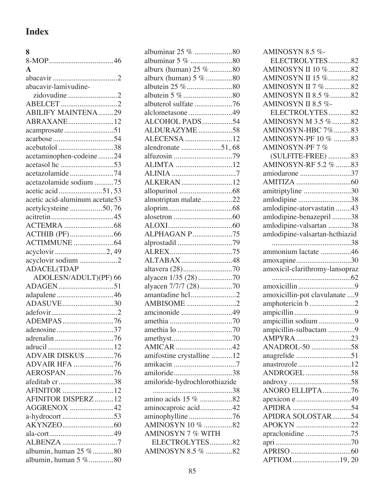## **Index**

## **8**

| $\mathbf{A}$                                  |  |
|-----------------------------------------------|--|
|                                               |  |
| abacavir-lamivudine-                          |  |
| zidovudine 2                                  |  |
|                                               |  |
| <b>ABILIFY MAINTENA29</b>                     |  |
| ABRAXANE12                                    |  |
|                                               |  |
|                                               |  |
| acebutolol 38                                 |  |
| acetaminophen-codeine24                       |  |
|                                               |  |
| acetazolamide74                               |  |
| acetazolamide sodium 75                       |  |
|                                               |  |
| acetic acid-aluminum acetate53                |  |
| acetylcysteine 50,76                          |  |
|                                               |  |
|                                               |  |
|                                               |  |
|                                               |  |
| acyclovir 2,49                                |  |
| acyclovir sodium 2                            |  |
|                                               |  |
|                                               |  |
| <b>ADACEL(TDAP</b>                            |  |
| ADOLESN/ADULT)(PF) 66                         |  |
| ADAGEN51                                      |  |
| adapalene46                                   |  |
| ADASUVE30                                     |  |
|                                               |  |
| ADEMPAS76                                     |  |
| adenosine37                                   |  |
|                                               |  |
|                                               |  |
| ADVAIR DISKUS 76                              |  |
| <b>ADVAIR HFA 76</b>                          |  |
| AEROSPAN76                                    |  |
| afeditab cr38                                 |  |
|                                               |  |
| AFINITOR DISPERZ12                            |  |
| AGGRENOX 42                                   |  |
| a-hydrocort 53                                |  |
|                                               |  |
|                                               |  |
| ALBENZA 7                                     |  |
| albumin, human 25 %80<br>albumin, human 5 %80 |  |

| albuminar 25 % 80             |  |
|-------------------------------|--|
| albuminar 5 % 80              |  |
| alburx (human) 25 % 80        |  |
| alburx (human) 5 % 80         |  |
|                               |  |
|                               |  |
| albuterol sulfate 76          |  |
| alclometasone 49              |  |
| ALCOHOL PADS54                |  |
| ALDURAZYME58                  |  |
| ALECENSA 12                   |  |
| alendronate 51,68             |  |
|                               |  |
| ALIMTA 12                     |  |
|                               |  |
| ALKERAN12                     |  |
|                               |  |
| almotriptan malate22          |  |
|                               |  |
|                               |  |
|                               |  |
| ALPHAGAN P75                  |  |
|                               |  |
| alprostadil 79                |  |
|                               |  |
| ALTABAX48                     |  |
|                               |  |
| alyacen 1/35 (28) 70          |  |
| alyacen 7/7/7 (28)70          |  |
| amantadine hcl2               |  |
| AMBISOME 2                    |  |
| amcinonide 49                 |  |
|                               |  |
|                               |  |
|                               |  |
|                               |  |
| amifostine crystalline 12     |  |
|                               |  |
| amiloride38                   |  |
| amiloride-hydrochlorothiazide |  |
|                               |  |
| amino acids 15 % 82           |  |
| aminocaproic acid42           |  |
| aminophylline76               |  |
| AMINOSYN 10 % 82              |  |
| AMINOSYN 7 % WITH             |  |
| ELECTROLYTES82                |  |
| AMINOSYN 8.5 % 82             |  |
|                               |  |

| AMINOSYN 8.5 %-                |
|--------------------------------|
| ELECTROLYTES82                 |
| AMINOSYN II 10 %82             |
| AMINOSYN II 15 %82             |
| AMINOSYN II 7 %82              |
| AMINOSYN II 8.5 %82            |
| AMINOSYN II 8.5 %-             |
| ELECTROLYTES82                 |
| AMINOSYN M 3.5 %82             |
| AMINOSYN-HBC 7%83              |
| AMINOSYN-PF 10 % 83            |
| AMINOSYN-PF7%                  |
| (SULFITE-FREE) 83              |
|                                |
| AMINOSYN-RF 5.2 % 83           |
| amiodarone 37                  |
|                                |
| amitriptyline 30               |
| amlodipine 38                  |
| amlodipine-atorvastatin 43     |
| amlodipine-benazepril 38       |
| amlodipine-valsartan 38        |
| amlodipine-valsartan-hcthiazid |
|                                |
| ammonium lactate 46            |
| amoxapine30                    |
| amoxicil-clarithromy-lansopraz |
|                                |
|                                |
|                                |
|                                |
| amoxicillin-pot clavulanate 9  |
| amphotericin b 2               |
|                                |
| ampicillin sodium 9            |
| ampicillin-sulbactam 9         |
| AMPYRA 23                      |
| ANADROL-50 58                  |
| anagrelide 51                  |
| anastrozole12                  |
| ANDROGEL 58                    |
|                                |
| ANORO ELLIPTA76                |
| apexicon e 49                  |
|                                |
| APIDRA SOLOSTAR54              |
| APOKYN 22                      |
| apraclonidine 75               |
|                                |
| APTIOM 19, 20                  |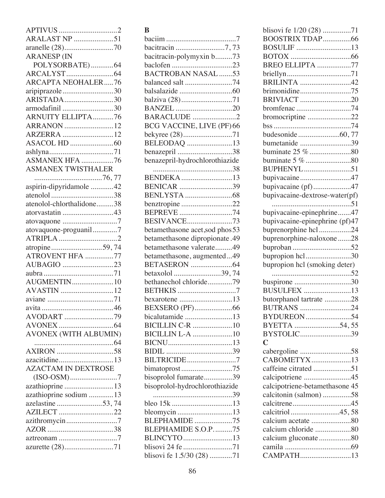| <b>ARALAST NP</b> 51         |
|------------------------------|
|                              |
| <b>ARANESP (IN</b>           |
| POLYSORBATE)64               |
|                              |
| <b>ARCAPTA NEOHALER76</b>    |
| aripiprazole30               |
| ARISTADA30                   |
| armodafinil 30               |
| <b>ARNUITY ELLIPTA76</b>     |
| ARRANON 12                   |
| ARZERRA 12                   |
|                              |
|                              |
| ASMANEX HFA 76               |
|                              |
| <b>ASMANEX TWISTHALER</b>    |
|                              |
| aspirin-dipyridamole 42      |
|                              |
| atenolol-chlorthalidone38    |
| atorvastatin 43              |
|                              |
| atovaquone-proguanil7        |
|                              |
| atropine59,74                |
| ATROVENT HFA 77              |
|                              |
|                              |
| AUBAGIO 23                   |
| <b>AUGMENTIN10</b>           |
|                              |
| AVASTIN 12                   |
|                              |
|                              |
| AVODART 79                   |
|                              |
| <b>AVONEX (WITH ALBUMIN)</b> |
|                              |
|                              |
| azacitidine13                |
| <b>AZACTAM IN DEXTROSE</b>   |
|                              |
| azathioprine 13              |
| azathioprine sodium  13      |
| azelastine 53,74             |
| AZILECT 22                   |
| azithromycin7                |
|                              |
| azurette (28)71              |

## **B**

| bacitracin-polymyxin b73              |
|---------------------------------------|
|                                       |
|                                       |
| <b>BACTROBAN NASAL 53</b>             |
| balanced salt 74                      |
|                                       |
|                                       |
| <b>BANZEL</b> 20                      |
| BARACLUDE 2                           |
|                                       |
| BCG VACCINE, LIVE (PF) 66             |
| bekyree (28)71                        |
| BELEODAQ 13                           |
| benazepril 38                         |
| benazepril-hydrochlorothiazide        |
|                                       |
| <b>BENDEKA</b> 13                     |
| BENICAR 39                            |
|                                       |
|                                       |
| benztropine 22                        |
| BEPREVE 74                            |
| <b>BESIVANCE73</b>                    |
| betamethasone acet, sod phos 53       |
| <b>betamethasone</b> dipropionate .49 |
|                                       |
| betamethasone valerate49              |
| betamethasone, augmented49            |
|                                       |
| betaxolol 39,74                       |
| bethanechol chloride79                |
| <b>BETHKIS</b> 7                      |
| bexarotene 13                         |
|                                       |
|                                       |
| bicalutamide 13                       |
| <b>BICILLIN C-R</b> 10                |
| <b>BICILLIN L-A</b> 10                |
|                                       |
|                                       |
| BILTRICIDE7                           |
|                                       |
| bimatoprost75                         |
| bisoprolol fumarate39                 |
| bisoprolol-hydrochlorothiazide        |
|                                       |
|                                       |
|                                       |
|                                       |
| bleomycin 13                          |
| <b>BLEPHAMIDE</b> 75                  |
| BLEPHAMIDE S.O.P75                    |
| BLINCYTO13                            |
| blisovi fe 1.5/30 (28) 71             |

| BOOSTRIX TDAP66<br>BOSULIF 13<br>BREO ELLIPTA 77<br><b>BRILINTA</b> 42<br>BRIVIACT 20<br>bromfenac 74<br>bromocriptine 22<br>bumetanide 39<br>BUPHENYL51<br>bupivacaine47<br>bupivacaine (pf)47<br>bupivacaine-dextrose-water(pf)<br>bupivacaine-epinephrine47<br>bupivacaine-epinephrine (pf)47<br>buprenorphine hcl24<br>buprenorphine-naloxone28<br>bupropion hcl30<br>bupropion hcl (smoking deter)<br>buspirone 30<br><b>BUSULFEX</b> 13<br>butorphanol tartrate 28<br>BUTRANS 24<br>BYDUREON 54<br>BYETTA 54,55<br>BYSTOLIC39<br>$\mathbf C$<br>CABOMETYX13<br>caffeine citrated 51<br>calcipotriene 45<br>calcipotriene-betamethasone 45<br>calcitonin (salmon) 58<br>calcitriol45,58<br>calcium acetate 80<br>calcium gluconate80<br>CAMPATH13 | blisovi fe 1/20 (28) 71 |
|--------------------------------------------------------------------------------------------------------------------------------------------------------------------------------------------------------------------------------------------------------------------------------------------------------------------------------------------------------------------------------------------------------------------------------------------------------------------------------------------------------------------------------------------------------------------------------------------------------------------------------------------------------------------------------------------------------------------------------------------------------|-------------------------|
|                                                                                                                                                                                                                                                                                                                                                                                                                                                                                                                                                                                                                                                                                                                                                        |                         |
|                                                                                                                                                                                                                                                                                                                                                                                                                                                                                                                                                                                                                                                                                                                                                        |                         |
|                                                                                                                                                                                                                                                                                                                                                                                                                                                                                                                                                                                                                                                                                                                                                        |                         |
|                                                                                                                                                                                                                                                                                                                                                                                                                                                                                                                                                                                                                                                                                                                                                        |                         |
|                                                                                                                                                                                                                                                                                                                                                                                                                                                                                                                                                                                                                                                                                                                                                        |                         |
|                                                                                                                                                                                                                                                                                                                                                                                                                                                                                                                                                                                                                                                                                                                                                        |                         |
|                                                                                                                                                                                                                                                                                                                                                                                                                                                                                                                                                                                                                                                                                                                                                        |                         |
|                                                                                                                                                                                                                                                                                                                                                                                                                                                                                                                                                                                                                                                                                                                                                        |                         |
|                                                                                                                                                                                                                                                                                                                                                                                                                                                                                                                                                                                                                                                                                                                                                        |                         |
|                                                                                                                                                                                                                                                                                                                                                                                                                                                                                                                                                                                                                                                                                                                                                        |                         |
|                                                                                                                                                                                                                                                                                                                                                                                                                                                                                                                                                                                                                                                                                                                                                        |                         |
|                                                                                                                                                                                                                                                                                                                                                                                                                                                                                                                                                                                                                                                                                                                                                        |                         |
|                                                                                                                                                                                                                                                                                                                                                                                                                                                                                                                                                                                                                                                                                                                                                        |                         |
|                                                                                                                                                                                                                                                                                                                                                                                                                                                                                                                                                                                                                                                                                                                                                        |                         |
|                                                                                                                                                                                                                                                                                                                                                                                                                                                                                                                                                                                                                                                                                                                                                        |                         |
|                                                                                                                                                                                                                                                                                                                                                                                                                                                                                                                                                                                                                                                                                                                                                        |                         |
|                                                                                                                                                                                                                                                                                                                                                                                                                                                                                                                                                                                                                                                                                                                                                        |                         |
|                                                                                                                                                                                                                                                                                                                                                                                                                                                                                                                                                                                                                                                                                                                                                        |                         |
|                                                                                                                                                                                                                                                                                                                                                                                                                                                                                                                                                                                                                                                                                                                                                        |                         |
|                                                                                                                                                                                                                                                                                                                                                                                                                                                                                                                                                                                                                                                                                                                                                        |                         |
|                                                                                                                                                                                                                                                                                                                                                                                                                                                                                                                                                                                                                                                                                                                                                        |                         |
|                                                                                                                                                                                                                                                                                                                                                                                                                                                                                                                                                                                                                                                                                                                                                        |                         |
|                                                                                                                                                                                                                                                                                                                                                                                                                                                                                                                                                                                                                                                                                                                                                        |                         |
|                                                                                                                                                                                                                                                                                                                                                                                                                                                                                                                                                                                                                                                                                                                                                        |                         |
|                                                                                                                                                                                                                                                                                                                                                                                                                                                                                                                                                                                                                                                                                                                                                        |                         |
|                                                                                                                                                                                                                                                                                                                                                                                                                                                                                                                                                                                                                                                                                                                                                        |                         |
|                                                                                                                                                                                                                                                                                                                                                                                                                                                                                                                                                                                                                                                                                                                                                        |                         |
|                                                                                                                                                                                                                                                                                                                                                                                                                                                                                                                                                                                                                                                                                                                                                        |                         |
|                                                                                                                                                                                                                                                                                                                                                                                                                                                                                                                                                                                                                                                                                                                                                        |                         |
|                                                                                                                                                                                                                                                                                                                                                                                                                                                                                                                                                                                                                                                                                                                                                        |                         |
|                                                                                                                                                                                                                                                                                                                                                                                                                                                                                                                                                                                                                                                                                                                                                        |                         |
|                                                                                                                                                                                                                                                                                                                                                                                                                                                                                                                                                                                                                                                                                                                                                        |                         |
|                                                                                                                                                                                                                                                                                                                                                                                                                                                                                                                                                                                                                                                                                                                                                        |                         |
|                                                                                                                                                                                                                                                                                                                                                                                                                                                                                                                                                                                                                                                                                                                                                        |                         |
|                                                                                                                                                                                                                                                                                                                                                                                                                                                                                                                                                                                                                                                                                                                                                        |                         |
|                                                                                                                                                                                                                                                                                                                                                                                                                                                                                                                                                                                                                                                                                                                                                        |                         |
|                                                                                                                                                                                                                                                                                                                                                                                                                                                                                                                                                                                                                                                                                                                                                        |                         |
|                                                                                                                                                                                                                                                                                                                                                                                                                                                                                                                                                                                                                                                                                                                                                        |                         |
|                                                                                                                                                                                                                                                                                                                                                                                                                                                                                                                                                                                                                                                                                                                                                        |                         |
|                                                                                                                                                                                                                                                                                                                                                                                                                                                                                                                                                                                                                                                                                                                                                        |                         |
|                                                                                                                                                                                                                                                                                                                                                                                                                                                                                                                                                                                                                                                                                                                                                        |                         |
|                                                                                                                                                                                                                                                                                                                                                                                                                                                                                                                                                                                                                                                                                                                                                        |                         |
|                                                                                                                                                                                                                                                                                                                                                                                                                                                                                                                                                                                                                                                                                                                                                        |                         |
|                                                                                                                                                                                                                                                                                                                                                                                                                                                                                                                                                                                                                                                                                                                                                        |                         |
|                                                                                                                                                                                                                                                                                                                                                                                                                                                                                                                                                                                                                                                                                                                                                        |                         |
|                                                                                                                                                                                                                                                                                                                                                                                                                                                                                                                                                                                                                                                                                                                                                        |                         |
|                                                                                                                                                                                                                                                                                                                                                                                                                                                                                                                                                                                                                                                                                                                                                        |                         |
|                                                                                                                                                                                                                                                                                                                                                                                                                                                                                                                                                                                                                                                                                                                                                        |                         |
|                                                                                                                                                                                                                                                                                                                                                                                                                                                                                                                                                                                                                                                                                                                                                        |                         |
|                                                                                                                                                                                                                                                                                                                                                                                                                                                                                                                                                                                                                                                                                                                                                        |                         |
|                                                                                                                                                                                                                                                                                                                                                                                                                                                                                                                                                                                                                                                                                                                                                        |                         |
|                                                                                                                                                                                                                                                                                                                                                                                                                                                                                                                                                                                                                                                                                                                                                        |                         |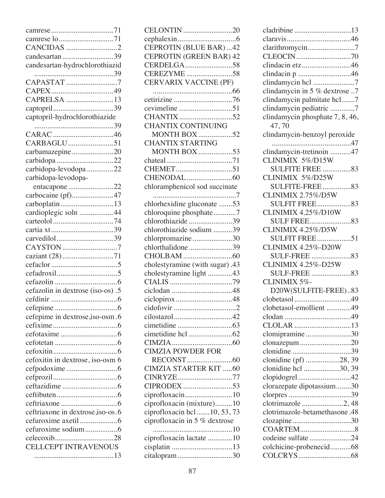| camrese lo71                      |
|-----------------------------------|
| CANCIDAS 2                        |
| candesartan 39                    |
| candesartan-hydrochlorothiazid    |
|                                   |
| CAPASTAT 7                        |
|                                   |
| CAPRELSA 13                       |
|                                   |
| captopril-hydrochlorothiazide     |
|                                   |
|                                   |
| CARBAGLU51                        |
| carbamazepine20                   |
|                                   |
| carbidopa-levodopa 22             |
| carbidopa-levodopa-               |
| entacapone 22                     |
| carbocaine (pf)47                 |
| carboplatin 13                    |
| cardioplegic soln 44              |
|                                   |
|                                   |
| carvedilol39                      |
| CAYSTON 7                         |
|                                   |
|                                   |
|                                   |
|                                   |
|                                   |
| cefazolin in dextrose (iso-os).5  |
|                                   |
|                                   |
| cefepime in dextrose, iso-osm.6   |
|                                   |
|                                   |
|                                   |
|                                   |
| cefoxitin in dextrose, iso-osm 6  |
|                                   |
|                                   |
|                                   |
|                                   |
|                                   |
| ceftriaxone in dextrose, iso-os.6 |
|                                   |
|                                   |
|                                   |
| <b>CELLCEPT INTRAVENOUS</b>       |
|                                   |

| CELONTIN 20<br><b>CEPROTIN (BLUE BAR) 42</b><br><b>CEPROTIN (GREEN BAR) 42</b><br>CERDELGA58<br>CEREZYME 58<br>CERVARIX VACCINE (PF) |
|--------------------------------------------------------------------------------------------------------------------------------------|
| cevimeline 51<br><b>CHANTIX CONTINUING</b><br><b>MONTH BOX 52</b>                                                                    |
| <b>CHANTIX STARTING</b><br><b>MONTH BOX53</b>                                                                                        |
|                                                                                                                                      |
| chloramphenicol sod succinate                                                                                                        |
| chlorhexidine gluconate 53<br>chloroquine phosphate7<br>chlorothiazide39<br>chlorothiazide sodium 39                                 |
| chlorpromazine30<br>chlorthalidone39                                                                                                 |
| cholestyramine (with sugar).43<br>cholestyramine light 43                                                                            |
| ciclopirox48                                                                                                                         |
| cilostazol42                                                                                                                         |
|                                                                                                                                      |
| <b>CIMZIA POWDER FOR</b><br><b>CIMZIA STARTER KIT 60</b>                                                                             |
| CINRYZE77<br>CIPRODEX 53                                                                                                             |
| ciprofloxacin (mixture)10<br>ciprofloxacin hcl  10, 53, 73<br>ciprofloxacin in 5 % dextrose                                          |
| ciprofloxacin lactate 10<br>cisplatin 13<br>citalopram30                                                                             |

| cladribine 13                    |
|----------------------------------|
|                                  |
| clarithromycin7                  |
|                                  |
| clindacin etz46                  |
| clindacin p 46                   |
| clindamycin hcl 7                |
| clindamycin in 5 % dextrose 7    |
| clindamycin palmitate hcl7       |
| clindamycin pediatric 7          |
| clindamycin phosphate 7, 8, 46,  |
| 47,70                            |
|                                  |
| clindamycin-benzoyl peroxide     |
|                                  |
| clindamycin-tretinoin 47         |
| CLINIMIX 5%/D15W                 |
| <b>SULFITE FREE 83</b>           |
| CLINIMIX 5%/D25W                 |
| <b>SULFITE-FREE</b> 83           |
| CLINIMIX 2.75%/D5W               |
| <b>SULFIT FREE83</b>             |
| CLINIMIX 4.25%/D10W              |
|                                  |
| CLINIMIX 4.25%/D5W               |
| <b>SULFIT FREE</b><br>$\dots 51$ |
| <b>CLINIMIX 4.25%-D20W</b>       |
|                                  |
| <b>CLINIMIX 4.25%-D25W</b>       |
|                                  |
| CLINIMIX 5%-                     |
| D20W(SULFITE-FREE)83             |
|                                  |
| clobetasol-emollient 49          |
|                                  |
| CLOLAR 13                        |
| clomipramine30                   |
|                                  |
| clonazepam 20                    |
|                                  |
| clonidine (pf) 28, 39            |
| clonidine hcl 30, 39             |
| clopidogrel42                    |
| clorazepate dipotassium30        |
|                                  |
| clotrimazole 2, 48               |
| clotrimazole-betamethasone.48    |
| clozapine30                      |
|                                  |
| codeine sulfate 24               |
| colchicine-probenecid68          |
|                                  |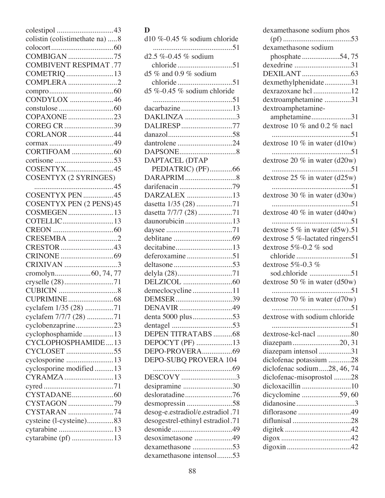| colistin (colistimethate na) 8          |
|-----------------------------------------|
|                                         |
| COMBIGAN 75                             |
| <b>COMBIVENT RESPIMAT .77</b>           |
| COMETRIQ 13                             |
| COMPLERA 2                              |
|                                         |
| CONDYLOX 46                             |
|                                         |
| COPAXONE 23                             |
| COREG CR 39                             |
| CORLANOR 44                             |
|                                         |
|                                         |
|                                         |
| COSENTYX45                              |
| <b>COSENTYX (2 SYRINGES)</b>            |
|                                         |
|                                         |
| <b>COSENTYX PEN (2 PENS) 45</b>         |
| COSMEGEN13                              |
| COTELLIC13                              |
|                                         |
| CRESEMBA 2                              |
|                                         |
|                                         |
| CRIXIVAN 3                              |
|                                         |
| cryselle (28)71                         |
|                                         |
| cyclafem 1/35 (28) 71                   |
|                                         |
| cyclafem 7/7/7 (28) 71                  |
| cyclobenzaprine23<br>cyclophosphamide13 |
| CYCLOPHOSPHAMIDE13                      |
| CYCLOSET 55                             |
| cyclosporine 13                         |
| cyclosporine modified13                 |
| CYRAMZA 13                              |
|                                         |
|                                         |
| CYSTAGON 79                             |
| CYSTARAN 74                             |
| cysteine (l-cysteine)83                 |
| cytarabine 13                           |
| cytarabine (pf) 13                      |
|                                         |

## **D**

| d10 %-0.45 % sodium chloride     |
|----------------------------------|
| $d2.5\% -0.45\%$ sodium          |
|                                  |
| d5 $%$ and 0.9 $%$ sodium        |
|                                  |
| d5 %-0.45 % sodium chloride      |
|                                  |
| dacarbazine13                    |
| DAKLINZA 3                       |
| DALIRESP77                       |
|                                  |
| dantrolene 24                    |
| DAPTACEL (DTAP                   |
| PEDIATRIC) (PF)66                |
|                                  |
|                                  |
| DARZALEX 13                      |
| dasetta 1/35 (28) 71             |
| dasetta 7/7/7 (28)71             |
| daunorubicin 13                  |
|                                  |
|                                  |
| decitabine13                     |
| deferoxamine51                   |
|                                  |
|                                  |
| demeclocycline11                 |
| DEMSER39                         |
| DENAVIR 49                       |
| denta 5000 plus53                |
|                                  |
| DEPEN TITRATABS 68               |
| DEPOCYT (PF) 13                  |
| DEPO-PROVERA69                   |
| DEPO-SUBQ PROVERA 104            |
| DESCOVY 3                        |
| desipramine 30                   |
| desloratadine76                  |
|                                  |
| desog-e.estradiol/e.estradiol.71 |
| desogestrel-ethinyl estradiol.71 |
|                                  |
| desoximetasone 49                |
| dexamethasone 53                 |
| dexamethasone intensol53         |

| dexamethasone sodium phos         |
|-----------------------------------|
|                                   |
| dexamethasone sodium              |
| phosphate54,75                    |
| dexedrine 31                      |
| dexmethylphenidate31              |
| dexrazoxane hcl 12                |
| dextroamphetamine 31              |
| dextroamphetamine-                |
| amphetamine31                     |
| dextrose 10 % and 0.2 % nacl      |
|                                   |
|                                   |
|                                   |
| dextrose 20 % in water (d20w)     |
|                                   |
| dextrose $25\%$ in water (d25w)   |
| dextrose 30 % in water (d30w)     |
|                                   |
| dextrose 40 $\%$ in water (d40w)  |
|                                   |
| dextrose 5 $\%$ in water (d5w).51 |
| dextrose 5 %-lactated ringers51   |
| dextrose 5%-0.2 % sod             |
| chloride 51                       |
| dextrose 5%-0.3 %                 |
| sod.chloride 51                   |
| dextrose 50 $%$ in water (d50w)   |
|                                   |
| dextrose 70 $\%$ in water (d70w)  |
| dextrose with sodium chloride     |
|                                   |
| dextrose-kcl-nacl 80              |
| diazepam20, 31                    |
| diazepam intensol 31              |
| diclofenac potassium 28           |
| diclofenac sodium28, 46, 74       |
| diclofenac-misoprostol 28         |
| dicloxacillin 10                  |
| dicyclomine 59,60                 |
| didanosine3                       |
| diflorasone 49                    |
| diflunisal 28                     |
|                                   |
|                                   |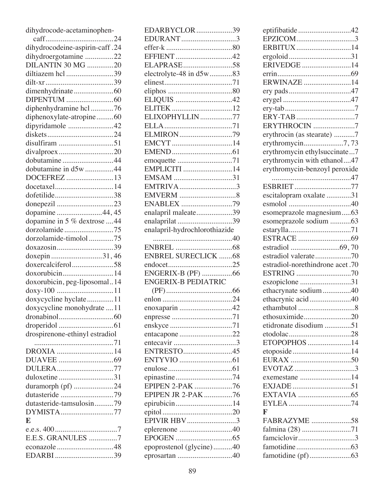| dihydrocode-acetaminophen-     |
|--------------------------------|
|                                |
| dihydrocodeine-aspirin-caff.24 |
| dihydroergotamine 22           |
| DILANTIN 30 MG 20              |
| diltiazem hcl 39               |
|                                |
| dimenhydrinate60               |
|                                |
| diphenhydramine hcl 76         |
| diphenoxylate-atropine60       |
| dipyridamole 42                |
|                                |
|                                |
| disulfiram 51                  |
| divalproex20                   |
| dobutamine44                   |
| dobutamine in d5w 44           |
| DOCEFREZ 13                    |
| docetaxel14                    |
| dofetilide38                   |
| donepezil 23                   |
| dopamine 44, 45                |
| dopamine in 5 % dextrose 44    |
| dorzolamide75                  |
| dorzolamide-timolol 75         |
| doxazosin39                    |
| doxepin 31,46                  |
| doxercalciferol58              |
| doxorubicin14                  |
| doxorubicin, peg-liposomal14   |
| doxy-100 11                    |
| doxycycline hyclate11          |
| doxycycline monohydrate 11     |
|                                |
|                                |
| drospirenone-ethinyl estradiol |
|                                |
| DROXIA 14                      |
|                                |
| DULERA77                       |
| duloxetine31                   |
|                                |
| duramorph (pf) 24              |
| dutasteride 79                 |
| dutasteride-tamsulosin79       |
| DYMISTA77                      |
| E                              |
|                                |
| E.E.S. GRANULES 7              |
|                                |
| EDARBI39                       |

| EDARBYCLOR39                              |  |
|-------------------------------------------|--|
| EDURANT3                                  |  |
|                                           |  |
|                                           |  |
| ELAPRASE58                                |  |
| electrolyte-48 in d5w83                   |  |
|                                           |  |
|                                           |  |
| ELIQUIS 42                                |  |
|                                           |  |
| ELIXOPHYLLIN77                            |  |
|                                           |  |
| ELMIRON79                                 |  |
| EMCYT14                                   |  |
|                                           |  |
|                                           |  |
| EMPLICITI 14                              |  |
| EMSAM 31                                  |  |
| EMTRIVA3                                  |  |
|                                           |  |
| ENABLEX 79                                |  |
| enalapril maleate39                       |  |
| enalaprilat 39                            |  |
| enalapril-hydrochlorothiazide             |  |
|                                           |  |
|                                           |  |
|                                           |  |
| <b>ENBREL SURECLICK 68</b>                |  |
|                                           |  |
| ENGERIX-B (PF) 66                         |  |
| <b>ENGERIX-B PEDIATRIC</b>                |  |
|                                           |  |
|                                           |  |
| enoxaparin 42                             |  |
|                                           |  |
|                                           |  |
| entacapone 22                             |  |
|                                           |  |
| ENTRESTO45                                |  |
|                                           |  |
|                                           |  |
| epinastine74                              |  |
| EPIPEN 2-PAK 76                           |  |
| EPIPEN JR 2-PAK 76                        |  |
| epirubicin14                              |  |
|                                           |  |
| EPIVIR HBV3                               |  |
| eplerenone 40                             |  |
|                                           |  |
| epoprostenol (glycine)40<br>eprosartan 40 |  |

| eptifibatide42                  |
|---------------------------------|
| EPZICOM3                        |
| ERBITUX14                       |
|                                 |
| ERIVEDGE 14                     |
|                                 |
| ERWINAZE 14                     |
|                                 |
|                                 |
|                                 |
| ERYTHROCIN 7                    |
| erythrocin (as stearate) 7      |
| erythromycin7,73                |
| erythromycin ethylsuccinate7    |
| erythromycin with ethanol47     |
| erythromycin-benzoyl peroxide   |
|                                 |
| ESBRIET77                       |
| escitalopram oxalate 31         |
|                                 |
| esomeprazole magnesium63        |
| esomeprazole sodium 63          |
|                                 |
|                                 |
|                                 |
| estradiol valerate70            |
| estradiol-norethindrone acet.70 |
|                                 |
|                                 |
| eszopiclone 31                  |
| ethacrynate sodium40            |
| ethacrynic acid40               |
|                                 |
| ethosuximide20                  |
| etidronate disodium 51          |
|                                 |
| ETOPOPHOS 14                    |
| etoposide14                     |
|                                 |
| EVOTAZ 3                        |
|                                 |
|                                 |
|                                 |
|                                 |
| F                               |
| FABRAZYME 58                    |
| falmina (28) 71                 |
| famciclovir3                    |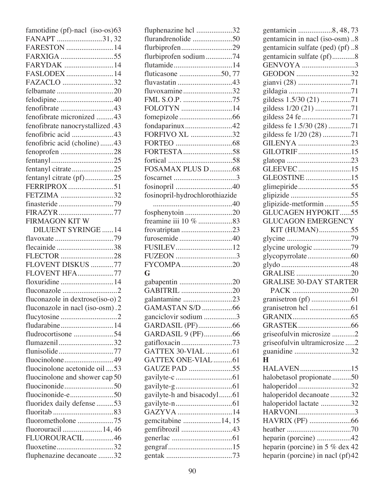| famotidine (pf)-nacl (iso-os)63  |
|----------------------------------|
| FANAPT 31,32                     |
| FARESTON 14                      |
| FARXIGA 55                       |
| FARYDAK 14                       |
| FASLODEX 14                      |
| FAZACLO 32                       |
| felbamate20                      |
|                                  |
| fenofibrate 43                   |
| fenofibrate micronized 43        |
| fenofibrate nanocrystallized.43  |
| fenofibric acid 43               |
| fenofibric acid (choline) 43     |
| fenoprofen 28                    |
|                                  |
| fentanyl citrate25               |
| fentanyl citrate (pf)25          |
| FERRIPROX 51                     |
| FETZIMA 32                       |
|                                  |
| FIRAZYR77                        |
| FIRMAGON KIT W                   |
| <b>DILUENT SYRINGE 14</b>        |
|                                  |
| flecainide38                     |
| FLECTOR 28                       |
| FLOVENT DISKUS 77                |
|                                  |
| FLOVENT HFA77                    |
| floxuridine 14                   |
|                                  |
| fluconazole in dextrose(iso-o) 2 |
| fluconazole in nacl (iso-osm).2  |
|                                  |
| fludarabine14                    |
| fludrocortisone 54               |
| flumazenil32                     |
| flunisolide77                    |
| fluocinolone49                   |
| fluocinolone acetonide oil 53    |
| fluocinolone and shower cap 50   |
|                                  |
|                                  |
| fluoridex daily defense 53       |
|                                  |
| fluorometholone 75               |
| fluorouracil  14, 46             |
| FLUOROURACIL 46                  |
| fluoxetine32                     |
| fluphenazine decanoate 32        |

| fluphenazine hcl 32               |
|-----------------------------------|
| flurandrenolide 50                |
| flurbiprofen29                    |
| flurbiprofen sodium74             |
| flutamide14                       |
|                                   |
| fluvastatin 43                    |
| fluvoxamine32                     |
| FML S.O.P. 75                     |
| FOLOTYN 14                        |
|                                   |
| fondaparinux42                    |
| FORFIVO XL 32                     |
|                                   |
|                                   |
|                                   |
| FOSAMAX PLUS D68                  |
|                                   |
|                                   |
| fosinopril-hydrochlorothiazide    |
|                                   |
| fosphenytoin 20                   |
| freamine iii 10 % 83              |
| frovatriptan 23                   |
| furosemide40                      |
| FUSILEV12                         |
|                                   |
| FUZEON 3<br>FYCOMPA20             |
| G                                 |
|                                   |
| gabapentin 20<br>GABITRIL 20      |
|                                   |
| galantamine 23<br>GAMASTAN S/D 66 |
|                                   |
| ganciclovir sodium 3              |
| GARDASIL (PF)66                   |
| GARDASIL 9 (PF)66                 |
| GATTEX 30-VIAL 61                 |
|                                   |
| GATTEX ONE-VIAL61                 |
| GAUZE PAD 55                      |
|                                   |
|                                   |
| gavilyte-h and bisacodyl61        |
|                                   |
| GAZYVA 14                         |
| gemcitabine 14, 15                |
| gemfibrozil 43                    |
|                                   |
|                                   |
|                                   |

| gentamicin 8, 48, 73              |
|-----------------------------------|
| gentamicin in nacl (iso-osm)8     |
| gentamicin sulfate (ped) (pf) 8   |
| gentamicin sulfate (pf)8          |
| GENVOYA 3                         |
| GEODON 32                         |
|                                   |
|                                   |
| gildess 1.5/30 (21) 71            |
| gildess 1/20 (21) 71              |
|                                   |
| gildess fe 1.5/30 (28) 71         |
| gildess fe 1/20 (28) 71           |
| GILENYA 23                        |
| GILOTRIF15                        |
|                                   |
| GLEEVEC15                         |
| GLEOSTINE 15                      |
| glimepiride55                     |
|                                   |
| glipizide-metformin55             |
| <b>GLUCAGEN HYPOKIT55</b>         |
| <b>GLUCAGON EMERGENCY</b>         |
| KIT (HUMAN)55                     |
|                                   |
|                                   |
|                                   |
|                                   |
|                                   |
| <b>GRALISE 30-DAY STARTER</b>     |
|                                   |
|                                   |
|                                   |
|                                   |
|                                   |
| griseofulvin microsize 2          |
| griseofulvin ultramicrosize2      |
| guanidine 32                      |
| $\bf H$                           |
| HALAVEN15                         |
| halobetasol propionate50          |
| haloperidol32                     |
| haloperidol decanoate32           |
| haloperidol lactate 32            |
| HARVONI3                          |
|                                   |
|                                   |
| heparin (porcine) 42              |
| heparin (porcine) in 5 $%$ dex 42 |
| heparin (porcine) in nacl (pf)42  |
|                                   |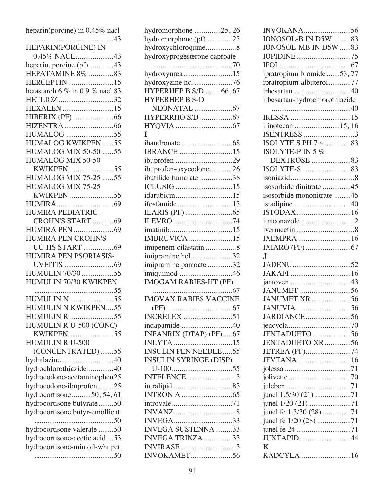| heparin(porcine) in 0.45% nacl                             |
|------------------------------------------------------------|
| HEPARIN(PORCINE) IN<br>0.45% NACL43                        |
| heparin, porcine (pf)43                                    |
| HEPATAMINE 8% 83                                           |
| <b>HERCEPTIN</b> 15                                        |
| hetastarch 6 % in 0.9 % nacl 83                            |
| HETLIOZ 32                                                 |
| HEXALEN 15                                                 |
|                                                            |
| <b>HUMALOG</b> 55                                          |
| <b>HUMALOG KWIKPEN55</b>                                   |
| <b>HUMALOG MIX 50-50 55</b>                                |
| HUMALOG MIX 50-50                                          |
| <b>KWIKPEN 55</b>                                          |
| <b>HUMALOG MIX 75-25 55</b>                                |
| HUMALOG MIX 75-25                                          |
| KWIKPEN 55                                                 |
|                                                            |
| HUMIRA PEDIATRIC                                           |
| CROHN'S START 69                                           |
|                                                            |
| HUMIRA PEN CROHN'S-                                        |
| <b>UC-HS START</b> 69                                      |
| HUMIRA PEN PSORIASIS-                                      |
|                                                            |
| HUMULIN 70/3055<br>HUMULIN 70/30 KWIKPEN                   |
|                                                            |
| <b>HUMULIN N 55</b>                                        |
| HUMULIN N KWIKPEN55                                        |
| <b>HUMULIN R</b> 55                                        |
| HUMULIN R U-500 (CONC)                                     |
| KWIKPEN 55                                                 |
| HUMULIN R U-500                                            |
| (CONCENTRATED)55                                           |
| hydralazine 40                                             |
| hydrochlorothiazide40                                      |
| hydrocodone-acetaminophen25                                |
| hydrocodone-ibuprofen 25                                   |
| hydrocortisone50, 54, 61                                   |
| hydrocortisone butyrate50                                  |
| hydrocortisone butyr-emollient                             |
|                                                            |
| hydrocortisone valerate 50<br>hydrocortisone-acetic acid53 |
| hydrocortisone-min oil-wht pet                             |
|                                                            |
|                                                            |

| hydromorphone 25, 26                        |
|---------------------------------------------|
| hydromorphone (pf) 25                       |
| hydroxychloroquine8                         |
| hydroxyprogesterone caproate                |
|                                             |
| hydroxyurea15                               |
|                                             |
| hydroxyzine hcl 76<br>HYPERHEP B S/D 66, 67 |
|                                             |
| <b>HYPERHEP B S-D</b>                       |
|                                             |
| HYPERRHO S/D 67                             |
|                                             |
| T                                           |
|                                             |
| <b>IBRANCE</b> 15                           |
| ibuprofen 29                                |
| ibuprofen-oxycodone26                       |
| ibutilide fumarate 38                       |
|                                             |
| idarubicin15                                |
| ifosfamide15                                |
|                                             |
|                                             |
| ILEVRO 74                                   |
|                                             |
| <b>IMBRUVICA</b> 15                         |
| imipenem-cilastatin 8                       |
| imipramine hcl32                            |
| imipramine pamoate 32                       |
| imiquimod 46                                |
| IMOGAM RABIES-HT (PF)                       |
| . 67                                        |
| <b>IMOVAX RABIES VACCINE</b>                |
|                                             |
| <b>INCRELEX</b> 51                          |
| indapamide 40                               |
| INFANRIX (DTAP) (PF)67                      |
| INLYTA 15                                   |
| <b>INSULIN PEN NEEDLE55</b>                 |
|                                             |
| <b>INSULIN SYRINGE (DISP)</b>               |
|                                             |
| INTELENCE 3                                 |
|                                             |
|                                             |
|                                             |
|                                             |
|                                             |
| INVEGA33                                    |
| <b>INVEGA SUSTENNA33</b>                    |
| INVEGA TRINZA 33                            |
| <b>INVIRASE</b> 3                           |

| INVOKANA56                                       |
|--------------------------------------------------|
| IONOSOL-B IN D5W 83                              |
| IONOSOL-MB IN D5W 83                             |
| IOPIDINE75                                       |
|                                                  |
| ipratropium bromide 53, 77                       |
| ipratropium-albuterol77                          |
| irbesartan 40                                    |
| irbesartan-hydrochlorothiazide                   |
|                                                  |
|                                                  |
| irinotecan 15, 16                                |
| ISENTRESS 3                                      |
| ISOLYTE S PH 7.4 83                              |
|                                                  |
| ISOLYTE-P IN 5 $%$                               |
|                                                  |
|                                                  |
|                                                  |
| isosorbide dinitrate 45                          |
| isosorbide mononitrate 45                        |
|                                                  |
|                                                  |
| itraconazole2                                    |
|                                                  |
| IXEMPRA 16                                       |
|                                                  |
| J.                                               |
|                                                  |
|                                                  |
|                                                  |
| JANUMET 56                                       |
| JANUMET XR 56                                    |
|                                                  |
|                                                  |
|                                                  |
|                                                  |
|                                                  |
| JENTADUETO 56                                    |
| JENTADUETO XR 56                                 |
| JETREA (PF)74                                    |
| JEVTANA 16                                       |
|                                                  |
|                                                  |
|                                                  |
| junel 1.5/30 (21) 71                             |
| junel 1/20 (21) 71                               |
|                                                  |
| junel fe 1.5/30 (28) 71<br>junel fe 1/20 (28) 71 |
| junel fe 24 71                                   |
| <b>JUXTAPID</b> 44                               |
| K<br>KADCYLA16                                   |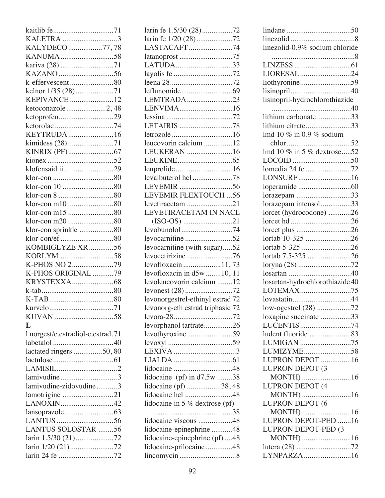| KALETRA 3                         |
|-----------------------------------|
| KALYDECO 77,78                    |
| KANUMA58                          |
| kariva (28) 71                    |
|                                   |
| k-effervescent80                  |
| kelnor 1/35 (28)71                |
| <b>KEPIVANCE</b> 12               |
| ketoconazole2,48                  |
| ketoprofen29                      |
|                                   |
| KEYTRUDA16                        |
| kimidess (28) 71                  |
|                                   |
|                                   |
| klofensaid ii 29                  |
|                                   |
|                                   |
|                                   |
|                                   |
| klor-con m10 80                   |
| klor-con m15 80                   |
| klor-con m20 80                   |
| klor-con sprinkle 80              |
| klor-con/ef 80                    |
| KOMBIGLYZE XR 56                  |
| KORLYM 58                         |
| K-PHOS NO 279                     |
| K-PHOS ORIGINAL 79                |
|                                   |
|                                   |
|                                   |
|                                   |
|                                   |
|                                   |
| L                                 |
| l norgest/e.estradiol-e.estrad.71 |
|                                   |
| lactated ringers 50, 80           |
|                                   |
|                                   |
| lamivudine3                       |
| lamivudine-zidovudine3            |
| lamotrigine 21                    |
| LANOXIN42                         |
|                                   |
|                                   |
| LANTUS SOLOSTAR 56                |
| larin 1.5/30 (21)72               |
| larin 1/20 (21)72                 |

| larin fe 1.5/30 (28)72           |
|----------------------------------|
| larin fe 1/20 (28)72             |
| LASTACAFT74                      |
| latanoprost 75                   |
| LATUDA33                         |
| layolis fe 72                    |
|                                  |
|                                  |
| LEMTRADA23                       |
|                                  |
| LENVIMA16                        |
|                                  |
| LETAIRIS 78                      |
|                                  |
| leucovorin calcium 12            |
| LEUKERAN 16                      |
|                                  |
|                                  |
| levalbuterol hcl 78              |
|                                  |
|                                  |
| <b>LEVEMIR FLEXTOUCH 56</b>      |
| levetiracetam 21                 |
| LEVETIRACETAM IN NACL            |
|                                  |
| levobunolol 74                   |
|                                  |
|                                  |
|                                  |
| levocarnitine (with sugar)52     |
| levocetirizine 76                |
| levofloxacin 11,73               |
| levofloxacin in d5w 10, 11       |
| levoleucovorin calcium 12        |
| levonest (28) 72                 |
| levonorgestrel-ethinyl estrad 72 |
|                                  |
| levonorg-eth estrad triphasic 72 |
|                                  |
| levorphanol tartrate26           |
| levothyroxine59                  |
|                                  |
|                                  |
|                                  |
|                                  |
| lidocaine (pf) in d7.5w 38       |
| lidocaine (pf) 38,48             |
| lidocaine hcl 48                 |
|                                  |
| lidocaine in 5 % dextrose (pf)   |
|                                  |
| lidocaine viscous 48             |
| lidocaine-epinephrine 48         |
| lidocaine-epinephrine (pf) 48    |
| lidocaine-prilocaine48           |

| linezolid-0.9% sodium chloride  |
|---------------------------------|
|                                 |
|                                 |
| LIORESAL24                      |
|                                 |
|                                 |
| lisinopril-hydrochlorothiazide  |
|                                 |
| lithium carbonate 33            |
|                                 |
| lithium citrate33               |
| lmd 10 $\%$ in 0.9 $\%$ sodium  |
|                                 |
| lmd 10 % in 5 % dextrose52      |
|                                 |
| lomedia 24 fe 72                |
| LONSURF16                       |
|                                 |
| lorazepam 33                    |
| lorazepam intensol33            |
| lorcet (hydrocodone) 26         |
|                                 |
|                                 |
| lortab 10-325 26                |
| lortab 5-325 26                 |
| lortab 7.5-325 26               |
|                                 |
|                                 |
| losartan-hydrochlorothiazide 40 |
| LOTEMAX75                       |
|                                 |
| low-ogestrel (28) 72            |
|                                 |
| loxapine succinate 33           |
| LUCENTIS 74                     |
| ludent fluoride 83              |
| LUMIGAN 75                      |
| LUMIZYME58                      |
| LUPRON DEPOT 16                 |
| LUPRON DEPOT (3                 |
| MONTH) 16                       |
| <b>LUPRON DEPOT (4</b>          |
| MONTH) 16                       |
| LUPRON DEPOT (6                 |
| MONTH) 16                       |
| LUPRON DEPOT-PED 16             |
| LUPRON DEPOT-PED (3             |
| MONTH) 16                       |
|                                 |
| LYNPARZA16                      |
|                                 |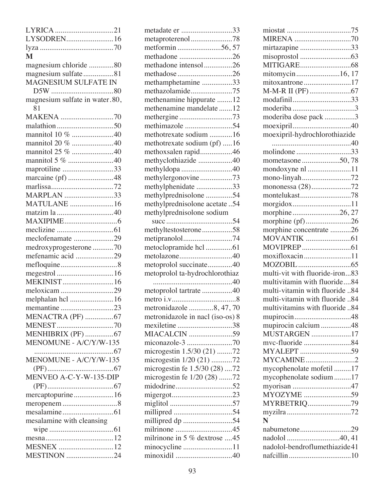| LYRICA 21                      |
|--------------------------------|
| LYSODREN16                     |
|                                |
| M                              |
| magnesium chloride 80          |
| magnesium sulfate81            |
| MAGNESIUM SULFATE IN           |
|                                |
| magnesium sulfate in water.80, |
| 81                             |
| MAKENA 70                      |
|                                |
| mannitol 10 % 40               |
| mannitol 20 % 40               |
| mannitol 25 % 40               |
| mannitol 5 % 40                |
| maprotiline 33                 |
| marcaine (pf) 48               |
|                                |
| MARPLAN 33                     |
| MATULANE 16                    |
|                                |
|                                |
|                                |
| meclofenamate 29               |
| medroxyprogesterone 70         |
| mefenamic acid 29              |
|                                |
|                                |
| <b>MEKINIST</b> 16             |
| meloxicam 29                   |
| melphalan hcl 16               |
|                                |
| MENACTRA (PF) 67               |
|                                |
| MENHIBRIX (PF) 67              |
| MENOMUNE - A/C/Y/W-135         |
|                                |
| MENOMUNE - A/C/Y/W-135         |
|                                |
| MENVEO A-C-Y-W-135-DIP         |
|                                |
| mercaptopurine16               |
|                                |
|                                |
| mesalamine with cleansing      |
|                                |
|                                |
| <b>MESNEX</b> 12               |
| <b>MESTINON</b> 24             |

| metadate er 33                   |  |
|----------------------------------|--|
| metaproterenol78                 |  |
| metformin56,57                   |  |
| methadone 26                     |  |
| methadone intensol26             |  |
| methadose 26                     |  |
| methamphetamine 33               |  |
| methazolamide75                  |  |
| methenamine hippurate 12         |  |
| methenamine mandelate 12         |  |
|                                  |  |
| methergine73<br>methimazole 54   |  |
| methotrexate sodium 16           |  |
|                                  |  |
| methotrexate sodium (pf) 16      |  |
| methoxsalen rapid46              |  |
| methyclothiazide 40              |  |
| methyldopa 40                    |  |
| methylergonovine73               |  |
| methylphenidate 33               |  |
| methylprednisolone 54            |  |
| methylprednisolone acetate 54    |  |
| methylprednisolone sodium        |  |
|                                  |  |
| methyltestosterone58             |  |
| metipranolol74                   |  |
| metoclopramide hcl 61            |  |
| metolazone40                     |  |
| metoprolol succinate40           |  |
| metoprolol ta-hydrochlorothiaz   |  |
|                                  |  |
| metoprolol tartrate 40           |  |
|                                  |  |
| metronidazole 8, 47, 70          |  |
| metronidazole in nacl (iso-os) 8 |  |
| mexiletine 38                    |  |
| <b>MIACALCIN</b> 59              |  |
|                                  |  |
| microgestin 1.5/30 (21) 72       |  |
| microgestin 1/20 (21) 72         |  |
| microgestin fe 1.5/30 (28) 72    |  |
|                                  |  |
| microgestin fe 1/20 (28) 72      |  |
|                                  |  |
| migergot23                       |  |
|                                  |  |
| millipred 54                     |  |
| millipred dp 54                  |  |
|                                  |  |
| milrinone in 5 % dextrose 45     |  |
|                                  |  |
| minocycline 11                   |  |

| mirtazapine 33                 |
|--------------------------------|
|                                |
|                                |
| mitomycin16, 17                |
| mitoxantrone17                 |
|                                |
| modafinil33                    |
|                                |
| moderiba dose pack 3           |
|                                |
|                                |
| moexipril-hydrochlorothiazide  |
|                                |
| molindone 33                   |
| mometasone 50,78               |
| mondoxyne nl 11                |
|                                |
| mononessa (28)72               |
| montelukast78                  |
|                                |
| morphine26, 27                 |
| morphine (pf)26                |
|                                |
| morphine concentrate 26        |
|                                |
|                                |
| moxifloxacin11                 |
|                                |
| multi-vit with fluoride-iron83 |
| multivitamin with fluoride84   |
| multi-vitamin with fluoride 84 |
| multi-vitamin with fluoride 84 |
| multivitamins with fluoride 84 |
|                                |
|                                |
| mupirocin calcium 48           |
| MUSTARGEN 17                   |
| mvc-fluoride 84                |
| MYALEPT 59                     |
| MYCAMINE2                      |
| mycophenolate mofetil 17       |
| mycophenolate sodium17         |
|                                |
| MYOZYME 59                     |
| MYRBETRIQ79                    |
|                                |
| N                              |
| nabumetone29                   |
|                                |
|                                |
| nadolol-bendroflumethiazide41  |
|                                |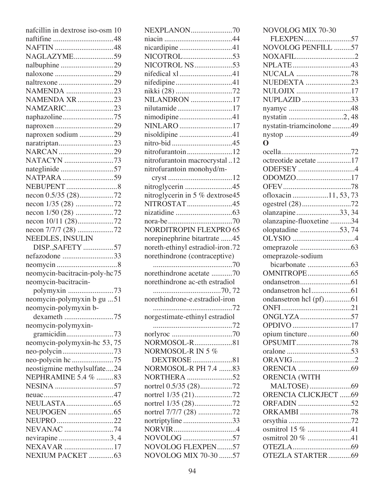| nafcillin in dextrose iso-osm 10                  |
|---------------------------------------------------|
|                                                   |
| NAFTIN 48                                         |
| NAGLAZYME59                                       |
| nalbuphine29                                      |
|                                                   |
| naltrexone29                                      |
| NAMENDA 23                                        |
| <b>NAMENDA XR</b> 23                              |
| NAMZARIC23                                        |
| naphazoline75                                     |
|                                                   |
| naproxen sodium 29                                |
| naratriptan23                                     |
| NARCAN 29                                         |
| NATACYN 73                                        |
| nateglinide57                                     |
| NATPARA59                                         |
|                                                   |
|                                                   |
|                                                   |
|                                                   |
| necon 10/11 (28)72                                |
|                                                   |
| NEEDLES, INSULIN                                  |
|                                                   |
| DISP., SAFETY 57                                  |
|                                                   |
| nefazodone 33                                     |
|                                                   |
| neomycin-bacitracin-poly-hc75                     |
| neomycin-bacitracin-                              |
| polymyxin 73                                      |
| neomycin-polymyxin b gu 51                        |
| neomycin-polymyxin b-                             |
| dexameth 75                                       |
| neomycin-polymyxin-                               |
|                                                   |
|                                                   |
| neomycin-polymyxin-hc 53,75                       |
|                                                   |
| neostigmine methylsulfate24                       |
| NEPHRAMINE 5.4 % 83                               |
| NESINA 57                                         |
|                                                   |
|                                                   |
|                                                   |
| NEUPRO 22                                         |
| NEVANAC 74                                        |
|                                                   |
| nevirapine 3, 4<br>NEXAVAR 17<br>NEXIUM PACKET 63 |

| <b>NEXPLANON70</b>                        |
|-------------------------------------------|
|                                           |
|                                           |
| nicardipine41                             |
|                                           |
| NICOTROL NS53                             |
| nifedical xl41                            |
| nifedipine41                              |
| nikki (28) 72                             |
| NILANDRON 17                              |
| nilutamide17                              |
| nimodipine41                              |
| NINLARO 17                                |
| nisoldipine 41                            |
|                                           |
| nitrofurantoin12                          |
|                                           |
| nitrofurantoin macrocrystal12             |
| nitrofurantoin monohyd/m-                 |
|                                           |
| nitroglycerin 45                          |
| nitroglycerin in 5 % dextrose45           |
| NITROSTAT45                               |
|                                           |
|                                           |
| <b>NORDITROPIN FLEXPRO 65</b>             |
| norepinephrine bitartrate 45              |
| noreth-ethinyl estradiol-iron.72          |
| norethindrone (contraceptive)             |
|                                           |
|                                           |
| norethindrone acetate 70                  |
| norethindrone ac-eth estradiol            |
|                                           |
| norethindrone-e.estradiol-iron            |
|                                           |
|                                           |
| norgestimate-ethinyl estradiol            |
|                                           |
|                                           |
| NORMOSOL-R81                              |
| NORMOSOL-R IN 5 %                         |
| DEXTROSE 81                               |
| NORMOSOL-R PH 7.4 83                      |
| NORTHERA 52                               |
| nortrel 0.5/35 (28)72                     |
|                                           |
| nortrel 1/35 (28)72                       |
|                                           |
| nortriptyline33                           |
|                                           |
| NOVOLOG 57                                |
| NOVOLOG FLEXPEN57<br>NOVOLOG MIX 70-30 57 |

| NOVOLOG MIX 70-30           |
|-----------------------------|
| FLEXPEN57                   |
| NOVOLOG PENFILL 57          |
| NOXAFIL2                    |
|                             |
|                             |
| NUEDEXTA 23                 |
| NULOJIX 17                  |
| NUPLAZID 33                 |
|                             |
|                             |
| nystatin-triamcinolone49    |
|                             |
| O                           |
|                             |
| octreotide acetate 17       |
|                             |
| ODOMZO17                    |
|                             |
| ofloxacin11, 53, 73         |
| ogestrel (28)72             |
| olanzapine33, 34            |
| olanzapine-fluoxetine 34    |
| olopatadine 53,74           |
|                             |
|                             |
| omeprazole-sodium           |
|                             |
|                             |
|                             |
|                             |
| ondansetron hcl (pf)61      |
|                             |
| ONGLYZA 57                  |
| OPDIVO 17                   |
|                             |
|                             |
|                             |
|                             |
|                             |
| <b>ORENCIA (WITH</b>        |
|                             |
| <b>ORENCIA CLICKJECT 69</b> |
| ORFADIN 52                  |
| ORKAMBI 78                  |
|                             |
| osmitrol 15 % 41            |
| osmitrol 20 % 41            |
|                             |
| OTEZLA STARTER69            |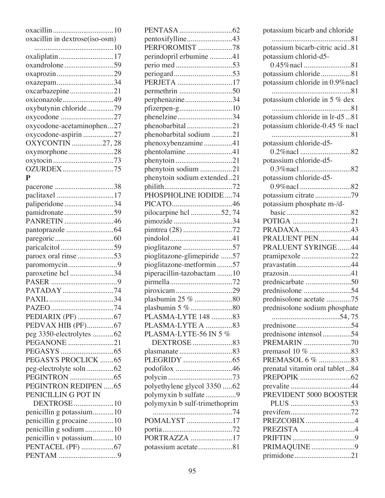| oxacillin in dextrose(iso-osm) |
|--------------------------------|
|                                |
| oxaliplatin17                  |
| oxandrolone59                  |
| oxaprozin29                    |
| oxazepam34                     |
| oxcarbazepine21                |
| oxiconazole49                  |
| oxybutynin chloride79          |
| oxycodone 27                   |
| oxycodone-acetaminophen27      |
| oxycodone-aspirin 27           |
| OXYCONTIN 27, 28               |
| oxymorphone28                  |
| oxytocin 73                    |
| OZURDEX75                      |
| $\mathbf{P}$                   |
| pacerone 38                    |
| paclitaxel 17                  |
| paliperidone 34                |
| pamidronate59                  |
| PANRETIN 46                    |
|                                |
|                                |
| paricalcitol59                 |
| paroex oral rinse 53           |
| paromomycin9                   |
| paroxetine hcl 34              |
|                                |
| PATADAY74                      |
|                                |
|                                |
|                                |
| PEDVAX HIB (PF)67              |
| peg 3350-electrolytes 62       |
| PEGANONE 21                    |
|                                |
| PEGASYS PROCLICK 65            |
| peg-electrolyte soln 62        |
|                                |
| PEGINTRON REDIPEN 65           |
| PENICILLIN G POT IN            |
| DEXTROSE  10                   |
| penicillin g potassium10       |
| penicillin g procaine 10       |
| penicillin g sodium 10         |
| penicillin v potassium10       |
| PENTACEL (PF) 67               |
|                                |
|                                |

| pentoxifylline43              |
|-------------------------------|
| PERFOROMIST 78                |
| perindopril erbumine 41       |
|                               |
|                               |
| PERJETA 17                    |
|                               |
| perphenazine34                |
| pfizerpen-g10                 |
| phenelzine34                  |
| phenobarbital21               |
| phenobarbital sodium 21       |
| phenoxybenzamine41            |
| phentolamine 41               |
|                               |
| phenytoin sodium 21           |
| phenytoin sodium extended21   |
|                               |
| PHOSPHOLINE IODIDE74          |
|                               |
| pilocarpine hcl 52,74         |
| pimozide 34                   |
| pimtrea (28) 72               |
|                               |
|                               |
| pioglitazone-glimepiride 57   |
| pioglitazone-metformin57      |
| piperacillin-tazobactam 10    |
|                               |
| piroxicam29                   |
| plasbumin 25 % 80             |
|                               |
| PLASMA-LYTE 148 83            |
| PLASMA-LYTE A 83              |
| PLASMA-LYTE-56 IN 5 %         |
| DEXTROSE 83                   |
| plasmanate83                  |
|                               |
| podofilox 46                  |
|                               |
| polyethylene glycol 3350 62   |
| polymyxin b sulfate 9         |
| polymyxin b sulf-trimethoprim |
|                               |
| POMALYST 17                   |
|                               |
| PORTRAZZA 17                  |
| potassium acetate81           |

| potassium bicarb and chloride    |
|----------------------------------|
|                                  |
| potassium bicarb-citric acid81   |
| potassium chlorid-d5-            |
|                                  |
|                                  |
| potassium chloride81             |
| potassium chloride in 0.9% nacl  |
|                                  |
| potassium chloride in 5 % dex    |
|                                  |
| potassium chloride in lr-d581    |
| potassium chloride-0.45 % nacl   |
|                                  |
| potassium chloride-d5-           |
| 0.2\/>\/>nacl \end{math}\$2      |
|                                  |
| potassium chloride-d5-           |
|                                  |
| potassium chloride-d5-           |
| 0.9% nacl 82                     |
| potassium citrate79              |
| potassium phosphate m-/d-        |
|                                  |
|                                  |
| PRADAXA43                        |
|                                  |
| PRALUENT PEN44                   |
| PRALUENT SYRINGE44               |
| pramipexole 22                   |
| pravastatin44                    |
|                                  |
| prednicarbate 50                 |
|                                  |
| prednisolone acetate 75          |
|                                  |
| prednisolone sodium phosphate    |
|                                  |
|                                  |
| prednisone intensol54            |
| PREMARIN 70                      |
|                                  |
|                                  |
| prenatal vitamin oral tablet  84 |
|                                  |
|                                  |
|                                  |
| PREVIDENT 5000 BOOSTER           |
|                                  |
|                                  |
| PREZCOBIX 4                      |
| PREZISTA 4                       |
|                                  |
| PRIMAQUINE9                      |
|                                  |
| primidone21                      |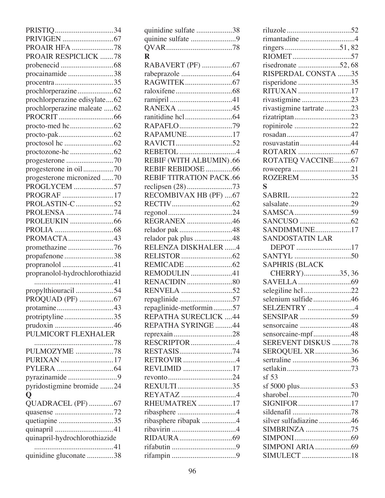| PRISTIQ 34                     |
|--------------------------------|
|                                |
| PROAIR HFA 78                  |
| PROAIR RESPICLICK 78           |
|                                |
| procainamide38                 |
| $procentra$ 35                 |
|                                |
| prochlorperazine edisylate62   |
| prochlorperazine maleate 62    |
|                                |
|                                |
|                                |
|                                |
|                                |
|                                |
| progesterone in oil70          |
| progesterone micronized 70     |
| PROGLYCEM 57                   |
| PROGRAF 17                     |
| PROLASTIN-C52                  |
| PROLENSA 74                    |
|                                |
|                                |
| PROMACTA43                     |
| promethazine 76                |
| propafenone38                  |
| propranolol 41                 |
| propranolol-hydrochlorothiazid |
|                                |
| propylthiouracil 54            |
| PROQUAD (PF) 67                |
|                                |
| protriptyline35                |
| prudoxin 46                    |
| PULMICORT FLEXHALER            |
|                                |
| PULMOZYME 78                   |
| PURIXAN 17                     |
|                                |
| pyrazinamide9                  |
| pyridostigmine bromide 24      |
| $\overline{Q}$                 |
| QUADRACEL (PF) 67              |
|                                |
| quetiapine 35                  |
|                                |
| quinapril-hydrochlorothiazide  |
|                                |
|                                |
| quinidine gluconate 38         |

| quinidine sulfate 38           |
|--------------------------------|
| quinine sulfate 9              |
|                                |
| $\mathbf R$                    |
| RABAVERT (PF) 67               |
|                                |
|                                |
|                                |
|                                |
| RANEXA 45                      |
|                                |
| RAPAFLO79                      |
| RAPAMUNE17                     |
|                                |
| REBETOL 4                      |
|                                |
| REBIF (WITH ALBUMIN).66        |
| REBIF REBIDOSE 66              |
| <b>REBIF TITRATION PACK.66</b> |
|                                |
| RECOMBIVAX HB (PF)  67         |
|                                |
|                                |
| REGRANEX 46                    |
| relador pak 48                 |
| relador pak plus 48            |
|                                |
| RELENZA DISKHALER 4            |
|                                |
|                                |
|                                |
| REMODULIN 41                   |
|                                |
| RENVELA 52                     |
| repaglinide57                  |
| repaglinide-metformin57        |
| REPATHA SURECLICK 44           |
| REPATHA SYRINGE 44             |
|                                |
| RESCRIPTOR4                    |
|                                |
| RETROVIR 4                     |
| REVLIMID 17                    |
|                                |
| REXULTI35                      |
| REYATAZ 4                      |
| RHEUMATREX 17                  |
|                                |
| ribasphere ribapak 4           |
|                                |
|                                |
|                                |

| rimantadine 4                     |
|-----------------------------------|
|                                   |
|                                   |
| risedronate 52,68                 |
| RISPERDAL CONSTA 35               |
| risperidone 35                    |
| RITUXAN 17                        |
| rivastigmine 23                   |
| rivastigmine tartrate23           |
| rizatriptan23                     |
| ropinirole 22                     |
| rosuvastatin 44                   |
|                                   |
| ROTATEQ VACCINE67                 |
|                                   |
| ROZEREM 35                        |
| S                                 |
|                                   |
|                                   |
|                                   |
|                                   |
| SANDIMMUNE17                      |
| <b>SANDOSTATIN LAR</b>            |
| DEPOT 17                          |
|                                   |
| <b>SAPHRIS (BLACK</b>             |
| CHERRY)35,36                      |
|                                   |
| selegiline hcl22                  |
| selenium sulfide46<br>SELZENTRY 4 |
|                                   |
| sensorcaine 48                    |
| sensorcaine-mpf48                 |
| <b>SEREVENT DISKUS 78</b>         |
| SEROQUEL XR36                     |
| sertraline 36                     |
|                                   |
| sf 53                             |
| sf 5000 plus53                    |
|                                   |
| SIGNIFOR17                        |
|                                   |
| silver sulfadiazine 46            |
| SIMBRINZA 75                      |
|                                   |
|                                   |
| SIMULECT 18                       |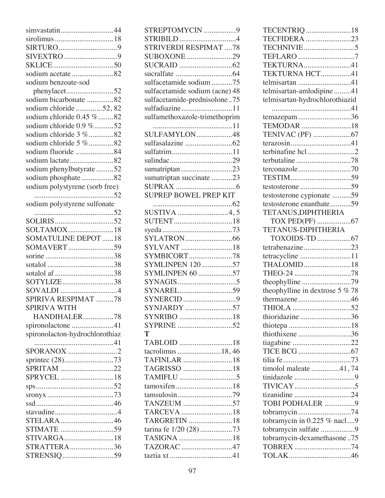| simvastatin44                  |
|--------------------------------|
|                                |
|                                |
|                                |
|                                |
| sodium acetate 82              |
| sodium benzoate-sod            |
| phenylacet52                   |
| sodium bicarbonate 82          |
| sodium chloride 52, 82         |
| sodium chloride 0.45 %82       |
| sodium chloride 0.9 %52        |
| sodium chloride 3 %82          |
| sodium chloride 5 %82          |
| sodium fluoride 84             |
| sodium lactate82               |
| sodium phenylbutyrate 52       |
| sodium phosphate82             |
| sodium polystyrene (sorb free) |
|                                |
| sodium polystyrene sulfonate   |
|                                |
|                                |
| SOLTAMOX18                     |
| <b>SOMATULINE DEPOT 18</b>     |
| SOMAVERT59                     |
|                                |
|                                |
| sotalol af 38                  |
| SOTYLIZE38                     |
| SOVALDI 4                      |
| SPIRIVA RESPIMAT 78            |
| <b>SPIRIVA WITH</b>            |
| HANDIHALER78                   |
| spironolactone 41              |
| spironolacton-hydrochlorothiaz |
|                                |
| SPORANOX 2                     |
|                                |
| SPRITAM 22                     |
| SPRYCEL 18                     |
|                                |
|                                |
|                                |
|                                |
| STELARA46                      |
| STIMATE 59                     |
| STIVARGA18                     |
| <b>STRATTERA</b> 36            |
| STRENSIQ59                     |
|                                |

| STREPTOMYCIN 9                 |
|--------------------------------|
| STRIBILD4                      |
| <b>STRIVERDI RESPIMAT 78</b>   |
| SUBOXONE 29                    |
|                                |
|                                |
| sulfacetamide sodium 75        |
| sulfacetamide sodium (acne) 48 |
| sulfacetamide-prednisolone75   |
| sulfadiazine11                 |
| sulfamethoxazole-trimethoprim  |
|                                |
| SULFAMYLON48                   |
|                                |
|                                |
|                                |
| sumatriptan 23                 |
| sumatriptan succinate 23       |
|                                |
| <b>SUPREP BOWEL PREP KIT</b>   |
|                                |
| SUSTIVA 4,5                    |
|                                |
|                                |
|                                |
|                                |
| SYLVANT 18                     |
| SYMBICORT78                    |
| <b>SYMLINPEN 120 57</b>        |
| SYMLINPEN 60 57                |
|                                |
|                                |
| SYNERCID 9                     |
|                                |
|                                |
| SYPRINE 52                     |
| T                              |
|                                |
| tacrolimus 18,46               |
| TAFINLAR 18                    |
| TAGRISSO 18                    |
|                                |
| tamoxifen18                    |
|                                |
| TANZEUM 57                     |
| TARCEVA 18                     |
| TARGRETIN 18                   |
| tarina fe 1/20 (28) 73         |
| TASIGNA 18                     |
| TAZORAC 47                     |

| TECENTRIQ 18                     |
|----------------------------------|
| TECFIDERA 23                     |
|                                  |
|                                  |
| TEKTURNA41                       |
| TEKTURNA HCT41                   |
| telmisartan 41                   |
| telmisartan-amlodipine 41        |
| telmisartan-hydrochlorothiazid   |
|                                  |
| $t$ emazepam 36                  |
| TEMODAR 18                       |
|                                  |
|                                  |
| terbinafine hcl2                 |
|                                  |
|                                  |
|                                  |
| testosterone 59                  |
| testosterone cypionate 59        |
| testosterone enanthate59         |
| TETANUS, DIPHTHERIA              |
|                                  |
| TETANUS-DIPHTHERIA               |
|                                  |
| tetrabenazine23                  |
| tetracycline 11                  |
| THALOMID18                       |
| THEO-24 78                       |
| theophylline 79                  |
| theophylline in dextrose $5\%78$ |
| thermazene46                     |
|                                  |
| thioridazine 36                  |
|                                  |
| thiothixene 36                   |
|                                  |
|                                  |
|                                  |
| timolol maleate 41,74            |
|                                  |
|                                  |
| tizanidine 24                    |
| TOBI PODHALER 9                  |
| tobramycin74                     |
| tobramycin in 0.225 % nacl9      |
| tobramycin sulfate 9             |
| tobramycin-dexamethasone75       |
| TOBREX 74                        |
|                                  |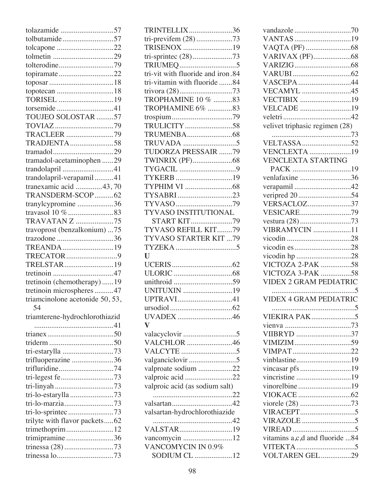| tolazamide 57                   |
|---------------------------------|
| tolbutamide57                   |
|                                 |
|                                 |
| tolterodine79                   |
|                                 |
|                                 |
|                                 |
| TORISEL 19                      |
| torsemide41                     |
| TOUJEO SOLOSTAR 57              |
| TOVIAZ 79                       |
| TRACLEER 79                     |
| TRADJENTA58                     |
|                                 |
| tramadol-acetaminophen 29       |
| trandolapril 41                 |
| trandolapril-verapamil41        |
| tranexamic acid 43,70           |
| TRANSDERM-SCOP62                |
| tranylcypromine 36              |
|                                 |
| <b>TRAVATAN Z 75</b>            |
| travoprost (benzalkonium) 75    |
| trazodone 36                    |
| TREANDA 19                      |
| TRECATOR9                       |
| TRELSTAR19                      |
|                                 |
| tretinoin (chemotherapy)19      |
| tretinoin microspheres 47       |
| triamcinolone acetonide 50, 53, |
| - 54                            |
| triamterene-hydrochlorothiazid  |
|                                 |
|                                 |
|                                 |
| tri-estarylla 73                |
| trifluoperazine 36              |
| trifluridine74                  |
| tri-legest fe73                 |
|                                 |
| tri-lo-estarylla 73             |
| tri-lo-marzia73                 |
| tri-lo-sprintec 73              |
| trilyte with flavor packets62   |
| trimethoprim12                  |
| trimipramine 36                 |
| trinessa (28) 73                |
|                                 |
|                                 |

| TRINTELLIX36                       |
|------------------------------------|
| tri-previfem (28) 73               |
| TRISENOX 19                        |
|                                    |
|                                    |
| tri-vit with fluoride and iron.84  |
| tri-vitamin with fluoride 84       |
|                                    |
| TROPHAMINE 10 % 83                 |
| TROPHAMINE 6% 83                   |
|                                    |
| TRULICITY 58                       |
|                                    |
|                                    |
| TUDORZA PRESSAIR 79                |
|                                    |
|                                    |
| TYKERB19                           |
|                                    |
| TYSABRI23                          |
|                                    |
| TYVASO INSTITUTIONAL               |
| <b>START KIT79</b>                 |
| TYVASO REFILL KIT79                |
| TYVASO STARTER KIT 79              |
|                                    |
|                                    |
| $\mathbf{U}$                       |
|                                    |
|                                    |
|                                    |
| UNITUXIN 19                        |
| UPTRAVI41                          |
|                                    |
| UVADEX 46                          |
| $\overline{\mathbf{V}}$            |
|                                    |
| VALCHLOR 46                        |
|                                    |
|                                    |
| valproate sodium 22                |
| valproic acid 22                   |
| valproic acid (as sodium salt)     |
|                                    |
|                                    |
| valsartan-hydrochlorothiazide      |
|                                    |
| VALSTAR19                          |
| vancomycin 12                      |
| VANCOMYCIN IN 0.9%<br>SODIUM CL 12 |

| VANTAS19                          |
|-----------------------------------|
|                                   |
|                                   |
|                                   |
|                                   |
| VASCEPA 44                        |
| <b>VECAMYL</b> 45                 |
| VECTIBIX 19                       |
| VELCADE 19                        |
|                                   |
| velivet triphasic regimen (28)    |
|                                   |
|                                   |
| <b>VENCLEXTA</b> 19               |
| <b>VENCLEXTA STARTING</b>         |
| PACK 19                           |
| venlafaxine 36                    |
| verapamil42                       |
| veripred 20 54                    |
| <b>VERSACLOZ37</b>                |
| VESICARE79                        |
|                                   |
| <b>VIBRAMYCIN</b> 11              |
|                                   |
|                                   |
|                                   |
| vicodin hp 28<br>VICTOZA 2-PAK 58 |
|                                   |
|                                   |
| VICTOZA 3-PAK 58                  |
| <b>VIDEX 2 GRAM PEDIATRIC</b>     |
|                                   |
| <b>VIDEX 4 GRAM PEDIATRIC</b>     |
| .                                 |
|                                   |
|                                   |
| VIIBRYD 37                        |
|                                   |
| VIMPAT22                          |
| vinblastine19                     |
| vincasar pfs 19                   |
| vincristine 19                    |
| vinorelbine19                     |
|                                   |
| viorele (28) 73                   |
|                                   |
|                                   |
|                                   |
| vitamins a,c,d and fluoride 84    |
| VOLTAREN GEL29                    |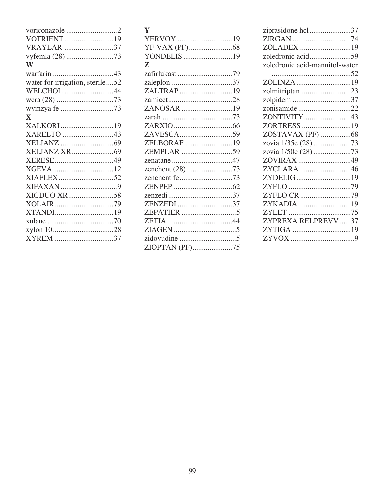| Y              |  |
|----------------|--|
| YERVOY 19      |  |
|                |  |
| YONDELIS 19    |  |
| Z              |  |
| zafirlukast 79 |  |
|                |  |
| ZALTRAP19      |  |
|                |  |
| ZANOSAR 19     |  |
|                |  |
|                |  |
| ZAVESCA59      |  |
| ZELBORAF 19    |  |
| ZEMPLAR 59     |  |
|                |  |
|                |  |
|                |  |
|                |  |
|                |  |
| ZENZEDI 37     |  |
|                |  |
|                |  |
|                |  |
|                |  |
| ZIOPTAN (PF)75 |  |
|                |  |

| ziprasidone hcl37              |  |
|--------------------------------|--|
|                                |  |
| ZOLADEX 19                     |  |
| zoledronic acid59              |  |
| zoledronic acid-mannitol-water |  |
|                                |  |
| ZOLINZA 19                     |  |
| zolmitriptan23                 |  |
| zolpidem 37                    |  |
| zonisamide22                   |  |
| ZONTIVITY43                    |  |
| ZORTRESS 19                    |  |
| ZOSTAVAX (PF) 68               |  |
|                                |  |
|                                |  |
| ZOVIRAX 49                     |  |
| ZYCLARA 46                     |  |
| ZYDELIG19                      |  |
|                                |  |
| ZYFLO CR 79                    |  |
| ZYKADIA 19                     |  |
|                                |  |
| ZYPREXA RELPREVV 37            |  |
|                                |  |
|                                |  |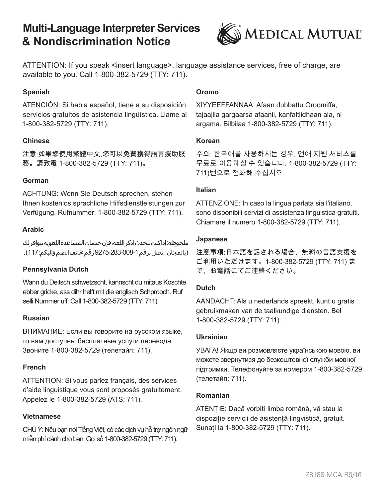# **Multi-Language Interpreter Services & Nondiscrimination Notice**



ATTENTION: If you speak <insert language>, language assistance services, free of charge, are available to you. Call 1-800-382-5729 (TTY: 711).

### **Spanish**

ATENCIÓN: Si habla español, tiene a su disposición servicios gratuitos de asistencia lingüística. Llame al 1-800-382-5729 (TTY: 711).

#### **Chinese**

注意:如果您使用繁體中文.您可以免費獲得語言援助服 務。請致電 1-800-382-5729 (TTY: 711)。

#### **German**

ACHTUNG: Wenn Sie Deutsch sprechen, stehen Ihnen kostenlos sprachliche Hilfsdienstleistungen zur Verfügung. Rufnummer: 1-800-382-5729 (TTY: 711).

#### **Arabic**

ملحوظة:إذاكنت تتحدثاذكر اللغة،فان *خ*دماتالمساعدةاللغوية تتوافر لك (بالمجان. اتصل برقم 1-08-283-9275 رقم هاتف الصم والبكم:117).

#### **Pennsylvania Dutch**

Wann du Deitsch schwetzscht, kannscht du mitaus Koschte ebber gricke, ass dihr helft mit die englisch Schprooch. Ruf selli Nummer uff: Call 1-800-382-5729 (TTY: 711).

#### **Russian**

ВНИМАНИЕ: Если вы говорите на русском языке, то вам доступны бесплатные услуги перевода. Звоните 1-800-382-5729 (телетайп: 711).

#### **French**

ATTENTION: Si vous parlez français, des services d'aide linguistique vous sont proposés gratuitement. Appelez le 1-800-382-5729 (ATS: 711).

#### **Vietnamese**

CHÚ Ý: Nếu bạn nói Tiếng Việt, có các dịch vụ hỗ trợ ngôn ngữ miễn phí dành cho bạn. Gọi số 1-800-382-5729 (TTY: 711).

#### **Oromo**

XIYYEEFFANNAA: Afaan dubbattu Oroomiffa, tajaajila gargaarsa afaanii, kanfaltiidhaan ala, ni argama. Bilbilaa 1-800-382-5729 (TTY: 711).

#### **Korean**

주의: 한국어를 사용하시는 경우, 언어 지원 서비스를 무료로 이용하실 수 있습니다. 1-800-382-5729 (TTY: 711)번으로 전화해 주십시오.

#### **Italian**

ATTENZIONE: In caso la lingua parlata sia l'italiano, sono disponibili servizi di assistenza linguistica gratuiti. Chiamare il numero 1-800-382-5729 (TTY: 711).

#### **Japanese**

注意事項:日本語を話される場合、無料の言語支援を ご利用いただけます。1-800-382-5729 (TTY: 711) ま で、お電話にてご連絡ください。

#### **Dutch**

AANDACHT: Als u nederlands spreekt, kunt u gratis gebruikmaken van de taalkundige diensten. Bel 1-800-382-5729 (TTY: 711).

#### **Ukrainian**

УВАГА! Якщо ви розмовляєте українською мовою, ви можете звернутися до безкоштовної служби мовної підтримки. Телефонуйте за номером 1-800-382-5729 (телетайп: 711).

#### **Romanian**

ATENTIE: Dacă vorbiti limba română, vă stau la dispoziție servicii de asistență lingvistică, gratuit. Sunați la 1-800-382-5729 (TTY: 711).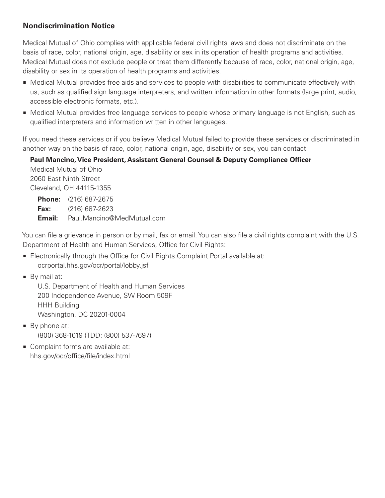# **Nondiscrimination Notice**

Medical Mutual of Ohio complies with applicable federal civil rights laws and does not discriminate on the basis of race, color, national origin, age, disability or sex in its operation of health programs and activities. Medical Mutual does not exclude people or treat them differently because of race, color, national origin, age, disability or sex in its operation of health programs and activities.

- $\blacksquare$  Medical Mutual provides free aids and services to people with disabilities to communicate effectively with us, such as qualified sign language interpreters, and written information in other formats (large print, audio, accessible electronic formats, etc.).
- **Medical Mutual provides free language services to people whose primary language is not English, such as** qualified interpreters and information written in other languages.

If you need these services or if you believe Medical Mutual failed to provide these services or discriminated in another way on the basis of race, color, national origin, age, disability or sex, you can contact:

## **Paul Mancino, Vice President, Assistant General Counsel & Deputy Compliance Officer**

 Medical Mutual of Ohio 2060 East Ninth Street Cleveland, OH 44115-1355

 **Phone:** (216) 687-2675  **Fax:** (216) 687-2623  **Email:** Paul.Mancino@MedMutual.com

You can file a grievance in person or by mail, fax or email. You can also file a civil rights complaint with the U.S. Department of Health and Human Services, Office for Civil Rights:

- **Electronically through the Office for Civil Rights Complaint Portal available at:** ocrportal.hhs.gov/ocr/portal/lobby.jsf
- By mail at:

 U.S. Department of Health and Human Services 200 Independence Avenue, SW Room 509F HHH Building Washington, DC 20201-0004

- $\blacksquare$  By phone at: (800) 368-1019 (TDD: (800) 537-7697)
- Complaint forms are available at: hhs.gov/ocr/office/file/index.html